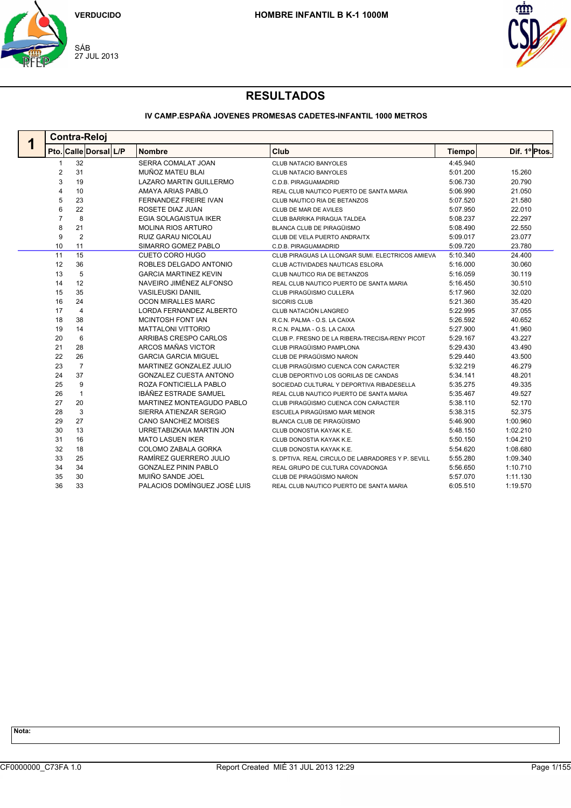



## **IV CAMP.ESPAÑA JOVENES PROMESAS CADETES-INFANTIL 1000 METROS**

| <b>Contra-Reloj</b> |                       |                               |                                                   |               |               |  |  |  |  |
|---------------------|-----------------------|-------------------------------|---------------------------------------------------|---------------|---------------|--|--|--|--|
|                     | Pto. Calle Dorsal L/P | <b>Nombre</b>                 | Club                                              | <b>Tiempo</b> | Dif. 1º Ptos. |  |  |  |  |
|                     | 32                    | <b>SERRA COMALAT JOAN</b>     | <b>CLUB NATACIO BANYOLES</b>                      | 4:45.940      |               |  |  |  |  |
| 2                   | 31                    | MUÑOZ MATEU BLAI              | CLUB NATACIO BANYOLES                             | 5:01.200      | 15.260        |  |  |  |  |
| 3                   | 19                    | LAZARO MARTIN GUILLERMO       | C.D.B. PIRAGUAMADRID                              | 5:06.730      | 20.790        |  |  |  |  |
| 4                   | 10                    | AMAYA ARIAS PABLO             | REAL CLUB NAUTICO PUERTO DE SANTA MARIA           | 5:06.990      | 21.050        |  |  |  |  |
| 5                   | 23                    | FERNANDEZ FREIRE IVAN         | CLUB NAUTICO RIA DE BETANZOS                      | 5:07.520      | 21.580        |  |  |  |  |
| 6                   | 22                    | ROSETE DIAZ JUAN              | CLUB DE MAR DE AVILES                             | 5:07.950      | 22.010        |  |  |  |  |
| $\overline{7}$      | 8                     | <b>EGIA SOLAGAISTUA IKER</b>  | CLUB BARRIKA PIRAGUA TALDEA                       | 5:08.237      | 22.297        |  |  |  |  |
| 8                   | 21                    | <b>MOLINA RIOS ARTURO</b>     | <b>BLANCA CLUB DE PIRAGÜISMO</b>                  | 5:08.490      | 22.550        |  |  |  |  |
| 9                   | $\overline{2}$        | RUIZ GARAU NICOLAU            | CLUB DE VELA PUERTO ANDRAITX                      | 5:09.017      | 23.077        |  |  |  |  |
| 10                  | 11                    | SIMARRO GOMEZ PABLO           | C.D.B. PIRAGUAMADRID                              | 5:09.720      | 23.780        |  |  |  |  |
| 11                  | 15                    | <b>CUETO CORO HUGO</b>        | CLUB PIRAGUAS LA LLONGAR SUMI. ELECTRICOS AMIEVA  | 5:10.340      | 24.400        |  |  |  |  |
| 12                  | 36                    | ROBLES DELGADO ANTONIO        | CLUB ACTIVIDADES NAUTICAS ESLORA                  | 5:16.000      | 30.060        |  |  |  |  |
| 13                  | 5                     | <b>GARCIA MARTINEZ KEVIN</b>  | CLUB NAUTICO RIA DE BETANZOS                      | 5:16.059      | 30.119        |  |  |  |  |
| 14                  | 12                    | NAVEIRO JIMÉNEZ ALFONSO       | REAL CLUB NAUTICO PUERTO DE SANTA MARIA           | 5:16.450      | 30.510        |  |  |  |  |
| 15                  | 35                    | <b>VASILEUSKI DANIIL</b>      | CLUB PIRAGÜISMO CULLERA                           | 5:17.960      | 32.020        |  |  |  |  |
| 16                  | 24                    | <b>OCON MIRALLES MARC</b>     | <b>SICORIS CLUB</b>                               | 5:21.360      | 35.420        |  |  |  |  |
| 17                  | $\overline{4}$        | LORDA FERNANDEZ ALBERTO       | CLUB NATACIÓN LANGREO                             | 5:22.995      | 37.055        |  |  |  |  |
| 18                  | 38                    | <b>MCINTOSH FONT IAN</b>      | R.C.N. PALMA - O.S. LA CAIXA                      | 5:26.592      | 40.652        |  |  |  |  |
| 19                  | 14                    | <b>MATTALONI VITTORIO</b>     | R.C.N. PALMA - O.S. LA CAIXA                      | 5:27.900      | 41.960        |  |  |  |  |
| 20                  | 6                     | ARRIBAS CRESPO CARLOS         | CLUB P. FRESNO DE LA RIBERA-TRECISA-RENY PICOT    | 5:29.167      | 43.227        |  |  |  |  |
| 21                  | 28                    | ARCOS MAÑAS VICTOR            | CLUB PIRAGÜISMO PAMPLONA                          | 5:29.430      | 43.490        |  |  |  |  |
| 22                  | 26                    | <b>GARCIA GARCIA MIGUEL</b>   | CLUB DE PIRAGÜISMO NARON                          | 5:29.440      | 43.500        |  |  |  |  |
| 23                  | $\overline{7}$        | MARTINEZ GONZALEZ JULIO       | CLUB PIRAGÜISMO CUENCA CON CARACTER               | 5:32.219      | 46.279        |  |  |  |  |
| 24                  | 37                    | <b>GONZALEZ CUESTA ANTONO</b> | CLUB DEPORTIVO LOS GORILAS DE CANDAS              | 5:34.141      | 48.201        |  |  |  |  |
| 25                  | 9                     | ROZA FONTICIELLA PABLO        | SOCIEDAD CULTURAL Y DEPORTIVA RIBADESELLA         | 5:35.275      | 49.335        |  |  |  |  |
| 26                  | $\mathbf{1}$          | IBÁÑEZ ESTRADE SAMUEL         | REAL CLUB NAUTICO PUERTO DE SANTA MARIA           | 5:35.467      | 49.527        |  |  |  |  |
| 27                  | 20                    | MARTINEZ MONTEAGUDO PABLO     | CLUB PIRAGÜISMO CUENCA CON CARACTER               | 5:38.110      | 52.170        |  |  |  |  |
| 28                  | 3                     | SIERRA ATIENZAR SERGIO        | ESCUELA PIRAGÜISMO MAR MENOR                      | 5:38.315      | 52.375        |  |  |  |  |
| 29                  | 27                    | <b>CANO SANCHEZ MOISES</b>    | <b>BLANCA CLUB DE PIRAGÜISMO</b>                  | 5:46.900      | 1:00.960      |  |  |  |  |
| 30                  | 13                    | URRETABIZKAIA MARTIN JON      | CLUB DONOSTIA KAYAK K.E.                          | 5:48.150      | 1:02.210      |  |  |  |  |
| 31                  | 16                    | <b>MATO LASUEN IKER</b>       | CLUB DONOSTIA KAYAK K.E.                          | 5:50.150      | 1:04.210      |  |  |  |  |
| 32                  | 18                    | COLOMO ZABALA GORKA           | CLUB DONOSTIA KAYAK K.E.                          | 5:54.620      | 1:08.680      |  |  |  |  |
| 33                  | 25                    | RAMÍREZ GUERRERO JULIO        | S. DPTIVA, REAL CIRCULO DE LABRADORES Y P. SEVILL | 5:55.280      | 1:09.340      |  |  |  |  |
| 34                  | 34                    | <b>GONZALEZ PININ PABLO</b>   | REAL GRUPO DE CULTURA COVADONGA                   | 5:56.650      | 1:10.710      |  |  |  |  |
| 35                  | 30                    | MUIÑO SANDE JOEL              | CLUB DE PIRAGÜISMO NARON                          | 5:57.070      | 1:11.130      |  |  |  |  |
| 36                  | 33                    | PALACIOS DOMÍNGUEZ JOSÉ LUIS  | REAL CLUB NAUTICO PUERTO DE SANTA MARIA           | 6:05.510      | 1:19.570      |  |  |  |  |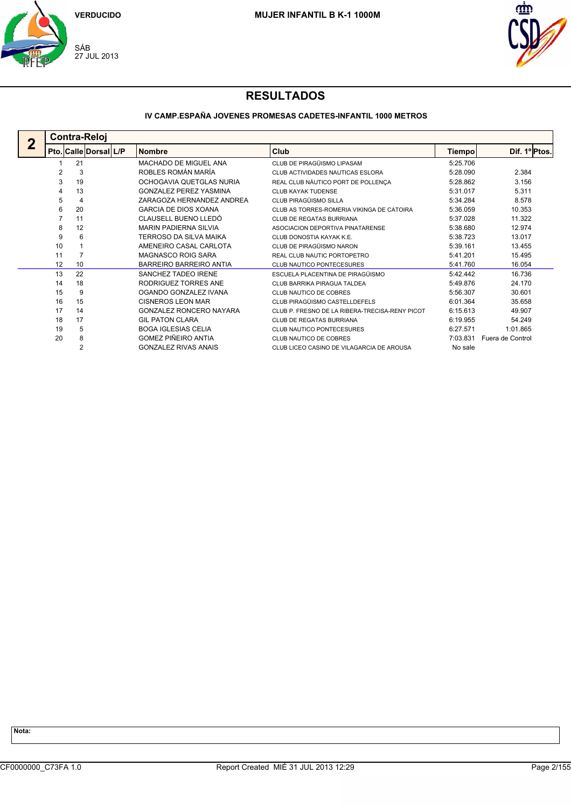



## **IV CAMP.ESPAÑA JOVENES PROMESAS CADETES-INFANTIL 1000 METROS**

| <b>Contra-Reloj</b> |    |                                |                                                |          |                  |  |  |  |  |  |
|---------------------|----|--------------------------------|------------------------------------------------|----------|------------------|--|--|--|--|--|
|                     |    | <b>Nombre</b>                  | Club                                           | Tiempo   | Dif. 1º Ptos.    |  |  |  |  |  |
|                     | 21 | MACHADO DE MIGUEL ANA          | CLUB DE PIRAGÜISMO LIPASAM                     | 5:25.706 |                  |  |  |  |  |  |
| 2                   | 3  | ROBLES ROMÁN MARÍA             | CLUB ACTIVIDADES NAUTICAS ESLORA               | 5:28.090 | 2.384            |  |  |  |  |  |
| 3                   | 19 | OCHOGAVIA QUETGLAS NURIA       | REAL CLUB NÁUTICO PORT DE POLLENÇA             | 5:28.862 | 3.156            |  |  |  |  |  |
| 4                   | 13 | <b>GONZALEZ PEREZ YASMINA</b>  | CLUB KAYAK TUDENSE                             | 5:31.017 | 5.311            |  |  |  |  |  |
| 5                   | 4  | ZARAGOZA HERNANDEZ ANDREA      | CLUB PIRAGÜISMO SILLA                          | 5:34.284 | 8.578            |  |  |  |  |  |
| 6                   | 20 | <b>GARCIA DE DIOS XOANA</b>    | CLUB AS TORRES-ROMERIA VIKINGA DE CATOIRA      | 5:36.059 | 10.353           |  |  |  |  |  |
|                     | 11 | CLAUSELL BUENO LLEDÓ           | <b>CLUB DE REGATAS BURRIANA</b>                | 5:37.028 | 11.322           |  |  |  |  |  |
| 8                   | 12 | <b>MARIN PADIERNA SILVIA</b>   | ASOCIACION DEPORTIVA PINATARENSE               | 5:38.680 | 12.974           |  |  |  |  |  |
| 9                   | 6  | TERROSO DA SILVA MAIKA         | CLUB DONOSTIA KAYAK K.E.                       | 5:38.723 | 13.017           |  |  |  |  |  |
| 10                  |    | AMENEIRO CASAL CARLOTA         | CLUB DE PIRAGÜISMO NARON                       | 5:39.161 | 13.455           |  |  |  |  |  |
| 11                  |    | MAGNASCO ROIG SARA             | REAL CLUB NAUTIC PORTOPETRO                    | 5:41.201 | 15.495           |  |  |  |  |  |
| 12                  | 10 | BARREIRO BARREIRO ANTIA        | CLUB NAUTICO PONTECESURES                      | 5:41.760 | 16.054           |  |  |  |  |  |
| 13                  | 22 | SANCHEZ TADEO IRENE            | ESCUELA PLACENTINA DE PIRAGÜISMO               | 5:42.442 | 16.736           |  |  |  |  |  |
| 14                  | 18 | RODRIGUEZ TORRES ANE           | CLUB BARRIKA PIRAGUA TALDEA                    | 5:49.876 | 24.170           |  |  |  |  |  |
| 15                  | 9  | OGANDO GONZALEZ IVANA          | CLUB NAUTICO DE COBRES                         | 5:56.307 | 30.601           |  |  |  |  |  |
| 16                  | 15 | CISNEROS LEON MAR              | CLUB PIRAGÜISMO CASTELLDEFELS                  | 6:01.364 | 35.658           |  |  |  |  |  |
| 17                  | 14 | <b>GONZALEZ RONCERO NAYARA</b> | CLUB P. FRESNO DE LA RIBERA-TRECISA-RENY PICOT | 6:15.613 | 49.907           |  |  |  |  |  |
| 18                  | 17 | <b>GIL PATON CLARA</b>         | <b>CLUB DE REGATAS BURRIANA</b>                | 6:19.955 | 54.249           |  |  |  |  |  |
| 19                  | 5  | <b>BOGA IGLESIAS CELIA</b>     | CLUB NAUTICO PONTECESURES                      | 6:27.571 | 1:01.865         |  |  |  |  |  |
| 20                  | 8  | <b>GOMEZ PIÑEIRO ANTIA</b>     | <b>CLUB NAUTICO DE COBRES</b>                  | 7:03.831 | Fuera de Control |  |  |  |  |  |
|                     | 2  | <b>GONZALEZ RIVAS ANAIS</b>    | CLUB LICEO CASINO DE VILAGARCIA DE AROUSA      | No sale  |                  |  |  |  |  |  |
|                     |    | Pto. Calle Dorsal L/P          |                                                |          |                  |  |  |  |  |  |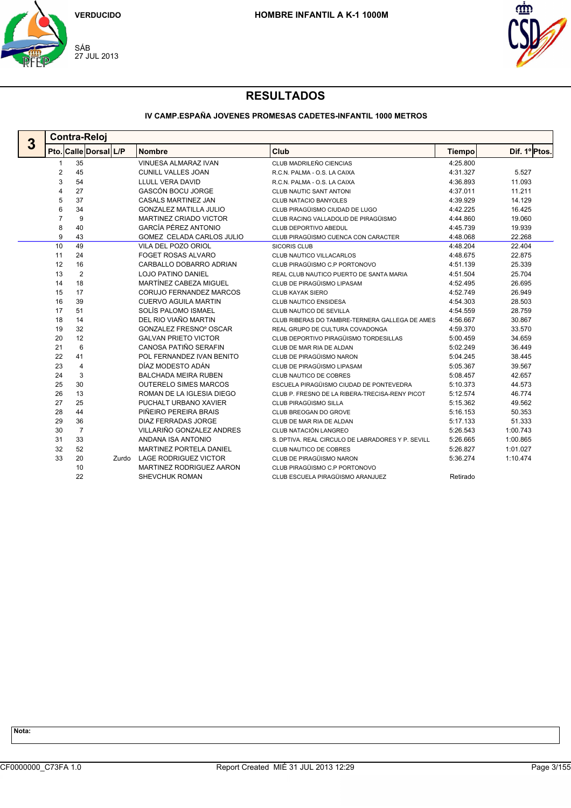



## **IV CAMP.ESPAÑA JOVENES PROMESAS CADETES-INFANTIL 1000 METROS**

|   |                | <b>Contra-Reloj</b>   |       |                                |                                                   |               |               |  |
|---|----------------|-----------------------|-------|--------------------------------|---------------------------------------------------|---------------|---------------|--|
| 3 |                | Pto. Calle Dorsal L/P |       | <b>Nombre</b>                  | Club                                              | <b>Tiempo</b> | Dif. 1º Ptos. |  |
|   | 1              | 35                    |       | VINUESA ALMARAZ IVAN           | CLUB MADRILEÑO CIENCIAS                           | 4:25.800      |               |  |
|   | $\overline{2}$ | 45                    |       | <b>CUNILL VALLES JOAN</b>      | R.C.N. PALMA - O.S. LA CAIXA                      | 4:31.327      | 5.527         |  |
|   | 3              | 54                    |       | LLULL VERA DAVID               | R.C.N. PALMA - O.S. LA CAIXA                      | 4:36.893      | 11.093        |  |
|   | 4              | 27                    |       | <b>GASCÓN BOCU JORGE</b>       | <b>CLUB NAUTIC SANT ANTONI</b>                    | 4:37.011      | 11.211        |  |
|   | 5              | 37                    |       | <b>CASALS MARTINEZ JAN</b>     | <b>CLUB NATACIO BANYOLES</b>                      | 4:39.929      | 14.129        |  |
|   | 6              | 34                    |       | <b>GONZALEZ MATILLA JULIO</b>  | CLUB PIRAGÜISMO CIUDAD DE LUGO                    | 4:42.225      | 16.425        |  |
|   | $\overline{7}$ | 9                     |       | MARTINEZ CRIADO VICTOR         | CLUB RACING VALLADOLID DE PIRAGÜISMO              | 4:44.860      | 19.060        |  |
|   | 8              | 40                    |       | GARCÍA PÉREZ ANTONIO           | CLUB DEPORTIVO ABEDUL                             | 4:45.739      | 19.939        |  |
|   | 9              | 43                    |       | GOMEZ CELADA CARLOS JULIO      | CLUB PIRAGÜISMO CUENCA CON CARACTER               | 4:48.068      | 22.268        |  |
|   | 10             | 49                    |       | VILA DEL POZO ORIOL            | <b>SICORIS CLUB</b>                               | 4:48.204      | 22.404        |  |
|   | 11             | 24                    |       | <b>FOGET ROSAS ALVARO</b>      | CLUB NAUTICO VILLACARLOS                          | 4:48.675      | 22.875        |  |
|   | 12             | 16                    |       | CARBALLO DOBARRO ADRIAN        | CLUB PIRAGÜISMO C.P PORTONOVO                     | 4:51.139      | 25.339        |  |
|   | 13             | $\overline{2}$        |       | <b>LOJO PATINO DANIEL</b>      | REAL CLUB NAUTICO PUERTO DE SANTA MARIA           | 4:51.504      | 25.704        |  |
|   | 14             | 18                    |       | MARTÍNEZ CABEZA MIGUEL         | CLUB DE PIRAGÜISMO LIPASAM                        | 4:52.495      | 26.695        |  |
|   | 15             | 17                    |       | CORUJO FERNANDEZ MARCOS        | <b>CLUB KAYAK SIERO</b>                           | 4:52.749      | 26.949        |  |
|   | 16             | 39                    |       | <b>CUERVO AGUILA MARTIN</b>    | <b>CLUB NAUTICO ENSIDESA</b>                      | 4:54.303      | 28.503        |  |
|   | 17             | 51                    |       | SOLÍS PALOMO ISMAEL            | CLUB NAUTICO DE SEVILLA                           | 4:54.559      | 28.759        |  |
|   | 18             | 14                    |       | DEL RIO VIAÑO MARTIN           | CLUB RIBERAS DO TAMBRE-TERNERA GALLEGA DE AMES    | 4:56.667      | 30.867        |  |
|   | 19             | 32                    |       | <b>GONZALEZ FRESNO° OSCAR</b>  | REAL GRUPO DE CULTURA COVADONGA                   | 4:59.370      | 33.570        |  |
|   | 20             | 12                    |       | <b>GALVAN PRIETO VICTOR</b>    | CLUB DEPORTIVO PIRAGÜISMO TORDESILLAS             | 5:00.459      | 34.659        |  |
|   | 21             | 6                     |       | CANOSA PATIÑO SERAFIN          | CLUB DE MAR RIA DE ALDAN                          | 5:02.249      | 36.449        |  |
|   | 22             | 41                    |       | POL FERNANDEZ IVAN BENITO      | CLUB DE PIRAGÜISMO NARON                          | 5:04.245      | 38.445        |  |
|   | 23             | 4                     |       | DÍAZ MODESTO ADÁN              | CLUB DE PIRAGÜISMO LIPASAM                        | 5:05.367      | 39.567        |  |
|   | 24             | 3                     |       | <b>BALCHADA MEIRA RUBEN</b>    | CLUB NAUTICO DE COBRES                            | 5:08.457      | 42.657        |  |
|   | 25             | 30                    |       | <b>OUTERELO SIMES MARCOS</b>   | ESCUELA PIRAGÜISMO CIUDAD DE PONTEVEDRA           | 5:10.373      | 44.573        |  |
|   | 26             | 13                    |       | ROMAN DE LA IGLESIA DIEGO      | CLUB P. FRESNO DE LA RIBERA-TRECISA-RENY PICOT    | 5:12.574      | 46.774        |  |
|   | 27             | 25                    |       | PUCHALT URBANO XAVIER          | CLUB PIRAGÜISMO SILLA                             | 5:15.362      | 49.562        |  |
|   | 28             | 44                    |       | PIÑEIRO PEREIRA BRAIS          | CLUB BREOGAN DO GROVE                             | 5:16.153      | 50.353        |  |
|   | 29             | 36                    |       | DIAZ FERRADAS JORGE            | CLUB DE MAR RIA DE ALDAN                          | 5:17.133      | 51.333        |  |
|   | 30             | $\overline{7}$        |       | VILLARIÑO GONZALEZ ANDRES      | CLUB NATACIÓN LANGREO                             | 5:26.543      | 1:00.743      |  |
|   | 31             | 33                    |       | ANDANA ISA ANTONIO             | S. DPTIVA, REAL CIRCULO DE LABRADORES Y P. SEVILL | 5:26.665      | 1:00.865      |  |
|   | 32             | 52                    |       | <b>MARTINEZ PORTELA DANIEL</b> | CLUB NAUTICO DE COBRES                            | 5:26.827      | 1:01.027      |  |
|   | 33             | 20                    | Zurdo | <b>LAGE RODRIGUEZ VICTOR</b>   | CLUB DE PIRAGÜISMO NARON                          | 5:36.274      | 1:10.474      |  |
|   |                | 10                    |       | MARTINEZ RODRIGUEZ AARON       | CLUB PIRAGÜISMO C.P PORTONOVO                     |               |               |  |
|   |                | 22                    |       | SHEVCHUK ROMAN                 | CLUB ESCUELA PIRAGÜISMO ARANJUEZ                  | Retirado      |               |  |
|   |                |                       |       |                                |                                                   |               |               |  |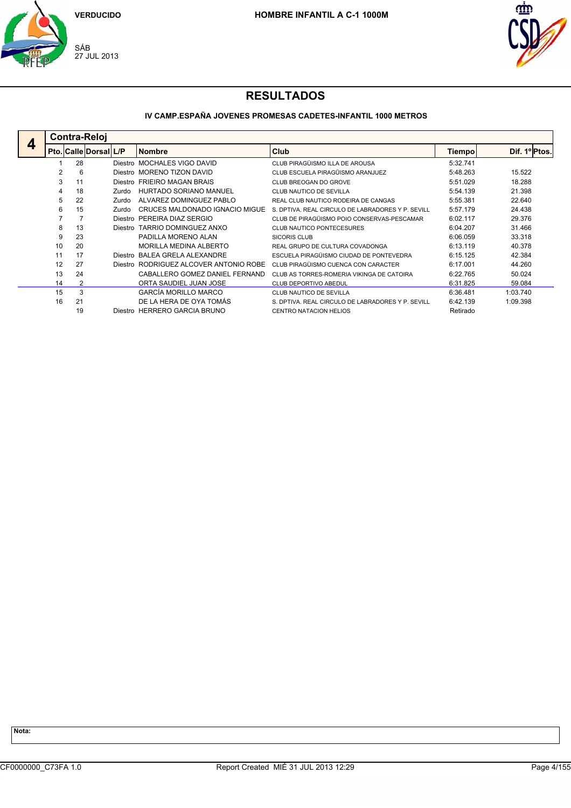



## **IV CAMP.ESPAÑA JOVENES PROMESAS CADETES-INFANTIL 1000 METROS**

|   | <b>Contra-Reloi</b> |                       |         |                                        |                                                   |               |              |
|---|---------------------|-----------------------|---------|----------------------------------------|---------------------------------------------------|---------------|--------------|
| 4 |                     | Pto. Calle Dorsal L/P |         | <b>Nombre</b>                          | <b>Club</b>                                       | <b>Tiempo</b> | Dif. 1ºPtos. |
|   |                     | 28                    | Diestro | <b>MOCHALES VIGO DAVID</b>             | CLUB PIRAGÜISMO ILLA DE AROUSA                    | 5:32.741      |              |
|   | 2                   | 6                     | Diestro | <b>MORENO TIZON DAVID</b>              | CLUB ESCUELA PIRAGÜISMO ARANJUEZ                  | 5:48.263      | 15.522       |
|   | 3                   | 11                    |         | Diestro FRIEIRO MAGAN BRAIS            | CLUB BREOGAN DO GROVE                             | 5:51.029      | 18.288       |
|   | 4                   | 18                    | Zurdo   | HURTADO SORIANO MANUEL                 | CLUB NAUTICO DE SEVILLA                           | 5:54.139      | 21.398       |
|   | 5                   | 22                    | Zurdo   | ALVAREZ DOMINGUEZ PABLO                | REAL CLUB NAUTICO RODEIRA DE CANGAS               | 5:55.381      | 22.640       |
|   | 6                   | 15                    | Zurdo   | CRUCES MALDONADO IGNACIO MIGUE         | S. DPTIVA. REAL CIRCULO DE LABRADORES Y P. SEVILL | 5:57.179      | 24.438       |
|   |                     |                       |         | Diestro PEREIRA DIAZ SERGIO            | CLUB DE PIRAGÜISMO POIO CONSERVAS-PESCAMAR        | 6:02.117      | 29.376       |
|   | 8                   | 13                    | Diestro | TARRIO DOMINGUEZ ANXO                  | <b>CLUB NAUTICO PONTECESURES</b>                  | 6:04.207      | 31.466       |
|   | 9                   | 23                    |         | PADILLA MORENO ALAN                    | <b>SICORIS CLUB</b>                               | 6:06.059      | 33.318       |
|   | 10                  | 20                    |         | MORILLA MEDINA ALBERTO                 | REAL GRUPO DE CULTURA COVADONGA                   | 6:13.119      | 40.378       |
|   | 11                  | 17                    | Diestro | BALEA GRELA ALEXANDRE                  | ESCUELA PIRAGÜISMO CIUDAD DE PONTEVEDRA           | 6:15.125      | 42.384       |
|   | 12                  | 27                    |         | Diestro RODRIGUEZ ALCOVER ANTONIO ROBE | CLUB PIRAGÜISMO CUENCA CON CARACTER               | 6:17.001      | 44.260       |
|   | 13                  | 24                    |         | CABALLERO GOMEZ DANIEL FERNAND         | CLUB AS TORRES-ROMERIA VIKINGA DE CATOIRA         | 6:22.765      | 50.024       |
|   | 14                  | 2                     |         | ORTA SAUDIEL JUAN JOSE                 | <b>CLUB DEPORTIVO ABEDUL</b>                      | 6:31.825      | 59.084       |
|   | 15                  | 3                     |         | <b>GARCÍA MORILLO MARCO</b>            | CLUB NAUTICO DE SEVILLA                           | 6:36.481      | 1:03.740     |
|   | 16                  | 21                    |         | DE LA HERA DE OYA TOMÁS                | S. DPTIVA. REAL CIRCULO DE LABRADORES Y P. SEVILL | 6:42.139      | 1:09.398     |
|   |                     | 19                    |         | Diestro HERRERO GARCIA BRUNO           | <b>CENTRO NATACION HELIOS</b>                     | Retirado      |              |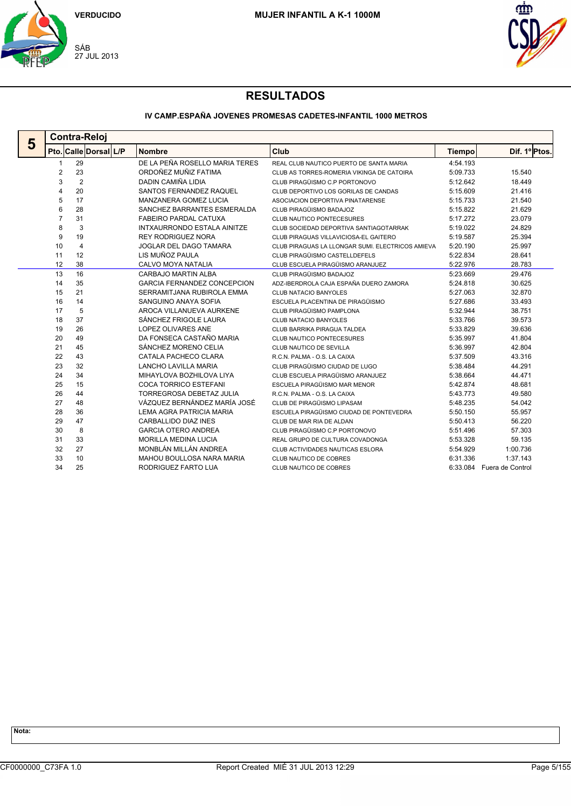



## **IV CAMP.ESPAÑA JOVENES PROMESAS CADETES-INFANTIL 1000 METROS**

| 5 | <b>Contra-Reloj</b> |                       |                                    |                                                  |               |                           |  |  |  |  |  |
|---|---------------------|-----------------------|------------------------------------|--------------------------------------------------|---------------|---------------------------|--|--|--|--|--|
|   |                     | Pto. Calle Dorsal L/P | <b>Nombre</b>                      | Club                                             | <b>Tiempo</b> | Dif. 1º Ptos.             |  |  |  |  |  |
|   | 1                   | 29                    | DE LA PEÑA ROSELLO MARIA TERES     | REAL CLUB NAUTICO PUERTO DE SANTA MARIA          | 4:54.193      |                           |  |  |  |  |  |
|   | $\overline{2}$      | 23                    | ORDOÑEZ MUÑIZ FATIMA               | CLUB AS TORRES-ROMERIA VIKINGA DE CATOIRA        | 5:09.733      | 15.540                    |  |  |  |  |  |
|   | 3                   | 2                     | DADIN CAMIÑA LIDIA                 | CLUB PIRAGÜISMO C.P PORTONOVO                    | 5:12.642      | 18.449                    |  |  |  |  |  |
|   | 4                   | 20                    | SANTOS FERNANDEZ RAQUEL            | CLUB DEPORTIVO LOS GORILAS DE CANDAS             | 5:15.609      | 21.416                    |  |  |  |  |  |
|   | 5                   | 17                    | MANZANERA GOMEZ LUCIA              | ASOCIACION DEPORTIVA PINATARENSE                 | 5:15.733      | 21.540                    |  |  |  |  |  |
|   | 6                   | 28                    | SANCHEZ BARRANTES ESMERALDA        | CLUB PIRAGÜISMO BADAJOZ                          | 5:15.822      | 21.629                    |  |  |  |  |  |
|   | $\overline{7}$      | 31                    | <b>FABEIRO PARDAL CATUXA</b>       | CLUB NAUTICO PONTECESURES                        | 5:17.272      | 23.079                    |  |  |  |  |  |
|   | 8                   | 3                     | INTXAURRONDO ESTALA AINITZE        | CLUB SOCIEDAD DEPORTIVA SANTIAGOTARRAK           | 5:19.022      | 24.829                    |  |  |  |  |  |
|   | 9                   | 19                    | <b>REY RODRIGUEZ NORA</b>          | CLUB PIRAGUAS VILLAVICIOSA-EL GAITERO            | 5:19.587      | 25.394                    |  |  |  |  |  |
|   | 10                  | $\overline{4}$        | JOGLAR DEL DAGO TAMARA             | CLUB PIRAGUAS LA LLONGAR SUMI. ELECTRICOS AMIEVA | 5:20.190      | 25.997                    |  |  |  |  |  |
|   | 11                  | 12                    | LIS MUÑOZ PAULA                    | CLUB PIRAGÜISMO CASTELLDEFELS                    | 5:22.834      | 28.641                    |  |  |  |  |  |
|   | 12                  | 38                    | CALVO MOYA NATALIA                 | CLUB ESCUELA PIRAGÜISMO ARANJUEZ                 | 5:22.976      | 28.783                    |  |  |  |  |  |
|   | 13                  | 16                    | <b>CARBAJO MARTIN ALBA</b>         | CLUB PIRAGÜISMO BADAJOZ                          | 5:23.669      | 29.476                    |  |  |  |  |  |
|   | 14                  | 35                    | <b>GARCIA FERNANDEZ CONCEPCION</b> | ADZ-IBERDROLA CAJA ESPAÑA DUERO ZAMORA           | 5:24.818      | 30.625                    |  |  |  |  |  |
|   | 15                  | 21                    | SERRAMITJANA RUBIROLA EMMA         | <b>CLUB NATACIO BANYOLES</b>                     | 5:27.063      | 32.870                    |  |  |  |  |  |
|   | 16                  | 14                    | SANGUINO ANAYA SOFIA               | ESCUELA PLACENTINA DE PIRAGÜISMO                 | 5:27.686      | 33.493                    |  |  |  |  |  |
|   | 17                  | 5                     | AROCA VILLANUEVA AURKENE           | CLUB PIRAGÜISMO PAMPLONA                         | 5:32.944      | 38.751                    |  |  |  |  |  |
|   | 18                  | 37                    | SÁNCHEZ FRIGOLE LAURA              | <b>CLUB NATACIO BANYOLES</b>                     | 5:33.766      | 39.573                    |  |  |  |  |  |
|   | 19                  | 26                    | LOPEZ OLIVARES ANE                 | CLUB BARRIKA PIRAGUA TALDEA                      | 5:33.829      | 39.636                    |  |  |  |  |  |
|   | 20                  | 49                    | DA FONSECA CASTAÑO MARIA           | <b>CLUB NAUTICO PONTECESURES</b>                 | 5:35.997      | 41.804                    |  |  |  |  |  |
|   | 21                  | 45                    | SÁNCHEZ MORENO CELIA               | CLUB NAUTICO DE SEVILLA                          | 5:36.997      | 42.804                    |  |  |  |  |  |
|   | 22                  | 43                    | CATALA PACHECO CLARA               | R.C.N. PALMA - O.S. LA CAIXA                     | 5:37.509      | 43.316                    |  |  |  |  |  |
|   | 23                  | 32                    | <b>LANCHO LAVILLA MARIA</b>        | CLUB PIRAGÜISMO CIUDAD DE LUGO                   | 5:38.484      | 44.291                    |  |  |  |  |  |
|   | 24                  | 34                    | MIHAYLOVA BOZHILOVA LIYA           | CLUB ESCUELA PIRAGÜISMO ARANJUEZ                 | 5:38.664      | 44.471                    |  |  |  |  |  |
|   | 25                  | 15                    | <b>COCA TORRICO ESTEFANI</b>       | ESCUELA PIRAGÜISMO MAR MENOR                     | 5:42.874      | 48.681                    |  |  |  |  |  |
|   | 26                  | 44                    | <b>TORREGROSA DEBETAZ JULIA</b>    | R.C.N. PALMA - O.S. LA CAIXA                     | 5:43.773      | 49.580                    |  |  |  |  |  |
|   | 27                  | 48                    | VÁZQUEZ BERNÁNDEZ MARÍA JOSÉ       | CLUB DE PIRAGÜISMO LIPASAM                       | 5:48.235      | 54.042                    |  |  |  |  |  |
|   | 28                  | 36                    | LEMA AGRA PATRICIA MARIA           | ESCUELA PIRAGÜISMO CIUDAD DE PONTEVEDRA          | 5:50.150      | 55.957                    |  |  |  |  |  |
|   | 29                  | 47                    | <b>CARBALLIDO DIAZ INES</b>        | CLUB DE MAR RIA DE ALDAN                         | 5:50.413      | 56.220                    |  |  |  |  |  |
|   | 30                  | 8                     | <b>GARCIA OTERO ANDREA</b>         | CLUB PIRAGÜISMO C.P PORTONOVO                    | 5:51.496      | 57.303                    |  |  |  |  |  |
|   | 31                  | 33                    | <b>MORILLA MEDINA LUCIA</b>        | REAL GRUPO DE CULTURA COVADONGA                  | 5:53.328      | 59.135                    |  |  |  |  |  |
|   | 32                  | 27                    | MONBLÁN MILLÁN ANDREA              | CLUB ACTIVIDADES NAUTICAS ESLORA                 | 5:54.929      | 1:00.736                  |  |  |  |  |  |
|   | 33                  | 10                    | MAHOU BOULLOSA NARA MARIA          | CLUB NAUTICO DE COBRES                           | 6:31.336      | 1:37.143                  |  |  |  |  |  |
|   | 34                  | 25                    | RODRIGUEZ FARTO LUA                | CLUB NAUTICO DE COBRES                           |               | 6:33.084 Fuera de Control |  |  |  |  |  |
|   |                     |                       |                                    |                                                  |               |                           |  |  |  |  |  |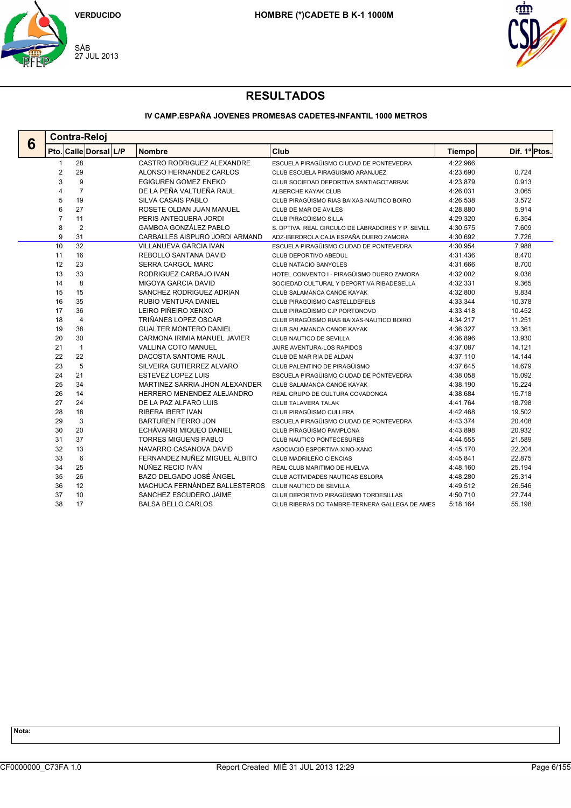



## **IV CAMP.ESPAÑA JOVENES PROMESAS CADETES-INFANTIL 1000 METROS**

|   | <b>Contra-Reloj</b>     |                       |                                |                                                   |               |               |  |  |  |  |  |
|---|-------------------------|-----------------------|--------------------------------|---------------------------------------------------|---------------|---------------|--|--|--|--|--|
| 6 |                         | Pto. Calle Dorsal L/P | <b>Nombre</b>                  | Club                                              | <b>Tiempo</b> | Dif. 1º Ptos. |  |  |  |  |  |
|   | 1                       | 28                    | CASTRO RODRIGUEZ ALEXANDRE     | ESCUELA PIRAGÜISMO CIUDAD DE PONTEVEDRA           | 4:22.966      |               |  |  |  |  |  |
|   | $\overline{\mathbf{c}}$ | 29                    | ALONSO HERNANDEZ CARLOS        | CLUB ESCUELA PIRAGÜISMO ARANJUEZ                  | 4:23.690      | 0.724         |  |  |  |  |  |
|   | 3                       | 9                     | <b>EGIGUREN GOMEZ ENEKO</b>    | CLUB SOCIEDAD DEPORTIVA SANTIAGOTARRAK            | 4:23.879      | 0.913         |  |  |  |  |  |
|   | $\overline{4}$          | $\overline{7}$        | DE LA PEÑA VALTUEÑA RAUL       | ALBERCHE KAYAK CLUB                               | 4:26.031      | 3.065         |  |  |  |  |  |
|   | 5                       | 19                    | <b>SILVA CASAIS PABLO</b>      | CLUB PIRAGÜISMO RIAS BAIXAS-NAUTICO BOIRO         | 4:26.538      | 3.572         |  |  |  |  |  |
|   | 6                       | 27                    | ROSETE OLDAN JUAN MANUEL       | CLUB DE MAR DE AVILES                             | 4:28.880      | 5.914         |  |  |  |  |  |
|   | $\overline{7}$          | 11                    | PERIS ANTEQUERA JORDI          | CLUB PIRAGÜISMO SILLA                             | 4:29.320      | 6.354         |  |  |  |  |  |
|   | 8                       | $\overline{2}$        | GAMBOA GONZÁLEZ PABLO          | S. DPTIVA. REAL CIRCULO DE LABRADORES Y P. SEVILL | 4:30.575      | 7.609         |  |  |  |  |  |
|   | 9                       | 31                    | CARBALLES AISPURO JORDI ARMAND | ADZ-IBERDROLA CAJA ESPAÑA DUERO ZAMORA            | 4:30.692      | 7.726         |  |  |  |  |  |
|   | 10                      | 32                    | <b>VILLANUEVA GARCIA IVAN</b>  | ESCUELA PIRAGÜISMO CIUDAD DE PONTEVEDRA           | 4:30.954      | 7.988         |  |  |  |  |  |
|   | 11                      | 16                    | REBOLLO SANTANA DAVID          | <b>CLUB DEPORTIVO ABEDUL</b>                      | 4:31.436      | 8.470         |  |  |  |  |  |
|   | 12                      | 23                    | SERRA CARGOL MARC              | <b>CLUB NATACIO BANYOLES</b>                      | 4:31.666      | 8.700         |  |  |  |  |  |
|   | 13                      | 33                    | RODRIGUEZ CARBAJO IVAN         | HOTEL CONVENTO I - PIRAGÜISMO DUERO ZAMORA        | 4:32.002      | 9.036         |  |  |  |  |  |
|   | 14                      | 8                     | <b>MIGOYA GARCIA DAVID</b>     | SOCIEDAD CULTURAL Y DEPORTIVA RIBADESELLA         | 4:32.331      | 9.365         |  |  |  |  |  |
|   | 15                      | 15                    | SANCHEZ RODRIGUEZ ADRIAN       | CLUB SALAMANCA CANOE KAYAK                        | 4:32.800      | 9.834         |  |  |  |  |  |
|   | 16                      | 35                    | RUBIO VENTURA DANIEL           | CLUB PIRAGÜISMO CASTELLDEFELS                     | 4:33.344      | 10.378        |  |  |  |  |  |
|   | 17                      | 36                    | LEIRO PIÑEIRO XENXO            | CLUB PIRAGÜISMO C.P PORTONOVO                     | 4:33.418      | 10.452        |  |  |  |  |  |
|   | 18                      | $\overline{4}$        | TRIÑANES LOPEZ OSCAR           | CLUB PIRAGÜISMO RIAS BAIXAS-NAUTICO BOIRO         | 4:34.217      | 11.251        |  |  |  |  |  |
|   | 19                      | 38                    | <b>GUALTER MONTERO DANIEL</b>  | CLUB SALAMANCA CANOE KAYAK                        | 4:36.327      | 13.361        |  |  |  |  |  |
|   | 20                      | 30                    | CARMONA IRIMIA MANUEL JAVIER   | CLUB NAUTICO DE SEVILLA                           | 4:36.896      | 13.930        |  |  |  |  |  |
|   | 21                      | $\mathbf{1}$          | <b>VALLINA COTO MANUEL</b>     | JAIRE AVENTURA-LOS RAPIDOS                        | 4:37.087      | 14.121        |  |  |  |  |  |
|   | 22                      | 22                    | DACOSTA SANTOME RAUL           | CLUB DE MAR RIA DE ALDAN                          | 4:37.110      | 14.144        |  |  |  |  |  |
|   | 23                      | 5                     | SILVEIRA GUTIERREZ ALVARO      | CLUB PALENTINO DE PIRAGÜISMO                      | 4:37.645      | 14.679        |  |  |  |  |  |
|   | 24                      | 21                    | <b>ESTEVEZ LOPEZ LUIS</b>      | ESCUELA PIRAGÜISMO CIUDAD DE PONTEVEDRA           | 4:38.058      | 15.092        |  |  |  |  |  |
|   | 25                      | 34                    | MARTINEZ SARRIA JHON ALEXANDER | CLUB SALAMANCA CANOE KAYAK                        | 4:38.190      | 15.224        |  |  |  |  |  |
|   | 26                      | 14                    | HERRERO MENENDEZ ALEJANDRO     | REAL GRUPO DE CULTURA COVADONGA                   | 4:38.684      | 15.718        |  |  |  |  |  |
|   | 27                      | 24                    | DE LA PAZ ALFARO LUIS          | <b>CLUB TALAVERA TALAK</b>                        | 4:41.764      | 18.798        |  |  |  |  |  |
|   | 28                      | 18                    | <b>RIBERA IBERT IVAN</b>       | CLUB PIRAGÜISMO CULLERA                           | 4:42.468      | 19.502        |  |  |  |  |  |
|   | 29                      | 3                     | <b>BARTUREN FERRO JON</b>      | ESCUELA PIRAGÜISMO CIUDAD DE PONTEVEDRA           | 4:43.374      | 20.408        |  |  |  |  |  |
|   | 30                      | 20                    | ECHÁVARRI MIQUEO DANIEL        | CLUB PIRAGÜISMO PAMPLONA                          | 4:43.898      | 20.932        |  |  |  |  |  |
|   | 31                      | 37                    | <b>TORRES MIGUENS PABLO</b>    | <b>CLUB NAUTICO PONTECESURES</b>                  | 4:44.555      | 21.589        |  |  |  |  |  |
|   | 32                      | 13                    | NAVARRO CASANOVA DAVID         | ASOCIACIÓ ESPORTIVA XINO-XANO                     | 4:45.170      | 22.204        |  |  |  |  |  |
|   | 33                      | 6                     | FERNANDEZ NUÑEZ MIGUEL ALBITO  | CLUB MADRILEÑO CIENCIAS                           | 4:45.841      | 22.875        |  |  |  |  |  |
|   | 34                      | 25                    | NÚÑEZ RECIO IVÁN               | REAL CLUB MARITIMO DE HUELVA                      | 4:48.160      | 25.194        |  |  |  |  |  |
|   | 35                      | 26                    | BAZO DELGADO JOSÉ ÁNGEL        | CLUB ACTIVIDADES NAUTICAS ESLORA                  | 4:48.280      | 25.314        |  |  |  |  |  |
|   | 36                      | 12                    | MACHUCA FERNÁNDEZ BALLESTEROS  | CLUB NAUTICO DE SEVILLA                           | 4:49.512      | 26.546        |  |  |  |  |  |
|   | 37                      | 10                    | SANCHEZ ESCUDERO JAIME         | CLUB DEPORTIVO PIRAGÜISMO TORDESILLAS             | 4:50.710      | 27.744        |  |  |  |  |  |
|   | 38                      | 17                    | <b>BALSA BELLO CARLOS</b>      | CLUB RIBERAS DO TAMBRE-TERNERA GALLEGA DE AMES    | 5:18.164      | 55.198        |  |  |  |  |  |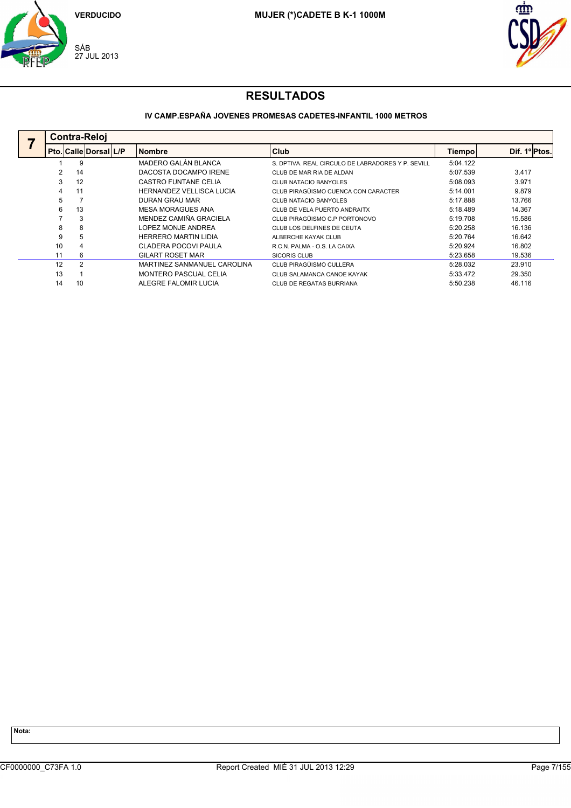



## **IV CAMP.ESPAÑA JOVENES PROMESAS CADETES-INFANTIL 1000 METROS**

| <b>Contra-Reloi</b> |                |                             |  |                             |                                                   |          |               |  |  |
|---------------------|----------------|-----------------------------|--|-----------------------------|---------------------------------------------------|----------|---------------|--|--|
|                     |                | l Pto.  Calle  Dorsal   L/P |  | <b>Nombre</b>               | <b>Club</b>                                       | Tiempol  | Dif. 1º Ptos. |  |  |
|                     | 9              |                             |  | MADERO GALÁN BLANCA         | S. DPTIVA, REAL CIRCULO DE LABRADORES Y P. SEVILL | 5:04.122 |               |  |  |
|                     | 14             |                             |  | DACOSTA DOCAMPO IRENE       | CLUB DE MAR RIA DE ALDAN                          | 5:07.539 | 3.417         |  |  |
| 3                   | 12             |                             |  | CASTRO FUNTANE CELIA        | CLUB NATACIO BANYOLES                             | 5:08.093 | 3.971         |  |  |
| 4                   | 11             |                             |  | HERNANDEZ VELLISCA LUCIA    | CLUB PIRAGÜISMO CUENCA CON CARACTER               | 5:14.001 | 9.879         |  |  |
| 5                   |                |                             |  | DURAN GRAU MAR              | <b>CLUB NATACIO BANYOLES</b>                      | 5:17.888 | 13.766        |  |  |
| 6                   | 13             |                             |  | <b>MESA MORAGUES ANA</b>    | CLUB DE VELA PUERTO ANDRAITX                      | 5:18.489 | 14.367        |  |  |
|                     | 3              |                             |  | MENDEZ CAMIÑA GRACIELA      | CLUB PIRAGÜISMO C.P PORTONOVO                     | 5:19.708 | 15.586        |  |  |
| 8                   | 8              |                             |  | LOPEZ MONJE ANDREA          | CLUB LOS DELFINES DE CEUTA                        | 5:20.258 | 16.136        |  |  |
| 9                   | 5              |                             |  | <b>HERRERO MARTIN LIDIA</b> | ALBERCHE KAYAK CLUB                               | 5:20.764 | 16.642        |  |  |
| 10                  | 4              |                             |  | CLADERA POCOVI PAULA        | R.C.N. PALMA - O.S. LA CAIXA                      | 5:20.924 | 16.802        |  |  |
| 11                  | 6              |                             |  | <b>GILART ROSET MAR</b>     | <b>SICORIS CLUB</b>                               | 5:23.658 | 19.536        |  |  |
| 12                  | $\overline{2}$ |                             |  | MARTINEZ SANMANUEL CAROLINA | CLUB PIRAGÜISMO CULLERA                           | 5:28.032 | 23.910        |  |  |
| 13                  |                |                             |  | MONTERO PASCUAL CELIA       | CLUB SALAMANCA CANOE KAYAK                        | 5:33.472 | 29.350        |  |  |
| 14                  | 10             |                             |  | ALEGRE FALOMIR LUCIA        | CLUB DE REGATAS BURRIANA                          | 5:50.238 | 46.116        |  |  |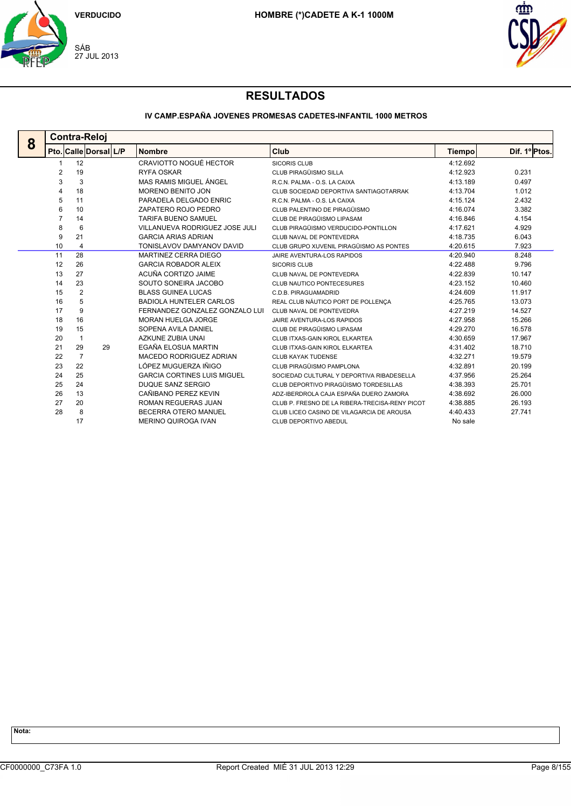



## **IV CAMP.ESPAÑA JOVENES PROMESAS CADETES-INFANTIL 1000 METROS**

|   | <b>Contra-Reloj</b> |                |                       |                                    |                                                |          |               |  |  |  |  |
|---|---------------------|----------------|-----------------------|------------------------------------|------------------------------------------------|----------|---------------|--|--|--|--|
| 8 |                     |                | Pto. Calle Dorsal L/P | <b>Nombre</b>                      | Club                                           | Tiempo   | Dif. 1º Ptos. |  |  |  |  |
|   |                     | 12             |                       | CRAVIOTTO NOGUÉ HECTOR             | <b>SICORIS CLUB</b>                            | 4:12.692 |               |  |  |  |  |
|   | 2                   | 19             |                       | <b>RYFA OSKAR</b>                  | CLUB PIRAGÜISMO SILLA                          | 4:12.923 | 0.231         |  |  |  |  |
|   | 3                   | 3              |                       | MAS RAMIS MIGUEL ÁNGEL             | R.C.N. PALMA - O.S. LA CAIXA                   | 4:13.189 | 0.497         |  |  |  |  |
|   | 4                   | 18             |                       | <b>MORENO BENITO JON</b>           | CLUB SOCIEDAD DEPORTIVA SANTIAGOTARRAK         | 4:13.704 | 1.012         |  |  |  |  |
|   | 5                   | 11             |                       | PARADELA DELGADO ENRIC             | R.C.N. PALMA - O.S. LA CAIXA                   | 4:15.124 | 2.432         |  |  |  |  |
|   | 6                   | 10             |                       | ZAPATERO ROJO PEDRO                | CLUB PALENTINO DE PIRAGÜISMO                   | 4:16.074 | 3.382         |  |  |  |  |
|   | 7                   | 14             |                       | <b>TARIFA BUENO SAMUEL</b>         | CLUB DE PIRAGÜISMO LIPASAM                     | 4:16.846 | 4.154         |  |  |  |  |
|   | 8                   | 6              |                       | VILLANUEVA RODRIGUEZ JOSE JULI     | CLUB PIRAGÜISMO VERDUCIDO-PONTILLON            | 4:17.621 | 4.929         |  |  |  |  |
|   | 9                   | 21             |                       | <b>GARCIA ARIAS ADRIAN</b>         | CLUB NAVAL DE PONTEVEDRA                       | 4:18.735 | 6.043         |  |  |  |  |
|   | 10                  | $\overline{4}$ |                       | TONISLAVOV DAMYANOV DAVID          | CLUB GRUPO XUVENIL PIRAGÜISMO AS PONTES        | 4:20.615 | 7.923         |  |  |  |  |
|   | 11                  | 28             |                       | MARTINEZ CERRA DIEGO               | JAIRE AVENTURA-LOS RAPIDOS                     | 4:20.940 | 8.248         |  |  |  |  |
|   | 12                  | 26             |                       | <b>GARCIA ROBADOR ALEIX</b>        | <b>SICORIS CLUB</b>                            | 4:22.488 | 9.796         |  |  |  |  |
|   | 13                  | 27             |                       | ACUÑA CORTIZO JAIME                | CLUB NAVAL DE PONTEVEDRA                       | 4:22.839 | 10.147        |  |  |  |  |
|   | 14                  | 23             |                       | SOUTO SONEIRA JACOBO               | CLUB NAUTICO PONTECESURES                      | 4:23.152 | 10.460        |  |  |  |  |
|   | 15                  | 2              |                       | <b>BLASS GUINEA LUCAS</b>          | C.D.B. PIRAGUAMADRID                           | 4:24.609 | 11.917        |  |  |  |  |
|   | 16                  | 5              |                       | <b>BADIOLA HUNTELER CARLOS</b>     | REAL CLUB NÁUTICO PORT DE POLLENCA             | 4:25.765 | 13.073        |  |  |  |  |
|   | 17                  | 9              |                       | FERNANDEZ GONZALEZ GONZALO LUI     | CLUB NAVAL DE PONTEVEDRA                       | 4:27.219 | 14.527        |  |  |  |  |
|   | 18                  | 16             |                       | <b>MORAN HUELGA JORGE</b>          | JAIRE AVENTURA-LOS RAPIDOS                     | 4:27.958 | 15.266        |  |  |  |  |
|   | 19                  | 15             |                       | SOPENA AVILA DANIEL                | CLUB DE PIRAGÜISMO LIPASAM                     | 4:29.270 | 16.578        |  |  |  |  |
|   | 20                  | $\mathbf{1}$   |                       | AZKUNE ZUBIA UNAI                  | CLUB ITXAS-GAIN KIROL ELKARTEA                 | 4:30.659 | 17.967        |  |  |  |  |
|   | 21                  | 29             | 29                    | EGAÑA ELOSUA MARTIN                | CLUB ITXAS-GAIN KIROL ELKARTEA                 | 4:31.402 | 18.710        |  |  |  |  |
|   | 22                  | 7              |                       | MACEDO RODRIGUEZ ADRIAN            | CLUB KAYAK TUDENSE                             | 4:32.271 | 19.579        |  |  |  |  |
|   | 23                  | 22             |                       | LÓPEZ MUGUERZA IÑIGO               | CLUB PIRAGÜISMO PAMPLONA                       | 4:32.891 | 20.199        |  |  |  |  |
|   | 24                  | 25             |                       | <b>GARCIA CORTINES LUIS MIGUEL</b> | SOCIEDAD CULTURAL Y DEPORTIVA RIBADESELLA      | 4:37.956 | 25.264        |  |  |  |  |
|   | 25                  | 24             |                       | DUQUE SANZ SERGIO                  | CLUB DEPORTIVO PIRAGÜISMO TORDESILLAS          | 4:38.393 | 25.701        |  |  |  |  |
|   | 26                  | 13             |                       | CAÑIBANO PEREZ KEVIN               | ADZ-IBERDROLA CAJA ESPAÑA DUERO ZAMORA         | 4:38.692 | 26.000        |  |  |  |  |
|   | 27                  | 20             |                       | <b>ROMAN REGUERAS JUAN</b>         | CLUB P. FRESNO DE LA RIBERA-TRECISA-RENY PICOT | 4:38.885 | 26.193        |  |  |  |  |
|   | 28                  | 8              |                       | BECERRA OTERO MANUEL               | CLUB LICEO CASINO DE VILAGARCIA DE AROUSA      | 4:40.433 | 27.741        |  |  |  |  |
|   |                     | 17             |                       | <b>MERINO QUIROGA IVAN</b>         | CLUB DEPORTIVO ABEDUL                          | No sale  |               |  |  |  |  |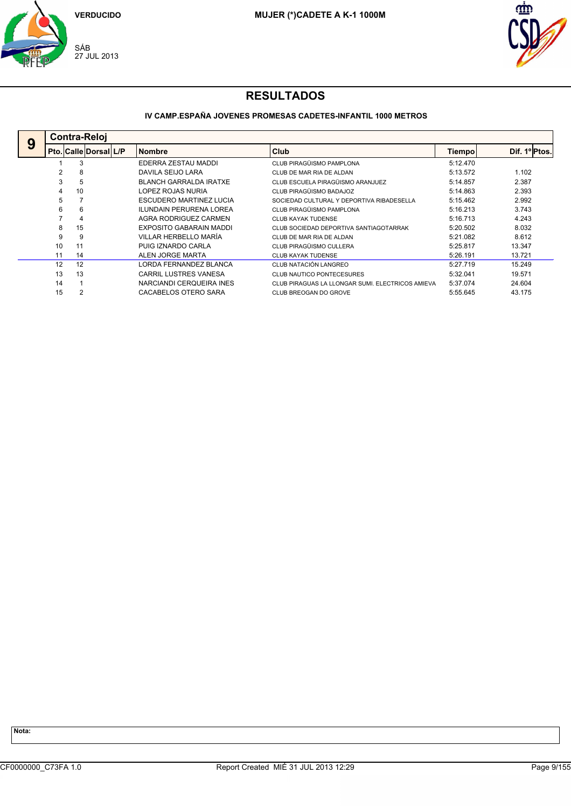



## **IV CAMP.ESPAÑA JOVENES PROMESAS CADETES-INFANTIL 1000 METROS**

| 9 |    | <b>Contra-Reloi</b>          |  |                                |                                                  |               |               |  |  |  |  |  |
|---|----|------------------------------|--|--------------------------------|--------------------------------------------------|---------------|---------------|--|--|--|--|--|
|   |    | <b>Pto. Calle Dorsal L/P</b> |  | <b>Nombre</b>                  | Club                                             | <b>Tiempo</b> | Dif. 1º Ptos. |  |  |  |  |  |
|   |    | 3                            |  | EDERRA ZESTAU MADDI            | CLUB PIRAGÜISMO PAMPLONA                         | 5:12.470      |               |  |  |  |  |  |
|   |    | 8                            |  | DAVILA SEIJO LARA              | CLUB DE MAR RIA DE ALDAN                         | 5:13.572      | 1.102         |  |  |  |  |  |
|   | 3  | 5                            |  | <b>BLANCH GARRALDA IRATXE</b>  | CLUB ESCUELA PIRAGÜISMO ARANJUEZ                 | 5:14.857      | 2.387         |  |  |  |  |  |
|   |    | 10                           |  | LOPEZ ROJAS NURIA              | CLUB PIRAGÜISMO BADAJOZ                          | 5:14.863      | 2.393         |  |  |  |  |  |
|   | 5  |                              |  | ESCUDERO MARTINEZ LUCIA        | SOCIEDAD CULTURAL Y DEPORTIVA RIBADESELLA        | 5:15.462      | 2.992         |  |  |  |  |  |
|   | 6  | 6                            |  | <b>ILUNDAIN PERURENA LOREA</b> | CLUB PIRAGÜISMO PAMPLONA                         | 5:16.213      | 3.743         |  |  |  |  |  |
|   |    | 4                            |  | AGRA RODRIGUEZ CARMEN          | CLUB KAYAK TUDENSE                               | 5:16.713      | 4.243         |  |  |  |  |  |
|   | 8  | 15                           |  | EXPOSITO GABARAIN MADDI        | CLUB SOCIEDAD DEPORTIVA SANTIAGOTARRAK           | 5:20.502      | 8.032         |  |  |  |  |  |
|   | 9  | 9                            |  | VILLAR HERBELLO MARÍA          | CLUB DE MAR RIA DE ALDAN                         | 5:21.082      | 8.612         |  |  |  |  |  |
|   | 10 | 11                           |  | PUIG IZNARDO CARLA             | CLUB PIRAGÜISMO CULLERA                          | 5:25.817      | 13.347        |  |  |  |  |  |
|   | 11 | 14                           |  | ALEN JORGE MARTA               | <b>CLUB KAYAK TUDENSE</b>                        | 5:26.191      | 13.721        |  |  |  |  |  |
|   | 12 | 12                           |  | LORDA FERNANDEZ BLANCA         | CLUB NATACIÓN LANGREO                            | 5:27.719      | 15.249        |  |  |  |  |  |
|   | 13 | 13                           |  | <b>CARRIL LUSTRES VANESA</b>   | CLUB NAUTICO PONTECESURES                        | 5:32.041      | 19.571        |  |  |  |  |  |
|   | 14 |                              |  | NARCIANDI CERQUEIRA INES       | CLUB PIRAGUAS LA LLONGAR SUMI. ELECTRICOS AMIEVA | 5:37.074      | 24.604        |  |  |  |  |  |
|   | 15 | 2                            |  | CACABELOS OTERO SARA           | CLUB BREOGAN DO GROVE                            | 5:55.645      | 43.175        |  |  |  |  |  |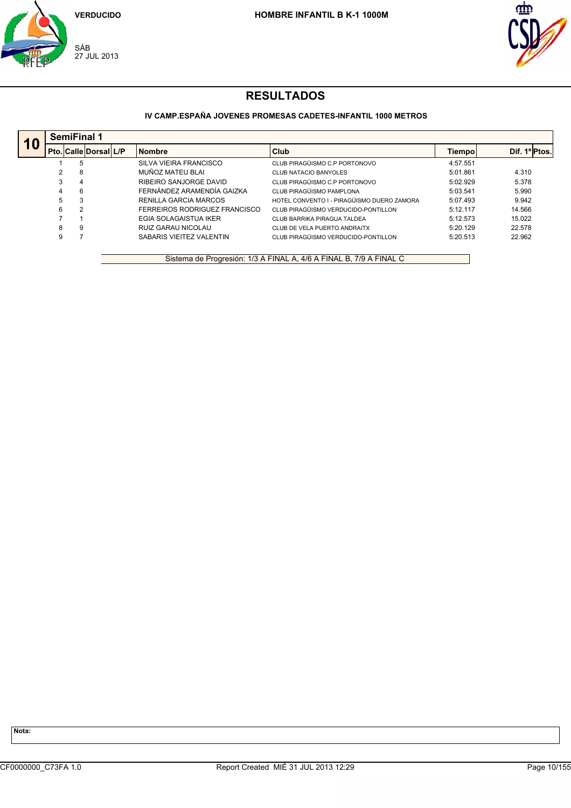



## **IV CAMP.ESPAÑA JOVENES PROMESAS CADETES-INFANTIL 1000 METROS**

| 10 |   | <b>SemiFinal 1</b>           |  |                               |                                            |          |              |  |  |  |  |  |
|----|---|------------------------------|--|-------------------------------|--------------------------------------------|----------|--------------|--|--|--|--|--|
|    |   | <b>Pto. Calle Dorsal L/P</b> |  | <b>Nombre</b>                 | <b>Club</b>                                | Tiempo   | Dif. 1ºPtos. |  |  |  |  |  |
|    |   | 5                            |  | SILVA VIEIRA FRANCISCO        | CLUB PIRAGÜISMO C.P PORTONOVO              | 4:57.551 |              |  |  |  |  |  |
|    |   | 8                            |  | MUÑOZ MATEU BLAI              | <b>CLUB NATACIO BANYOLES</b>               | 5:01.861 | 4.310        |  |  |  |  |  |
|    | 3 | 4                            |  | RIBEIRO SANJORGE DAVID        | CLUB PIRAGÜISMO C.P PORTONOVO              | 5:02.929 | 5.378        |  |  |  |  |  |
|    | 4 | 6                            |  | FERNÁNDEZ ARAMENDÍA GAIZKA    | CLUB PIRAGÜISMO PAMPLONA                   | 5:03.541 | 5.990        |  |  |  |  |  |
|    | 5 | 3                            |  | RENILLA GARCIA MARCOS         | HOTEL CONVENTO I - PIRAGÜISMO DUERO ZAMORA | 5:07.493 | 9.942        |  |  |  |  |  |
|    | 6 | 2                            |  | FERREIROS RODRIGUEZ FRANCISCO | CLUB PIRAGÜISMO VERDUCIDO-PONTILLON        | 5:12.117 | 14.566       |  |  |  |  |  |
|    |   |                              |  | EGIA SOLAGAISTUA IKER         | CLUB BARRIKA PIRAGUA TALDEA                | 5:12.573 | 15.022       |  |  |  |  |  |
|    | 8 | 9                            |  | RUIZ GARAU NICOLAU            | CLUB DE VELA PUERTO ANDRAITX               | 5:20.129 | 22.578       |  |  |  |  |  |
|    | 9 |                              |  | SABARIS VIEITEZ VALENTIN      | CLUB PIRAGÜISMO VERDUCIDO-PONTILLON        | 5:20.513 | 22.962       |  |  |  |  |  |

Sistema de Progresión: 1/3 A FINAL A, 4/6 A FINAL B, 7/9 A FINAL C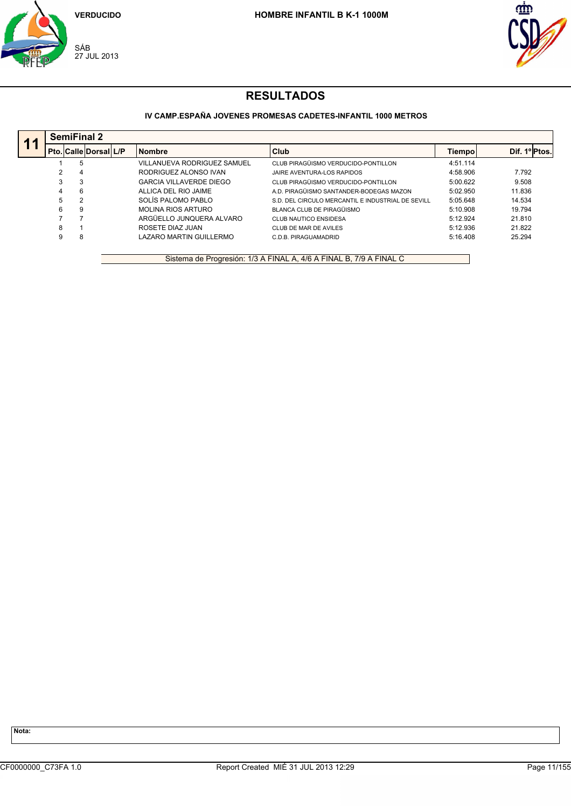



## **IV CAMP.ESPAÑA JOVENES PROMESAS CADETES-INFANTIL 1000 METROS**

| 11 |   | <b>SemiFinal 2</b>    |  |                                |                                                   |          |              |  |  |  |  |  |
|----|---|-----------------------|--|--------------------------------|---------------------------------------------------|----------|--------------|--|--|--|--|--|
|    |   | Pto. Calle Dorsal L/P |  | <b>Nombre</b>                  | <b>Club</b>                                       | Tiempol  | Dif. 1ºPtos. |  |  |  |  |  |
|    |   | 5                     |  | VILLANUEVA RODRIGUEZ SAMUEL    | CLUB PIRAGÜISMO VERDUCIDO-PONTILLON               | 4:51.114 |              |  |  |  |  |  |
|    |   | 4                     |  | RODRIGUEZ ALONSO IVAN          | JAIRE AVENTURA-LOS RAPIDOS                        | 4:58.906 | 7.792        |  |  |  |  |  |
|    |   | 3                     |  | <b>GARCIA VILLAVERDE DIEGO</b> | CLUB PIRAGÜISMO VERDUCIDO-PONTILLON               | 5:00.622 | 9.508        |  |  |  |  |  |
|    | 4 | 6                     |  | ALLICA DEL RIO JAIME           | A.D. PIRAGÜISMO SANTANDER-BODEGAS MAZON           | 5:02.950 | 11.836       |  |  |  |  |  |
|    | 5 | 2                     |  | SOLÍS PALOMO PABLO             | S.D. DEL CIRCULO MERCANTIL E INDUSTRIAL DE SEVILL | 5:05.648 | 14.534       |  |  |  |  |  |
|    | 6 | 9                     |  | <b>MOLINA RIOS ARTURO</b>      | BLANCA CLUB DE PIRAGÜISMO                         | 5:10.908 | 19.794       |  |  |  |  |  |
|    |   |                       |  | ARGÜELLO JUNOUERA ALVARO       | CLUB NAUTICO ENSIDESA                             | 5:12.924 | 21.810       |  |  |  |  |  |
|    | 8 |                       |  | ROSETE DIAZ JUAN               | CLUB DE MAR DE AVILES                             | 5:12.936 | 21.822       |  |  |  |  |  |
|    |   | 8                     |  | LAZARO MARTIN GUILLERMO        | C.D.B. PIRAGUAMADRID                              | 5:16.408 | 25.294       |  |  |  |  |  |

Sistema de Progresión: 1/3 A FINAL A, 4/6 A FINAL B, 7/9 A FINAL C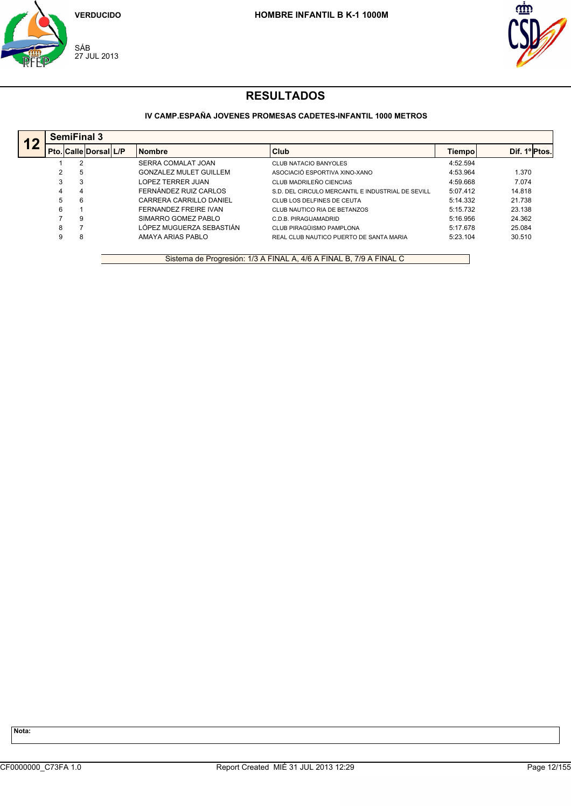



## **IV CAMP.ESPAÑA JOVENES PROMESAS CADETES-INFANTIL 1000 METROS**

| 12 | <b>SemiFinal 3</b> |                       |  |                               |                                                   |          |               |  |  |  |  |
|----|--------------------|-----------------------|--|-------------------------------|---------------------------------------------------|----------|---------------|--|--|--|--|
|    |                    | Pto. Calle Dorsal L/P |  | <b>Nombre</b>                 | Club                                              | Tiempol  | Dif. 1º Ptos. |  |  |  |  |
|    |                    | っ                     |  | SERRA COMALAT JOAN            | <b>CLUB NATACIO BANYOLES</b>                      | 4:52.594 |               |  |  |  |  |
|    |                    | 5                     |  | <b>GONZALEZ MULET GUILLEM</b> | ASOCIACIÓ ESPORTIVA XINO-XANO                     | 4:53.964 | 1.370         |  |  |  |  |
|    |                    | 3                     |  | LOPEZ TERRER JUAN             | CLUB MADRILEÑO CIENCIAS                           | 4:59.668 | 7.074         |  |  |  |  |
|    | 4                  | 4                     |  | FERNÁNDEZ RUIZ CARLOS         | S.D. DEL CIRCULO MERCANTIL E INDUSTRIAL DE SEVILL | 5:07.412 | 14.818        |  |  |  |  |
|    | 5                  | 6                     |  | CARRERA CARRILLO DANIEL       | CLUB LOS DELFINES DE CEUTA                        | 5:14.332 | 21.738        |  |  |  |  |
|    | 6                  |                       |  | FERNANDEZ FREIRE IVAN         | CLUB NAUTICO RIA DE BETANZOS                      | 5:15.732 | 23.138        |  |  |  |  |
|    |                    | 9                     |  | SIMARRO GOMEZ PABLO           | C.D.B. PIRAGUAMADRID                              | 5:16.956 | 24.362        |  |  |  |  |
|    |                    |                       |  | LÓPEZ MUGUERZA SEBASTIÁN      | CLUB PIRAGÜISMO PAMPLONA                          | 5:17.678 | 25.084        |  |  |  |  |
|    |                    | 8                     |  | AMAYA ARIAS PABLO             | REAL CLUB NAUTICO PUERTO DE SANTA MARIA           | 5:23.104 | 30.510        |  |  |  |  |

Sistema de Progresión: 1/3 A FINAL A, 4/6 A FINAL B, 7/9 A FINAL C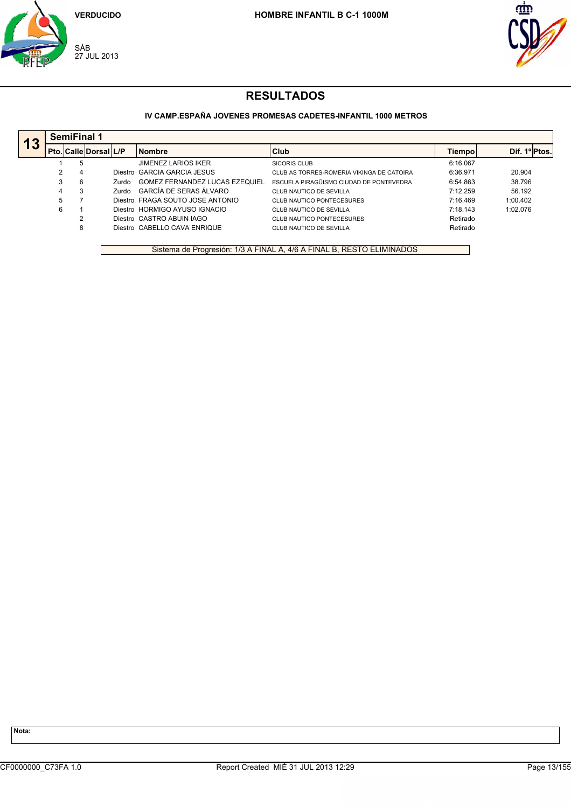



## **IV CAMP.ESPAÑA JOVENES PROMESAS CADETES-INFANTIL 1000 METROS**

|    |   | <b>SemiFinal 1</b>           |              |                                  |                                           |          |               |  |  |  |  |
|----|---|------------------------------|--------------|----------------------------------|-------------------------------------------|----------|---------------|--|--|--|--|
| 13 |   | <b>Pto. Calle Dorsal L/P</b> |              | <b>Nombre</b>                    | Club                                      | Tiempol  | Dif. 1º Ptos. |  |  |  |  |
|    |   | 5                            |              | <b>JIMENEZ LARIOS IKER</b>       | SICORIS CLUB                              | 6:16.067 |               |  |  |  |  |
|    |   | 4                            | Diestro      | GARCIA GARCIA JESUS              | CLUB AS TORRES-ROMERIA VIKINGA DE CATOIRA | 6:36.971 | 20.904        |  |  |  |  |
|    |   | 6                            | <b>Zurdo</b> | GOMEZ FERNANDEZ LUCAS EZEQUIEL   | ESCUELA PIRAGÜISMO CIUDAD DE PONTEVEDRA   | 6:54.863 | 38.796        |  |  |  |  |
|    | 4 | 3                            | Zurdo        | GARCÍA DE SERAS ÁLVARO           | CLUB NAUTICO DE SEVILLA                   | 7:12.259 | 56.192        |  |  |  |  |
|    |   |                              |              | Diestro FRAGA SOUTO JOSE ANTONIO | CLUB NAUTICO PONTECESURES                 | 7:16.469 | 1:00.402      |  |  |  |  |
|    | 6 |                              |              | Diestro HORMIGO AYUSO IGNACIO    | CLUB NAUTICO DE SEVILLA                   | 7:18.143 | 1:02.076      |  |  |  |  |
|    |   |                              |              | Diestro CASTRO ABUIN IAGO        | CLUB NAUTICO PONTECESURES                 | Retirado |               |  |  |  |  |
|    |   | 8                            |              | Diestro, CABELLO CAVA ENRIQUE    | CLUB NAUTICO DE SEVILLA                   | Retirado |               |  |  |  |  |
|    |   |                              |              |                                  |                                           |          |               |  |  |  |  |

Sistema de Progresión: 1/3 A FINAL A, 4/6 A FINAL B, RESTO ELIMINADOS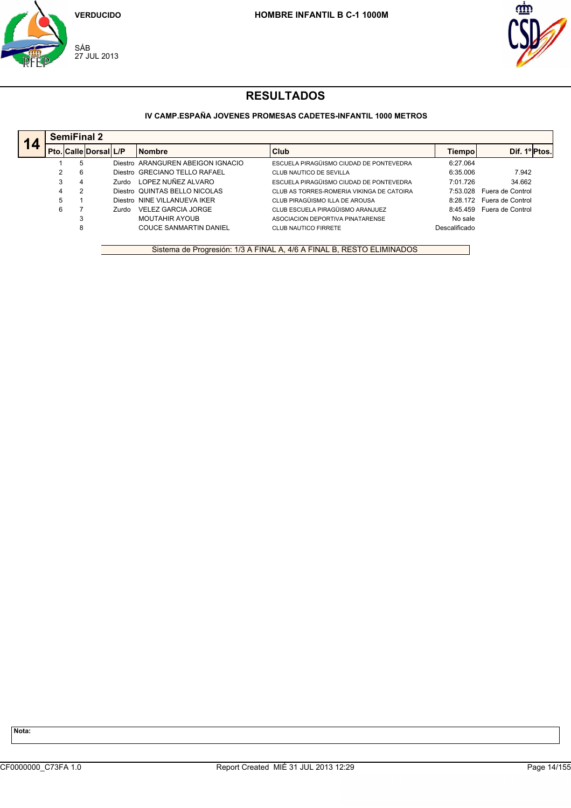



## **IV CAMP.ESPAÑA JOVENES PROMESAS CADETES-INFANTIL 1000 METROS**

|   | Pto. Calle Dorsal L/P |       | <b>Nombre</b>                     | <b>Club</b>                               | Tiempo        | Dif. 1º <sub>Ptos</sub> . |
|---|-----------------------|-------|-----------------------------------|-------------------------------------------|---------------|---------------------------|
|   | 5                     |       | Diestro ARANGUREN ABEIGON IGNACIO | ESCUELA PIRAGÜISMO CIUDAD DE PONTEVEDRA   | 6:27.064      |                           |
|   | 6                     |       | Diestro GRECIANO TELLO RAFAEL     | CLUB NAUTICO DE SEVILLA                   | 6:35.006      | 7.942                     |
| 3 | 4                     | Zurdo | LOPEZ NUÑEZ ALVARO                | ESCUELA PIRAGÜISMO CIUDAD DE PONTEVEDRA   | 7:01.726      | 34.662                    |
| 4 |                       |       | Diestro QUINTAS BELLO NICOLAS     | CLUB AS TORRES-ROMERIA VIKINGA DE CATOIRA | 7:53.028      | Fuera de Control          |
| 5 |                       |       | Diestro NINE VILLANUEVA IKER      | CLUB PIRAGÜISMO ILLA DE AROUSA            | 8:28.172      | Fuera de Control          |
| 6 |                       | Zurdo | <b>VELEZ GARCIA JORGE</b>         | CLUB ESCUELA PIRAGÜISMO ARANJUEZ          | 8:45.459      | Fuera de Control          |
|   | 3                     |       | <b>MOUTAHIR AYOUB</b>             | ASOCIACION DEPORTIVA PINATARENSE          | No sale       |                           |
|   | 8                     |       | <b>COUCE SANMARTIN DANIEL</b>     | CLUB NAUTICO FIRRETE                      | Descalificado |                           |

Sistema de Progresión: 1/3 A FINAL A, 4/6 A FINAL B, RESTO ELIMINADOS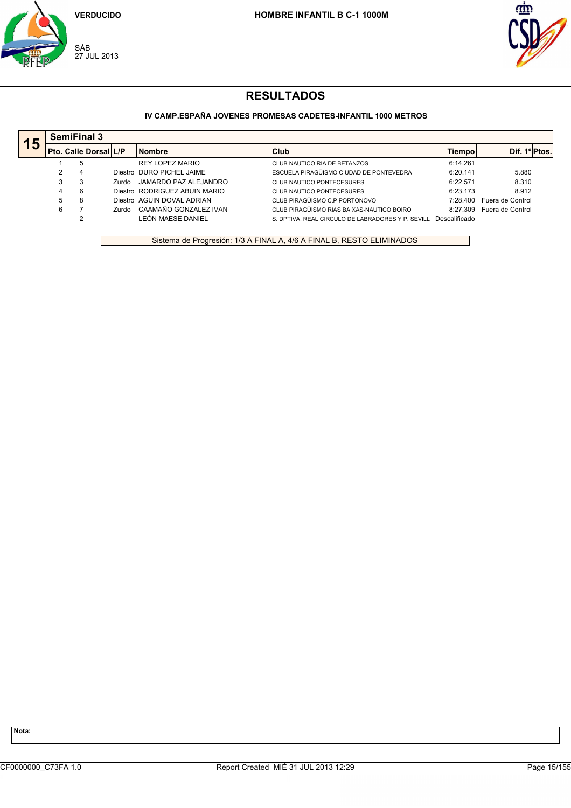



### **IV CAMP.ESPAÑA JOVENES PROMESAS CADETES-INFANTIL 1000 METROS**

|    |   | <b>SemiFinal 3</b> |                              |              |                               |                                                   |               |                  |  |  |  |
|----|---|--------------------|------------------------------|--------------|-------------------------------|---------------------------------------------------|---------------|------------------|--|--|--|
| 15 |   |                    | <b>Pto. Calle Dorsal L/P</b> |              | <b>Nombre</b>                 | Club                                              | Tiempol       | Dif. 1ºPtos.     |  |  |  |
|    |   | 5                  |                              |              | REY LOPEZ MARIO               | CLUB NAUTICO RIA DE BETANZOS                      | 6:14.261      |                  |  |  |  |
|    | ົ | 4                  |                              |              | Diestro DURO PICHEL JAIME     | ESCUELA PIRAGÜISMO CIUDAD DE PONTEVEDRA           | 6:20.141      | 5.880            |  |  |  |
|    | 3 | 3                  |                              | Zurdo        | JAMARDO PAZ ALEJANDRO         | <b>CLUB NAUTICO PONTECESURES</b>                  | 6:22.571      | 8.310            |  |  |  |
|    |   | 6                  |                              |              | Diestro RODRIGUEZ ABUIN MARIO | CLUB NAUTICO PONTECESURES                         | 6:23.173      | 8.912            |  |  |  |
|    | 5 | 8                  |                              |              | Diestro AGUIN DOVAL ADRIAN    | CLUB PIRAGÜISMO C.P PORTONOVO                     | 7:28.400      | Fuera de Control |  |  |  |
|    | 6 |                    |                              | <b>Zurdo</b> | CAAMAÑO GONZALEZ IVAN         | CLUB PIRAGÜISMO RIAS BAIXAS-NAUTICO BOIRO         | 8.27.309      | Fuera de Control |  |  |  |
|    |   |                    |                              |              | LEÓN MAESE DANIEL             | S. DPTIVA. REAL CIRCULO DE LABRADORES Y P. SEVILL | Descalificado |                  |  |  |  |

Sistema de Progresión: 1/3 A FINAL A, 4/6 A FINAL B, RESTO ELIMINADOS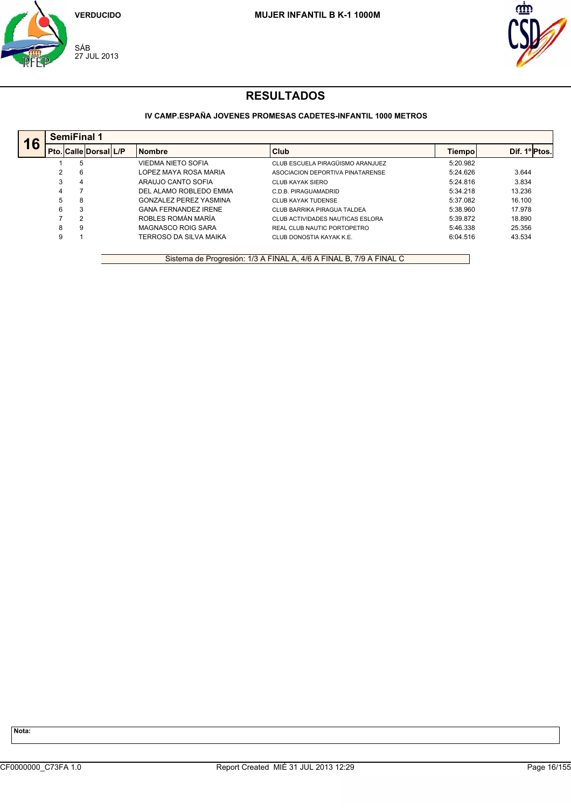



## **IV CAMP.ESPAÑA JOVENES PROMESAS CADETES-INFANTIL 1000 METROS**

| 16 |   | <b>SemiFinal 1</b>           |  |                               |                                  |          |              |  |  |  |  |  |
|----|---|------------------------------|--|-------------------------------|----------------------------------|----------|--------------|--|--|--|--|--|
|    |   | <b>Pto. Calle Dorsal L/P</b> |  | <b>Nombre</b>                 | <b>Club</b>                      | Tiempol  | Dif. 1ºPtos. |  |  |  |  |  |
|    |   | 5                            |  | VIEDMA NIETO SOFIA            | CLUB ESCUELA PIRAGÜISMO ARANJUEZ | 5:20.982 |              |  |  |  |  |  |
|    |   | 6                            |  | LOPEZ MAYA ROSA MARIA         | ASOCIACION DEPORTIVA PINATARENSE | 5:24.626 | 3.644        |  |  |  |  |  |
|    | 3 | 4                            |  | ARAUJO CANTO SOFIA            | CLUB KAYAK SIERO                 | 5:24.816 | 3.834        |  |  |  |  |  |
|    | 4 |                              |  | DEL ALAMO ROBLEDO EMMA        | C.D.B. PIRAGUAMADRID             | 5:34.218 | 13.236       |  |  |  |  |  |
|    | 5 | 8                            |  | <b>GONZALEZ PEREZ YASMINA</b> | CLUB KAYAK TUDENSE               | 5:37.082 | 16.100       |  |  |  |  |  |
|    | 6 | 3                            |  | <b>GANA FERNANDEZ IRENE</b>   | CLUB BARRIKA PIRAGUA TALDEA      | 5:38.960 | 17.978       |  |  |  |  |  |
|    |   | 2                            |  | ROBLES ROMÁN MARÍA            | CLUB ACTIVIDADES NAUTICAS ESLORA | 5:39.872 | 18.890       |  |  |  |  |  |
|    | 8 | 9                            |  | MAGNASCO ROIG SARA            | REAL CLUB NAUTIC PORTOPETRO      | 5:46.338 | 25.356       |  |  |  |  |  |
|    | 9 |                              |  | TERROSO DA SILVA MAIKA        | CLUB DONOSTIA KAYAK K.E.         | 6:04.516 | 43.534       |  |  |  |  |  |

Sistema de Progresión: 1/3 A FINAL A, 4/6 A FINAL B, 7/9 A FINAL C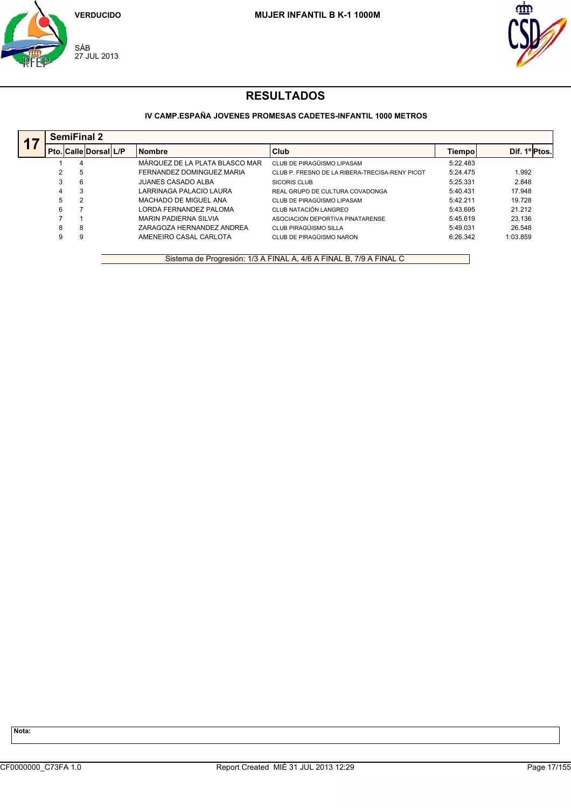



## **IV CAMP.ESPAÑA JOVENES PROMESAS CADETES-INFANTIL 1000 METROS**

|   | <b>SemiFinal 2</b>    |                                |                                                |          |              |  |  |  |  |  |  |
|---|-----------------------|--------------------------------|------------------------------------------------|----------|--------------|--|--|--|--|--|--|
|   | Pto. Calle Dorsal L/P | <b>Nombre</b>                  | Club                                           | Tiempol  | Dif. 1ºPtos. |  |  |  |  |  |  |
|   | 4                     | MÁRQUEZ DE LA PLATA BLASCO MAR | CLUB DE PIRAGÜISMO LIPASAM                     | 5:22.483 |              |  |  |  |  |  |  |
|   | 5                     | FERNANDEZ DOMINGUEZ MARIA      | CLUB P. FRESNO DE LA RIBERA-TRECISA-RENY PICOT | 5:24.475 | 1.992        |  |  |  |  |  |  |
| 3 | 6                     | JUANES CASADO ALBA             | SICORIS CLUB                                   | 5:25.331 | 2.848        |  |  |  |  |  |  |
| 4 | 3                     | LARRINAGA PALACIO LAURA        | REAL GRUPO DE CULTURA COVADONGA                | 5:40.431 | 17.948       |  |  |  |  |  |  |
| 5 | 2                     | MACHADO DE MIGUEL ANA          | CLUB DE PIRAGÜISMO LIPASAM                     | 5:42.211 | 19.728       |  |  |  |  |  |  |
| 6 |                       | LORDA FERNANDEZ PALOMA         | CLUB NATACIÓN LANGREO                          | 5:43.695 | 21.212       |  |  |  |  |  |  |
|   |                       | <b>MARIN PADIERNA SILVIA</b>   | ASOCIACION DEPORTIVA PINATARENSE               | 5:45.619 | 23.136       |  |  |  |  |  |  |
| 8 | 8                     | ZARAGOZA HERNANDEZ ANDREA      | CLUB PIRAGÜISMO SILLA                          | 5:49.031 | 26.548       |  |  |  |  |  |  |
| 9 | 9                     | AMENEIRO CASAL CARLOTA         | CLUB DE PIRAGÜISMO NARON                       | 6:26.342 | 1:03.859     |  |  |  |  |  |  |

Sistema de Progresión: 1/3 A FINAL A, 4/6 A FINAL B, 7/9 A FINAL C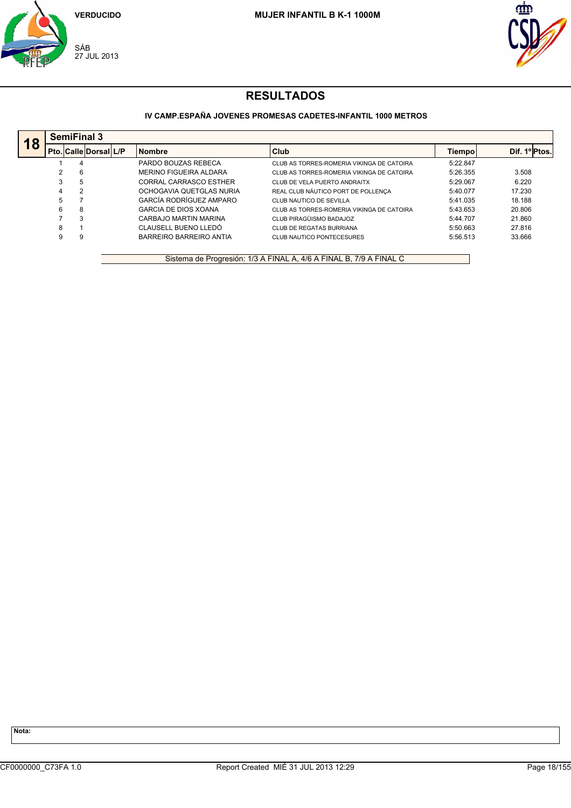



## **IV CAMP.ESPAÑA JOVENES PROMESAS CADETES-INFANTIL 1000 METROS**

|    |    | <b>SemiFinal 3</b>    |  |                             |                                           |          |               |  |  |  |  |  |
|----|----|-----------------------|--|-----------------------------|-------------------------------------------|----------|---------------|--|--|--|--|--|
| 18 |    | Pto. Calle Dorsal L/P |  | <b>Nombre</b>               | <b>Club</b>                               | Tiempol  | Dif. 1º Ptos. |  |  |  |  |  |
|    |    | 4                     |  | PARDO BOUZAS REBECA         | CLUB AS TORRES-ROMERIA VIKINGA DE CATOIRA | 5:22.847 |               |  |  |  |  |  |
|    |    | 6                     |  | MERINO FIGUEIRA ALDARA      | CLUB AS TORRES-ROMERIA VIKINGA DE CATOIRA | 5:26.355 | 3.508         |  |  |  |  |  |
|    | 3  | 5                     |  | CORRAL CARRASCO ESTHER      | CLUB DE VELA PUERTO ANDRAITX              | 5:29.067 | 6.220         |  |  |  |  |  |
|    | 4  | $\overline{2}$        |  | OCHOGAVIA QUETGLAS NURIA    | REAL CLUB NÁUTICO PORT DE POLLENÇA        | 5:40.077 | 17.230        |  |  |  |  |  |
|    | 5. |                       |  | GARCÍA RODRÍGUEZ AMPARO     | CLUB NAUTICO DE SEVILLA                   | 5:41.035 | 18.188        |  |  |  |  |  |
|    | 6  | 8                     |  | <b>GARCIA DE DIOS XOANA</b> | CLUB AS TORRES-ROMERIA VIKINGA DE CATOIRA | 5:43.653 | 20.806        |  |  |  |  |  |
|    |    | 3                     |  | CARBAJO MARTIN MARINA       | CLUB PIRAGÜISMO BADAJOZ                   | 5:44.707 | 21.860        |  |  |  |  |  |
|    | 8  |                       |  | CLAUSELL BUENO LLEDÓ        | <b>CLUB DE REGATAS BURRIANA</b>           | 5:50.663 | 27.816        |  |  |  |  |  |
|    | 9  | 9                     |  | BARREIRO BARREIRO ANTIA     | CLUB NAUTICO PONTECESURES                 | 5:56.513 | 33.666        |  |  |  |  |  |

Sistema de Progresión: 1/3 A FINAL A, 4/6 A FINAL B, 7/9 A FINAL C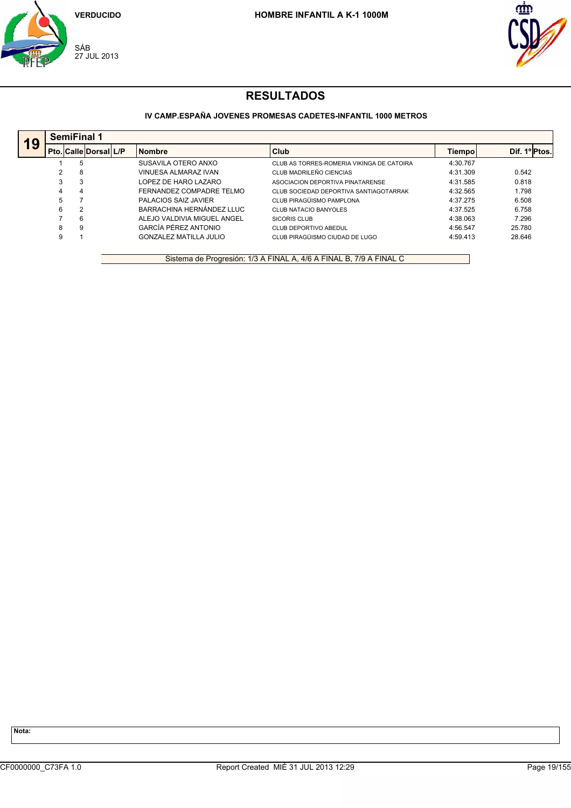



## **IV CAMP.ESPAÑA JOVENES PROMESAS CADETES-INFANTIL 1000 METROS**

| 19 |   | <b>SemiFinal 1</b>    |  |                               |                                           |          |               |  |  |  |  |  |
|----|---|-----------------------|--|-------------------------------|-------------------------------------------|----------|---------------|--|--|--|--|--|
|    |   | Pto. Calle Dorsal L/P |  | <b>Nombre</b>                 | Club                                      | Tiempo   | Dif. 1º Ptos. |  |  |  |  |  |
|    |   | 5                     |  | SUSAVILA OTERO ANXO           | CLUB AS TORRES-ROMERIA VIKINGA DE CATOIRA | 4:30.767 |               |  |  |  |  |  |
|    | 2 | 8                     |  | VINUESA ALMARAZ IVAN          | CLUB MADRILEÑO CIENCIAS                   | 4:31.309 | 0.542         |  |  |  |  |  |
|    | 3 | 3                     |  | LOPEZ DE HARO LAZARO          | ASOCIACION DEPORTIVA PINATARENSE          | 4:31.585 | 0.818         |  |  |  |  |  |
|    | 4 | 4                     |  | FERNANDEZ COMPADRE TELMO      | CLUB SOCIEDAD DEPORTIVA SANTIAGOTARRAK    | 4:32.565 | 1.798         |  |  |  |  |  |
|    | 5 |                       |  | <b>PALACIOS SAIZ JAVIER</b>   | CLUB PIRAGÜISMO PAMPLONA                  | 4:37.275 | 6.508         |  |  |  |  |  |
|    | 6 | 2                     |  | BARRACHINA HERNÁNDEZ LLUC     | <b>CLUB NATACIO BANYOLES</b>              | 4:37.525 | 6.758         |  |  |  |  |  |
|    |   | 6                     |  | ALEJO VALDIVIA MIGUEL ANGEL   | SICORIS CLUB                              | 4:38.063 | 7.296         |  |  |  |  |  |
|    | 8 | 9                     |  | GARCÍA PÉREZ ANTONIO          | CLUB DEPORTIVO ABEDUL                     | 4:56.547 | 25.780        |  |  |  |  |  |
|    | 9 |                       |  | <b>GONZALEZ MATILLA JULIO</b> | CLUB PIRAGÜISMO CIUDAD DE LUGO            | 4:59.413 | 28.646        |  |  |  |  |  |

Sistema de Progresión: 1/3 A FINAL A, 4/6 A FINAL B, 7/9 A FINAL C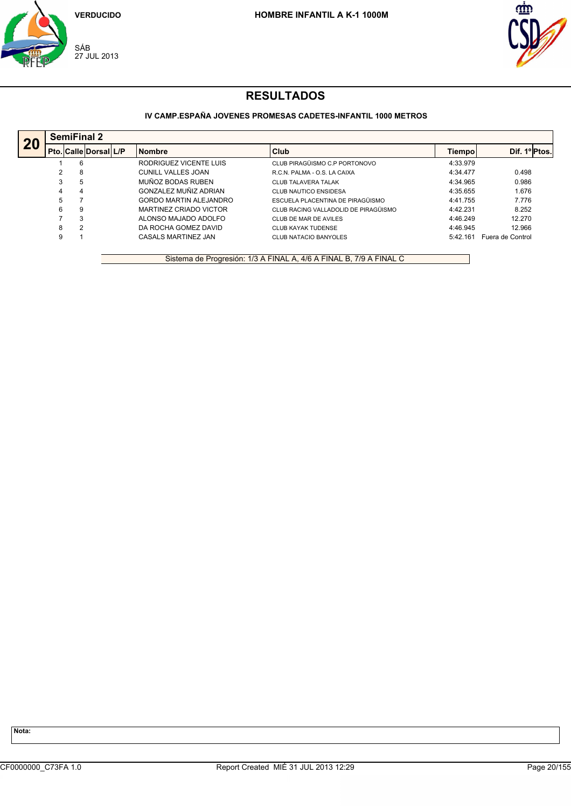



## **IV CAMP.ESPAÑA JOVENES PROMESAS CADETES-INFANTIL 1000 METROS**

|    |   | <b>SemiFinal 2</b>    |  |                               |                                      |          |                                  |  |  |  |  |  |
|----|---|-----------------------|--|-------------------------------|--------------------------------------|----------|----------------------------------|--|--|--|--|--|
| 20 |   | Pto. Calle Dorsal L/P |  | <b>Nombre</b>                 | Club                                 | Tiempo   | Dif. 1 <sup>o</sup> ll<br>Ptos.l |  |  |  |  |  |
|    |   | 6                     |  | RODRIGUEZ VICENTE LUIS        | CLUB PIRAGÜISMO C.P PORTONOVO        | 4:33.979 |                                  |  |  |  |  |  |
|    |   | 8                     |  | CUNILL VALLES JOAN            | R.C.N. PALMA - O.S. LA CAIXA         | 4:34.477 | 0.498                            |  |  |  |  |  |
|    | 3 | 5                     |  | MUÑOZ BODAS RUBEN             | <b>CLUB TALAVERA TALAK</b>           | 4:34.965 | 0.986                            |  |  |  |  |  |
|    | 4 | 4                     |  | GONZALEZ MUÑIZ ADRIAN         | <b>CLUB NAUTICO ENSIDESA</b>         | 4:35.655 | 1.676                            |  |  |  |  |  |
|    | 5 |                       |  | <b>GORDO MARTIN ALEJANDRO</b> | ESCUELA PLACENTINA DE PIRAGÜISMO     | 4:41.755 | 7.776                            |  |  |  |  |  |
|    | 6 | 9                     |  | MARTINEZ CRIADO VICTOR        | CLUB RACING VALLADOLID DE PIRAGÜISMO | 4:42.231 | 8.252                            |  |  |  |  |  |
|    |   | 3                     |  | ALONSO MAJADO ADOLFO          | CLUB DE MAR DE AVILES                | 4:46.249 | 12.270                           |  |  |  |  |  |
|    | 8 | 2                     |  | DA ROCHA GOMEZ DAVID          | <b>CLUB KAYAK TUDENSE</b>            | 4:46.945 | 12.966                           |  |  |  |  |  |
|    | 9 |                       |  | CASALS MARTINEZ JAN           | <b>CLUB NATACIO BANYOLES</b>         | 5:42.161 | Fuera de Control                 |  |  |  |  |  |

Sistema de Progresión: 1/3 A FINAL A, 4/6 A FINAL B, 7/9 A FINAL C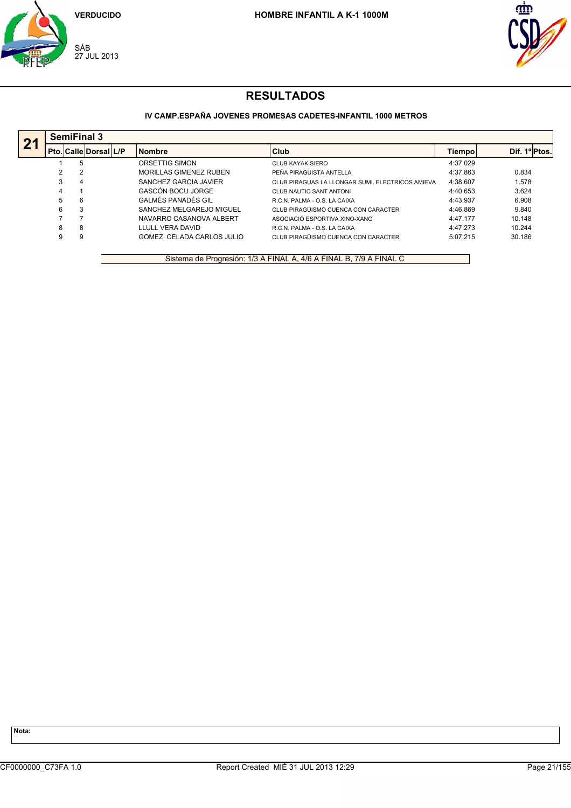



## **IV CAMP.ESPAÑA JOVENES PROMESAS CADETES-INFANTIL 1000 METROS**

|    |    | <b>SemiFinal 3</b> |                              |  |                               |                                                  |          |              |  |  |  |  |
|----|----|--------------------|------------------------------|--|-------------------------------|--------------------------------------------------|----------|--------------|--|--|--|--|
| 21 |    |                    | <b>Pto. Calle Dorsal L/P</b> |  | <b>Nombre</b>                 | Club                                             | Tiempol  | Dif. 1ºPtos. |  |  |  |  |
|    |    |                    |                              |  | ORSETTIG SIMON                | CLUB KAYAK SIERO                                 | 4:37.029 |              |  |  |  |  |
|    |    |                    |                              |  | <b>MORILLAS GIMENEZ RUBEN</b> | PEÑA PIRAGÜISTA ANTELLA                          | 4:37.863 | 0.834        |  |  |  |  |
|    | 3  | 4                  |                              |  | SANCHEZ GARCIA JAVIER         | CLUB PIRAGUAS LA LLONGAR SUMI. ELECTRICOS AMIEVA | 4:38.607 | 1.578        |  |  |  |  |
|    | 4  |                    |                              |  | GASCÓN BOCU JORGE             | CLUB NAUTIC SANT ANTONI                          | 4:40.653 | 3.624        |  |  |  |  |
|    | 5. | 6                  |                              |  | GALMÉS PANADÉS GIL            | R.C.N. PALMA - O.S. LA CAIXA                     | 4:43.937 | 6.908        |  |  |  |  |
|    | 6  |                    |                              |  | SANCHEZ MELGAREJO MIGUEL      | CLUB PIRAGÜISMO CUENCA CON CARACTER              | 4:46.869 | 9.840        |  |  |  |  |
|    |    |                    |                              |  | NAVARRO CASANOVA ALBERT       | ASOCIACIÓ ESPORTIVA XINO-XANO                    | 4:47.177 | 10.148       |  |  |  |  |
|    | 8  | 8                  |                              |  | LLULL VERA DAVID              | R.C.N. PALMA - O.S. LA CAIXA                     | 4:47.273 | 10.244       |  |  |  |  |
|    | 9  |                    |                              |  | GOMEZ CELADA CARLOS JULIO     | CLUB PIRAGÜISMO CUENCA CON CARACTER              | 5:07.215 | 30.186       |  |  |  |  |

Sistema de Progresión: 1/3 A FINAL A, 4/6 A FINAL B, 7/9 A FINAL C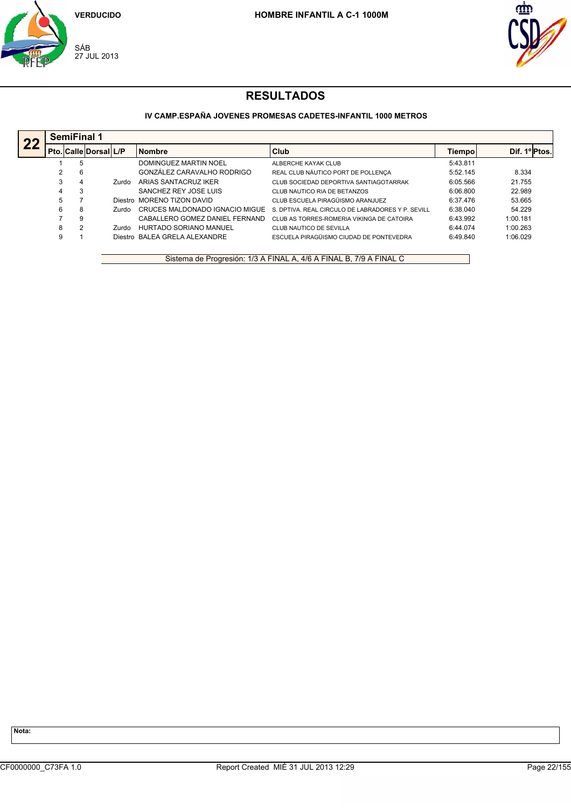



## **IV CAMP.ESPAÑA JOVENES PROMESAS CADETES-INFANTIL 1000 METROS**

|    |   | <b>SemiFinal 1</b> |                       |       |                                |                                                   |          |               |  |  |  |
|----|---|--------------------|-----------------------|-------|--------------------------------|---------------------------------------------------|----------|---------------|--|--|--|
| 22 |   |                    | Pto. Calle Dorsal L/P |       | <b>Nombre</b>                  | Club                                              | Tiempo   | Dif. 1º Ptos. |  |  |  |
|    |   |                    |                       |       | DOMINGUEZ MARTIN NOEL          | ALBERCHE KAYAK CLUB                               | 5:43.811 |               |  |  |  |
|    |   | 6                  |                       |       | GONZÁLEZ CARAVALHO RODRIGO     | REAL CLUB NÁUTICO PORT DE POLLENÇA                | 5:52.145 | 8.334         |  |  |  |
|    | 3 | 4                  |                       | Zurdo | ARIAS SANTACRUZ IKER           | CLUB SOCIEDAD DEPORTIVA SANTIAGOTARRAK            | 6:05.566 | 21.755        |  |  |  |
|    | 4 |                    |                       |       | SANCHEZ REY JOSE LUIS          | CLUB NAUTICO RIA DE BETANZOS                      | 6:06.800 | 22.989        |  |  |  |
|    | 5 |                    |                       |       | Diestro MORENO TIZON DAVID     | CLUB ESCUELA PIRAGÜISMO ARANJUEZ                  | 6:37.476 | 53.665        |  |  |  |
|    | 6 | 8                  |                       | Zurdo | CRUCES MALDONADO IGNACIO MIGUE | S. DPTIVA. REAL CIRCULO DE LABRADORES Y P. SEVILL | 6:38.040 | 54.229        |  |  |  |
|    |   | 9                  |                       |       | CABALLERO GOMEZ DANIEL FERNAND | CLUB AS TORRES-ROMERIA VIKINGA DE CATOIRA         | 6:43.992 | 1:00.181      |  |  |  |
|    | 8 |                    |                       | Zurdo | HURTADO SORIANO MANUEL         | CLUB NAUTICO DE SEVILLA                           | 6:44.074 | 1:00.263      |  |  |  |
|    | 9 |                    |                       |       | Diestro BALEA GRELA ALEXANDRE  | ESCUELA PIRAGÜISMO CIUDAD DE PONTEVEDRA           | 6:49.840 | 1:06.029      |  |  |  |

Sistema de Progresión: 1/3 A FINAL A, 4/6 A FINAL B, 7/9 A FINAL C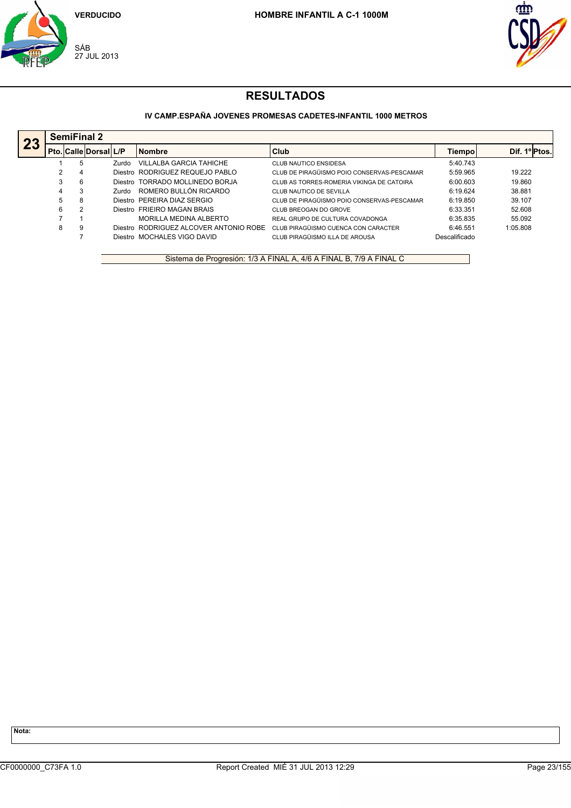



## **IV CAMP.ESPAÑA JOVENES PROMESAS CADETES-INFANTIL 1000 METROS**

|    |   | <b>SemiFinal 2</b> |                             |       |                                         |                                            |               |               |  |
|----|---|--------------------|-----------------------------|-------|-----------------------------------------|--------------------------------------------|---------------|---------------|--|
| 23 |   |                    | Pto.   Calle   Dorsal   L/P |       | <b>Nombre</b>                           | Club                                       | <b>Tiempo</b> | Dif. 1º Ptos. |  |
|    |   | 5                  |                             | Zurdo | VILLALBA GARCIA TAHICHE                 | <b>CLUB NAUTICO ENSIDESA</b>               | 5:40.743      |               |  |
|    | າ | 4                  |                             |       | Diestro RODRIGUEZ REQUEJO PABLO         | CLUB DE PIRAGÜISMO POIO CONSERVAS-PESCAMAR | 5:59.965      | 19.222        |  |
|    | 3 | 6                  |                             |       | Diestro TORRADO MOLLINEDO BORJA         | CLUB AS TORRES-ROMERIA VIKINGA DE CATOIRA  | 6:00.603      | 19.860        |  |
|    | 4 | 3                  |                             | Zurdo | ROMERO BULLÓN RICARDO                   | CLUB NAUTICO DE SEVILLA                    | 6:19.624      | 38.881        |  |
|    | 5 | 8                  |                             |       | Diestro PEREIRA DIAZ SERGIO             | CLUB DE PIRAGÜISMO POIO CONSERVAS-PESCAMAR | 6:19.850      | 39.107        |  |
|    | 6 | 2                  |                             |       | Diestro FRIEIRO MAGAN BRAIS             | CLUB BREOGAN DO GROVE                      | 6:33.351      | 52.608        |  |
|    |   |                    |                             |       | MORILLA MEDINA ALBERTO                  | REAL GRUPO DE CULTURA COVADONGA            | 6:35.835      | 55.092        |  |
|    | 8 | 9                  |                             |       | Diestro, RODRIGUEZ ALCOVER ANTONIO ROBE | CLUB PIRAGÜISMO CUENCA CON CARACTER        | 6:46.551      | 1:05.808      |  |
|    |   |                    |                             |       | Diestro MOCHALES VIGO DAVID             | CLUB PIRAGÜISMO ILLA DE AROUSA             | Descalificado |               |  |

Sistema de Progresión: 1/3 A FINAL A, 4/6 A FINAL B, 7/9 A FINAL C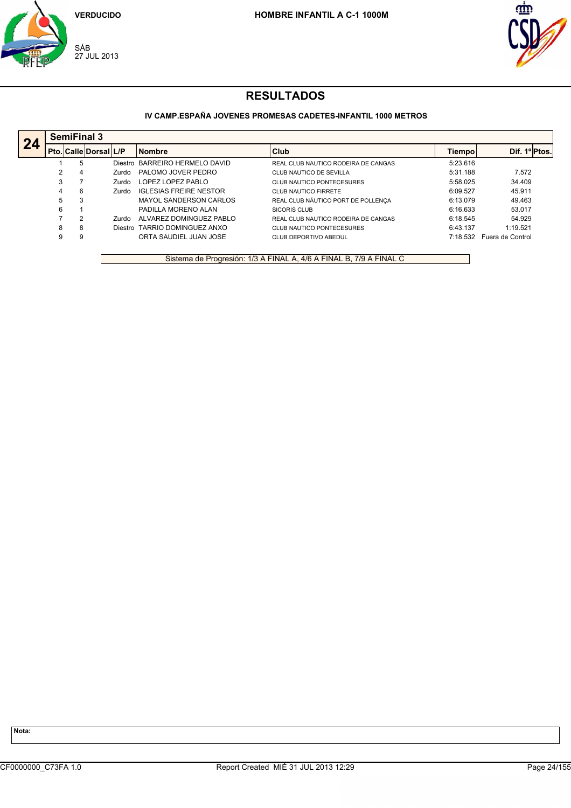



## **IV CAMP.ESPAÑA JOVENES PROMESAS CADETES-INFANTIL 1000 METROS**

|    |   | <b>SemiFinal 3</b> |                              |                                |                                     |          |                  |  |  |  |  |  |
|----|---|--------------------|------------------------------|--------------------------------|-------------------------------------|----------|------------------|--|--|--|--|--|
| 24 |   |                    | <b>Pto. Calle Dorsal L/P</b> | <b>Nombre</b>                  | l Club                              | Tiempol  | Dif. 1º Ptos.    |  |  |  |  |  |
|    |   |                    |                              | Diestro BARREIRO HERMELO DAVID | REAL CLUB NAUTICO RODEIRA DE CANGAS | 5:23.616 |                  |  |  |  |  |  |
|    | 2 | 4                  | Zurdo                        | PALOMO JOVER PEDRO             | CLUB NAUTICO DE SEVILLA             | 5:31.188 | 7.572            |  |  |  |  |  |
|    | 3 |                    | Zurdo                        | LOPEZ LOPEZ PABLO              | CLUB NAUTICO PONTECESURES           | 5:58.025 | 34.409           |  |  |  |  |  |
|    | 4 | 6                  | Zurdo                        | <b>IGLESIAS FREIRE NESTOR</b>  | CLUB NAUTICO FIRRETE                | 6:09.527 | 45.911           |  |  |  |  |  |
|    | 5 |                    |                              | MAYOL SANDERSON CARLOS         | REAL CLUB NÁUTICO PORT DE POLLENCA  | 6:13.079 | 49.463           |  |  |  |  |  |
|    | 6 |                    |                              | PADILLA MORENO ALAN            | SICORIS CLUB                        | 6:16.633 | 53.017           |  |  |  |  |  |
|    |   |                    | Zurdo                        | ALVAREZ DOMINGUEZ PABLO        | REAL CLUB NAUTICO RODEIRA DE CANGAS | 6:18.545 | 54.929           |  |  |  |  |  |
|    | 8 | 8                  |                              | Diestro TARRIO DOMINGUEZ ANXO  | CLUB NAUTICO PONTECESURES           | 6:43.137 | 1:19.521         |  |  |  |  |  |
|    | 9 |                    |                              | ORTA SAUDIEL JUAN JOSE         | CLUB DEPORTIVO ABEDUL               | 7:18.532 | Fuera de Control |  |  |  |  |  |

Sistema de Progresión: 1/3 A FINAL A, 4/6 A FINAL B, 7/9 A FINAL C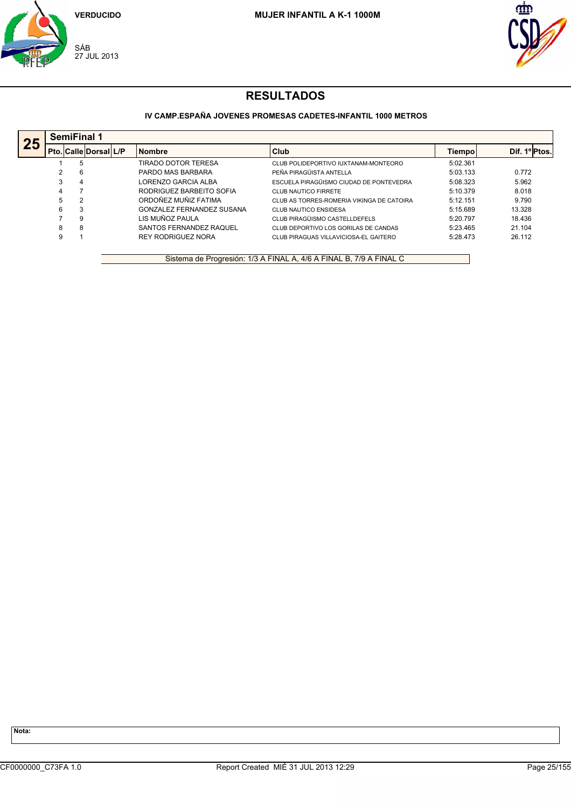



## **IV CAMP.ESPAÑA JOVENES PROMESAS CADETES-INFANTIL 1000 METROS**

|    |   | <b>SemiFinal 1</b>           |  |                           |                                           |          |               |  |  |  |  |
|----|---|------------------------------|--|---------------------------|-------------------------------------------|----------|---------------|--|--|--|--|
| 25 |   | <b>Pto. Calle Dorsal L/P</b> |  | <b>Nombre</b>             | Club                                      | Tiempol  | Dif. 1º Ptos. |  |  |  |  |
|    |   | 5                            |  | TIRADO DOTOR TERESA       | CLUB POLIDEPORTIVO IUXTANAM-MONTEORO      | 5:02.361 |               |  |  |  |  |
|    |   | 6                            |  | PARDO MAS BARBARA         | PEÑA PIRAGÜISTA ANTELLA                   | 5:03.133 | 0.772         |  |  |  |  |
|    |   | 4                            |  | LORENZO GARCIA ALBA       | ESCUELA PIRAGÜISMO CIUDAD DE PONTEVEDRA   | 5:08.323 | 5.962         |  |  |  |  |
|    |   |                              |  | RODRIGUEZ BARBEITO SOFIA  | CLUB NAUTICO FIRRETE                      | 5:10.379 | 8.018         |  |  |  |  |
|    |   | 2                            |  | ORDOÑEZ MUÑIZ FATIMA      | CLUB AS TORRES-ROMERIA VIKINGA DE CATOIRA | 5:12.151 | 9.790         |  |  |  |  |
|    |   | 3                            |  | GONZALEZ FERNANDEZ SUSANA | <b>CLUB NAUTICO ENSIDESA</b>              | 5:15.689 | 13.328        |  |  |  |  |
|    |   | 9                            |  | LIS MUÑOZ PAULA           | CLUB PIRAGÜISMO CASTELLDEFELS             | 5:20.797 | 18.436        |  |  |  |  |
|    | 8 | 8                            |  | SANTOS FERNANDEZ RAQUEL   | CLUB DEPORTIVO LOS GORILAS DE CANDAS      | 5:23.465 | 21.104        |  |  |  |  |
|    |   |                              |  | <b>REY RODRIGUEZ NORA</b> | CLUB PIRAGUAS VILLAVICIOSA-EL GAITERO     | 5:28.473 | 26.112        |  |  |  |  |

Sistema de Progresión: 1/3 A FINAL A, 4/6 A FINAL B, 7/9 A FINAL C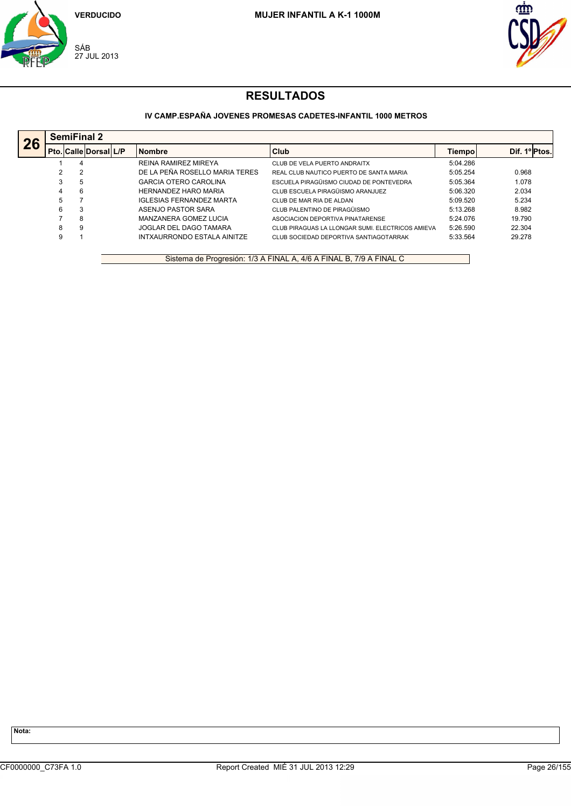



## **IV CAMP.ESPAÑA JOVENES PROMESAS CADETES-INFANTIL 1000 METROS**

|    |   | <b>SemiFinal 2</b> |                              |  |                                 |                                                  |          |              |  |  |  |
|----|---|--------------------|------------------------------|--|---------------------------------|--------------------------------------------------|----------|--------------|--|--|--|
| 26 |   |                    | <b>Pto. Calle Dorsal L/P</b> |  | <b>Nombre</b>                   | Club                                             | Tiempol  | Dif. 1ºPtos. |  |  |  |
|    |   | 4                  |                              |  | <b>REINA RAMIREZ MIREYA</b>     | CLUB DE VELA PUERTO ANDRAITX                     | 5:04.286 |              |  |  |  |
|    |   | 2                  |                              |  | DE LA PEÑA ROSELLO MARIA TERES  | REAL CLUB NAUTICO PUERTO DE SANTA MARIA          | 5:05.254 | 0.968        |  |  |  |
|    | 3 | -5                 |                              |  | <b>GARCIA OTERO CAROLINA</b>    | ESCUELA PIRAGÜISMO CIUDAD DE PONTEVEDRA          | 5:05.364 | 1.078        |  |  |  |
|    | 4 | 6                  |                              |  | <b>HERNANDEZ HARO MARIA</b>     | CLUB ESCUELA PIRAGÜISMO ARANJUEZ                 | 5:06.320 | 2.034        |  |  |  |
|    | 5 |                    |                              |  | <b>IGLESIAS FERNANDEZ MARTA</b> | CLUB DE MAR RIA DE ALDAN                         | 5:09.520 | 5.234        |  |  |  |
|    | 6 | 3                  |                              |  | ASENJO PASTOR SARA              | CLUB PALENTINO DE PIRAGÜISMO                     | 5:13.268 | 8.982        |  |  |  |
|    |   | 8                  |                              |  | MANZANERA GOMEZ LUCIA           | ASOCIACION DEPORTIVA PINATARENSE                 | 5:24.076 | 19.790       |  |  |  |
|    | 8 | 9                  |                              |  | JOGLAR DEL DAGO TAMARA          | CLUB PIRAGUAS LA LLONGAR SUMI. ELECTRICOS AMIEVA | 5:26.590 | 22.304       |  |  |  |
|    | 9 |                    |                              |  | INTXAURRONDO ESTALA AINITZE     | CLUB SOCIEDAD DEPORTIVA SANTIAGOTARRAK           | 5:33.564 | 29.278       |  |  |  |

Sistema de Progresión: 1/3 A FINAL A, 4/6 A FINAL B, 7/9 A FINAL C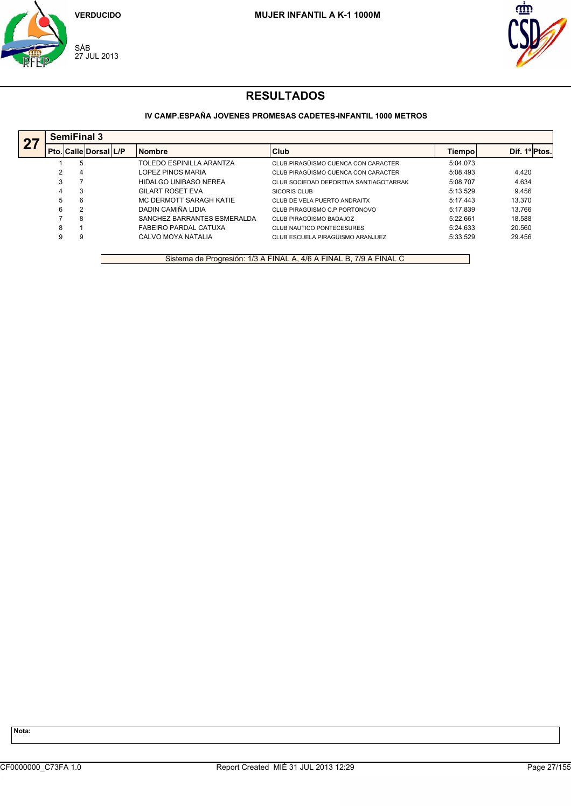



## **IV CAMP.ESPAÑA JOVENES PROMESAS CADETES-INFANTIL 1000 METROS**

| $\overline{27}$ |   | <b>SemiFinal 3</b>           |  |                             |                                        |          |              |  |  |  |  |
|-----------------|---|------------------------------|--|-----------------------------|----------------------------------------|----------|--------------|--|--|--|--|
|                 |   | <b>Pto. Calle Dorsal L/P</b> |  | <b>Nombre</b>               | Club                                   | Tiempol  | Dif. 1ºPtos. |  |  |  |  |
|                 |   | 5                            |  | TOLEDO ESPINILLA ARANTZA    | CLUB PIRAGÜISMO CUENCA CON CARACTER    | 5:04.073 |              |  |  |  |  |
|                 |   | 4                            |  | LOPEZ PINOS MARIA           | CLUB PIRAGÜISMO CUENCA CON CARACTER    | 5:08.493 | 4.420        |  |  |  |  |
|                 |   |                              |  | HIDALGO UNIBASO NEREA       | CLUB SOCIEDAD DEPORTIVA SANTIAGOTARRAK | 5:08.707 | 4.634        |  |  |  |  |
|                 |   |                              |  | <b>GILART ROSET EVA</b>     | SICORIS CLUB                           | 5:13.529 | 9.456        |  |  |  |  |
|                 | 5 | 6                            |  | MC DERMOTT SARAGH KATIE     | CLUB DE VELA PUERTO ANDRAITX           | 5:17.443 | 13.370       |  |  |  |  |
|                 | 6 | 2                            |  | DADIN CAMIÑA LIDIA          | CLUB PIRAGÜISMO C.P PORTONOVO          | 5:17.839 | 13.766       |  |  |  |  |
|                 |   | 8                            |  | SANCHEZ BARRANTES ESMERALDA | CLUB PIRAGÜISMO BADAJOZ                | 5:22.661 | 18.588       |  |  |  |  |
|                 | 8 |                              |  | FABEIRO PARDAL CATUXA       | CLUB NAUTICO PONTECESURES              | 5:24.633 | 20.560       |  |  |  |  |
|                 | 9 | 9                            |  | CALVO MOYA NATALIA          | CLUB ESCUELA PIRAGÜISMO ARANJUEZ       | 5:33.529 | 29.456       |  |  |  |  |

Sistema de Progresión: 1/3 A FINAL A, 4/6 A FINAL B, 7/9 A FINAL C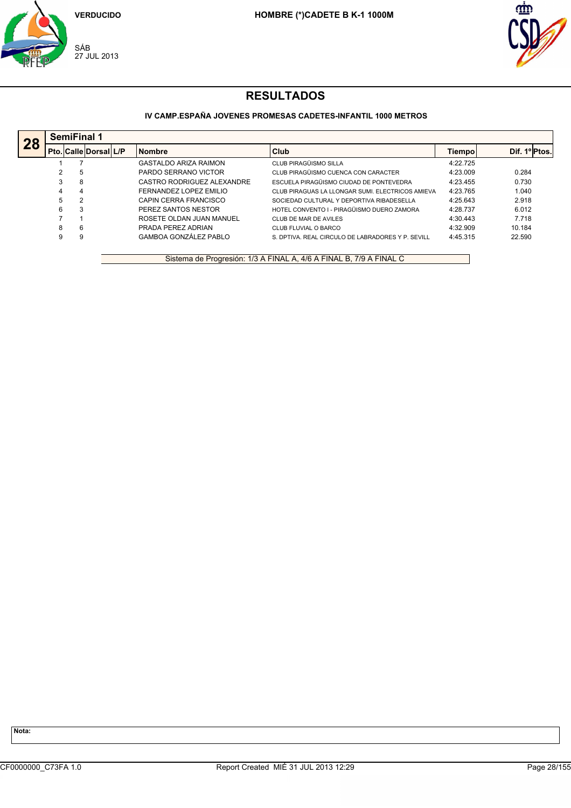



## **IV CAMP.ESPAÑA JOVENES PROMESAS CADETES-INFANTIL 1000 METROS**

|    |   | <b>SemiFinal 1</b>           |  |                              |                                                   |          |               |  |  |  |  |
|----|---|------------------------------|--|------------------------------|---------------------------------------------------|----------|---------------|--|--|--|--|
| 28 |   | <b>Pto. Calle Dorsal L/P</b> |  | <b>Nombre</b>                | Club                                              | Tiempol  | Dif. 1ºIPtos. |  |  |  |  |
|    |   |                              |  | <b>GASTALDO ARIZA RAIMON</b> | CLUB PIRAGÜISMO SILLA                             | 4:22.725 |               |  |  |  |  |
|    |   | -5                           |  | PARDO SERRANO VICTOR         | CLUB PIRAGÜISMO CUENCA CON CARACTER               | 4:23.009 | 0.284         |  |  |  |  |
|    | 3 | 8                            |  | CASTRO RODRIGUEZ ALEXANDRE   | ESCUELA PIRAGÜISMO CIUDAD DE PONTEVEDRA           | 4:23.455 | 0.730         |  |  |  |  |
|    | 4 | 4                            |  | FERNANDEZ LOPEZ EMILIO       | CLUB PIRAGUAS LA LLONGAR SUMI. ELECTRICOS AMIEVA  | 4:23.765 | 1.040         |  |  |  |  |
|    | 5 | 2                            |  | CAPIN CERRA FRANCISCO        | SOCIEDAD CULTURAL Y DEPORTIVA RIBADESELLA         | 4:25.643 | 2.918         |  |  |  |  |
|    | 6 | 3                            |  | PEREZ SANTOS NESTOR          | HOTEL CONVENTO I - PIRAGÜISMO DUERO ZAMORA        | 4:28.737 | 6.012         |  |  |  |  |
|    |   |                              |  | ROSETE OLDAN JUAN MANUEL     | CLUB DE MAR DE AVILES                             | 4:30.443 | 7.718         |  |  |  |  |
|    | 8 | 6                            |  | PRADA PEREZ ADRIAN           | CLUB FLUVIAL O BARCO                              | 4:32.909 | 10.184        |  |  |  |  |
|    | 9 | 9                            |  | <b>GAMBOA GONZÁLEZ PABLO</b> | S. DPTIVA. REAL CIRCULO DE LABRADORES Y P. SEVILL | 4:45.315 | 22.590        |  |  |  |  |

Sistema de Progresión: 1/3 A FINAL A, 4/6 A FINAL B, 7/9 A FINAL C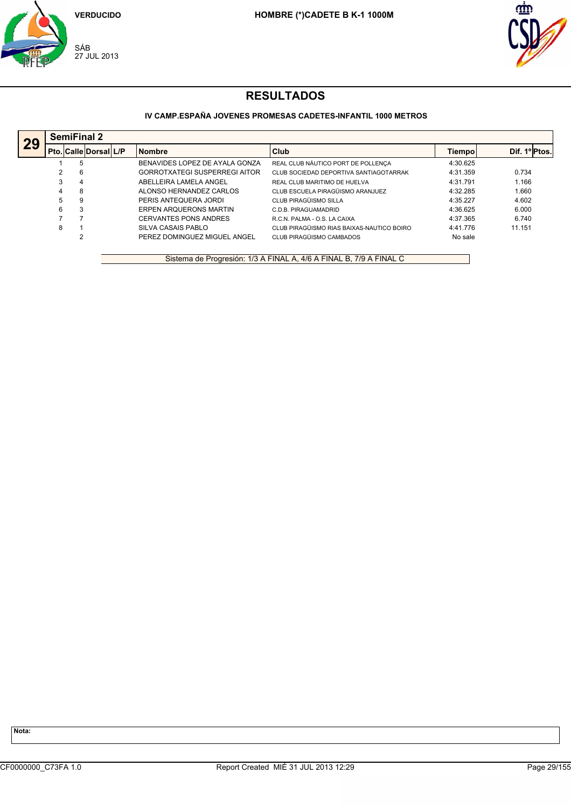



## **IV CAMP.ESPAÑA JOVENES PROMESAS CADETES-INFANTIL 1000 METROS**

|    |   | <b>SemiFinal 2</b>           |  |                                      |                                           |          |              |  |  |  |  |
|----|---|------------------------------|--|--------------------------------------|-------------------------------------------|----------|--------------|--|--|--|--|
| 29 |   | <b>Pto. Calle Dorsal L/P</b> |  | <b>Nombre</b>                        | Club                                      | Tiempol  | Dif. 1ºPtos. |  |  |  |  |
|    |   | 5                            |  | BENAVIDES LOPEZ DE AYALA GONZA       | REAL CLUB NÁUTICO PORT DE POLLENÇA        | 4:30.625 |              |  |  |  |  |
|    | 2 | -6                           |  | <b>GORROTXATEGI SUSPERREGI AITOR</b> | CLUB SOCIEDAD DEPORTIVA SANTIAGOTARRAK    | 4:31.359 | 0.734        |  |  |  |  |
|    | 3 | 4                            |  | ABELLEIRA LAMELA ANGEL               | REAL CLUB MARITIMO DE HUELVA              | 4:31.791 | 1.166        |  |  |  |  |
|    | 4 | 8                            |  | ALONSO HERNANDEZ CARLOS              | CLUB ESCUELA PIRAGÜISMO ARANJUEZ          | 4:32.285 | 1.660        |  |  |  |  |
|    | 5 | 9                            |  | PERIS ANTEQUERA JORDI                | CLUB PIRAGÜISMO SILLA                     | 4:35.227 | 4.602        |  |  |  |  |
|    | 6 | 3                            |  | <b>ERPEN ARQUERONS MARTIN</b>        | C.D.B. PIRAGUAMADRID                      | 4:36.625 | 6.000        |  |  |  |  |
|    |   |                              |  | <b>CERVANTES PONS ANDRES</b>         | R.C.N. PALMA - O.S. LA CAIXA              | 4:37.365 | 6.740        |  |  |  |  |
|    | 8 |                              |  | SILVA CASAIS PABLO                   | CLUB PIRAGÜISMO RIAS BAIXAS-NAUTICO BOIRO | 4:41.776 | 11.151       |  |  |  |  |
|    |   | 2                            |  | PEREZ DOMINGUEZ MIGUEL ANGEL         | CLUB PIRAGÜISMO CAMBADOS                  | No sale  |              |  |  |  |  |

Sistema de Progresión: 1/3 A FINAL A, 4/6 A FINAL B, 7/9 A FINAL C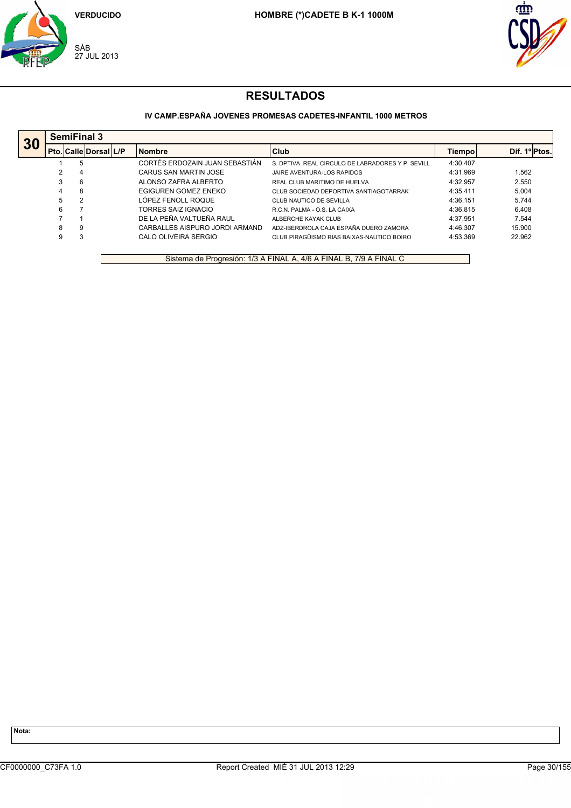



## **IV CAMP.ESPAÑA JOVENES PROMESAS CADETES-INFANTIL 1000 METROS**

|    |   | <b>SemiFinal 3</b>        |  |                                |                                                   |          |              |  |  |  |  |
|----|---|---------------------------|--|--------------------------------|---------------------------------------------------|----------|--------------|--|--|--|--|
| 30 |   | Pto.  Calle  Dorsal   L/P |  | <b>Nombre</b>                  | Club                                              | Tiempol  | Dif. 1ºPtos. |  |  |  |  |
|    |   | 5                         |  | CORTÉS ERDOZAIN JUAN SEBASTIÁN | S. DPTIVA. REAL CIRCULO DE LABRADORES Y P. SEVILL | 4:30.407 |              |  |  |  |  |
|    |   | 4                         |  | CARUS SAN MARTIN JOSE          | JAIRE AVENTURA-LOS RAPIDOS                        | 4:31.969 | 1.562        |  |  |  |  |
|    |   | 6                         |  | ALONSO ZAFRA ALBERTO           | REAL CLUB MARITIMO DE HUELVA                      | 4:32.957 | 2.550        |  |  |  |  |
|    | 4 | 8                         |  | EGIGUREN GOMEZ ENEKO           | CLUB SOCIEDAD DEPORTIVA SANTIAGOTARRAK            | 4:35.411 | 5.004        |  |  |  |  |
|    | 5 | 2                         |  | LÓPEZ FENOLL ROQUE             | CLUB NAUTICO DE SEVILLA                           | 4:36.151 | 5.744        |  |  |  |  |
|    | 6 |                           |  | TORRES SAIZ IGNACIO            | R.C.N. PALMA - O.S. LA CAIXA                      | 4:36.815 | 6.408        |  |  |  |  |
|    |   |                           |  | DE LA PEÑA VALTUEÑA RAUL       | ALBERCHE KAYAK CLUB                               | 4:37.951 | 7.544        |  |  |  |  |
|    | 8 | 9                         |  | CARBALLES AISPURO JORDI ARMAND | ADZ-IBERDROLA CAJA ESPAÑA DUERO ZAMORA            | 4:46.307 | 15.900       |  |  |  |  |
|    | 9 | З                         |  | CALO OLIVEIRA SERGIO           | CLUB PIRAGÜISMO RIAS BAIXAS-NAUTICO BOIRO         | 4:53.369 | 22.962       |  |  |  |  |

Sistema de Progresión: 1/3 A FINAL A, 4/6 A FINAL B, 7/9 A FINAL C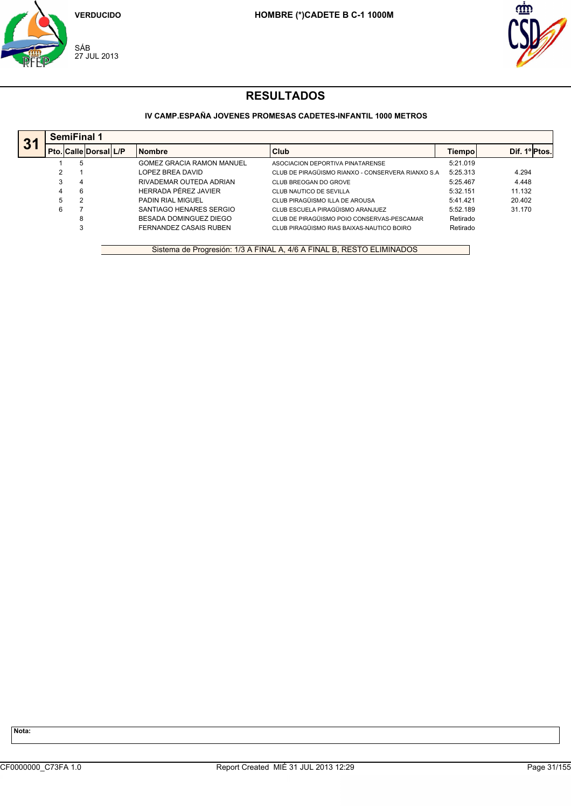



## **IV CAMP.ESPAÑA JOVENES PROMESAS CADETES-INFANTIL 1000 METROS**

| 31 |   | <b>SemiFinal 1</b> |                       |  |                                  |                                                    |          |                                 |  |  |  |
|----|---|--------------------|-----------------------|--|----------------------------------|----------------------------------------------------|----------|---------------------------------|--|--|--|
|    |   |                    | Pto. Calle Dorsal L/P |  | <b>Nombre</b>                    | Club                                               | Tiempol  | Dif. 1 <sup>o</sup> ll<br>Ptos. |  |  |  |
|    |   | 5                  |                       |  | <b>GOMEZ GRACIA RAMON MANUEL</b> | ASOCIACION DEPORTIVA PINATARENSE                   | 5:21.019 |                                 |  |  |  |
|    | C |                    |                       |  | LOPEZ BREA DAVID                 | CLUB DE PIRAGÜISMO RIANXO - CONSERVERA RIANXO S.A. | 5:25.313 | 4.294                           |  |  |  |
|    | 3 | 4                  |                       |  | RIVADEMAR OUTEDA ADRIAN          | CLUB BREOGAN DO GROVE                              | 5:25.467 | 4.448                           |  |  |  |
|    | 4 | 6                  |                       |  | HERRADA PÉREZ JAVIER             | CLUB NAUTICO DE SEVILLA                            | 5:32.151 | 11.132                          |  |  |  |
|    | 5 | 2                  |                       |  | <b>PADIN RIAL MIGUEL</b>         | CLUB PIRAGÜISMO ILLA DE AROUSA                     | 5:41.421 | 20.402                          |  |  |  |
|    | 6 |                    |                       |  | SANTIAGO HENARES SERGIO          | CLUB ESCUELA PIRAGÜISMO ARANJUEZ                   | 5:52.189 | 31.170                          |  |  |  |
|    |   | 8                  |                       |  | BESADA DOMINGUEZ DIEGO           | CLUB DE PIRAGÜISMO POIO CONSERVAS-PESCAMAR         | Retirado |                                 |  |  |  |
|    |   | 3                  |                       |  | FERNANDEZ CASAIS RUBEN           | CLUB PIRAGÜISMO RIAS BAIXAS-NAUTICO BOIRO          | Retirado |                                 |  |  |  |
|    |   |                    |                       |  |                                  |                                                    |          |                                 |  |  |  |
|    |   |                    |                       |  |                                  |                                                    |          |                                 |  |  |  |

Sistema de Progresión: 1/3 A FINAL A, 4/6 A FINAL B, RESTO ELIMINADOS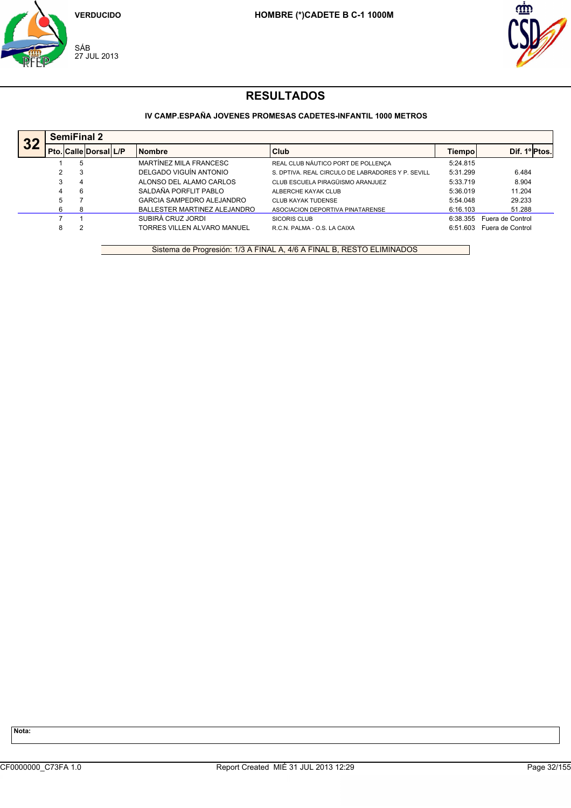



## **IV CAMP.ESPAÑA JOVENES PROMESAS CADETES-INFANTIL 1000 METROS**

|    | <b>SemiFinal 2</b> |                        |  |                              |                                                   |          |                  |  |  |
|----|--------------------|------------------------|--|------------------------------|---------------------------------------------------|----------|------------------|--|--|
| 32 |                    | Pto. Calle Dorsal  L/P |  | <b>Nombre</b>                | Club                                              | Tiempo   | Dif. 1º Ptos.    |  |  |
|    |                    |                        |  | MARTÍNEZ MILA FRANCESC       | REAL CLUB NÁUTICO PORT DE POLLENÇA                | 5:24.815 |                  |  |  |
|    |                    | 3                      |  | DELGADO VIGUÍN ANTONIO       | S. DPTIVA. REAL CIRCULO DE LABRADORES Y P. SEVILL | 5:31.299 | 6.484            |  |  |
|    | 3                  | 4                      |  | ALONSO DEL ALAMO CARLOS      | CLUB ESCUELA PIRAGÜISMO ARANJUEZ                  | 5:33.719 | 8.904            |  |  |
|    | 4                  | 6                      |  | SALDAÑA PORFLIT PABLO        | ALBERCHE KAYAK CLUB                               | 5:36.019 | 11.204           |  |  |
|    | 5                  |                        |  | GARCIA SAMPEDRO ALEJANDRO    | <b>CLUB KAYAK TUDENSE</b>                         | 5:54.048 | 29.233           |  |  |
|    | 6                  | -8                     |  | BALLESTER MARTINEZ ALEJANDRO | ASOCIACION DEPORTIVA PINATARENSE                  | 6:16.103 | 51.288           |  |  |
|    |                    |                        |  | SUBIRÀ CRUZ JORDI            | SICORIS CLUB                                      | 6:38.355 | Fuera de Control |  |  |
|    | 8                  |                        |  | TORRES VILLEN ALVARO MANUEL  | R.C.N. PALMA - O.S. LA CAIXA                      | 6:51.603 | Fuera de Control |  |  |
|    |                    |                        |  |                              |                                                   |          |                  |  |  |

Sistema de Progresión: 1/3 A FINAL A, 4/6 A FINAL B, RESTO ELIMINADOS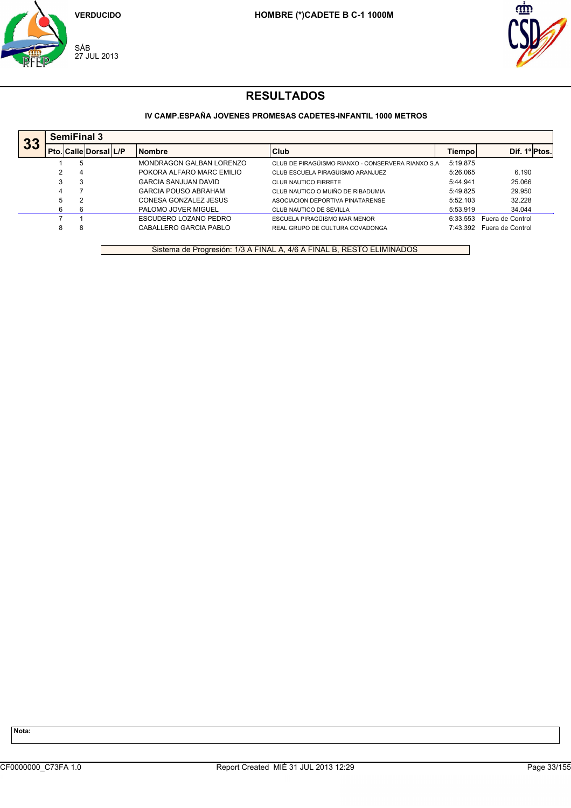



## **IV CAMP.ESPAÑA JOVENES PROMESAS CADETES-INFANTIL 1000 METROS**

| 33 |   | <b>SemiFinal 3</b>           |  |                             |                                                   |          |                  |  |  |  |
|----|---|------------------------------|--|-----------------------------|---------------------------------------------------|----------|------------------|--|--|--|
|    |   | <b>Pto. Calle Dorsal L/P</b> |  | <b>Nombre</b>               | Club                                              | Tiempo   | Dif. 1º Ptos.    |  |  |  |
|    |   | 5                            |  | MONDRAGON GALBAN LORENZO    | CLUB DE PIRAGÜISMO RIANXO - CONSERVERA RIANXO S.A | 5:19.875 |                  |  |  |  |
|    |   | 4                            |  | POKORA ALFARO MARC EMILIO   | CLUB ESCUELA PIRAGÜISMO ARANJUEZ                  | 5:26.065 | 6.190            |  |  |  |
|    | 3 | 3                            |  | <b>GARCIA SANJUAN DAVID</b> | <b>CLUB NAUTICO FIRRETE</b>                       | 5:44.941 | 25.066           |  |  |  |
|    | 4 |                              |  | <b>GARCIA POUSO ABRAHAM</b> | CLUB NAUTICO O MUIÑO DE RIBADUMIA                 | 5:49.825 | 29.950           |  |  |  |
|    | 5 | 2                            |  | CONESA GONZALEZ JESUS       | ASOCIACION DEPORTIVA PINATARENSE                  | 5:52.103 | 32.228           |  |  |  |
|    | 6 | 6                            |  | PALOMO JOVER MIGUEL         | CLUB NAUTICO DE SEVILLA                           | 5:53.919 | 34.044           |  |  |  |
|    |   |                              |  | ESCUDERO LOZANO PEDRO       | ESCUELA PIRAGÜISMO MAR MENOR                      | 6:33.553 | Fuera de Control |  |  |  |
|    | 8 | 8                            |  | CABALLERO GARCIA PABLO      | REAL GRUPO DE CULTURA COVADONGA                   | 7:43.392 | Fuera de Control |  |  |  |

Sistema de Progresión: 1/3 A FINAL A, 4/6 A FINAL B, RESTO ELIMINADOS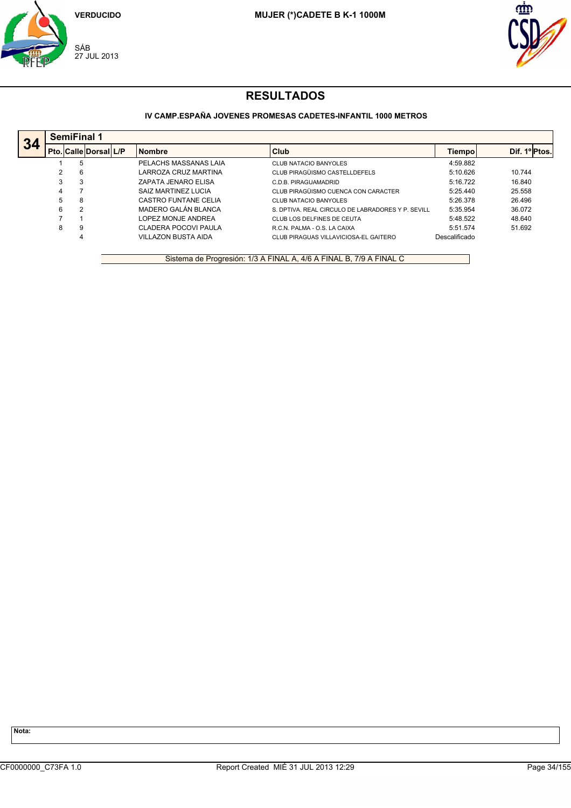



## **IV CAMP.ESPAÑA JOVENES PROMESAS CADETES-INFANTIL 1000 METROS**

|    |   | <b>SemiFinal 1</b> |                       |  |                            |                                                   |               |               |  |  |
|----|---|--------------------|-----------------------|--|----------------------------|---------------------------------------------------|---------------|---------------|--|--|
| 34 |   |                    | Pto. Calle Dorsal L/P |  | <b>Nombre</b>              | Club                                              | Tiempol       | Dif. 1º Ptos. |  |  |
|    |   | 5                  |                       |  | PELACHS MASSANAS LAIA      | <b>CLUB NATACIO BANYOLES</b>                      | 4:59.882      |               |  |  |
|    |   | 6                  |                       |  | LARROZA CRUZ MARTINA       | CLUB PIRAGÜISMO CASTELLDEFELS                     | 5:10.626      | 10.744        |  |  |
|    | 3 | 3                  |                       |  | ZAPATA JENARO ELISA        | C.D.B. PIRAGUAMADRID                              | 5:16.722      | 16.840        |  |  |
|    | 4 |                    |                       |  | SAIZ MARTINEZ LUCIA        | CLUB PIRAGÜISMO CUENCA CON CARACTER               | 5:25.440      | 25.558        |  |  |
|    | 5 | 8                  |                       |  | CASTRO FUNTANE CELIA       | CLUB NATACIO BANYOLES                             | 5:26.378      | 26.496        |  |  |
|    | 6 | $\mathcal{P}$      |                       |  | MADERO GALÁN BLANCA        | S. DPTIVA. REAL CIRCULO DE LABRADORES Y P. SEVILL | 5:35.954      | 36.072        |  |  |
|    |   |                    |                       |  | LOPEZ MONJE ANDREA         | CLUB LOS DELFINES DE CEUTA                        | 5:48.522      | 48.640        |  |  |
|    | 8 | 9                  |                       |  | CLADERA POCOVI PAULA       | R.C.N. PALMA - O.S. LA CAIXA                      | 5:51.574      | 51.692        |  |  |
|    |   | 4                  |                       |  | <b>VILLAZON BUSTA AIDA</b> | CLUB PIRAGUAS VILLAVICIOSA-EL GAITERO             | Descalificado |               |  |  |

Sistema de Progresión: 1/3 A FINAL A, 4/6 A FINAL B, 7/9 A FINAL C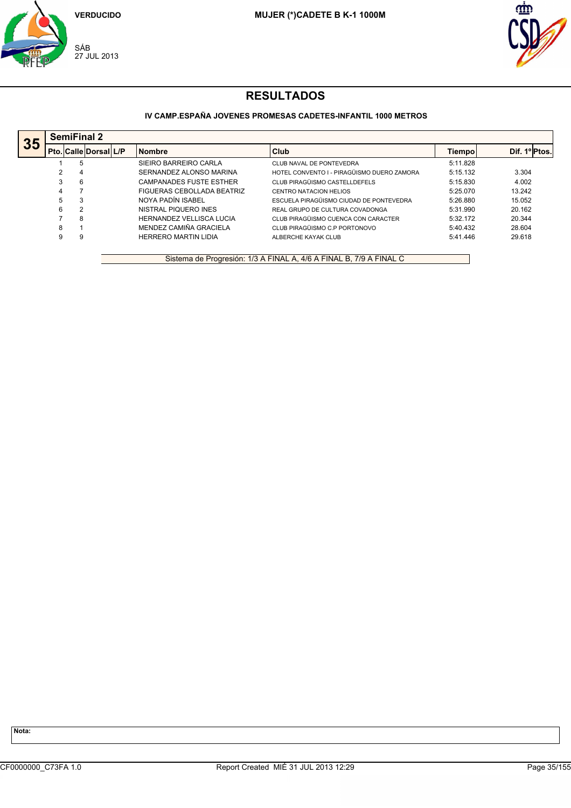



## **IV CAMP.ESPAÑA JOVENES PROMESAS CADETES-INFANTIL 1000 METROS**

|    |   | <b>SemiFinal 2</b>           |  |                                 |                                            |          |               |  |  |  |  |
|----|---|------------------------------|--|---------------------------------|--------------------------------------------|----------|---------------|--|--|--|--|
| 35 |   | <b>Pto. Calle Dorsal L/P</b> |  | <b>Nombre</b>                   | Club                                       | Tiempol  | Dif. 1º Ptos. |  |  |  |  |
|    |   | 5                            |  | SIEIRO BARREIRO CARLA           | CLUB NAVAL DE PONTEVEDRA                   | 5:11.828 |               |  |  |  |  |
|    | 2 | -4                           |  | SERNANDEZ ALONSO MARINA         | HOTEL CONVENTO I - PIRAGÜISMO DUERO ZAMORA | 5:15.132 | 3.304         |  |  |  |  |
|    | 3 | -6                           |  | <b>CAMPANADES FUSTE ESTHER</b>  | CLUB PIRAGÜISMO CASTELLDEFELS              | 5:15.830 | 4.002         |  |  |  |  |
|    | 4 |                              |  | FIGUERAS CEBOLLADA BEATRIZ      | CENTRO NATACION HELIOS                     | 5:25.070 | 13.242        |  |  |  |  |
|    | 5 | 3                            |  | NOYA PADÍN ISABEL               | ESCUELA PIRAGÜISMO CIUDAD DE PONTEVEDRA    | 5:26.880 | 15.052        |  |  |  |  |
|    | 6 | 2                            |  | NISTRAL PIQUERO INES            | REAL GRUPO DE CULTURA COVADONGA            | 5:31.990 | 20.162        |  |  |  |  |
|    |   | 8                            |  | <b>HERNANDEZ VELLISCA LUCIA</b> | CLUB PIRAGÜISMO CUENCA CON CARACTER        | 5:32.172 | 20.344        |  |  |  |  |
|    | 8 |                              |  | MENDEZ CAMIÑA GRACIELA          | CLUB PIRAGÜISMO C.P PORTONOVO              | 5:40.432 | 28.604        |  |  |  |  |
|    | 9 | 9                            |  | <b>HERRERO MARTIN LIDIA</b>     | ALBERCHE KAYAK CLUB                        | 5:41.446 | 29.618        |  |  |  |  |
|    |   |                              |  |                                 |                                            |          |               |  |  |  |  |

Sistema de Progresión: 1/3 A FINAL A, 4/6 A FINAL B, 7/9 A FINAL C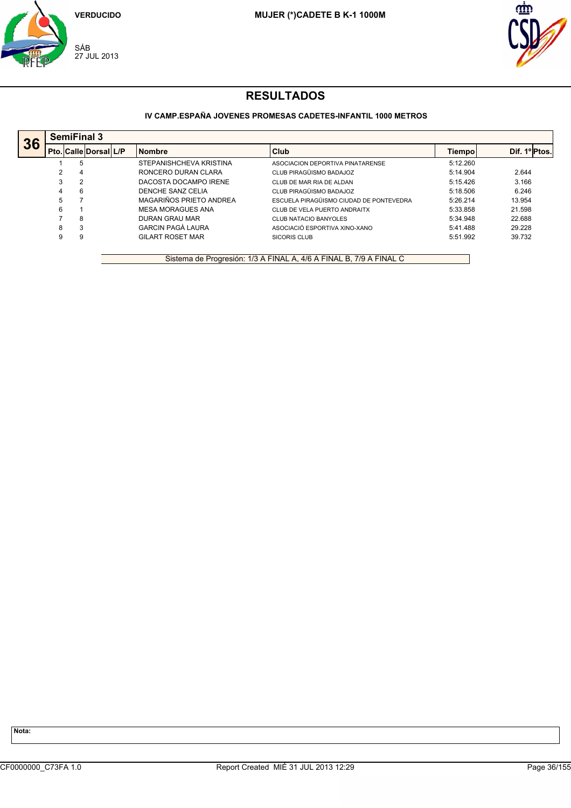



## **IV CAMP.ESPAÑA JOVENES PROMESAS CADETES-INFANTIL 1000 METROS**

|    |   | <b>SemiFinal 3</b>           |  |                          |                                         |          |               |  |  |  |  |
|----|---|------------------------------|--|--------------------------|-----------------------------------------|----------|---------------|--|--|--|--|
| 36 |   | <b>Pto. Calle Dorsal L/P</b> |  | <b>Nombre</b>            | Club                                    | Tiempol  | Dif. 1º Ptos. |  |  |  |  |
|    |   | 5                            |  | STEPANISHCHEVA KRISTINA  | ASOCIACION DEPORTIVA PINATARENSE        | 5:12.260 |               |  |  |  |  |
|    |   | 4                            |  | RONCERO DURAN CLARA      | CLUB PIRAGÜISMO BADAJOZ                 | 5:14.904 | 2.644         |  |  |  |  |
|    | 3 |                              |  | DACOSTA DOCAMPO IRENE    | CLUB DE MAR RIA DE ALDAN                | 5:15.426 | 3.166         |  |  |  |  |
|    | 4 | -6                           |  | DENCHE SANZ CELIA        | CLUB PIRAGÜISMO BADAJOZ                 | 5:18.506 | 6.246         |  |  |  |  |
|    | 5 |                              |  | MAGARIÑOS PRIETO ANDREA  | ESCUELA PIRAGÜISMO CIUDAD DE PONTEVEDRA | 5:26.214 | 13.954        |  |  |  |  |
|    | 6 |                              |  | <b>MESA MORAGUES ANA</b> | CLUB DE VELA PUERTO ANDRAITX            | 5:33.858 | 21.598        |  |  |  |  |
|    |   | 8                            |  | DURAN GRAU MAR           | CLUB NATACIO BANYOLES                   | 5:34.948 | 22.688        |  |  |  |  |
|    | 8 | 3                            |  | <b>GARCIN PAGÀ LAURA</b> | ASOCIACIÓ ESPORTIVA XINO-XANO           | 5:41.488 | 29.228        |  |  |  |  |
|    | 9 | -9                           |  | <b>GILART ROSET MAR</b>  | <b>SICORIS CLUB</b>                     | 5:51.992 | 39.732        |  |  |  |  |
|    |   |                              |  |                          |                                         |          |               |  |  |  |  |

Sistema de Progresión: 1/3 A FINAL A, 4/6 A FINAL B, 7/9 A FINAL C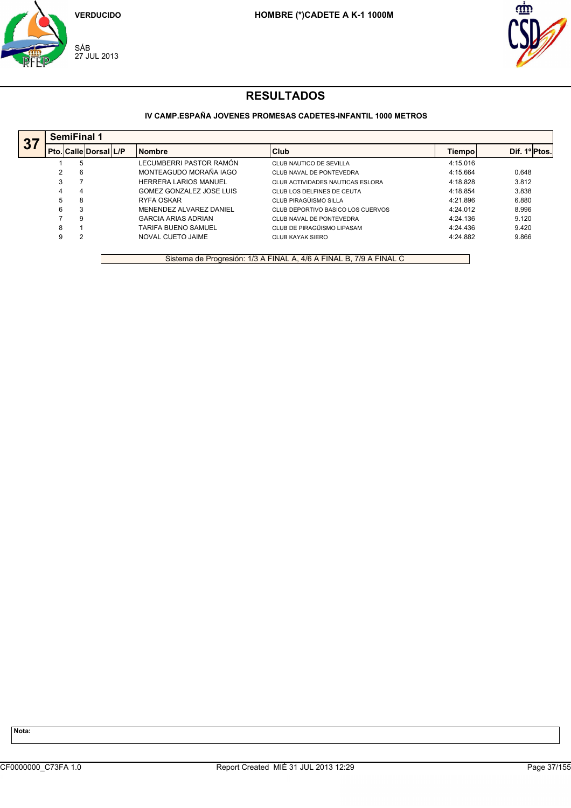



## **IV CAMP.ESPAÑA JOVENES PROMESAS CADETES-INFANTIL 1000 METROS**

|   |   |                    | <b>Nombre</b>                | Club                              | Tiempol  | Dif. 1ºPtos. |
|---|---|--------------------|------------------------------|-----------------------------------|----------|--------------|
|   | 5 |                    | LECUMBERRI PASTOR RAMÓN      | CLUB NAUTICO DE SEVILLA           | 4:15.016 |              |
|   | 6 |                    | MONTEAGUDO MORAÑA IAGO       | CLUB NAVAL DE PONTEVEDRA          | 4:15.664 | 0.648        |
| 3 |   |                    | <b>HERRERA LARIOS MANUEL</b> | CLUB ACTIVIDADES NAUTICAS ESLORA  | 4:18.828 | 3.812        |
| 4 | 4 |                    | GOMEZ GONZALEZ JOSE LUIS     | CLUB LOS DELFINES DE CEUTA        | 4:18.854 | 3.838        |
| 5 | 8 |                    | RYFA OSKAR                   | CLUB PIRAGÜISMO SILLA             | 4:21.896 | 6.880        |
| 6 | 3 |                    | MENENDEZ ALVAREZ DANIEL      | CLUB DEPORTIVO BASICO LOS CUERVOS | 4:24.012 | 8.996        |
|   | 9 |                    | <b>GARCIA ARIAS ADRIAN</b>   | CLUB NAVAL DE PONTEVEDRA          | 4:24.136 | 9.120        |
| 8 |   |                    | <b>TARIFA BUENO SAMUEL</b>   | CLUB DE PIRAGÜISMO LIPASAM        | 4:24.436 | 9.420        |
| 9 |   |                    | NOVAL CUETO JAIME            | CLUB KAYAK SIERO                  | 4:24.882 | 9.866        |
|   |   | <b>SemiFinal 1</b> | <b>Pto. Calle Dorsal L/P</b> |                                   |          |              |

Sistema de Progresión: 1/3 A FINAL A, 4/6 A FINAL B, 7/9 A FINAL C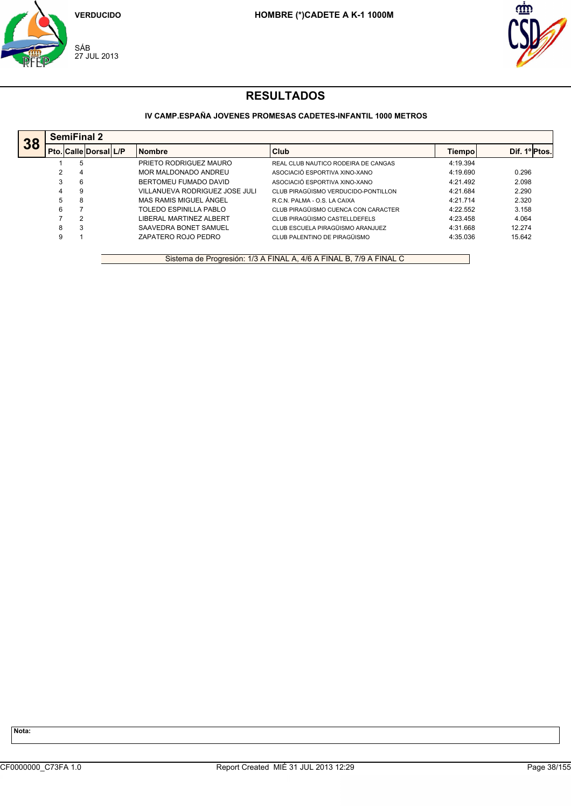



## **IV CAMP.ESPAÑA JOVENES PROMESAS CADETES-INFANTIL 1000 METROS**

|    |   | <b>SemiFinal 2</b>        |                                |                                     |          |              |
|----|---|---------------------------|--------------------------------|-------------------------------------|----------|--------------|
| 38 |   | Pto.  Calle  Dorsal   L/P | <b>Nombre</b>                  | Club                                | Tiempol  | Dif. 1ºPtos. |
|    |   | 5                         | PRIETO RODRIGUEZ MAURO         | REAL CLUB NAUTICO RODEIRA DE CANGAS | 4:19.394 |              |
|    |   | 4                         | MOR MALDONADO ANDREU           | ASOCIACIÓ ESPORTIVA XINO-XANO       | 4:19.690 | 0.296        |
|    |   | 6                         | BERTOMEU FUMADO DAVID          | ASOCIACIÓ ESPORTIVA XINO-XANO       | 4:21.492 | 2.098        |
|    | 4 | 9                         | VILLANUEVA RODRIGUEZ JOSE JULI | CLUB PIRAGÜISMO VERDUCIDO-PONTILLON | 4:21.684 | 2.290        |
|    | 5 | 8                         | MAS RAMIS MIGUEL ÁNGEL         | R.C.N. PALMA - O.S. LA CAIXA        | 4:21.714 | 2.320        |
|    | 6 |                           | TOLEDO ESPINILLA PABLO         | CLUB PIRAGÜISMO CUENCA CON CARACTER | 4:22.552 | 3.158        |
|    |   | 2                         | LIBERAL MARTINEZ ALBERT        | CLUB PIRAGÜISMO CASTELLDEFELS       | 4:23.458 | 4.064        |
|    | 8 | 3                         | SAAVEDRA BONET SAMUEL          | CLUB ESCUELA PIRAGÜISMO ARANJUEZ    | 4:31.668 | 12.274       |
|    | 9 |                           | ZAPATERO ROJO PEDRO            | CLUB PALENTINO DE PIRAGÜISMO        | 4:35.036 | 15.642       |
|    |   |                           |                                |                                     |          |              |

Sistema de Progresión: 1/3 A FINAL A, 4/6 A FINAL B, 7/9 A FINAL C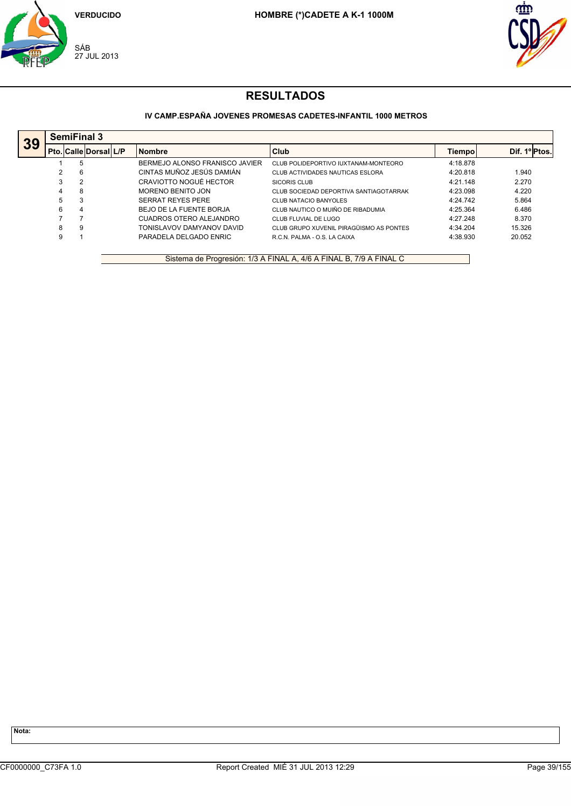



## **IV CAMP.ESPAÑA JOVENES PROMESAS CADETES-INFANTIL 1000 METROS**

|    |    | <b>SemiFinal 3</b>    |                                |                                         |          |              |
|----|----|-----------------------|--------------------------------|-----------------------------------------|----------|--------------|
| 39 |    | Pto. Calle Dorsal L/P | <b>Nombre</b>                  | Club                                    | Tiempo   | Dif. 1ºPtos. |
|    |    | 5                     | BERMEJO ALONSO FRANISCO JAVIER | CLUB POLIDEPORTIVO IUXTANAM-MONTEORO    | 4:18.878 |              |
|    |    | 6                     | CINTAS MUÑOZ JESÚS DAMIÁN      | CLUB ACTIVIDADES NAUTICAS ESLORA        | 4:20.818 | 1.940        |
|    | 3  | $\overline{2}$        | CRAVIOTTO NOGUÉ HECTOR         | SICORIS CLUB                            | 4:21.148 | 2.270        |
|    | 4  | 8                     | MORENO BENITO JON              | CLUB SOCIEDAD DEPORTIVA SANTIAGOTARRAK  | 4:23.098 | 4.220        |
|    | 5. | 3                     | <b>SERRAT REYES PERE</b>       | CLUB NATACIO BANYOLES                   | 4:24.742 | 5.864        |
|    | 6  | 4                     | BEJO DE LA FUENTE BORJA        | CLUB NAUTICO O MUIÑO DE RIBADUMIA       | 4:25.364 | 6.486        |
|    |    |                       | CUADROS OTERO ALEJANDRO        | CLUB FLUVIAL DE LUGO                    | 4:27.248 | 8.370        |
|    | 8  | 9                     | TONISLAVOV DAMYANOV DAVID      | CLUB GRUPO XUVENIL PIRAGÜISMO AS PONTES | 4:34.204 | 15.326       |
|    | 9  |                       | PARADELA DELGADO ENRIC         | R.C.N. PALMA - O.S. LA CAIXA            | 4:38.930 | 20.052       |

Sistema de Progresión: 1/3 A FINAL A, 4/6 A FINAL B, 7/9 A FINAL C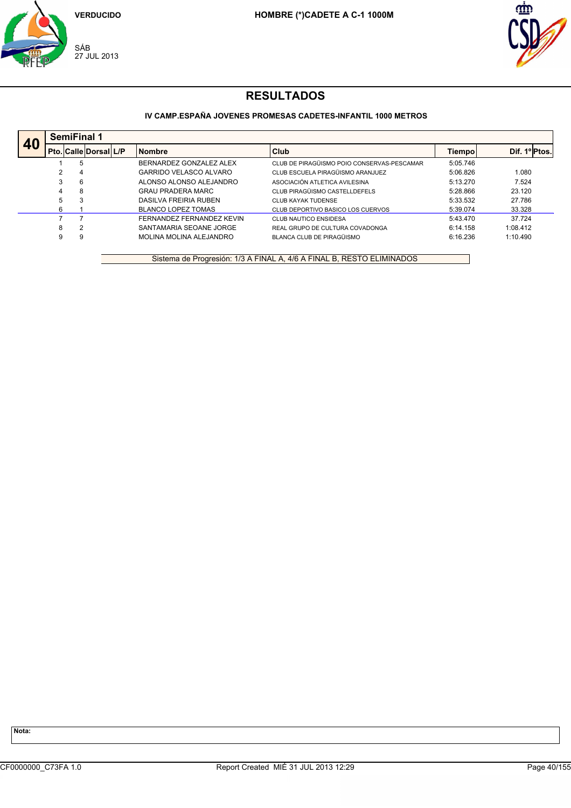



## **IV CAMP.ESPAÑA JOVENES PROMESAS CADETES-INFANTIL 1000 METROS**

|    |   | <b>SemiFinal 1</b>           |  |  |                           |                                            |          |                          |  |  |
|----|---|------------------------------|--|--|---------------------------|--------------------------------------------|----------|--------------------------|--|--|
| 40 |   | <b>Pto. Calle Dorsal L/P</b> |  |  | <b>Nombre</b>             | <b>Club</b>                                | Tiempol  | Dif. 1º <sub>Ptos.</sub> |  |  |
|    |   | 5                            |  |  | BERNARDEZ GONZALEZ ALEX   | CLUB DE PIRAGÜISMO POIO CONSERVAS-PESCAMAR | 5:05.746 |                          |  |  |
|    | 2 | 4                            |  |  | GARRIDO VELASCO ALVARO    | CLUB ESCUELA PIRAGÜISMO ARANJUEZ           | 5:06.826 | 1.080                    |  |  |
|    | 3 | 6                            |  |  | ALONSO ALONSO ALEJANDRO   | ASOCIACIÓN ATLETICA AVILESINA              | 5:13.270 | 7.524                    |  |  |
|    | 4 | 8                            |  |  | <b>GRAU PRADERA MARC</b>  | CLUB PIRAGÜISMO CASTELLDEFELS              | 5:28.866 | 23.120                   |  |  |
|    | 5 | 3                            |  |  | DASILVA FREIRIA RUBEN     | CLUB KAYAK TUDENSE                         | 5:33.532 | 27.786                   |  |  |
|    | 6 |                              |  |  | BLANCO LOPEZ TOMAS        | CLUB DEPORTIVO BASICO LOS CUERVOS          | 5:39.074 | 33.328                   |  |  |
|    |   |                              |  |  | FERNANDEZ FERNANDEZ KEVIN | CLUB NAUTICO ENSIDESA                      | 5:43.470 | 37.724                   |  |  |
|    | 8 | 2                            |  |  | SANTAMARIA SEOANE JORGE   | REAL GRUPO DE CULTURA COVADONGA            | 6:14.158 | 1:08.412                 |  |  |
|    | 9 | 9                            |  |  | MOLINA MOLINA ALEJANDRO   | BLANCA CLUB DE PIRAGÜISMO                  | 6:16.236 | 1:10.490                 |  |  |

Sistema de Progresión: 1/3 A FINAL A, 4/6 A FINAL B, RESTO ELIMINADOS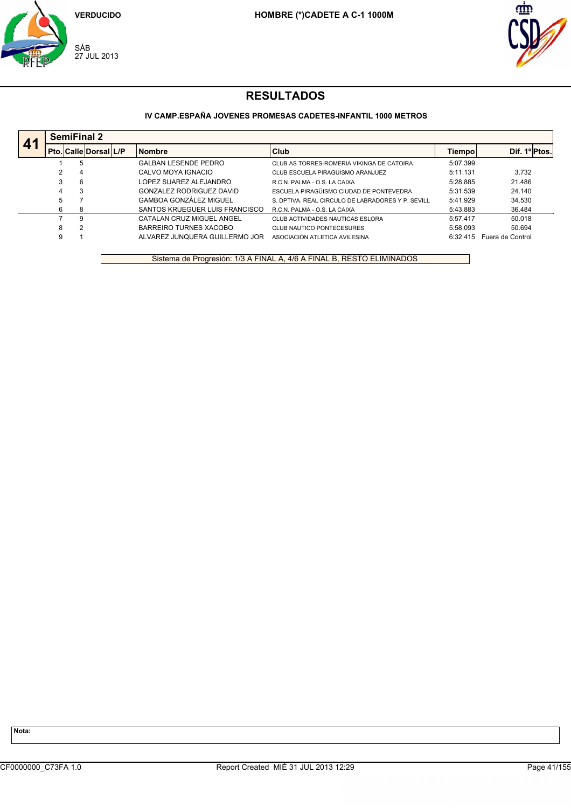



## **IV CAMP.ESPAÑA JOVENES PROMESAS CADETES-INFANTIL 1000 METROS**

| 41 |   |                | <b>SemiFinal 2</b>           |                                |                                                   |          |                  |
|----|---|----------------|------------------------------|--------------------------------|---------------------------------------------------|----------|------------------|
|    |   |                | <b>Pto. Calle Dorsal L/P</b> | <b>Nombre</b>                  | <b>Club</b>                                       | Tiempo   | Dif. 1ºIPtos.    |
|    |   | 5              |                              | <b>GALBAN LESENDE PEDRO</b>    | CLUB AS TORRES-ROMERIA VIKINGA DE CATOIRA         | 5:07.399 |                  |
|    |   | 4              |                              | CALVO MOYA IGNACIO             | CLUB ESCUELA PIRAGÜISMO ARANJUEZ                  | 5:11.131 | 3.732            |
|    |   | 6              |                              | LOPEZ SUAREZ ALEJANDRO         | R.C.N. PALMA - O.S. LA CAIXA                      | 5:28.885 | 21.486           |
|    | 4 | 3              |                              | GONZALEZ RODRIGUEZ DAVID       | ESCUELA PIRAGÜISMO CIUDAD DE PONTEVEDRA           | 5:31.539 | 24.140           |
|    | 5 |                |                              | <b>GAMBOA GONZÁLEZ MIGUEL</b>  | S. DPTIVA. REAL CIRCULO DE LABRADORES Y P. SEVILL | 5:41.929 | 34.530           |
|    | 6 | 8              |                              | SANTOS KRUEGUER LUIS FRANCISCO | R.C.N. PALMA - O.S. LA CAIXA                      | 5:43.883 | 36.484           |
|    |   | 9              |                              | CATALAN CRUZ MIGUEL ANGEL      | CLUB ACTIVIDADES NAUTICAS ESLORA                  | 5:57.417 | 50.018           |
|    | 8 | $\overline{2}$ |                              | BARREIRO TURNES XACOBO         | CLUB NAUTICO PONTECESURES                         | 5:58.093 | 50.694           |
|    |   |                |                              | ALVAREZ JUNOUERA GUILLERMO JOR | ASOCIACIÓN ATLETICA AVILESINA                     | 6:32.415 | Fuera de Control |

Sistema de Progresión: 1/3 A FINAL A, 4/6 A FINAL B, RESTO ELIMINADOS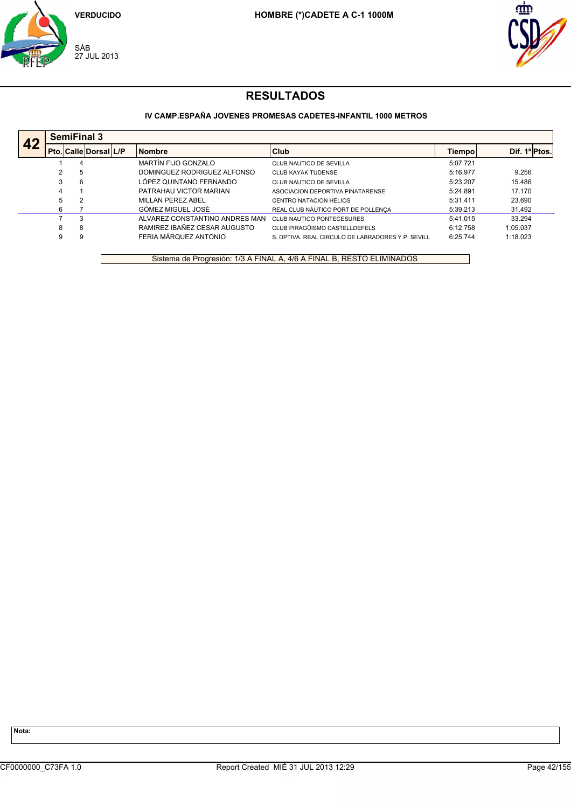



### **IV CAMP.ESPAÑA JOVENES PROMESAS CADETES-INFANTIL 1000 METROS**

| 42 |   | <b>SemiFinal 3</b> |                              |  |                                |                                                   |          |               |  |  |
|----|---|--------------------|------------------------------|--|--------------------------------|---------------------------------------------------|----------|---------------|--|--|
|    |   |                    | <b>Pto. Calle Dorsal L/P</b> |  | <b>Nombre</b>                  | <b>Club</b>                                       | Tiempo   | Dif. 1º Ptos. |  |  |
|    |   | 4                  |                              |  | MARTÍN FIJO GONZALO            | CLUB NAUTICO DE SEVILLA                           | 5:07.721 |               |  |  |
|    | 2 | 5                  |                              |  | DOMINGUEZ RODRIGUEZ ALFONSO    | <b>CLUB KAYAK TUDENSE</b>                         | 5:16.977 | 9.256         |  |  |
|    | 3 | 6                  |                              |  | LÓPEZ QUINTANO FERNANDO        | CLUB NAUTICO DE SEVILLA                           | 5:23.207 | 15.486        |  |  |
|    | 4 |                    |                              |  | PATRAHAU VICTOR MARIAN         | ASOCIACION DEPORTIVA PINATARENSE                  | 5:24.891 | 17.170        |  |  |
|    | 5 | າ                  |                              |  | MILLAN PEREZ ABEL              | <b>CENTRO NATACION HELIOS</b>                     | 5:31.411 | 23.690        |  |  |
|    | 6 |                    |                              |  | GÓMEZ MIGUEL JOSÉ              | REAL CLUB NÁUTICO PORT DE POLLENÇA                | 5:39.213 | 31.492        |  |  |
|    |   | 3                  |                              |  | ALVAREZ CONSTANTINO ANDRES MAN | <b>CLUB NAUTICO PONTECESURES</b>                  | 5:41.015 | 33.294        |  |  |
|    | 8 | 8                  |                              |  | RAMIREZ IBAÑEZ CESAR AUGUSTO   | CLUB PIRAGÜISMO CASTELLDEFELS                     | 6:12.758 | 1:05.037      |  |  |
|    | 9 | 9                  |                              |  | FERIA MÁRQUEZ ANTONIO          | S. DPTIVA. REAL CIRCULO DE LABRADORES Y P. SEVILL | 6:25.744 | 1:18.023      |  |  |

Sistema de Progresión: 1/3 A FINAL A, 4/6 A FINAL B, RESTO ELIMINADOS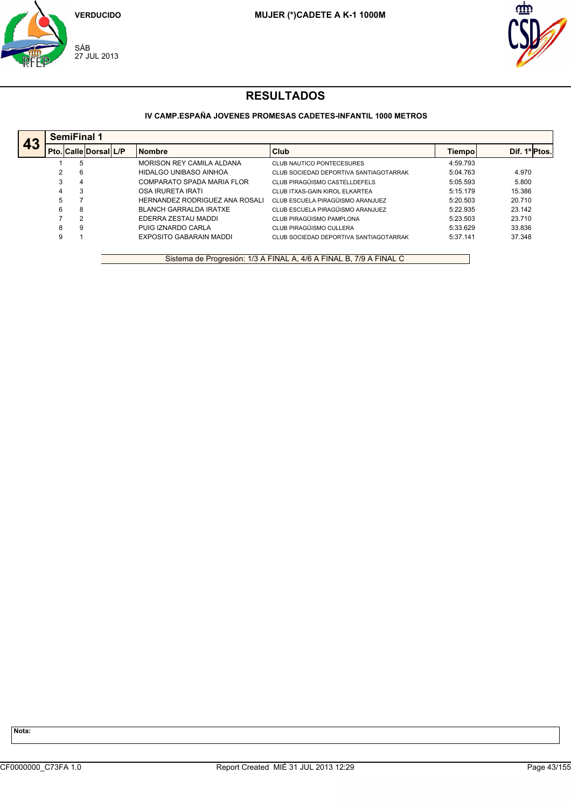



## **IV CAMP.ESPAÑA JOVENES PROMESAS CADETES-INFANTIL 1000 METROS**

|    |   | <b>SemiFinal 1</b>          |                               |                                        |          |               |
|----|---|-----------------------------|-------------------------------|----------------------------------------|----------|---------------|
| 43 |   | l Pto.  Calle  Dorsal   L/P | <b>Nombre</b>                 | Club                                   | Tiempol  | Dif. 1ºIPtos. |
|    |   | 5                           | MORISON REY CAMILA ALDANA     | <b>CLUB NAUTICO PONTECESURES</b>       | 4:59.793 |               |
|    |   | 6                           | HIDALGO UNIBASO AINHOA        | CLUB SOCIEDAD DEPORTIVA SANTIAGOTARRAK | 5:04.763 | 4.970         |
|    |   | $\overline{4}$              | COMPARATO SPADA MARIA FLOR    | CLUB PIRAGÜISMO CASTELLDEFELS          | 5:05.593 | 5.800         |
|    | 4 | 3                           | OSA IRURETA IRATI             | CLUB ITXAS-GAIN KIROL ELKARTEA         | 5:15.179 | 15.386        |
|    | 5 |                             | HERNANDEZ RODRIGUEZ ANA ROSAL | CLUB ESCUELA PIRAGÜISMO ARANJUEZ       | 5:20.503 | 20.710        |
|    | 6 | 8                           | <b>BLANCH GARRALDA IRATXE</b> | CLUB ESCUELA PIRAGÜISMO ARANJUEZ       | 5:22.935 | 23.142        |
|    |   | $\mathcal{P}$               | EDERRA ZESTAU MADDI           | CLUB PIRAGÜISMO PAMPLONA               | 5:23.503 | 23.710        |
|    | 8 | 9                           | PUIG IZNARDO CARLA            | CLUB PIRAGÜISMO CULLERA                | 5:33.629 | 33.836        |
|    | 9 |                             | EXPOSITO GABARAIN MADDI       | CLUB SOCIEDAD DEPORTIVA SANTIAGOTARRAK | 5:37.141 | 37.348        |

Sistema de Progresión: 1/3 A FINAL A, 4/6 A FINAL B, 7/9 A FINAL C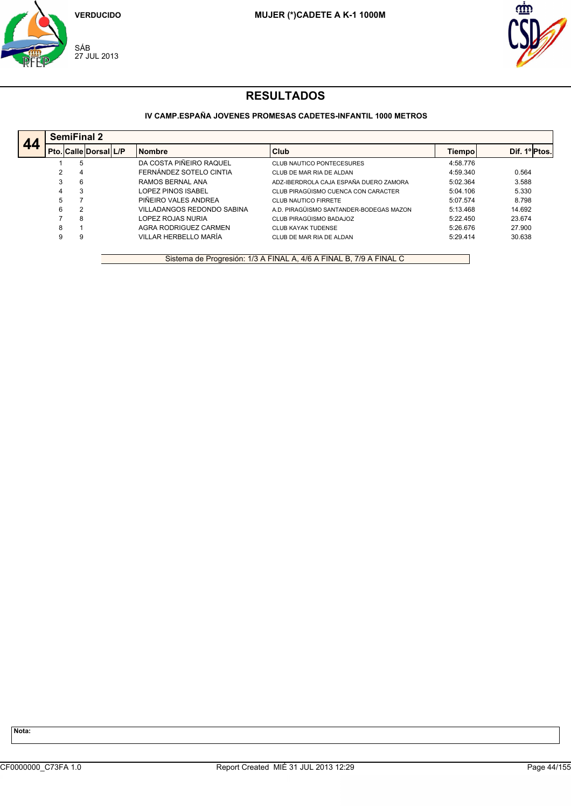



## **IV CAMP.ESPAÑA JOVENES PROMESAS CADETES-INFANTIL 1000 METROS**

|    |   | <b>SemiFinal 2</b>          |                            |                                         |          |               |
|----|---|-----------------------------|----------------------------|-----------------------------------------|----------|---------------|
| 44 |   | Pto.   Calle   Dorsal   L/P | <b>Nombre</b>              | <b>Club</b>                             | Tiempol  | Dif. 1ºIPtos. |
|    |   | 5                           | DA COSTA PIÑEIRO RAQUEL    | <b>CLUB NAUTICO PONTECESURES</b>        | 4:58.776 |               |
|    | ົ | 4                           | FERNÁNDEZ SOTELO CINTIA    | CLUB DE MAR RIA DE ALDAN                | 4:59.340 | 0.564         |
|    | 3 | 6                           | RAMOS BERNAL ANA           | ADZ-IBERDROLA CAJA ESPAÑA DUERO ZAMORA  | 5:02.364 | 3.588         |
|    |   | 3                           | LOPEZ PINOS ISABEL         | CLUB PIRAGÜISMO CUENCA CON CARACTER     | 5:04.106 | 5.330         |
|    |   |                             | PIÑEIRO VALES ANDREA       | CLUB NAUTICO FIRRETE                    | 5:07.574 | 8.798         |
|    | 6 | ↷                           | VILLADANGOS REDONDO SABINA | A.D. PIRAGÜISMO SANTANDER-BODEGAS MAZON | 5:13.468 | 14.692        |
|    |   | 8                           | LOPEZ ROJAS NURIA          | CLUB PIRAGÜISMO BADAJOZ                 | 5:22.450 | 23.674        |
|    | 8 |                             | AGRA RODRIGUEZ CARMEN      | <b>CLUB KAYAK TUDENSE</b>               | 5:26.676 | 27.900        |
|    | 9 | 9                           | VILLAR HERBELLO MARÍA      | CLUB DE MAR RIA DE ALDAN                | 5:29.414 | 30.638        |

Sistema de Progresión: 1/3 A FINAL A, 4/6 A FINAL B, 7/9 A FINAL C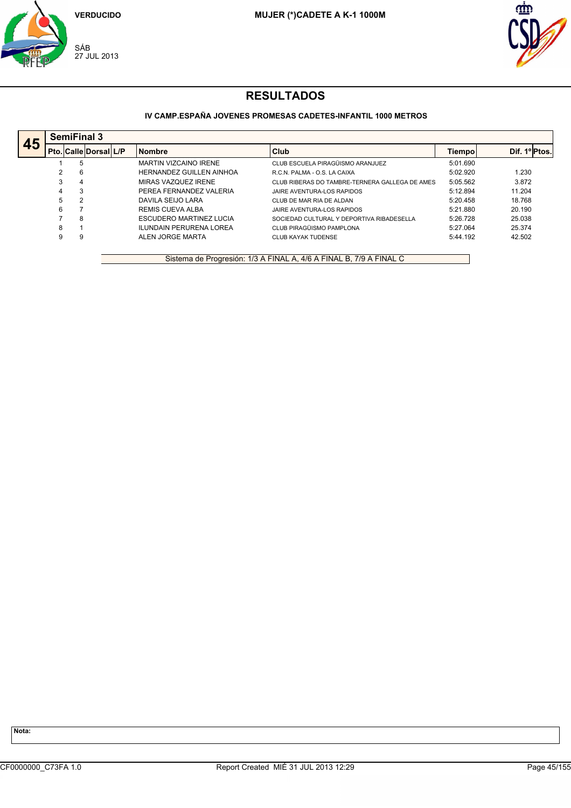



### **IV CAMP.ESPAÑA JOVENES PROMESAS CADETES-INFANTIL 1000 METROS**

|    |   | <b>SemiFinal 3</b> |                              |                                |                                                |          |              |
|----|---|--------------------|------------------------------|--------------------------------|------------------------------------------------|----------|--------------|
| 45 |   |                    | <b>Pto. Calle Dorsal L/P</b> | <b>Nombre</b>                  | Club                                           | Tiempol  | Dif. 1ºPtos. |
|    |   | 5                  |                              | <b>MARTIN VIZCAINO IRENE</b>   | CLUB ESCUELA PIRAGÜISMO ARANJUEZ               | 5:01.690 |              |
|    | າ | 6                  |                              | HERNANDEZ GUILLEN AINHOA       | R.C.N. PALMA - O.S. LA CAIXA                   | 5:02.920 | 1.230        |
|    | 3 | 4                  |                              | MIRAS VAZQUEZ IRENE            | CLUB RIBERAS DO TAMBRE-TERNERA GALLEGA DE AMES | 5:05.562 | 3.872        |
|    | 4 | 3                  |                              | PEREA FERNANDEZ VALERIA        | JAIRE AVENTURA-LOS RAPIDOS                     | 5:12.894 | 11.204       |
|    | 5 |                    |                              | DAVILA SEIJO LARA              | CLUB DE MAR RIA DE ALDAN                       | 5:20.458 | 18.768       |
|    | 6 |                    |                              | <b>REMIS CUEVA ALBA</b>        | JAIRE AVENTURA-LOS RAPIDOS                     | 5:21.880 | 20.190       |
|    |   | 8                  |                              | <b>ESCUDERO MARTINEZ LUCIA</b> | SOCIEDAD CULTURAL Y DEPORTIVA RIBADESELLA      | 5:26.728 | 25.038       |
|    | 8 |                    |                              | <b>ILUNDAIN PERURENA LOREA</b> | CLUB PIRAGÜISMO PAMPLONA                       | 5:27.064 | 25.374       |
|    | 9 |                    |                              | ALEN JORGE MARTA               | <b>CLUB KAYAK TUDENSE</b>                      | 5:44.192 | 42.502       |

Sistema de Progresión: 1/3 A FINAL A, 4/6 A FINAL B, 7/9 A FINAL C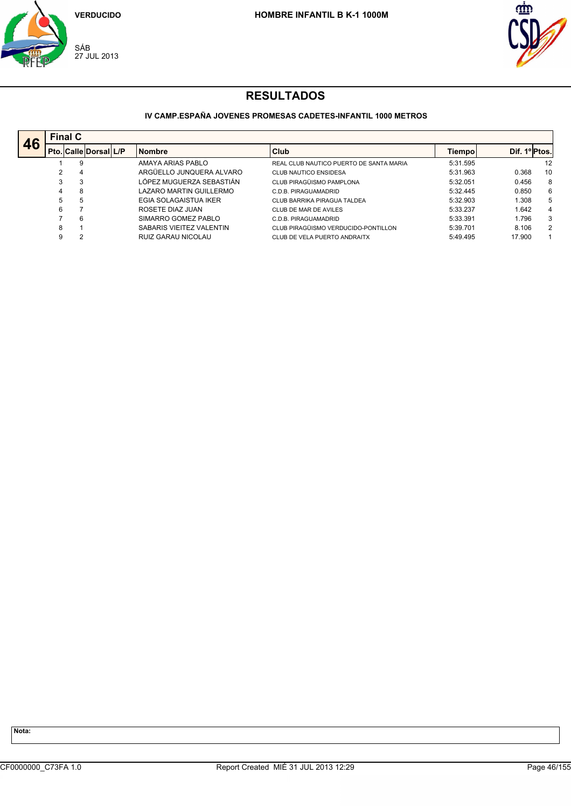



### **IV CAMP.ESPAÑA JOVENES PROMESAS CADETES-INFANTIL 1000 METROS**

|    | <b>Final C</b> |                              |                          |                                         |          |               |    |
|----|----------------|------------------------------|--------------------------|-----------------------------------------|----------|---------------|----|
| 46 |                | <b>Pto. Calle Dorsal L/P</b> | <b>Nombre</b>            | Club                                    | Tiempo   | Dif. 1ºIPtos. |    |
|    |                | 9                            | AMAYA ARIAS PABLO        | REAL CLUB NAUTICO PUERTO DE SANTA MARIA | 5:31.595 |               | 12 |
|    | 2              | 4                            | ARGÜELLO JUNQUERA ALVARO | <b>CLUB NAUTICO ENSIDESA</b>            | 5:31.963 | 0.368         | 10 |
|    | 3              | 3                            | LÓPEZ MUGUERZA SEBASTIÁN | CLUB PIRAGÜISMO PAMPLONA                | 5:32.051 | 0.456         | 8  |
|    | 4              | 8                            | LAZARO MARTIN GUILLERMO  | C.D.B. PIRAGUAMADRID                    | 5:32.445 | 0.850         | 6  |
|    | 5              | 5                            | EGIA SOLAGAISTUA IKER    | CLUB BARRIKA PIRAGUA TALDEA             | 5:32.903 | 1.308         | 5  |
|    | 6              |                              | ROSETE DIAZ JUAN         | CLUB DE MAR DE AVILES                   | 5:33.237 | 1.642         | 4  |
|    |                | 6                            | SIMARRO GOMEZ PABLO      | C.D.B. PIRAGUAMADRID                    | 5:33.391 | 1.796         | 3  |
|    | 8              |                              | SABARIS VIEITEZ VALENTIN | CLUB PIRAGÜISMO VERDUCIDO-PONTILLON     | 5:39.701 | 8.106         | 2  |
|    | 9              | 2                            | RUIZ GARAU NICOLAU       | CLUB DE VELA PUERTO ANDRAITX            | 5:49.495 | 17.900        |    |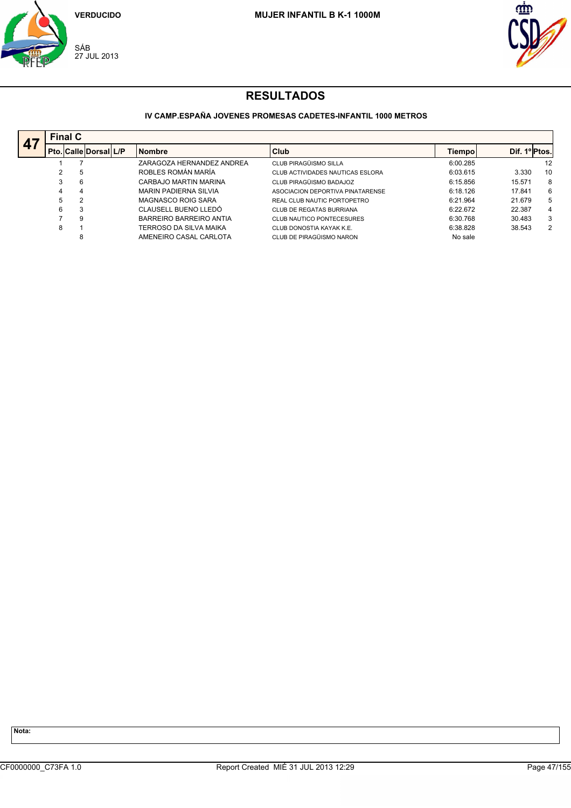



## **IV CAMP.ESPAÑA JOVENES PROMESAS CADETES-INFANTIL 1000 METROS**

|     |   | <b>Final C</b>        |                              |                                  |          |               |    |
|-----|---|-----------------------|------------------------------|----------------------------------|----------|---------------|----|
| — r |   | Pto. Calle Dorsal L/P | <b>Nombre</b>                | Club                             | Tiempo   | Dif. 1º Ptos. |    |
|     |   |                       | ZARAGOZA HERNANDEZ ANDREA    | CLUB PIRAGÜISMO SILLA            | 6:00.285 |               | 12 |
|     |   | 5                     | ROBLES ROMÁN MARÍA           | CLUB ACTIVIDADES NAUTICAS ESLORA | 6:03.615 | 3.330         | 10 |
|     |   | 6                     | CARBAJO MARTIN MARINA        | CLUB PIRAGÜISMO BADAJOZ          | 6:15.856 | 15.571        | 8  |
|     | 4 | 4                     | <b>MARIN PADIERNA SILVIA</b> | ASOCIACION DEPORTIVA PINATARENSE | 6:18.126 | 17.841        | 6  |
|     | 5 | 2                     | MAGNASCO ROIG SARA           | REAL CLUB NAUTIC PORTOPETRO      | 6:21.964 | 21.679        | 5  |
|     | 6 | 3                     | CLAUSELL BUENO LLEDÓ         | <b>CLUB DE REGATAS BURRIANA</b>  | 6:22.672 | 22.387        | 4  |
|     |   | 9                     | BARREIRO BARREIRO ANTIA      | CLUB NAUTICO PONTECESURES        | 6:30.768 | 30.483        | 3  |
|     | 8 |                       | TERROSO DA SILVA MAIKA       | CLUB DONOSTIA KAYAK K.E.         | 6:38.828 | 38.543        | 2  |
|     |   | 8                     | AMENEIRO CASAL CARLOTA       | CLUB DE PIRAGÜISMO NARON         | No sale  |               |    |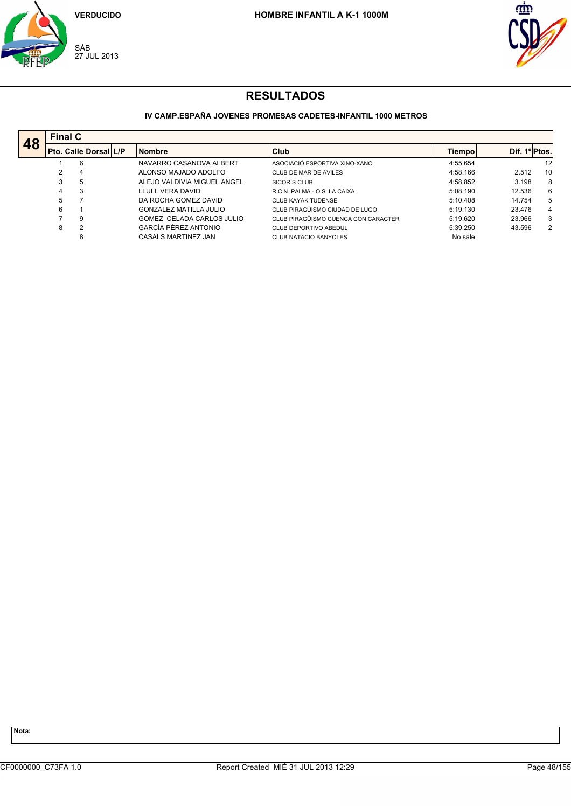



#### **IV CAMP.ESPAÑA JOVENES PROMESAS CADETES-INFANTIL 1000 METROS**

|    |    | <b>Final C</b>        |                             |                                     |          |               |    |
|----|----|-----------------------|-----------------------------|-------------------------------------|----------|---------------|----|
| 48 |    | Pto. Calle Dorsal L/P | <b>Nombre</b>               | <b>Club</b>                         | Tiempo   | Dif. 1º Ptos. |    |
|    |    | 6                     | NAVARRO CASANOVA ALBERT     | ASOCIACIÓ ESPORTIVA XINO-XANO       | 4:55.654 |               | 12 |
|    |    | 4                     | ALONSO MAJADO ADOLFO        | CLUB DE MAR DE AVILES               | 4:58.166 | 2.512         | 10 |
|    | 3  | 5                     | ALEJO VALDIVIA MIGUEL ANGEL | SICORIS CLUB                        | 4:58.852 | 3.198         | 8  |
|    | 4  | 3                     | LLULL VERA DAVID            | R.C.N. PALMA - O.S. LA CAIXA        | 5:08.190 | 12.536        | 6  |
|    | 5. |                       | DA ROCHA GOMEZ DAVID        | <b>CLUB KAYAK TUDENSE</b>           | 5:10.408 | 14.754        | 5  |
|    | 6  |                       | GONZALEZ MATILLA JULIO      | CLUB PIRAGÜISMO CIUDAD DE LUGO      | 5:19.130 | 23.476        | 4  |
|    |    | 9                     | GOMEZ CELADA CARLOS JULIO   | CLUB PIRAGÜISMO CUENCA CON CARACTER | 5:19.620 | 23.966        | 3  |
|    | 8  | 2                     | GARCÍA PÉREZ ANTONIO        | CLUB DEPORTIVO ABEDUL               | 5:39.250 | 43.596        | 2  |
|    |    | 8                     | CASALS MARTINEZ JAN         | CLUB NATACIO BANYOLES               | No sale  |               |    |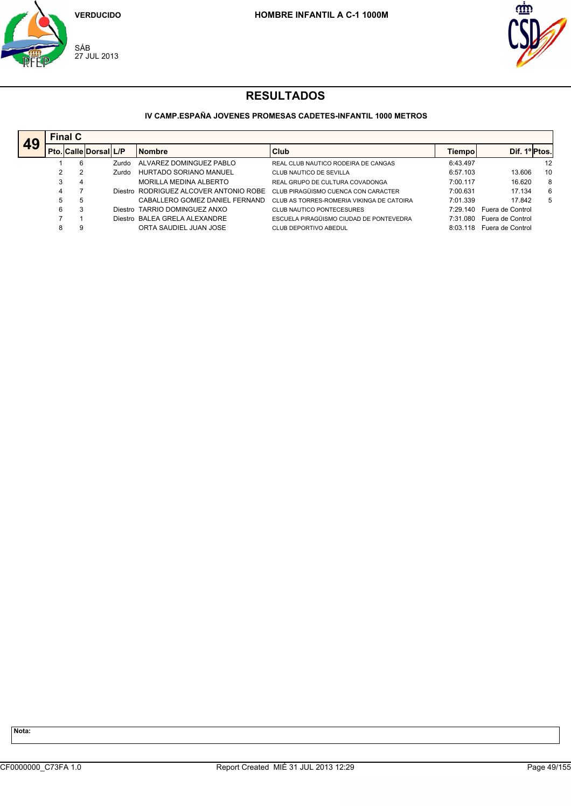



## **IV CAMP.ESPAÑA JOVENES PROMESAS CADETES-INFANTIL 1000 METROS**

| 49 |    | <b>Final C</b> |                              |                                         |                                           |          |                  |    |  |  |  |  |  |
|----|----|----------------|------------------------------|-----------------------------------------|-------------------------------------------|----------|------------------|----|--|--|--|--|--|
|    |    |                | <b>Pto. Calle Dorsal L/P</b> | <b>Nombre</b>                           | <b>Club</b>                               | Tiempo   | Dif. 1º Ptos.    |    |  |  |  |  |  |
|    |    | 6              | Zurdo                        | ALVAREZ DOMINGUEZ PABLO                 | REAL CLUB NAUTICO RODEIRA DE CANGAS       | 6:43.497 |                  | 12 |  |  |  |  |  |
|    |    |                | Zurdo                        | HURTADO SORIANO MANUEL                  | CLUB NAUTICO DE SEVILLA                   | 6:57.103 | 13.606           | 10 |  |  |  |  |  |
|    |    | 4              |                              | MORILLA MEDINA ALBERTO                  | REAL GRUPO DE CULTURA COVADONGA           | 7:00.117 | 16.620           | 8  |  |  |  |  |  |
|    |    |                |                              | Diestro, RODRIGUEZ ALCOVER ANTONIO ROBE | CLUB PIRAGÜISMO CUENCA CON CARACTER       | 7:00.631 | 17.134           | 6  |  |  |  |  |  |
|    | 5. | 5              |                              | CABALLERO GOMEZ DANIEL FERNAND          | CLUB AS TORRES-ROMERIA VIKINGA DE CATOIRA | 7:01.339 | 17.842           | 5  |  |  |  |  |  |
|    | 6  | 3              |                              | Diestro TARRIO DOMINGUEZ ANXO           | CLUB NAUTICO PONTECESURES                 | 7 29 140 | Fuera de Control |    |  |  |  |  |  |
|    |    |                |                              | Diestro BALEA GRELA ALEXANDRE           | ESCUELA PIRAGÜISMO CIUDAD DE PONTEVEDRA   | 7:31 080 | Fuera de Control |    |  |  |  |  |  |
|    |    | 9              |                              | ORTA SAUDIEL JUAN JOSE                  | CLUB DEPORTIVO ABEDUL                     | 8:03:118 | Fuera de Control |    |  |  |  |  |  |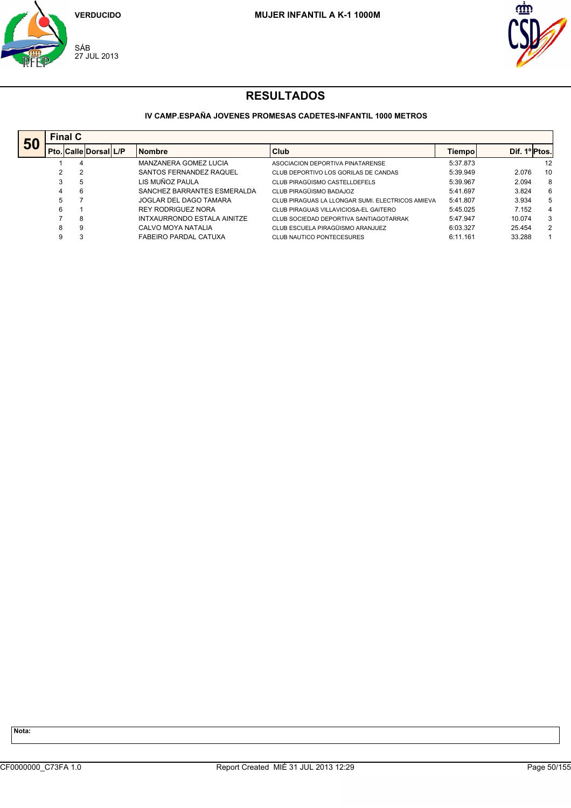



#### **IV CAMP.ESPAÑA JOVENES PROMESAS CADETES-INFANTIL 1000 METROS**

| 50 |   | <b>Final C</b>               |  |                             |                                                  |          |               |    |  |  |  |  |  |
|----|---|------------------------------|--|-----------------------------|--------------------------------------------------|----------|---------------|----|--|--|--|--|--|
|    |   | <b>Pto. Calle Dorsal L/P</b> |  | <b>Nombre</b>               | Club                                             | Tiempol  | Dif. 1º Ptos. |    |  |  |  |  |  |
|    |   | 4                            |  | MANZANERA GOMEZ LUCIA       | ASOCIACION DEPORTIVA PINATARENSE                 | 5:37.873 |               | 12 |  |  |  |  |  |
|    | 2 | 2                            |  | SANTOS FERNANDEZ RAQUEL     | CLUB DEPORTIVO LOS GORILAS DE CANDAS             | 5:39.949 | 2.076         | 10 |  |  |  |  |  |
|    | 3 | 5                            |  | LIS MUÑOZ PAULA             | CLUB PIRAGÜISMO CASTELLDEFELS                    | 5:39.967 | 2.094         | 8  |  |  |  |  |  |
|    |   | 6                            |  | SANCHEZ BARRANTES ESMERALDA | CLUB PIRAGÜISMO BADAJOZ                          | 5:41.697 | 3.824         | 6  |  |  |  |  |  |
|    | 5 |                              |  | JOGLAR DEL DAGO TAMARA      | CLUB PIRAGUAS LA LLONGAR SUMI. ELECTRICOS AMIEVA | 5:41.807 | 3.934         | 5  |  |  |  |  |  |
|    | 6 |                              |  | <b>REY RODRIGUEZ NORA</b>   | CLUB PIRAGUAS VILLAVICIOSA-EL GAITERO            | 5:45.025 | 7.152         | 4  |  |  |  |  |  |
|    |   | 8                            |  | INTXAURRONDO ESTALA AINITZE | CLUB SOCIEDAD DEPORTIVA SANTIAGOTARRAK           | 5:47.947 | 10.074        | 3  |  |  |  |  |  |
|    | 8 | 9                            |  | CALVO MOYA NATALIA          | CLUB ESCUELA PIRAGÜISMO ARANJUEZ                 | 6:03.327 | 25.454        | 2  |  |  |  |  |  |
|    | 9 | 3                            |  | FABEIRO PARDAL CATUXA       | CLUB NAUTICO PONTECESURES                        | 6:11.161 | 33.288        |    |  |  |  |  |  |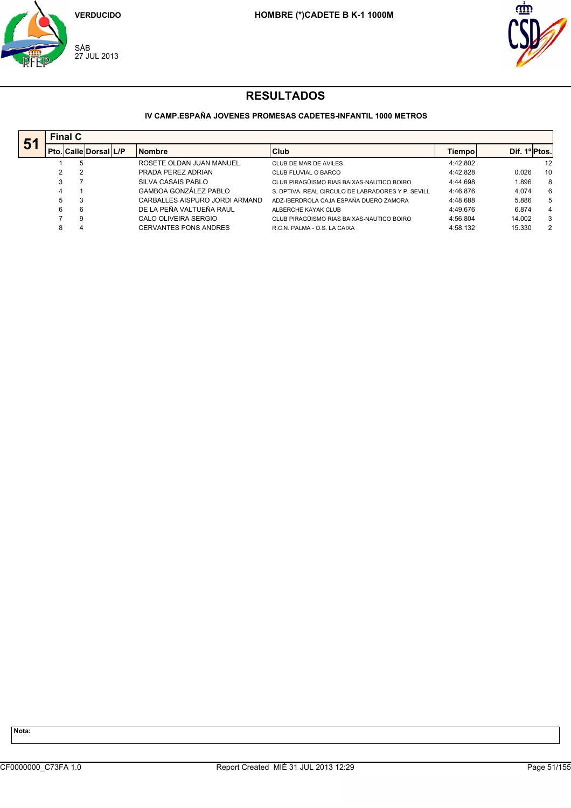



## **IV CAMP.ESPAÑA JOVENES PROMESAS CADETES-INFANTIL 1000 METROS**

| 51 |   | <b>Final C</b>               |  |                                |                                                   |          |               |    |  |  |  |  |
|----|---|------------------------------|--|--------------------------------|---------------------------------------------------|----------|---------------|----|--|--|--|--|
|    |   | <b>Pto. Calle Dorsal L/P</b> |  | <b>Nombre</b>                  | Club                                              | Tiempol  | Dif. 1º Ptos. |    |  |  |  |  |
|    |   | 5                            |  | ROSETE OLDAN JUAN MANUEL       | CLUB DE MAR DE AVILES                             | 4:42.802 |               | 12 |  |  |  |  |
|    |   | 2                            |  | PRADA PEREZ ADRIAN             | CLUB FLUVIAL O BARCO                              | 4:42.828 | 0.026         | 10 |  |  |  |  |
|    |   |                              |  | SILVA CASAIS PABLO             | CLUB PIRAGÜISMO RIAS BAIXAS-NAUTICO BOIRO         | 4:44.698 | 1.896         | 8  |  |  |  |  |
|    |   |                              |  | <b>GAMBOA GONZÁLEZ PABLO</b>   | S. DPTIVA. REAL CIRCULO DE LABRADORES Y P. SEVILL | 4:46.876 | 4.074         | 6  |  |  |  |  |
|    | 5 | 3                            |  | CARBALLES AISPURO JORDI ARMAND | ADZ-IBERDROLA CAJA ESPAÑA DUERO ZAMORA            | 4:48.688 | 5.886         | 5  |  |  |  |  |
|    | 6 | 6                            |  | DE LA PEÑA VALTUEÑA RAUL       | ALBERCHE KAYAK CLUB                               | 4:49.676 | 6.874         | 4  |  |  |  |  |
|    |   | 9                            |  | CALO OLIVEIRA SERGIO           | CLUB PIRAGÜISMO RIAS BAIXAS-NAUTICO BOIRO         | 4:56.804 | 14.002        | 3  |  |  |  |  |
|    | 8 | 4                            |  | CERVANTES PONS ANDRES          | R.C.N. PALMA - O.S. LA CAIXA                      | 4:58.132 | 15.330        | 2  |  |  |  |  |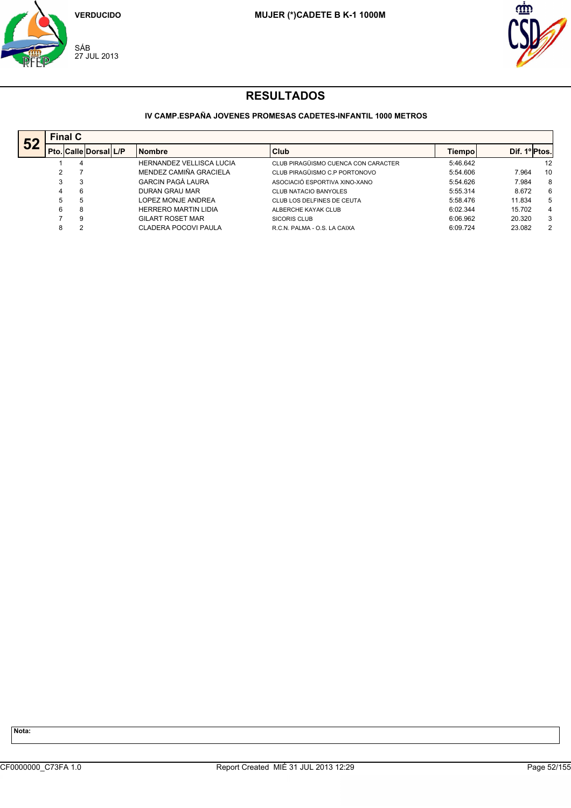



## **IV CAMP.ESPAÑA JOVENES PROMESAS CADETES-INFANTIL 1000 METROS**

| 52 |   | <b>Final C</b> |                               |                                 |                                     |          |               |    |  |  |  |  |  |
|----|---|----------------|-------------------------------|---------------------------------|-------------------------------------|----------|---------------|----|--|--|--|--|--|
|    |   |                | <b>Pto. Calle Dorsall L/P</b> | <b>Nombre</b>                   | Club                                | Tiempol  | Dif. 1º Ptos. |    |  |  |  |  |  |
|    |   | 4              |                               | <b>HERNANDEZ VELLISCA LUCIA</b> | CLUB PIRAGÜISMO CUENCA CON CARACTER | 5:46.642 |               | 12 |  |  |  |  |  |
|    |   |                |                               | MENDEZ CAMIÑA GRACIELA          | CLUB PIRAGÜISMO C.P PORTONOVO       | 5:54.606 | 7.964         | 10 |  |  |  |  |  |
|    | 3 | 3              |                               | GARCIN PAGÀ LAURA               | ASOCIACIÓ ESPORTIVA XINO-XANO       | 5:54.626 | 7.984         | 8  |  |  |  |  |  |
|    | 4 | 6              |                               | DURAN GRAU MAR                  | <b>CLUB NATACIO BANYOLES</b>        | 5:55.314 | 8.672         | 6  |  |  |  |  |  |
|    | 5 | 5              |                               | LOPEZ MONJE ANDREA              | CLUB LOS DELFINES DE CEUTA          | 5:58.476 | 11.834        | 5  |  |  |  |  |  |
|    | 6 | 8              |                               | <b>HERRERO MARTIN LIDIA</b>     | ALBERCHE KAYAK CLUB                 | 6:02.344 | 15.702        | 4  |  |  |  |  |  |
|    |   | 9              |                               | GILART ROSET MAR                | SICORIS CLUB                        | 6:06.962 | 20.320        | 3  |  |  |  |  |  |
|    | 8 |                |                               | CLADERA POCOVI PAULA            | R.C.N. PALMA - O.S. LA CAIXA        | 6:09.724 | 23.082        | 2  |  |  |  |  |  |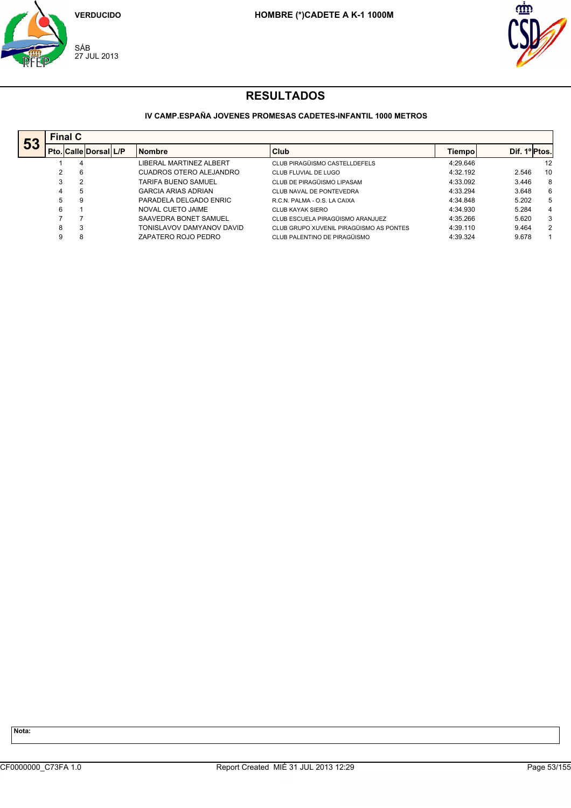



#### **IV CAMP.ESPAÑA JOVENES PROMESAS CADETES-INFANTIL 1000 METROS**

|    |   | <b>Final C</b>               |  |                            |                                         |          |               |                      |  |  |  |  |  |  |
|----|---|------------------------------|--|----------------------------|-----------------------------------------|----------|---------------|----------------------|--|--|--|--|--|--|
| 53 |   | <b>Pto. Calle Dorsal L/P</b> |  | <b>Nombre</b>              | Club                                    | Tiempol  | Dif. 1º Ptos. |                      |  |  |  |  |  |  |
|    |   | 4                            |  | LIBERAL MARTINEZ ALBERT    | CLUB PIRAGÜISMO CASTELLDEFELS           | 4:29.646 |               | 12                   |  |  |  |  |  |  |
|    | 2 | 6                            |  | CUADROS OTERO ALEJANDRO    | CLUB FLUVIAL DE LUGO                    | 4:32.192 | 2.546         | 10                   |  |  |  |  |  |  |
|    | 3 | 2                            |  | <b>TARIFA BUENO SAMUEL</b> | CLUB DE PIRAGÜISMO LIPASAM              | 4:33.092 | 3.446         | 8                    |  |  |  |  |  |  |
|    | 4 | 5                            |  | <b>GARCIA ARIAS ADRIAN</b> | CLUB NAVAL DE PONTEVEDRA                | 4:33.294 | 3.648         | 6                    |  |  |  |  |  |  |
|    | 5 | 9                            |  | PARADELA DELGADO ENRIC     | R.C.N. PALMA - O.S. LA CAIXA            | 4:34.848 | 5.202         | 5                    |  |  |  |  |  |  |
|    | 6 |                              |  | NOVAL CUETO JAIME          | CLUB KAYAK SIERO                        | 4:34.930 | 5.284         | 4                    |  |  |  |  |  |  |
|    |   |                              |  | SAAVEDRA BONET SAMUEL      | CLUB ESCUELA PIRAGÜISMO ARANJUEZ        | 4:35.266 | 5.620         | 3                    |  |  |  |  |  |  |
|    | 8 | 3                            |  | TONISLAVOV DAMYANOV DAVID  | CLUB GRUPO XUVENIL PIRAGÜISMO AS PONTES | 4:39.110 | 9.464         | $\mathbf{2}^{\circ}$ |  |  |  |  |  |  |
|    | 9 | 8                            |  | ZAPATERO ROJO PEDRO        | CLUB PALENTINO DE PIRAGÜISMO            | 4:39.324 | 9.678         |                      |  |  |  |  |  |  |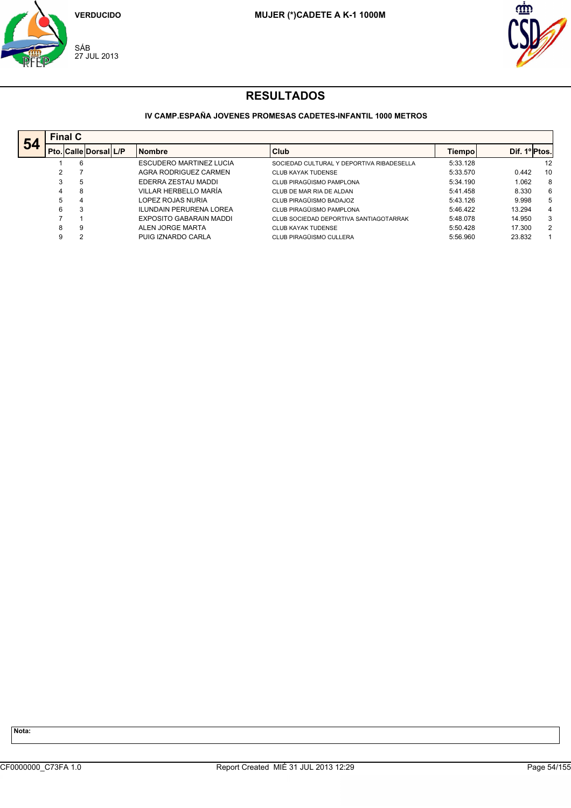



## **IV CAMP.ESPAÑA JOVENES PROMESAS CADETES-INFANTIL 1000 METROS**

| 54 |   | <b>Final C</b>               |  |                                |                                           |          |               |    |  |  |  |  |  |
|----|---|------------------------------|--|--------------------------------|-------------------------------------------|----------|---------------|----|--|--|--|--|--|
|    |   | <b>Pto. Calle Dorsal L/P</b> |  | <b>Nombre</b>                  | Club                                      | Tiempol  | Dif. 1º Ptos. |    |  |  |  |  |  |
|    |   | 6                            |  | <b>ESCUDERO MARTINEZ LUCIA</b> | SOCIEDAD CULTURAL Y DEPORTIVA RIBADESELLA | 5:33.128 |               | 12 |  |  |  |  |  |
|    | 2 |                              |  | AGRA RODRIGUEZ CARMEN          | CLUB KAYAK TUDENSE                        | 5:33.570 | 0.442         | 10 |  |  |  |  |  |
|    | 3 | 5                            |  | EDERRA ZESTAU MADDI            | CLUB PIRAGÜISMO PAMPLONA                  | 5:34.190 | 1.062         | 8  |  |  |  |  |  |
|    |   | 8                            |  | VILLAR HERBELLO MARÍA          | CLUB DE MAR RIA DE ALDAN                  | 5:41.458 | 8.330         | 6  |  |  |  |  |  |
|    | 5 | 4                            |  | LOPEZ ROJAS NURIA              | CLUB PIRAGÜISMO BADAJOZ                   | 5:43.126 | 9.998         | 5  |  |  |  |  |  |
|    | 6 | 3                            |  | <b>ILUNDAIN PERURENA LOREA</b> | CLUB PIRAGÜISMO PAMPLONA                  | 5:46.422 | 13.294        | 4  |  |  |  |  |  |
|    |   |                              |  | EXPOSITO GABARAIN MADDI        | CLUB SOCIEDAD DEPORTIVA SANTIAGOTARRAK    | 5:48.078 | 14.950        | 3  |  |  |  |  |  |
|    | 8 | 9                            |  | ALEN JORGE MARTA               | <b>CLUB KAYAK TUDENSE</b>                 | 5:50.428 | 17.300        | 2  |  |  |  |  |  |
|    | 9 | $\overline{2}$               |  | PUIG IZNARDO CARLA             | CLUB PIRAGÜISMO CULLERA                   | 5:56.960 | 23.832        |    |  |  |  |  |  |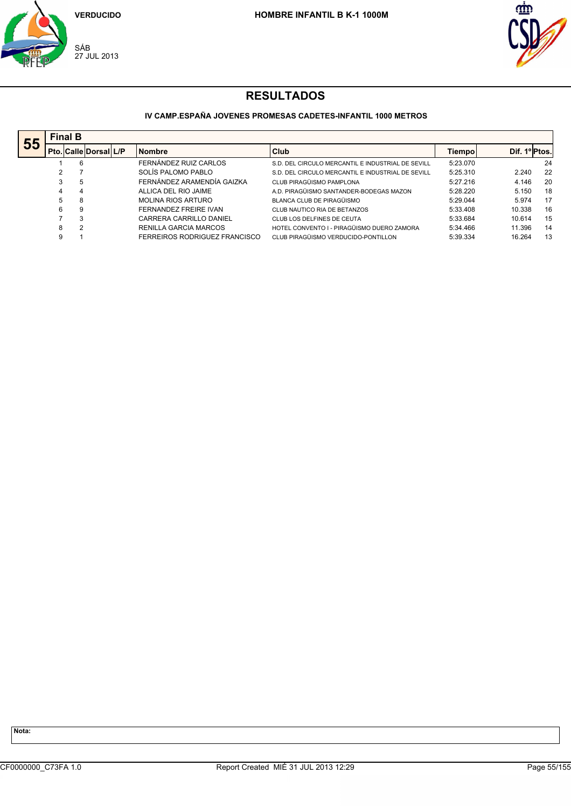



### **IV CAMP.ESPAÑA JOVENES PROMESAS CADETES-INFANTIL 1000 METROS**

| 55 |   | <b>Final B</b> |                              |  |                               |                                                   |               |              |    |  |  |  |  |
|----|---|----------------|------------------------------|--|-------------------------------|---------------------------------------------------|---------------|--------------|----|--|--|--|--|
|    |   |                | <b>Pto. Calle Dorsal L/P</b> |  | <b>Nombre</b>                 | Club                                              | <b>Tiempo</b> | Dif. 1ºPtos. |    |  |  |  |  |
|    |   | 6              |                              |  | FERNÁNDEZ RUIZ CARLOS         | S.D. DEL CIRCULO MERCANTIL E INDUSTRIAL DE SEVILL | 5:23.070      |              | 24 |  |  |  |  |
|    |   |                |                              |  | SOLÍS PALOMO PABLO            | S.D. DEL CIRCULO MERCANTIL E INDUSTRIAL DE SEVILL | 5:25.310      | 2.240        | 22 |  |  |  |  |
|    |   | 5              |                              |  | FERNÁNDEZ ARAMENDÍA GAIZKA    | CLUB PIRAGÜISMO PAMPLONA                          | 5:27.216      | 4.146        | 20 |  |  |  |  |
|    | 4 | 4              |                              |  | ALLICA DEL RIO JAIME          | A.D. PIRAGÜISMO SANTANDER-BODEGAS MAZON           | 5:28.220      | 5.150        | 18 |  |  |  |  |
|    | 5 | 8              |                              |  | <b>MOLINA RIOS ARTURO</b>     | BLANCA CLUB DE PIRAGÜISMO                         | 5:29.044      | 5.974        | 17 |  |  |  |  |
|    | 6 | 9              |                              |  | FERNANDEZ FREIRE IVAN         | CLUB NAUTICO RIA DE BETANZOS                      | 5:33.408      | 10.338       | 16 |  |  |  |  |
|    |   | 3              |                              |  | CARRERA CARRILLO DANIEL       | CLUB LOS DELFINES DE CEUTA                        | 5:33.684      | 10.614       | 15 |  |  |  |  |
|    | 8 | 2              |                              |  | RENILLA GARCIA MARCOS         | HOTEL CONVENTO I - PIRAGÜISMO DUERO ZAMORA        | 5:34.466      | 11.396       | 14 |  |  |  |  |
|    | 9 |                |                              |  | FERREIROS RODRIGUEZ FRANCISCO | CLUB PIRAGÜISMO VERDUCIDO-PONTILLON               | 5:39.334      | 16.264       | 13 |  |  |  |  |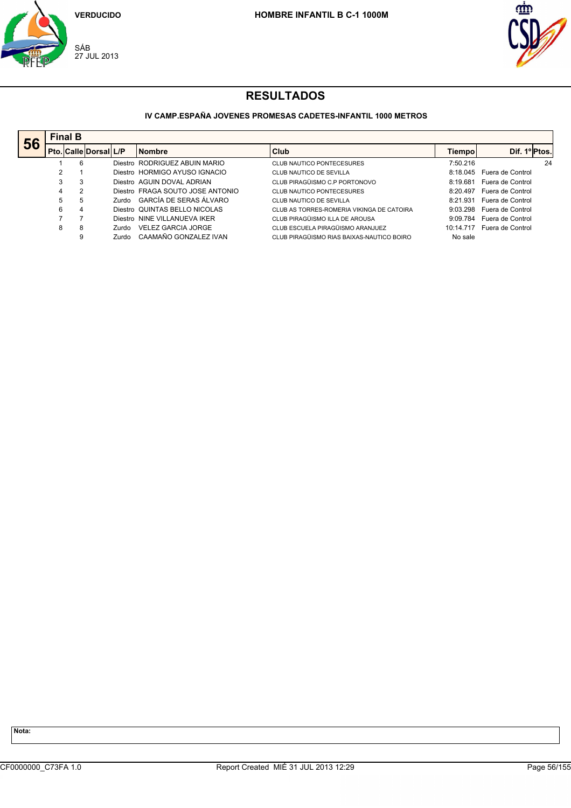



#### **IV CAMP.ESPAÑA JOVENES PROMESAS CADETES-INFANTIL 1000 METROS**

|    |   | <b>Final B</b>        |        |                                  |                                           |           |                  |  |  |  |  |
|----|---|-----------------------|--------|----------------------------------|-------------------------------------------|-----------|------------------|--|--|--|--|
| 56 |   | Pto. Calle Dorsal L/P |        | <b>Nombre</b>                    | Club                                      | Tiempol   | Dif. 1º Ptos.    |  |  |  |  |
|    |   | 6                     |        | Diestro RODRIGUEZ ABUIN MARIO    | CLUB NAUTICO PONTECESURES                 | 7:50.216  | 24               |  |  |  |  |
|    |   |                       |        | Diestro HORMIGO AYUSO IGNACIO    | CLUB NAUTICO DE SEVILLA                   | 8:18.045  | Fuera de Control |  |  |  |  |
|    | 3 | 3                     |        | Diestro AGUIN DOVAL ADRIAN       | CLUB PIRAGÜISMO C.P PORTONOVO             | 8:19.681  | Fuera de Control |  |  |  |  |
|    | 4 | 2                     |        | Diestro FRAGA SOUTO JOSE ANTONIO | CLUB NAUTICO PONTECESURES                 | 8:20.497  | Fuera de Control |  |  |  |  |
|    | 5 | 5                     |        | Zurdo GARCÍA DE SERAS ÁLVARO     | CLUB NAUTICO DE SEVILLA                   | 8:21.931  | Fuera de Control |  |  |  |  |
|    | 6 | 4                     |        | Diestro QUINTAS BELLO NICOLAS    | CLUB AS TORRES-ROMERIA VIKINGA DE CATOIRA | 9:03.298  | Fuera de Control |  |  |  |  |
|    |   |                       |        | Diestro NINE VILLANUEVA IKER     | CLUB PIRAGÜISMO ILLA DE AROUSA            | 9:09.784  | Fuera de Control |  |  |  |  |
|    | 8 | 8                     | Zurdo. | <b>VELEZ GARCIA JORGE</b>        | CLUB ESCUELA PIRAGÜISMO ARANJUEZ          | 10:14.717 | Fuera de Control |  |  |  |  |
|    |   | 9                     | Zurdo  | CAAMAÑO GONZALEZ IVAN            | CLUB PIRAGÜISMO RIAS BAIXAS-NAUTICO BOIRO | No sale   |                  |  |  |  |  |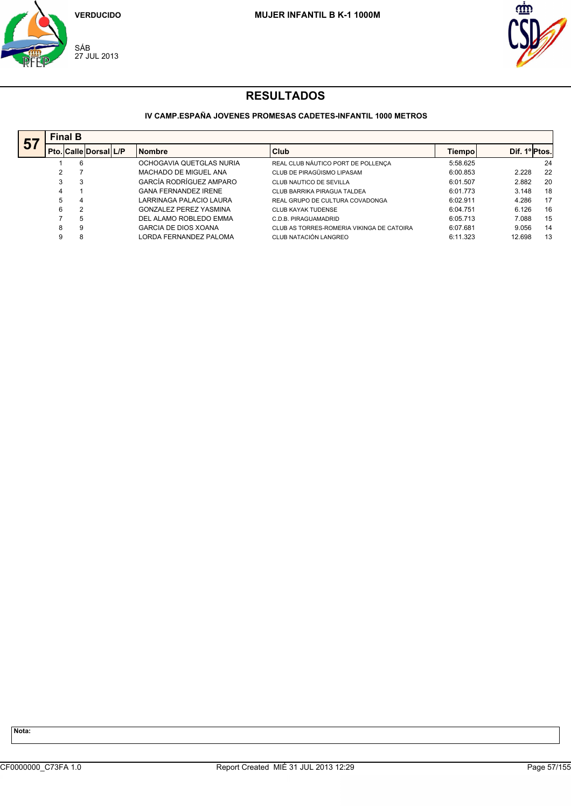



#### **IV CAMP.ESPAÑA JOVENES PROMESAS CADETES-INFANTIL 1000 METROS**

| 57 |   | <b>Final B</b>               |  |                               |                                           |          |               |    |  |  |  |  |  |  |
|----|---|------------------------------|--|-------------------------------|-------------------------------------------|----------|---------------|----|--|--|--|--|--|--|
|    |   | <b>Pto. Calle Dorsal L/P</b> |  | <b>Nombre</b>                 | Club                                      | Tiempol  | Dif. 1º Ptos. |    |  |  |  |  |  |  |
|    |   | 6                            |  | OCHOGAVIA QUETGLAS NURIA      | REAL CLUB NÁUTICO PORT DE POLLENÇA        | 5:58.625 |               | 24 |  |  |  |  |  |  |
|    | 2 |                              |  | MACHADO DE MIGUEL ANA         | CLUB DE PIRAGÜISMO LIPASAM                | 6:00.853 | 2.228         | 22 |  |  |  |  |  |  |
|    | 3 | 3                            |  | GARCÍA RODRÍGUEZ AMPARO       | CLUB NAUTICO DE SEVILLA                   | 6:01.507 | 2.882         | 20 |  |  |  |  |  |  |
|    | 4 |                              |  | <b>GANA FERNANDEZ IRENE</b>   | CLUB BARRIKA PIRAGUA TALDEA               | 6:01.773 | 3.148         | 18 |  |  |  |  |  |  |
|    | 5 | 4                            |  | LARRINAGA PALACIO LAURA       | REAL GRUPO DE CULTURA COVADONGA           | 6:02.911 | 4.286         | 17 |  |  |  |  |  |  |
|    | 6 | $\overline{2}$               |  | <b>GONZALEZ PEREZ YASMINA</b> | <b>CLUB KAYAK TUDENSE</b>                 | 6:04.751 | 6.126         | 16 |  |  |  |  |  |  |
|    |   | 5                            |  | DEL ALAMO ROBLEDO EMMA        | C.D.B. PIRAGUAMADRID                      | 6:05.713 | 7.088         | 15 |  |  |  |  |  |  |
|    | 8 | 9                            |  | GARCIA DE DIOS XOANA          | CLUB AS TORRES-ROMERIA VIKINGA DE CATOIRA | 6:07.681 | 9.056         | 14 |  |  |  |  |  |  |
|    | 9 | 8                            |  | LORDA FERNANDEZ PALOMA        | CLUB NATACIÓN LANGREO                     | 6:11.323 | 12.698        | 13 |  |  |  |  |  |  |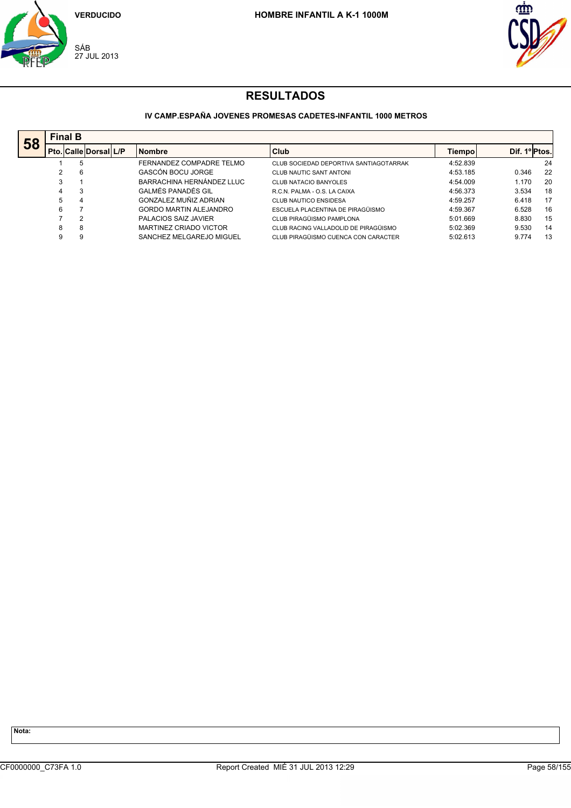



#### **IV CAMP.ESPAÑA JOVENES PROMESAS CADETES-INFANTIL 1000 METROS**

| 58 | <b>Final B</b> |                              |                               |                                        |          |               |    |
|----|----------------|------------------------------|-------------------------------|----------------------------------------|----------|---------------|----|
|    |                | <b>Pto. Calle Dorsal L/P</b> | <b>Nombre</b>                 | Club                                   | Tiempol  | Dif. 1º Ptos. |    |
|    |                | 5                            | FERNANDEZ COMPADRE TELMO      | CLUB SOCIEDAD DEPORTIVA SANTIAGOTARRAK | 4:52.839 |               | 24 |
|    |                | 6                            | GASCÓN BOCU JORGE             | CLUB NAUTIC SANT ANTONI                | 4:53.185 | 0.346         | 22 |
|    | 3              |                              | BARRACHINA HERNÁNDEZ LLUC     | CLUB NATACIO BANYOLES                  | 4:54.009 | 1.170         | 20 |
|    | 4              | 3                            | GALMÉS PANADÉS GIL            | R.C.N. PALMA - O.S. LA CAIXA           | 4:56.373 | 3.534         | 18 |
|    | 5              | 4                            | GONZALEZ MUÑIZ ADRIAN         | <b>CLUB NAUTICO ENSIDESA</b>           | 4:59.257 | 6.418         | 17 |
|    | 6              |                              | <b>GORDO MARTIN ALEJANDRO</b> | ESCUELA PLACENTINA DE PIRAGÜISMO       | 4:59.367 | 6.528         | 16 |
|    |                | 2                            | PALACIOS SAIZ JAVIER          | CLUB PIRAGÜISMO PAMPLONA               | 5:01.669 | 8.830         | 15 |
|    | 8              | 8                            | MARTINEZ CRIADO VICTOR        | CLUB RACING VALLADOLID DE PIRAGÜISMO   | 5:02.369 | 9.530         | 14 |
|    | 9              | 9                            | SANCHEZ MELGAREJO MIGUEL      | CLUB PIRAGÜISMO CUENCA CON CARACTER    | 5:02.613 | 9.774         | 13 |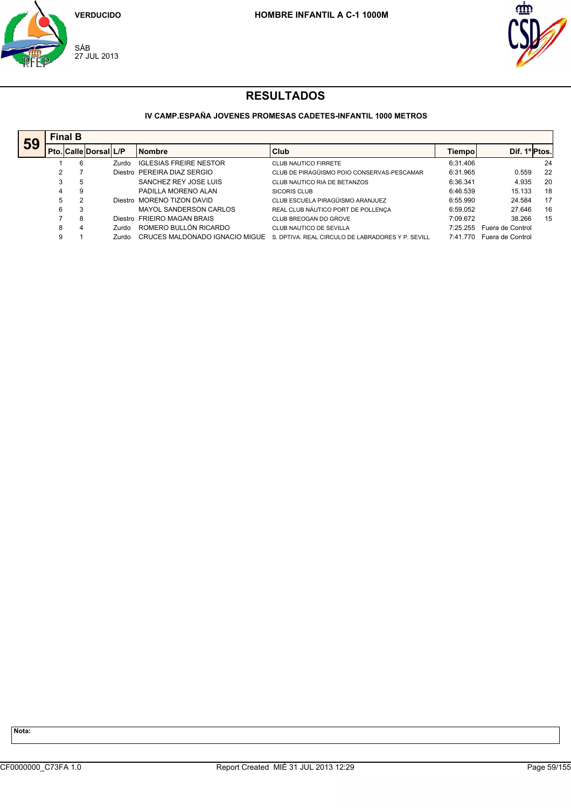



## **IV CAMP.ESPAÑA JOVENES PROMESAS CADETES-INFANTIL 1000 METROS**

|    |   | <b>Final B</b> |                              |                                |                                                   |          |                  |    |  |  |  |  |  |  |
|----|---|----------------|------------------------------|--------------------------------|---------------------------------------------------|----------|------------------|----|--|--|--|--|--|--|
| 59 |   |                | <b>Pto. Calle Dorsal L/P</b> | <b>Nombre</b>                  | Club                                              | Tiempo   | Dif. 1º Ptos.    |    |  |  |  |  |  |  |
|    |   | 6              | Zurdo                        | <b>IGLESIAS FREIRE NESTOR</b>  | CLUB NAUTICO FIRRETE                              | 6:31.406 |                  | 24 |  |  |  |  |  |  |
|    | 2 |                |                              | Diestro PEREIRA DIAZ SERGIO    | CLUB DE PIRAGÜISMO POIO CONSERVAS-PESCAMAR        | 6:31.965 | 0.559            | 22 |  |  |  |  |  |  |
|    | 3 | 5              |                              | SANCHEZ REY JOSE LUIS          | CLUB NAUTICO RIA DE BETANZOS                      | 6:36.341 | 4.935            | 20 |  |  |  |  |  |  |
|    | 4 | 9              |                              | PADILLA MORENO ALAN            | <b>SICORIS CLUB</b>                               | 6:46.539 | 15.133           | 18 |  |  |  |  |  |  |
|    | 5 | 2              |                              | Diestro MORENO TIZON DAVID     | CLUB ESCUELA PIRAGÜISMO ARANJUEZ                  | 6:55.990 | 24.584           | 17 |  |  |  |  |  |  |
|    | 6 | 3              |                              | MAYOL SANDERSON CARLOS         | REAL CLUB NÁUTICO PORT DE POLLENÇA                | 6:59.052 | 27.646           | 16 |  |  |  |  |  |  |
|    |   | 8              |                              | Diestro FRIEIRO MAGAN BRAIS    | CLUB BREOGAN DO GROVE                             | 7:09.672 | 38.266           | 15 |  |  |  |  |  |  |
|    | 8 | 4              | Zurdo.                       | ROMERO BULLÓN RICARDO          | CLUB NAUTICO DE SEVILLA                           | 7:25.255 | Fuera de Control |    |  |  |  |  |  |  |
|    | 9 |                | Zurdo.                       | CRUCES MALDONADO IGNACIO MIGUE | S. DPTIVA. REAL CIRCULO DE LABRADORES Y P. SEVILL | 7:41.770 | Fuera de Control |    |  |  |  |  |  |  |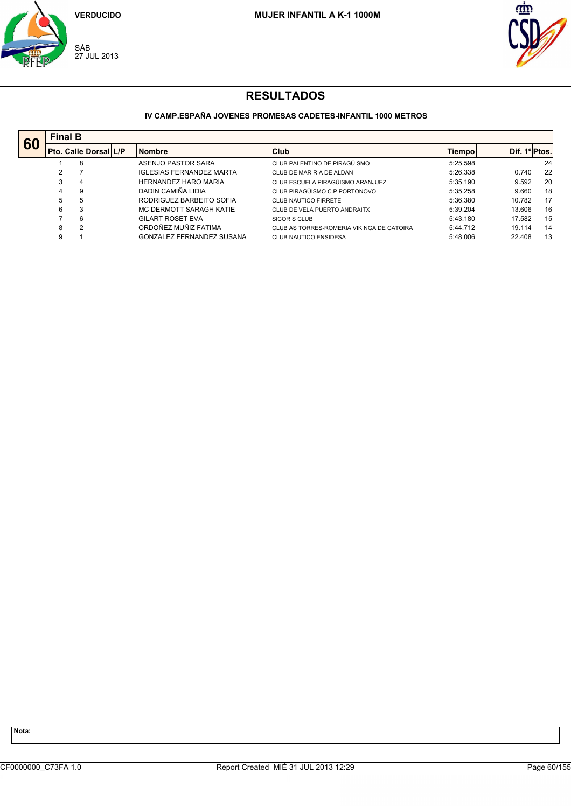



### **IV CAMP.ESPAÑA JOVENES PROMESAS CADETES-INFANTIL 1000 METROS**

| 60 |   | <b>Final B</b> |                       |  |                                 |                                           |          |               |    |  |  |  |  |  |
|----|---|----------------|-----------------------|--|---------------------------------|-------------------------------------------|----------|---------------|----|--|--|--|--|--|
|    |   |                | Pto. Calle Dorsal L/P |  | <b>Nombre</b>                   | Club                                      | Tiempol  | Dif. 1º Ptos. |    |  |  |  |  |  |
|    |   | 8              |                       |  | ASENJO PASTOR SARA              | CLUB PALENTINO DE PIRAGÜISMO              | 5:25.598 |               | 24 |  |  |  |  |  |
|    |   |                |                       |  | <b>IGLESIAS FERNANDEZ MARTA</b> | CLUB DE MAR RIA DE ALDAN                  | 5:26.338 | 0.740         | 22 |  |  |  |  |  |
|    | 3 | 4              |                       |  | <b>HERNANDEZ HARO MARIA</b>     | CLUB ESCUELA PIRAGÜISMO ARANJUEZ          | 5:35.190 | 9.592         | 20 |  |  |  |  |  |
|    | 4 | 9              |                       |  | DADIN CAMIÑA LIDIA              | CLUB PIRAGÜISMO C.P PORTONOVO             | 5:35.258 | 9.660         | 18 |  |  |  |  |  |
|    | 5 | 5              |                       |  | RODRIGUEZ BARBEITO SOFIA        | CLUB NAUTICO FIRRETE                      | 5:36.380 | 10.782        | 17 |  |  |  |  |  |
|    | 6 | 3              |                       |  | MC DERMOTT SARAGH KATIE         | CLUB DE VELA PUERTO ANDRAITX              | 5:39.204 | 13.606        | 16 |  |  |  |  |  |
|    |   | 6              |                       |  | <b>GILART ROSET EVA</b>         | SICORIS CLUB                              | 5:43.180 | 17.582        | 15 |  |  |  |  |  |
|    | 8 | $\overline{2}$ |                       |  | ORDOÑEZ MUÑIZ FATIMA            | CLUB AS TORRES-ROMERIA VIKINGA DE CATOIRA | 5:44.712 | 19.114        | 14 |  |  |  |  |  |
|    | 9 |                |                       |  | GONZALEZ FERNANDEZ SUSANA       | <b>CLUB NAUTICO ENSIDESA</b>              | 5:48.006 | 22.408        | 13 |  |  |  |  |  |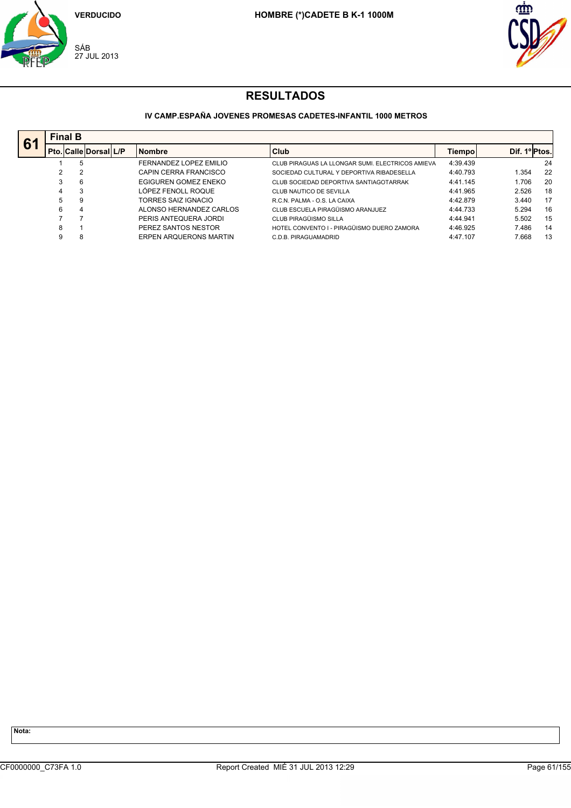



### **IV CAMP.ESPAÑA JOVENES PROMESAS CADETES-INFANTIL 1000 METROS**

| 61 |    | <b>Final B</b>         |                               |                                                  |          |               |    |
|----|----|------------------------|-------------------------------|--------------------------------------------------|----------|---------------|----|
|    |    | Pto. Calle Dorsal  L/P | <b>Nombre</b>                 | <b>Club</b>                                      | Tiempo   | Dif. 1º Ptos. |    |
|    |    | 5                      | FERNANDEZ LOPEZ EMILIO        | CLUB PIRAGUAS LA LLONGAR SUMI. ELECTRICOS AMIEVA | 4:39.439 |               | 24 |
|    | 2  | $\overline{2}$         | CAPIN CERRA FRANCISCO         | SOCIEDAD CULTURAL Y DEPORTIVA RIBADESELLA        | 4:40.793 | 1.354         | 22 |
|    | 3  | 6                      | EGIGUREN GOMEZ ENEKO          | CLUB SOCIEDAD DEPORTIVA SANTIAGOTARRAK           | 4:41.145 | 1.706         | 20 |
|    | 4  | 3                      | LÓPEZ FENOLL ROQUE            | CLUB NAUTICO DE SEVILLA                          | 4:41.965 | 2.526         | 18 |
|    | 5. | 9                      | TORRES SAIZ IGNACIO           | R.C.N. PALMA - O.S. LA CAIXA                     | 4:42.879 | 3.440         | 17 |
|    | 6  | 4                      | ALONSO HERNANDEZ CARLOS       | CLUB ESCUELA PIRAGÜISMO ARANJUEZ                 | 4:44.733 | 5.294         | 16 |
|    |    |                        | PERIS ANTEQUERA JORDI         | CLUB PIRAGÜISMO SILLA                            | 4:44.941 | 5.502         | 15 |
|    | 8  |                        | PEREZ SANTOS NESTOR           | HOTEL CONVENTO I - PIRAGÜISMO DUERO ZAMORA       | 4:46.925 | 7.486         | 14 |
|    | 9  | 8                      | <b>ERPEN AROUERONS MARTIN</b> | C.D.B. PIRAGUAMADRID                             | 4:47.107 | 7.668         | 13 |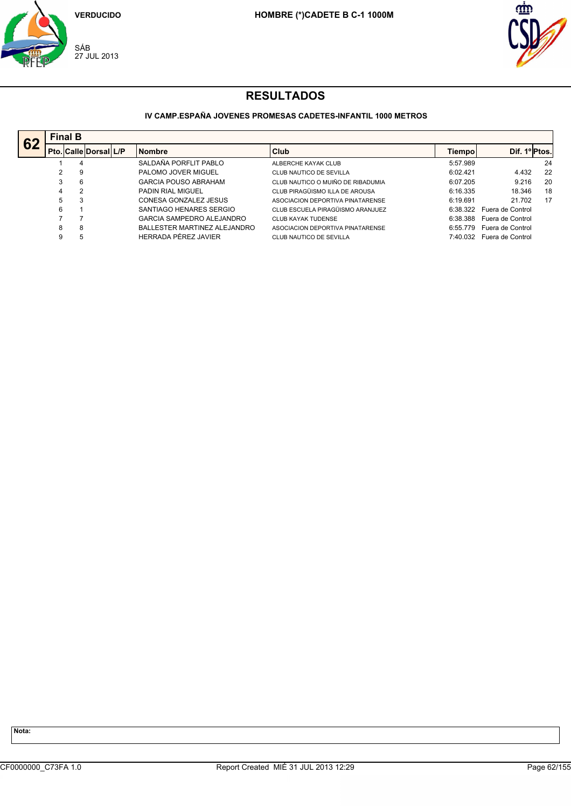



### **IV CAMP.ESPAÑA JOVENES PROMESAS CADETES-INFANTIL 1000 METROS**

| 62 |                | <b>Final B</b>               |                              |                                   |          |                  |    |
|----|----------------|------------------------------|------------------------------|-----------------------------------|----------|------------------|----|
|    |                | <b>Pto. Calle Dorsal L/P</b> | <b>Nombre</b>                | Club                              | Tiempo   | Dif. 1ºPtos.     |    |
|    |                | 4                            | SALDAÑA PORFLIT PABLO        | ALBERCHE KAYAK CLUB               | 5:57.989 |                  | 24 |
|    |                | 9                            | PALOMO JOVER MIGUEL          | CLUB NAUTICO DE SEVILLA           | 6:02.421 | 4.432            | 22 |
|    | 3              | 6                            | <b>GARCIA POUSO ABRAHAM</b>  | CLUB NAUTICO O MUIÑO DE RIBADUMIA | 6:07.205 | 9.216            | 20 |
|    | $\overline{4}$ | 2                            | <b>PADIN RIAL MIGUEL</b>     | CLUB PIRAGÜISMO ILLA DE AROUSA    | 6:16.335 | 18.346           | 18 |
|    | 5              | 3                            | CONESA GONZALEZ JESUS        | ASOCIACION DEPORTIVA PINATARENSE  | 6:19.691 | 21.702           | 17 |
|    | 6              |                              | SANTIAGO HENARES SERGIO      | CLUB ESCUELA PIRAGÜISMO ARANJUEZ  | 6:38.322 | Fuera de Control |    |
|    |                |                              | GARCIA SAMPEDRO ALEJANDRO    | <b>CLUB KAYAK TUDENSE</b>         | 6:38.388 | Fuera de Control |    |
|    | 8              | 8                            | BALLESTER MARTINEZ ALEJANDRO | ASOCIACION DEPORTIVA PINATARENSE  | 6:55.779 | Fuera de Control |    |
|    | 9              | 5                            | HERRADA PÉREZ JAVIER         | CLUB NAUTICO DE SEVILLA           | 7:40.032 | Fuera de Control |    |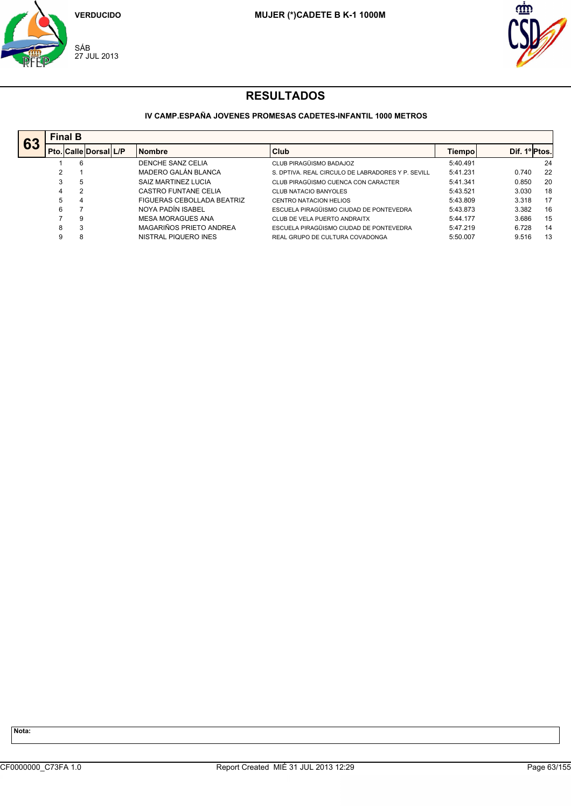



### **IV CAMP.ESPAÑA JOVENES PROMESAS CADETES-INFANTIL 1000 METROS**

| 63 |   | <b>Final B</b>               |  |                             |                                                   |          |               |    |  |  |  |  |  |
|----|---|------------------------------|--|-----------------------------|---------------------------------------------------|----------|---------------|----|--|--|--|--|--|
|    |   | <b>Pto. Calle Dorsal L/P</b> |  | <b>Nombre</b>               | Club                                              | Tiempo   | Dif. 1º Ptos. |    |  |  |  |  |  |
|    |   | 6                            |  | DENCHE SANZ CELIA           | CLUB PIRAGÜISMO BADAJOZ                           | 5:40.491 |               | 24 |  |  |  |  |  |
|    | 2 |                              |  | MADERO GALÁN BLANCA         | S. DPTIVA. REAL CIRCULO DE LABRADORES Y P. SEVILL | 5:41.231 | 0.740         | 22 |  |  |  |  |  |
|    | 3 | 5                            |  | SAIZ MARTINEZ LUCIA         | CLUB PIRAGÜISMO CUENCA CON CARACTER               | 5:41.341 | 0.850         | 20 |  |  |  |  |  |
|    | 4 | 2                            |  | <b>CASTRO FUNTANE CELIA</b> | <b>CLUB NATACIO BANYOLES</b>                      | 5:43.521 | 3.030         | 18 |  |  |  |  |  |
|    | 5 | 4                            |  | FIGUERAS CEBOLLADA BEATRIZ  | <b>CENTRO NATACION HELIOS</b>                     | 5:43.809 | 3.318         | 17 |  |  |  |  |  |
|    | 6 |                              |  | NOYA PADÍN ISABEL           | ESCUELA PIRAGÜISMO CIUDAD DE PONTEVEDRA           | 5:43.873 | 3.382         | 16 |  |  |  |  |  |
|    |   | 9                            |  | <b>MESA MORAGUES ANA</b>    | CLUB DE VELA PUERTO ANDRAITX                      | 5:44.177 | 3.686         | 15 |  |  |  |  |  |
|    | 8 | 3                            |  | MAGARIÑOS PRIETO ANDREA     | ESCUELA PIRAGÜISMO CIUDAD DE PONTEVEDRA           | 5:47.219 | 6.728         | 14 |  |  |  |  |  |
|    | 9 | 8                            |  | NISTRAL PIQUERO INES        | REAL GRUPO DE CULTURA COVADONGA                   | 5:50.007 | 9.516         | 13 |  |  |  |  |  |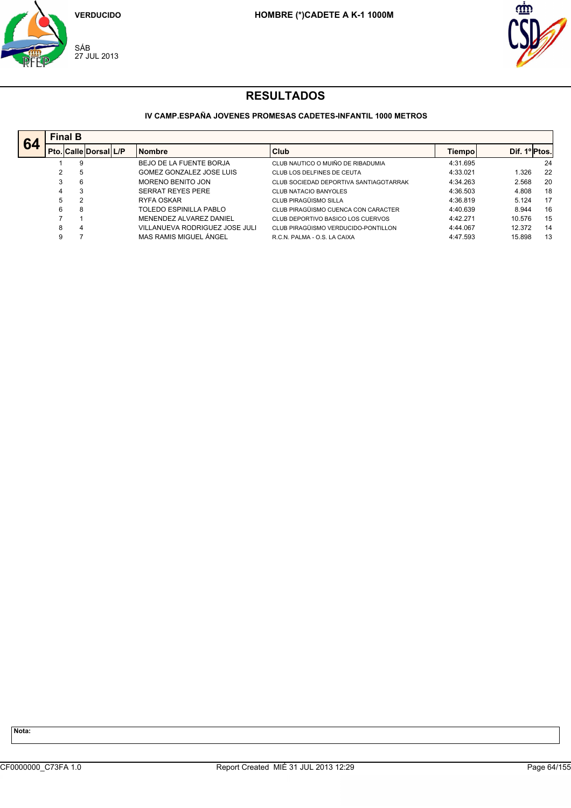



### **IV CAMP.ESPAÑA JOVENES PROMESAS CADETES-INFANTIL 1000 METROS**

|    |   | <b>Final B</b>               |                                |                                        |          |               |    |
|----|---|------------------------------|--------------------------------|----------------------------------------|----------|---------------|----|
| 64 |   | <b>Pto. Calle Dorsal L/P</b> | <b>Nombre</b>                  | <b>Club</b>                            | Tiempo   | Dif. 1º Ptos. |    |
|    |   | 9                            | BEJO DE LA FUENTE BORJA        | CLUB NAUTICO O MUIÑO DE RIBADUMIA      | 4:31.695 |               | 24 |
|    | 2 | 5                            | GOMEZ GONZALEZ JOSE LUIS       | CLUB LOS DELFINES DE CEUTA             | 4:33.021 | 1.326         | 22 |
|    | 3 | 6                            | MORENO BENITO JON              | CLUB SOCIEDAD DEPORTIVA SANTIAGOTARRAK | 4:34.263 | 2.568         | 20 |
|    | 4 | 3                            | <b>SERRAT REYES PERE</b>       | <b>CLUB NATACIO BANYOLES</b>           | 4:36.503 | 4.808         | 18 |
|    | 5 | 2                            | RYFA OSKAR                     | CLUB PIRAGÜISMO SILLA                  | 4:36.819 | 5.124         | 17 |
|    | 6 | 8                            | TOLEDO ESPINILLA PABLO         | CLUB PIRAGÜISMO CUENCA CON CARACTER    | 4:40.639 | 8.944         | 16 |
|    |   |                              | MENENDEZ ALVAREZ DANIEL        | CLUB DEPORTIVO BASICO LOS CUERVOS      | 4:42.271 | 10.576        | 15 |
|    | 8 | 4                            | VILLANUEVA RODRIGUEZ JOSE JULI | CLUB PIRAGÜISMO VERDUCIDO-PONTILLON    | 4:44.067 | 12.372        | 14 |
|    | 9 |                              | MAS RAMIS MIGUEL ÁNGEL         | R.C.N. PALMA - O.S. LA CAIXA           | 4:47.593 | 15.898        | 13 |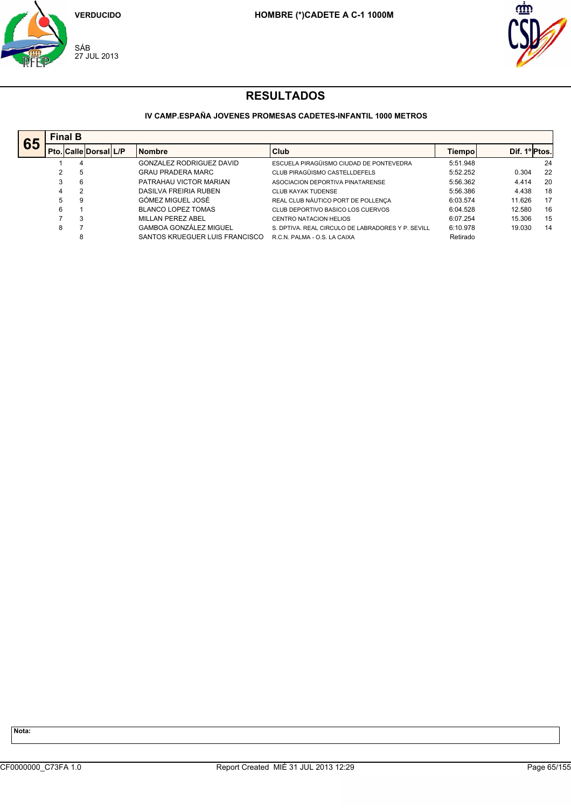



## **IV CAMP.ESPAÑA JOVENES PROMESAS CADETES-INFANTIL 1000 METROS**

| 65 |   | <b>Final B</b>               |  |                                |                                                   |          |               |    |  |  |  |  |  |
|----|---|------------------------------|--|--------------------------------|---------------------------------------------------|----------|---------------|----|--|--|--|--|--|
|    |   | <b>Pto. Calle Dorsal L/P</b> |  | <b>Nombre</b>                  | Club                                              | Tiempol  | Dif. 1º Ptos. |    |  |  |  |  |  |
|    |   | 4                            |  | GONZALEZ RODRIGUEZ DAVID       | ESCUELA PIRAGÜISMO CIUDAD DE PONTEVEDRA           | 5:51.948 |               | 24 |  |  |  |  |  |
|    | 2 | 5                            |  | <b>GRAU PRADERA MARC</b>       | CLUB PIRAGÜISMO CASTELLDEFELS                     | 5:52.252 | 0.304         | 22 |  |  |  |  |  |
|    | 3 | 6                            |  | PATRAHAU VICTOR MARIAN         | ASOCIACION DEPORTIVA PINATARENSE                  | 5:56.362 | 4.414         | 20 |  |  |  |  |  |
|    | 4 | $\overline{2}$               |  | DASILVA FREIRIA RUBEN          | CLUB KAYAK TUDENSE                                | 5:56.386 | 4.438         | 18 |  |  |  |  |  |
|    | 5 | 9                            |  | GÓMEZ MIGUEL JOSÉ              | REAL CLUB NÁUTICO PORT DE POLLENÇA                | 6:03.574 | 11.626        | 17 |  |  |  |  |  |
|    | 6 |                              |  | <b>BLANCO LOPEZ TOMAS</b>      | CLUB DEPORTIVO BASICO LOS CUERVOS                 | 6:04.528 | 12.580        | 16 |  |  |  |  |  |
|    |   | 3                            |  | MILLAN PEREZ ABEL              | CENTRO NATACION HELIOS                            | 6:07.254 | 15.306        | 15 |  |  |  |  |  |
|    | 8 |                              |  | <b>GAMBOA GONZÁLEZ MIGUEL</b>  | S. DPTIVA. REAL CIRCULO DE LABRADORES Y P. SEVILL | 6:10.978 | 19.030        | 14 |  |  |  |  |  |
|    |   | 8                            |  | SANTOS KRUEGUER LUIS FRANCISCO | R.C.N. PALMA - O.S. LA CAIXA                      | Retirado |               |    |  |  |  |  |  |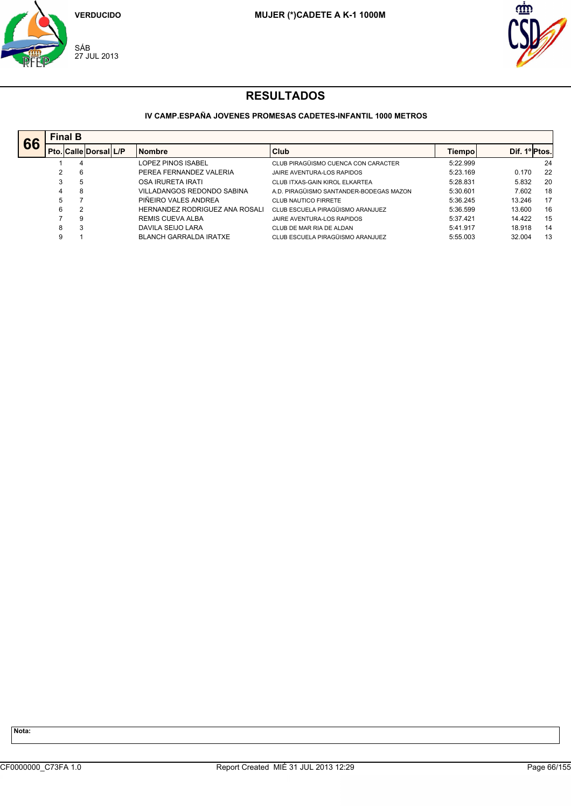



### **IV CAMP.ESPAÑA JOVENES PROMESAS CADETES-INFANTIL 1000 METROS**

| 66 |   | <b>Final B</b> |                              |  |                                |                                         |          |               |    |  |  |  |  |
|----|---|----------------|------------------------------|--|--------------------------------|-----------------------------------------|----------|---------------|----|--|--|--|--|
|    |   |                | <b>Pto. Calle Dorsal L/P</b> |  | <b>Nombre</b>                  | Club                                    | Tiempol  | Dif. 1º Ptos. |    |  |  |  |  |
|    |   | 4              |                              |  | LOPEZ PINOS ISABEL             | CLUB PIRAGÜISMO CUENCA CON CARACTER     | 5:22.999 |               | 24 |  |  |  |  |
|    |   | 6              |                              |  | PEREA FERNANDEZ VALERIA        | JAIRE AVENTURA-LOS RAPIDOS              | 5:23.169 | 0.170         | 22 |  |  |  |  |
|    | 3 | 5              |                              |  | OSA IRURETA IRATI              | CLUB ITXAS-GAIN KIROL ELKARTEA          | 5:28.831 | 5.832         | 20 |  |  |  |  |
|    | 4 | 8              |                              |  | VILLADANGOS REDONDO SABINA     | A.D. PIRAGÜISMO SANTANDER-BODEGAS MAZON | 5:30.601 | 7.602         | 18 |  |  |  |  |
|    | 5 |                |                              |  | PIÑEIRO VALES ANDREA           | CLUB NAUTICO FIRRETE                    | 5:36.245 | 13.246        | 17 |  |  |  |  |
|    | 6 | $\overline{2}$ |                              |  | HERNANDEZ RODRIGUEZ ANA ROSALI | CLUB ESCUELA PIRAGÜISMO ARANJUEZ        | 5:36.599 | 13.600        | 16 |  |  |  |  |
|    |   | 9              |                              |  | REMIS CUEVA ALBA               | JAIRE AVENTURA-LOS RAPIDOS              | 5:37.421 | 14.422        | 15 |  |  |  |  |
|    | 8 | 3              |                              |  | DAVILA SEIJO LARA              | CLUB DE MAR RIA DE ALDAN                | 5:41.917 | 18.918        | 14 |  |  |  |  |
|    | 9 |                |                              |  | <b>BLANCH GARRALDA IRATXE</b>  | CLUB ESCUELA PIRAGÜISMO ARANJUEZ        | 5:55.003 | 32.004        | 13 |  |  |  |  |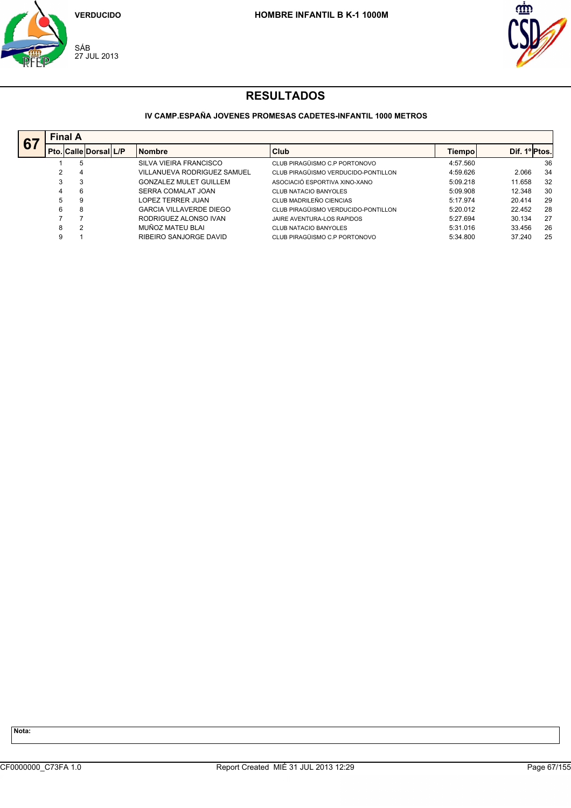



## **IV CAMP.ESPAÑA JOVENES PROMESAS CADETES-INFANTIL 1000 METROS**

| 67 |   | <b>Final A</b>               |  |                                |                                     |          |               |    |  |  |  |  |  |
|----|---|------------------------------|--|--------------------------------|-------------------------------------|----------|---------------|----|--|--|--|--|--|
|    |   | <b>Pto. Calle Dorsal L/P</b> |  | <b>Nombre</b>                  | Club                                | Tiempol  | Dif. 1ºIPtos. |    |  |  |  |  |  |
|    |   | 5                            |  | SILVA VIEIRA FRANCISCO         | CLUB PIRAGÜISMO C.P PORTONOVO       | 4:57.560 |               | 36 |  |  |  |  |  |
|    | 2 | 4                            |  | VILLANUEVA RODRIGUEZ SAMUEL    | CLUB PIRAGÜISMO VERDUCIDO-PONTILLON | 4:59.626 | 2.066         | 34 |  |  |  |  |  |
|    | 3 | 3                            |  | <b>GONZALEZ MULET GUILLEM</b>  | ASOCIACIÓ ESPORTIVA XINO-XANO       | 5:09.218 | 11.658        | 32 |  |  |  |  |  |
|    | 4 | 6                            |  | SERRA COMALAT JOAN             | <b>CLUB NATACIO BANYOLES</b>        | 5:09.908 | 12.348        | 30 |  |  |  |  |  |
|    | 5 | 9                            |  | LOPEZ TERRER JUAN              | CLUB MADRILEÑO CIENCIAS             | 5:17.974 | 20.414        | 29 |  |  |  |  |  |
|    | 6 | 8                            |  | <b>GARCIA VILLAVERDE DIEGO</b> | CLUB PIRAGÜISMO VERDUCIDO-PONTILLON | 5:20.012 | 22.452        | 28 |  |  |  |  |  |
|    |   | 7                            |  | RODRIGUEZ ALONSO IVAN          | JAIRE AVENTURA-LOS RAPIDOS          | 5:27.694 | 30.134        | 27 |  |  |  |  |  |
|    | 8 | $\overline{2}$               |  | MUÑOZ MATEU BLAI               | CLUB NATACIO BANYOLES               | 5:31.016 | 33.456        | 26 |  |  |  |  |  |
|    | 9 |                              |  | RIBEIRO SANJORGE DAVID         | CLUB PIRAGÜISMO C.P PORTONOVO       | 5:34.800 | 37.240        | 25 |  |  |  |  |  |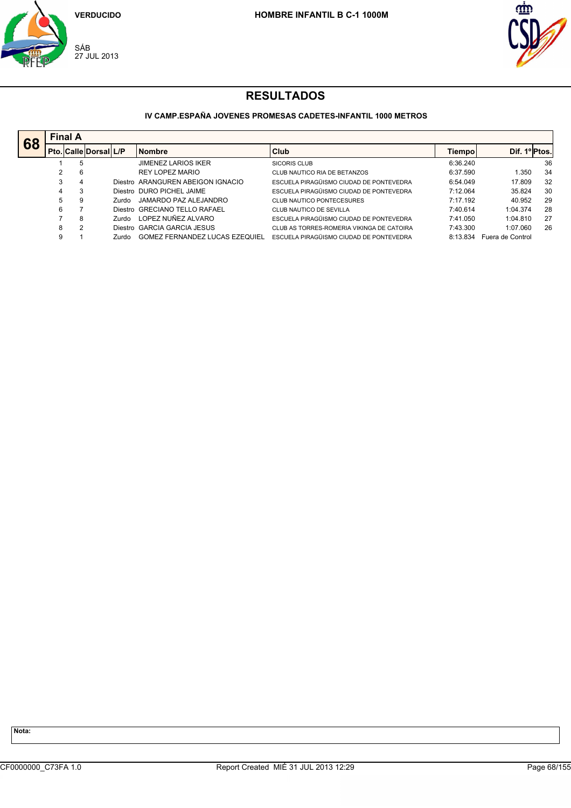



## **IV CAMP.ESPAÑA JOVENES PROMESAS CADETES-INFANTIL 1000 METROS**

| 68 | <b>Final A</b> |   |                             |       |                                       |                                           |          |                  |    |  |  |  |
|----|----------------|---|-----------------------------|-------|---------------------------------------|-------------------------------------------|----------|------------------|----|--|--|--|
|    |                |   | Pto.   Calle   Dorsal   L/P |       | <b>Nombre</b>                         | Club                                      | Tiempo   | Dif. 1º Ptos.    |    |  |  |  |
|    |                |   | 5                           |       | <b>JIMENEZ LARIOS IKER</b>            | <b>SICORIS CLUB</b>                       | 6:36.240 |                  | 36 |  |  |  |
|    |                |   | 6                           |       | REY LOPEZ MARIO                       | CLUB NAUTICO RIA DE BETANZOS              | 6:37.590 | 1.350            | 34 |  |  |  |
|    | 3              |   | 4                           |       | Diestro ARANGUREN ABEIGON IGNACIO     | ESCUELA PIRAGÜISMO CIUDAD DE PONTEVEDRA   | 6:54.049 | 17.809           | 32 |  |  |  |
|    | 4              | 3 |                             |       | Diestro DURO PICHEL JAIME             | ESCUELA PIRAGÜISMO CIUDAD DE PONTEVEDRA   | 7:12.064 | 35.824           | 30 |  |  |  |
|    | 5              |   | 9                           | Zurdo | JAMARDO PAZ ALEJANDRO                 | CLUB NAUTICO PONTECESURES                 | 7:17.192 | 40.952           | 29 |  |  |  |
|    | 6              |   |                             |       | Diestro GRECIANO TELLO RAFAEL         | CLUB NAUTICO DE SEVILLA                   | 7:40.614 | 1:04.374         | 28 |  |  |  |
|    |                |   | 8                           | Zurdo | LOPEZ NUÑEZ ALVARO                    | ESCUELA PIRAGÜISMO CIUDAD DE PONTEVEDRA   | 7:41.050 | 1:04.810         | 27 |  |  |  |
|    | 8              |   | 2                           |       | Diestro GARCIA GARCIA JESUS           | CLUB AS TORRES-ROMERIA VIKINGA DE CATOIRA | 7:43.300 | 1:07.060         | 26 |  |  |  |
|    | 9              |   |                             | Zurdo | <b>GOMEZ FERNANDEZ LUCAS EZEQUIEL</b> | ESCUELA PIRAGÜISMO CIUDAD DE PONTEVEDRA   | 8:13.834 | Fuera de Control |    |  |  |  |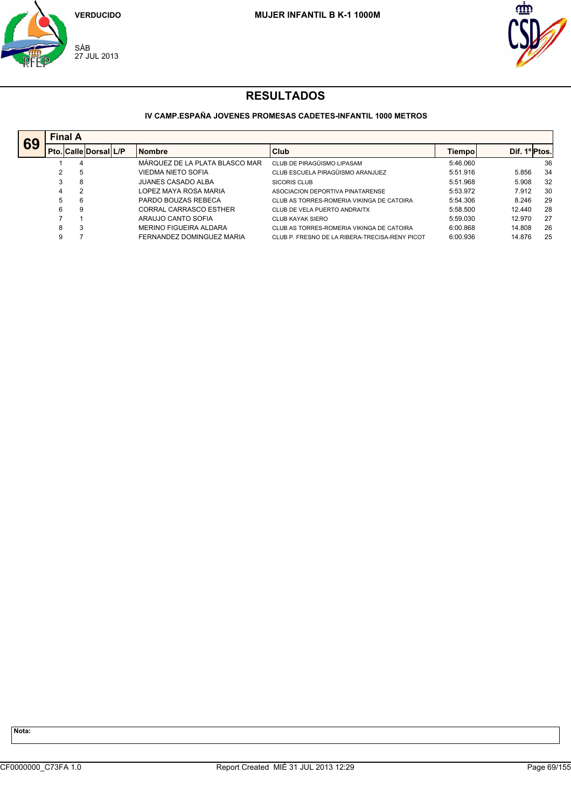



## **IV CAMP.ESPAÑA JOVENES PROMESAS CADETES-INFANTIL 1000 METROS**

| 69 |   | <b>Final A</b>        |  |                                |                                                |          |               |    |  |  |  |  |  |
|----|---|-----------------------|--|--------------------------------|------------------------------------------------|----------|---------------|----|--|--|--|--|--|
|    |   | Pto. Calle Dorsal L/P |  | <b>Nombre</b>                  | Club                                           | Tiempol  | Dif. 1º Ptos. |    |  |  |  |  |  |
|    |   | 4                     |  | MÁRQUEZ DE LA PLATA BLASCO MAR | CLUB DE PIRAGÜISMO LIPASAM                     | 5:46.060 |               | 36 |  |  |  |  |  |
|    |   | 5                     |  | VIEDMA NIETO SOFIA             | CLUB ESCUELA PIRAGÜISMO ARANJUEZ               | 5:51.916 | 5.856         | 34 |  |  |  |  |  |
|    | 3 | 8                     |  | <b>JUANES CASADO ALBA</b>      | <b>SICORIS CLUB</b>                            | 5:51.968 | 5.908         | 32 |  |  |  |  |  |
|    | 4 | 2                     |  | LOPEZ MAYA ROSA MARIA          | ASOCIACION DEPORTIVA PINATARENSE               | 5:53.972 | 7.912         | 30 |  |  |  |  |  |
|    | 5 | 6                     |  | PARDO BOUZAS REBECA            | CLUB AS TORRES-ROMERIA VIKINGA DE CATOIRA      | 5:54.306 | 8.246         | 29 |  |  |  |  |  |
|    | 6 | 9                     |  | <b>CORRAL CARRASCO ESTHER</b>  | CLUB DE VELA PUERTO ANDRAITX                   | 5:58.500 | 12.440        | 28 |  |  |  |  |  |
|    |   |                       |  | ARAUJO CANTO SOFIA             | CLUB KAYAK SIERO                               | 5:59.030 | 12.970        | 27 |  |  |  |  |  |
|    | 8 | З                     |  | MERINO FIGUEIRA ALDARA         | CLUB AS TORRES-ROMERIA VIKINGA DE CATOIRA      | 6:00.868 | 14.808        | 26 |  |  |  |  |  |
|    | 9 |                       |  | FERNANDEZ DOMINGUEZ MARIA      | CLUB P. FRESNO DE LA RIBERA-TRECISA-RENY PICOT | 6:00.936 | 14.876        | 25 |  |  |  |  |  |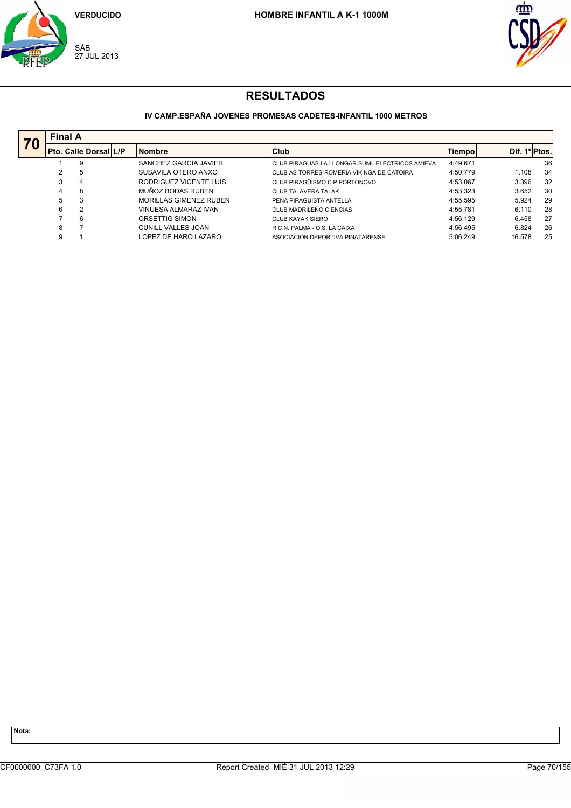



## **IV CAMP.ESPAÑA JOVENES PROMESAS CADETES-INFANTIL 1000 METROS**

|     |   | <b>Final A</b>               |  |                               |                                                  |          |               |     |  |  |  |  |  |
|-----|---|------------------------------|--|-------------------------------|--------------------------------------------------|----------|---------------|-----|--|--|--|--|--|
| r u |   | <b>Pto. Calle Dorsal L/P</b> |  | <b>Nombre</b>                 | Club                                             | Tiempo   | Dif. 1º Ptos. |     |  |  |  |  |  |
|     |   | 9                            |  | SANCHEZ GARCIA JAVIER         | CLUB PIRAGUAS LA LLONGAR SUMI. ELECTRICOS AMIEVA | 4:49.671 |               | 36  |  |  |  |  |  |
|     | 2 | 5                            |  | SUSAVILA OTERO ANXO           | CLUB AS TORRES-ROMERIA VIKINGA DE CATOIRA        | 4:50.779 | 1.108         | 34  |  |  |  |  |  |
|     | 3 | 4                            |  | RODRIGUEZ VICENTE LUIS        | CLUB PIRAGÜISMO C.P PORTONOVO                    | 4:53.067 | 3.396         | 32  |  |  |  |  |  |
|     |   | 8                            |  | MUÑOZ BODAS RUBEN             | <b>CLUB TALAVERA TALAK</b>                       | 4:53.323 | 3.652         | 30  |  |  |  |  |  |
|     | 5 | 3                            |  | <b>MORILLAS GIMENEZ RUBEN</b> | PEÑA PIRAGÜISTA ANTELLA                          | 4:55.595 | 5.924         | 29  |  |  |  |  |  |
|     | 6 | $\overline{2}$               |  | VINUESA ALMARAZ IVAN          | CLUB MADRILEÑO CIENCIAS                          | 4:55.781 | 6.110         | 28  |  |  |  |  |  |
|     |   | 6                            |  | ORSETTIG SIMON                | CLUB KAYAK SIERO                                 | 4:56.129 | 6.458         | -27 |  |  |  |  |  |
|     | 8 |                              |  | <b>CUNILL VALLES JOAN</b>     | R.C.N. PALMA - O.S. LA CAIXA                     | 4:56.495 | 6.824         | 26  |  |  |  |  |  |
|     | 9 |                              |  | LOPEZ DE HARO LAZARO          | ASOCIACION DEPORTIVA PINATARENSE                 | 5:06.249 | 16.578        | 25  |  |  |  |  |  |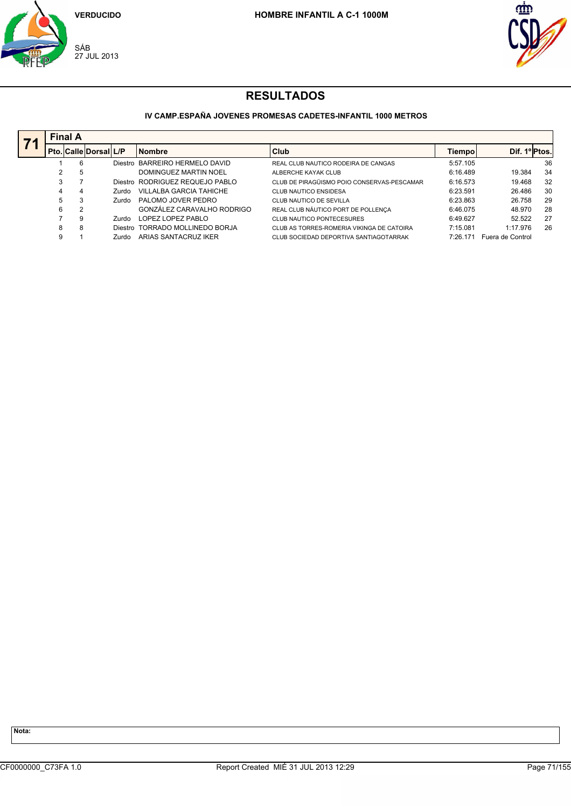



### **IV CAMP.ESPAÑA JOVENES PROMESAS CADETES-INFANTIL 1000 METROS**

|   | <b>Final A</b>               |       |                                 |                                            |          |                  |     |  |  |  |  |  |
|---|------------------------------|-------|---------------------------------|--------------------------------------------|----------|------------------|-----|--|--|--|--|--|
|   | <b>Pto. Calle Dorsal L/P</b> |       | <b>Nombre</b>                   | <b>Club</b>                                | Tiempo   | Dif. 1º Ptos.    |     |  |  |  |  |  |
|   | 6                            |       | Diestro BARREIRO HERMELO DAVID  | REAL CLUB NAUTICO RODEIRA DE CANGAS        | 5:57.105 |                  | 36  |  |  |  |  |  |
|   | 5                            |       | DOMINGUEZ MARTIN NOEL           | ALBERCHE KAYAK CLUB                        | 6:16.489 | 19.384           | 34  |  |  |  |  |  |
|   |                              |       | Diestro RODRIGUEZ REQUEJO PABLO | CLUB DE PIRAGÜISMO POIO CONSERVAS-PESCAMAR | 6:16.573 | 19.468           | 32  |  |  |  |  |  |
|   | 4                            | Zurdo | VILLALBA GARCIA TAHICHE         | CLUB NAUTICO ENSIDESA                      | 6:23.591 | 26.486           | 30  |  |  |  |  |  |
| 5 | 3                            | Zurdo | PALOMO JOVER PEDRO              | CLUB NAUTICO DE SEVILLA                    | 6:23.863 | 26.758           | 29  |  |  |  |  |  |
| 6 | 2                            |       | GONZÁLEZ CARAVALHO RODRIGO      | REAL CLUB NÁUTICO PORT DE POLLENÇA         | 6:46.075 | 48.970           | -28 |  |  |  |  |  |
|   | 9                            | Zurdo | LOPEZ LOPEZ PABLO               | CLUB NAUTICO PONTECESURES                  | 6:49.627 | 52.522           | 27  |  |  |  |  |  |
| 8 | 8                            |       | Diestro TORRADO MOLLINEDO BORJA | CLUB AS TORRES-ROMERIA VIKINGA DE CATOIRA  | 7:15.081 | 1:17.976         | 26  |  |  |  |  |  |
| 9 |                              | Zurdo | ARIAS SANTACRUZ IKER            | CLUB SOCIEDAD DEPORTIVA SANTIAGOTARRAK     | 7:26.171 | Fuera de Control |     |  |  |  |  |  |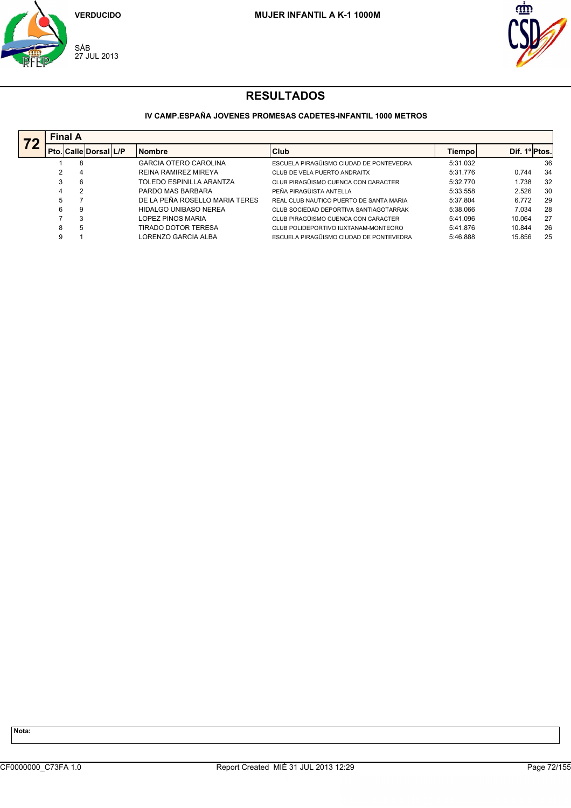



## **IV CAMP.ESPAÑA JOVENES PROMESAS CADETES-INFANTIL 1000 METROS**

| 72 | <b>Final A</b> |                        |  |                                |                                         |          |              |    |  |  |  |  |
|----|----------------|------------------------|--|--------------------------------|-----------------------------------------|----------|--------------|----|--|--|--|--|
|    |                | Pto. Calle Dorsal  L/P |  | <b>Nombre</b>                  | Club                                    | Tiempol  | Dif. 1ºPtos. |    |  |  |  |  |
|    |                | 8                      |  | <b>GARCIA OTERO CAROLINA</b>   | ESCUELA PIRAGÜISMO CIUDAD DE PONTEVEDRA | 5:31.032 |              | 36 |  |  |  |  |
|    |                | 4                      |  | <b>REINA RAMIREZ MIREYA</b>    | CLUB DE VELA PUERTO ANDRAITX            | 5:31.776 | 0.744        | 34 |  |  |  |  |
|    |                | 6                      |  | TOLEDO ESPINILLA ARANTZA       | CLUB PIRAGÜISMO CUENCA CON CARACTER     | 5:32.770 | 1.738        | 32 |  |  |  |  |
|    | 4              | 2                      |  | PARDO MAS BARBARA              | PEÑA PIRAGÜISTA ANTELLA                 | 5:33.558 | 2.526        | 30 |  |  |  |  |
|    | 5              |                        |  | DE LA PEÑA ROSELLO MARIA TERES | REAL CLUB NAUTICO PUERTO DE SANTA MARIA | 5:37.804 | 6.772        | 29 |  |  |  |  |
|    | 6              | 9                      |  | HIDALGO UNIBASO NEREA          | CLUB SOCIEDAD DEPORTIVA SANTIAGOTARRAK  | 5:38.066 | 7.034        | 28 |  |  |  |  |
|    |                | 3                      |  | LOPEZ PINOS MARIA              | CLUB PIRAGÜISMO CUENCA CON CARACTER     | 5:41.096 | 10.064       | 27 |  |  |  |  |
|    | 8              | 5                      |  | TIRADO DOTOR TERESA            | CLUB POLIDEPORTIVO IUXTANAM-MONTEORO    | 5:41.876 | 10.844       | 26 |  |  |  |  |
|    |                |                        |  | LORENZO GARCIA ALBA            | ESCUELA PIRAGÜISMO CIUDAD DE PONTEVEDRA | 5:46.888 | 15.856       | 25 |  |  |  |  |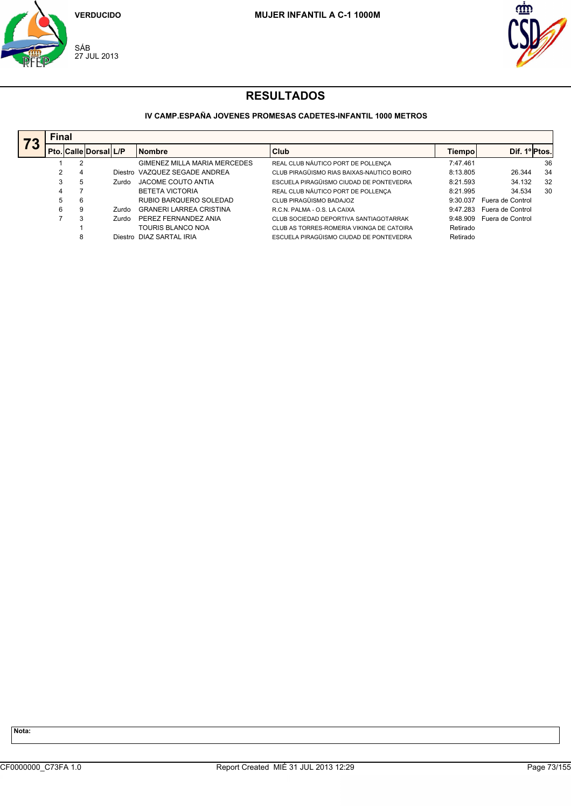



## **IV CAMP.ESPAÑA JOVENES PROMESAS CADETES-INFANTIL 1000 METROS**

|    | <b>Final</b> |   |                       |       |                                |                                           |          |                  |    |
|----|--------------|---|-----------------------|-------|--------------------------------|-------------------------------------------|----------|------------------|----|
| 73 |              |   | Pto. Calle Dorsal L/P |       | <b>Nombre</b>                  | <b>Club</b>                               | Tiempo   | Dif. 1º Ptos.    |    |
|    |              |   |                       |       | GIMENEZ MILLA MARIA MERCEDES   | REAL CLUB NÁUTICO PORT DE POLLENÇA        | 7:47.461 |                  | 36 |
|    | 2            | 4 |                       |       | Diestro VAZQUEZ SEGADE ANDREA  | CLUB PIRAGÜISMO RIAS BAIXAS-NAUTICO BOIRO | 8:13.805 | 26.344           | 34 |
|    | 3            | 5 |                       | Zurdo | JACOME COUTO ANTIA             | ESCUELA PIRAGÜISMO CIUDAD DE PONTEVEDRA   | 8:21.593 | 34.132           | 32 |
|    | 4            |   |                       |       | <b>BETETA VICTORIA</b>         | REAL CLUB NÁUTICO PORT DE POLLENÇA        | 8:21.995 | 34.534           | 30 |
|    | 5            | 6 |                       |       | RUBIO BARQUERO SOLEDAD         | CLUB PIRAGÜISMO BADAJOZ                   | 9:30.037 | Fuera de Control |    |
|    | 6            | 9 |                       | Zurdo | <b>GRANERI LARREA CRISTINA</b> | R.C.N. PALMA - O.S. LA CAIXA              | 9:47.283 | Fuera de Control |    |
|    |              |   |                       | Zurdo | PEREZ FERNANDEZ ANIA           | CLUB SOCIEDAD DEPORTIVA SANTIAGOTARRAK    | 9:48.909 | Fuera de Control |    |
|    |              |   |                       |       | TOURIS BLANCO NOA              | CLUB AS TORRES-ROMERIA VIKINGA DE CATOIRA | Retirado |                  |    |
|    |              | 8 |                       |       | Diestro DIAZ SARTAL IRIA       | ESCUELA PIRAGÜISMO CIUDAD DE PONTEVEDRA   | Retirado |                  |    |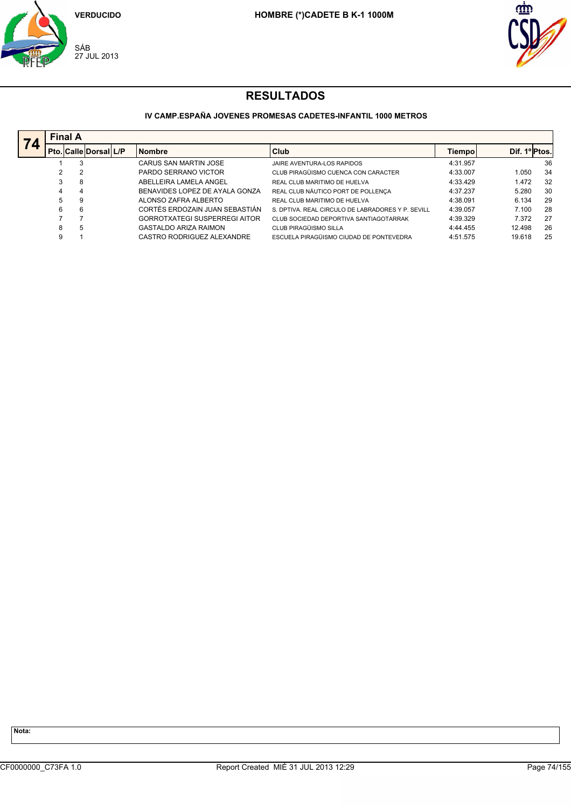



## **IV CAMP.ESPAÑA JOVENES PROMESAS CADETES-INFANTIL 1000 METROS**

| 74 |   | <b>Final A</b>        |  |                                      |                                                   |          |               |    |  |  |  |  |  |
|----|---|-----------------------|--|--------------------------------------|---------------------------------------------------|----------|---------------|----|--|--|--|--|--|
|    |   | Pto. Calle Dorsal L/P |  | <b>Nombre</b>                        | Club                                              | Tiempol  | Dif. 1º Ptos. |    |  |  |  |  |  |
|    |   | 3                     |  | CARUS SAN MARTIN JOSE                | JAIRE AVENTURA-LOS RAPIDOS                        | 4:31.957 |               | 36 |  |  |  |  |  |
|    |   | 2                     |  | PARDO SERRANO VICTOR                 | CLUB PIRAGÜISMO CUENCA CON CARACTER               | 4:33.007 | 1.050         | 34 |  |  |  |  |  |
|    |   | 8                     |  | ABELLEIRA LAMELA ANGEL               | REAL CLUB MARITIMO DE HUELVA                      | 4:33.429 | 1.472         | 32 |  |  |  |  |  |
|    | 4 | 4                     |  | BENAVIDES LOPEZ DE AYALA GONZA       | REAL CLUB NÁUTICO PORT DE POLLENÇA                | 4:37.237 | 5.280         | 30 |  |  |  |  |  |
|    | 5 | 9                     |  | ALONSO ZAFRA ALBERTO                 | REAL CLUB MARITIMO DE HUELVA                      | 4:38.091 | 6.134         | 29 |  |  |  |  |  |
|    | 6 | 6                     |  | CORTÉS ERDOZAIN JUAN SEBASTIÁN       | S. DPTIVA. REAL CIRCULO DE LABRADORES Y P. SEVILL | 4:39.057 | 7.100         | 28 |  |  |  |  |  |
|    |   |                       |  | <b>GORROTXATEGI SUSPERREGI AITOR</b> | CLUB SOCIEDAD DEPORTIVA SANTIAGOTARRAK            | 4:39.329 | 7.372         | 27 |  |  |  |  |  |
|    | 8 | 5                     |  | <b>GASTALDO ARIZA RAIMON</b>         | CLUB PIRAGÜISMO SILLA                             | 4:44.455 | 12.498        | 26 |  |  |  |  |  |
|    | 9 |                       |  | CASTRO RODRIGUEZ ALEXANDRE           | ESCUELA PIRAGÜISMO CIUDAD DE PONTEVEDRA           | 4:51.575 | 19.618        | 25 |  |  |  |  |  |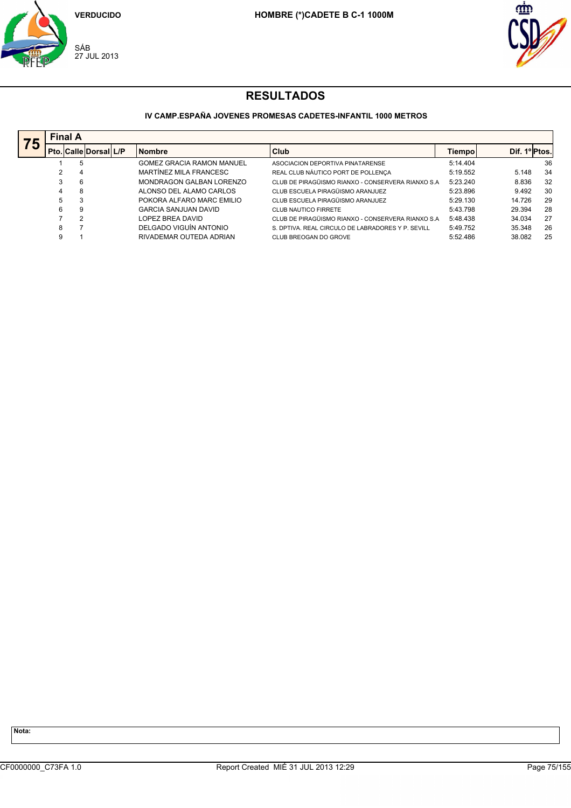



## **IV CAMP.ESPAÑA JOVENES PROMESAS CADETES-INFANTIL 1000 METROS**

| 75 | <b>Final A</b> |                              |  |                                  |                                                    |          |               |     |  |  |  |
|----|----------------|------------------------------|--|----------------------------------|----------------------------------------------------|----------|---------------|-----|--|--|--|
|    |                | <b>Pto. Calle Dorsal L/P</b> |  | <b>Nombre</b>                    | <b>Club</b>                                        | Tiempo   | Dif. 1º Ptos. |     |  |  |  |
|    |                | 5                            |  | <b>GOMEZ GRACIA RAMON MANUEL</b> | ASOCIACION DEPORTIVA PINATARENSE                   | 5:14.404 |               | 36  |  |  |  |
|    |                | 4                            |  | MARTÍNEZ MILA FRANCESC           | REAL CLUB NÁUTICO PORT DE POLLENÇA                 | 5:19.552 | 5.148         | 34  |  |  |  |
|    | 3              | 6                            |  | MONDRAGON GALBAN LORENZO         | CLUB DE PIRAGÜISMO RIANXO - CONSERVERA RIANXO S.A. | 5:23.240 | 8.836         | 32  |  |  |  |
|    | 4              | 8                            |  | ALONSO DEL ALAMO CARLOS          | CLUB ESCUELA PIRAGÜISMO ARANJUEZ                   | 5:23.896 | 9.492         | 30  |  |  |  |
|    | 5              | 3                            |  | POKORA ALFARO MARC EMILIO        | CLUB ESCUELA PIRAGÜISMO ARANJUEZ                   | 5:29.130 | 14.726        | 29  |  |  |  |
|    | 6              | 9                            |  | <b>GARCIA SANJUAN DAVID</b>      | <b>CLUB NAUTICO FIRRETE</b>                        | 5:43.798 | 29.394        | 28  |  |  |  |
|    |                | 2                            |  | LOPEZ BREA DAVID                 | CLUB DE PIRAGÜISMO RIANXO - CONSERVERA RIANXO S.A. | 5:48.438 | 34.034        | -27 |  |  |  |
|    | 8              | ۰,                           |  | DELGADO VIGUÍN ANTONIO           | S. DPTIVA. REAL CIRCULO DE LABRADORES Y P. SEVILL  | 5:49.752 | 35.348        | 26  |  |  |  |
|    | 9              |                              |  | RIVADEMAR OUTEDA ADRIAN          | CLUB BREOGAN DO GROVE                              | 5:52.486 | 38.082        | 25  |  |  |  |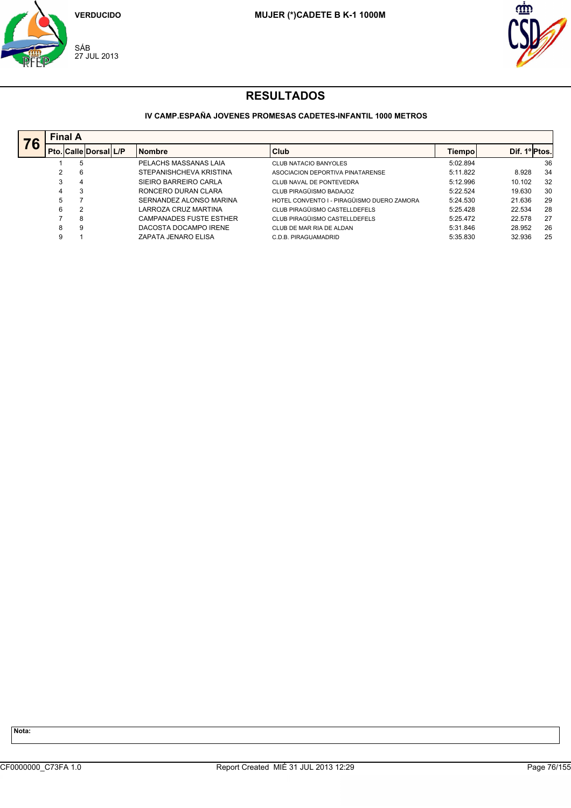



## **IV CAMP.ESPAÑA JOVENES PROMESAS CADETES-INFANTIL 1000 METROS**

| 76 |   | <b>Final A</b>        |  |                                |                                            |          |              |    |  |  |  |  |  |
|----|---|-----------------------|--|--------------------------------|--------------------------------------------|----------|--------------|----|--|--|--|--|--|
|    |   | Pto. Calle Dorsal L/P |  | <b>Nombre</b>                  | <b>Club</b>                                | Tiempo   | Dif. 1ºPtos. |    |  |  |  |  |  |
|    |   | 5                     |  | PELACHS MASSANAS LAIA          | <b>CLUB NATACIO BANYOLES</b>               | 5:02.894 |              | 36 |  |  |  |  |  |
|    | 2 | 6                     |  | STEPANISHCHEVA KRISTINA        | ASOCIACION DEPORTIVA PINATARENSE           | 5:11.822 | 8.928        | 34 |  |  |  |  |  |
|    | 3 | 4                     |  | SIEIRO BARREIRO CARLA          | CLUB NAVAL DE PONTEVEDRA                   | 5:12.996 | 10.102       | 32 |  |  |  |  |  |
|    | 4 | 3                     |  | RONCERO DURAN CLARA            | CLUB PIRAGÜISMO BADAJOZ                    | 5:22.524 | 19.630       | 30 |  |  |  |  |  |
|    | 5 |                       |  | SERNANDEZ ALONSO MARINA        | HOTEL CONVENTO I - PIRAGÜISMO DUERO ZAMORA | 5:24.530 | 21.636       | 29 |  |  |  |  |  |
|    | 6 | 2                     |  | LARROZA CRUZ MARTINA           | CLUB PIRAGÜISMO CASTELLDEFELS              | 5:25.428 | 22.534       | 28 |  |  |  |  |  |
|    |   | 8                     |  | <b>CAMPANADES FUSTE ESTHER</b> | CLUB PIRAGÜISMO CASTELLDEFELS              | 5:25.472 | 22.578       | 27 |  |  |  |  |  |
|    | 8 | 9                     |  | DACOSTA DOCAMPO IRENE          | CLUB DE MAR RIA DE ALDAN                   | 5:31.846 | 28.952       | 26 |  |  |  |  |  |
|    | 9 |                       |  | ZAPATA JENARO ELISA            | C.D.B. PIRAGUAMADRID                       | 5:35.830 | 32.936       | 25 |  |  |  |  |  |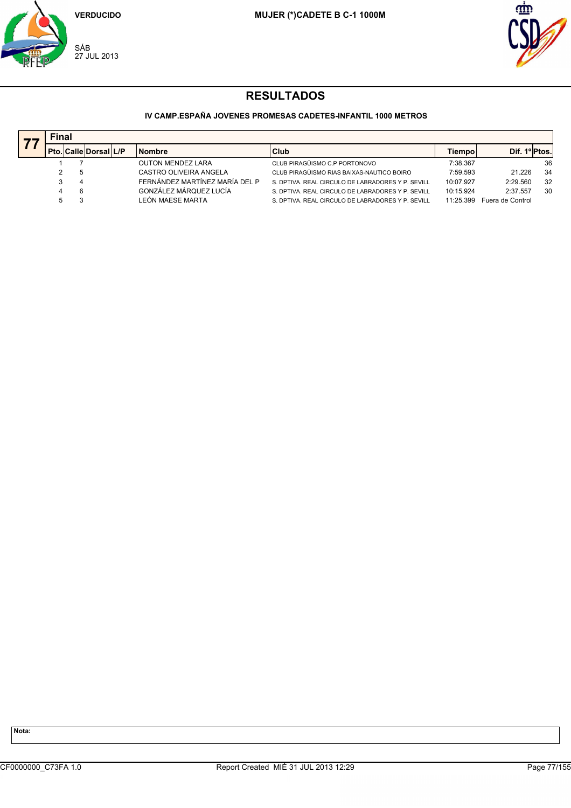



## **IV CAMP.ESPAÑA JOVENES PROMESAS CADETES-INFANTIL 1000 METROS**

|   | Final |                              |  |                                |                                                   |           |                  |    |  |  |  |
|---|-------|------------------------------|--|--------------------------------|---------------------------------------------------|-----------|------------------|----|--|--|--|
|   |       | <b>Pto. Calle Dorsal L/P</b> |  | <b>Nombre</b>                  | Club                                              | Tiempo    | Dif. 1º Ptos.    |    |  |  |  |
|   |       |                              |  | <b>OUTON MENDEZ LARA</b>       | CLUB PIRAGÜISMO C.P PORTONOVO                     | 7:38.367  |                  | 36 |  |  |  |
|   |       |                              |  | CASTRO OLIVEIRA ANGELA         | CLUB PIRAGÜISMO RIAS BAIXAS-NAUTICO BOIRO         | 7:59.593  | 21.226           | 34 |  |  |  |
|   |       |                              |  | FERNÁNDEZ MARTÍNEZ MARÍA DEL P | S. DPTIVA. REAL CIRCULO DE LABRADORES Y P. SEVILL | 10:07.927 | 2:29.560         | 32 |  |  |  |
| 4 |       |                              |  | GONZÁLEZ MÁRQUEZ LUCÍA         | S. DPTIVA. REAL CIRCULO DE LABRADORES Y P. SEVILL | 10:15.924 | 2:37.557         | 30 |  |  |  |
|   |       |                              |  | LEÓN MAESE MARTA               | S. DPTIVA. REAL CIRCULO DE LABRADORES Y P. SEVILL | 11.25.399 | Fuera de Control |    |  |  |  |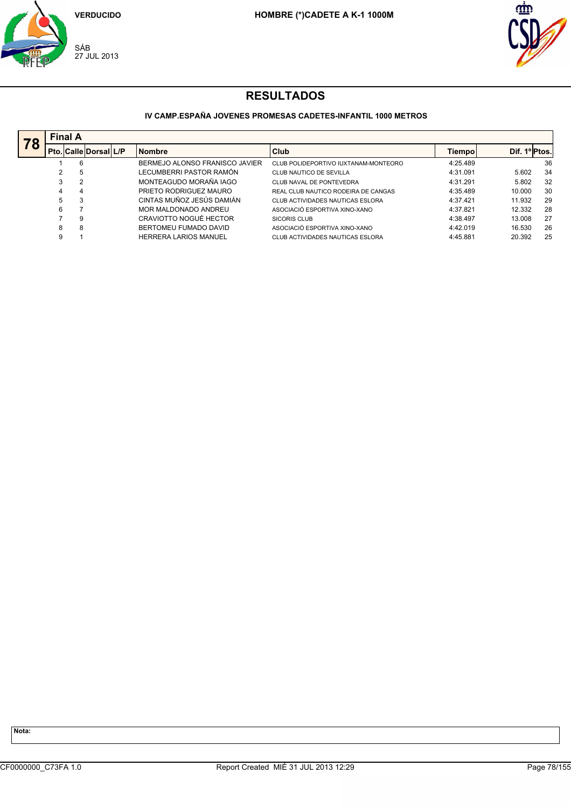



## **IV CAMP.ESPAÑA JOVENES PROMESAS CADETES-INFANTIL 1000 METROS**

| 78 | <b>Final A</b> |                       |  |                                |                                      |          |               |    |  |  |  |
|----|----------------|-----------------------|--|--------------------------------|--------------------------------------|----------|---------------|----|--|--|--|
|    |                | Pto. Calle Dorsal L/P |  | <b>Nombre</b>                  | Club                                 | Tiempo   | Dif. 1º Ptos. |    |  |  |  |
|    |                | 6                     |  | BERMEJO ALONSO FRANISCO JAVIER | CLUB POLIDEPORTIVO IUXTANAM-MONTEORO | 4:25.489 |               | 36 |  |  |  |
|    |                | 5                     |  | LECUMBERRI PASTOR RAMÓN        | CLUB NAUTICO DE SEVILLA              | 4:31.091 | 5.602         | 34 |  |  |  |
|    |                | 2                     |  | MONTEAGUDO MORAÑA IAGO         | CLUB NAVAL DE PONTEVEDRA             | 4:31.291 | 5.802         | 32 |  |  |  |
|    | 4              | 4                     |  | PRIETO RODRIGUEZ MAURO         | REAL CLUB NAUTICO RODEIRA DE CANGAS  | 4:35.489 | 10.000        | 30 |  |  |  |
|    | 5              | 3                     |  | CINTAS MUÑOZ JESÚS DAMIÁN      | CLUB ACTIVIDADES NAUTICAS ESLORA     | 4:37.421 | 11.932        | 29 |  |  |  |
|    | 6              |                       |  | MOR MALDONADO ANDREU           | ASOCIACIÓ ESPORTIVA XINO-XANO        | 4:37.821 | 12.332        | 28 |  |  |  |
|    |                | 9                     |  | CRAVIOTTO NOGUÉ HECTOR         | SICORIS CLUB                         | 4:38.497 | 13.008        | 27 |  |  |  |
|    | 8              | 8                     |  | BERTOMEU FUMADO DAVID          | ASOCIACIÓ ESPORTIVA XINO-XANO        | 4:42.019 | 16.530        | 26 |  |  |  |
|    |                |                       |  | <b>HERRERA LARIOS MANUEL</b>   | CLUB ACTIVIDADES NAUTICAS ESLORA     | 4:45.881 | 20.392        | 25 |  |  |  |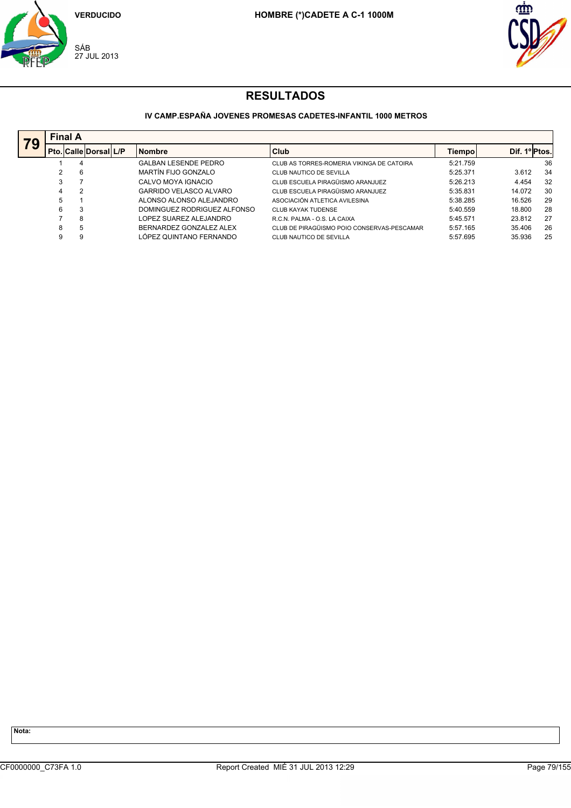



## **IV CAMP.ESPAÑA JOVENES PROMESAS CADETES-INFANTIL 1000 METROS**

| 79 |   | <b>Final A</b>              |  |                               |                                            |          |               |    |  |  |  |  |
|----|---|-----------------------------|--|-------------------------------|--------------------------------------------|----------|---------------|----|--|--|--|--|
|    |   | l Pto.  Calle  Dorsal   L/P |  | <b>Nombre</b>                 | Club                                       | Tiempol  | Dif. 1º Ptos. |    |  |  |  |  |
|    |   | 4                           |  | <b>GALBAN LESENDE PEDRO</b>   | CLUB AS TORRES-ROMERIA VIKINGA DE CATOIRA  | 5:21.759 |               | 36 |  |  |  |  |
|    |   | 6                           |  | MARTÍN FIJO GONZALO           | CLUB NAUTICO DE SEVILLA                    | 5:25.371 | 3.612         | 34 |  |  |  |  |
|    |   |                             |  | CALVO MOYA IGNACIO            | CLUB ESCUELA PIRAGÜISMO ARANJUEZ           | 5:26.213 | 4.454         | 32 |  |  |  |  |
|    | 4 | $\overline{2}$              |  | <b>GARRIDO VELASCO ALVARO</b> | CLUB ESCUELA PIRAGÜISMO ARANJUEZ           | 5:35.831 | 14.072        | 30 |  |  |  |  |
|    | 5 |                             |  | ALONSO ALONSO ALEJANDRO       | ASOCIACIÓN ATLETICA AVILESINA              | 5:38.285 | 16.526        | 29 |  |  |  |  |
|    | 6 | 3                           |  | DOMINGUEZ RODRIGUEZ ALFONSO   | <b>CLUB KAYAK TUDENSE</b>                  | 5:40.559 | 18,800        | 28 |  |  |  |  |
|    |   | 8                           |  | LOPEZ SUAREZ ALEJANDRO        | R.C.N. PALMA - O.S. LA CAIXA               | 5:45.571 | 23.812        | 27 |  |  |  |  |
|    | 8 | 5                           |  | BERNARDEZ GONZALEZ ALEX       | CLUB DE PIRAGÜISMO POIO CONSERVAS-PESCAMAR | 5:57.165 | 35.406        | 26 |  |  |  |  |
|    |   | 9                           |  | LÓPEZ QUINTANO FERNANDO       | CLUB NAUTICO DE SEVILLA                    | 5:57.695 | 35.936        | 25 |  |  |  |  |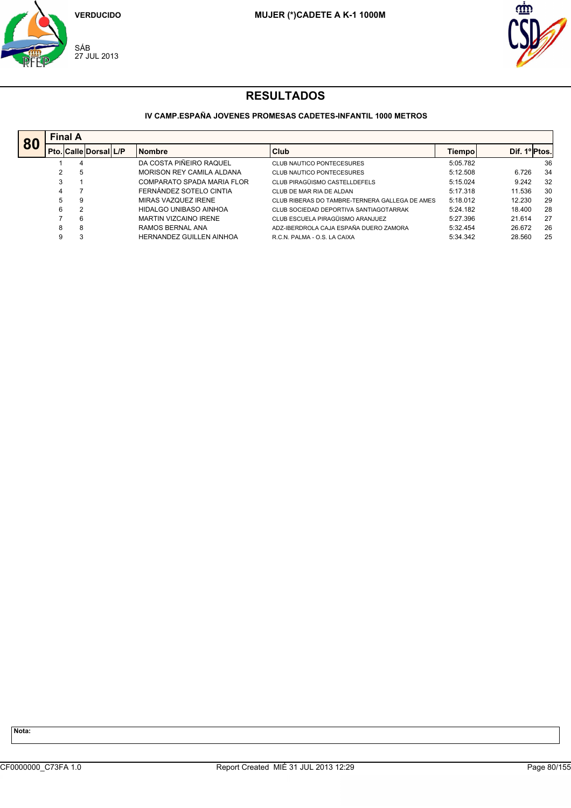



### **IV CAMP.ESPAÑA JOVENES PROMESAS CADETES-INFANTIL 1000 METROS**

|    | <b>Final A</b> |                              |                                 |                                                |          |               |    |
|----|----------------|------------------------------|---------------------------------|------------------------------------------------|----------|---------------|----|
| 80 |                | <b>Pto. Calle Dorsal L/P</b> | <b>Nombre</b>                   | Club                                           | Tiempo   | Dif. 1º Ptos. |    |
|    |                | 4                            | DA COSTA PIÑEIRO RAQUEL         | <b>CLUB NAUTICO PONTECESURES</b>               | 5:05.782 |               | 36 |
|    |                | 5                            | MORISON REY CAMILA ALDANA       | <b>CLUB NAUTICO PONTECESURES</b>               | 5:12.508 | 6.726         | 34 |
|    | 3              |                              | COMPARATO SPADA MARIA FLOR      | CLUB PIRAGÜISMO CASTELLDEFELS                  | 5:15.024 | 9.242         | 32 |
|    |                |                              | FERNÁNDEZ SOTELO CINTIA         | CLUB DE MAR RIA DE ALDAN                       | 5:17.318 | 11.536        | 30 |
|    | 5              | 9                            | MIRAS VAZQUEZ IRENE             | CLUB RIBERAS DO TAMBRE-TERNERA GALLEGA DE AMES | 5:18.012 | 12.230        | 29 |
|    | 6              | $\overline{2}$               | HIDALGO UNIBASO AINHOA          | CLUB SOCIEDAD DEPORTIVA SANTIAGOTARRAK         | 5:24.182 | 18.400        | 28 |
|    |                | 6                            | <b>MARTIN VIZCAINO IRENE</b>    | CLUB ESCUELA PIRAGÜISMO ARANJUEZ               | 5:27.396 | 21.614        | 27 |
|    | 8              | 8                            | RAMOS BERNAL ANA                | ADZ-IBERDROLA CAJA ESPAÑA DUERO ZAMORA         | 5:32.454 | 26.672        | 26 |
|    | 9              | 3                            | <b>HERNANDEZ GUILLEN AINHOA</b> | R.C.N. PALMA - O.S. LA CAIXA                   | 5:34.342 | 28.560        | 25 |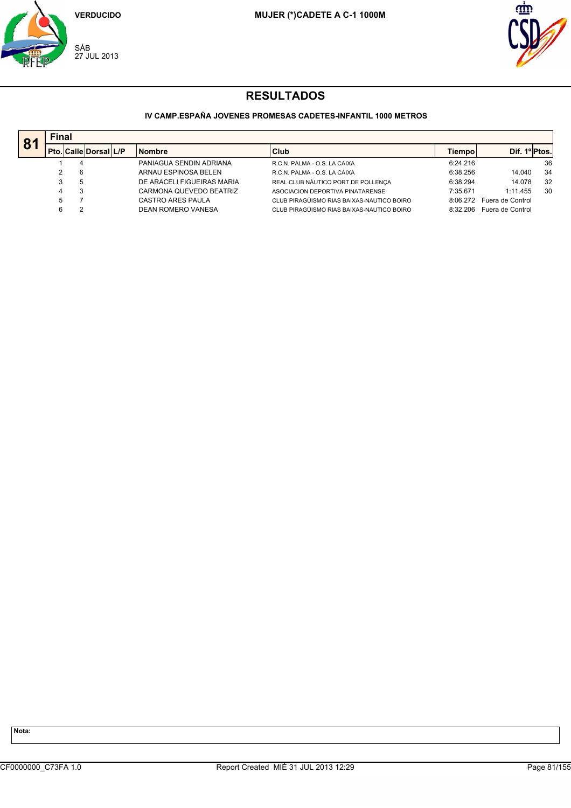



## **IV CAMP.ESPAÑA JOVENES PROMESAS CADETES-INFANTIL 1000 METROS**

| 8 <sup>7</sup> | <b>Final</b>                 |                            |                                           |          |                  |    |  |  |  |  |
|----------------|------------------------------|----------------------------|-------------------------------------------|----------|------------------|----|--|--|--|--|
|                | <b>Pto. Calle Dorsal L/P</b> | <b>Nombre</b>              | <b>Club</b>                               | Tiempo   | Dif. 1º Ptos.    |    |  |  |  |  |
|                |                              | PANIAGUA SENDIN ADRIANA    | R.C.N. PALMA - O.S. LA CAIXA              | 6:24.216 |                  | 36 |  |  |  |  |
|                |                              | ARNAU ESPINOSA BELEN       | R.C.N. PALMA - O.S. LA CAIXA              | 6:38.256 | 14.040           | 34 |  |  |  |  |
|                |                              | DE ARACELI FIGUEIRAS MARIA | REAL CLUB NÁUTICO PORT DE POLLENÇA        | 6:38.294 | 14.078           | 32 |  |  |  |  |
|                |                              | CARMONA QUEVEDO BEATRIZ    | ASOCIACION DEPORTIVA PINATARENSE          | 7:35.671 | 1:11.455         | 30 |  |  |  |  |
|                |                              | CASTRO ARES PAULA          | CLUB PIRAGÜISMO RIAS BAIXAS-NAUTICO BOIRO | 8:06.272 | Fuera de Control |    |  |  |  |  |
|                |                              | <b>DEAN ROMERO VANESA</b>  | CLUB PIRAGÜISMO RIAS BAIXAS-NAUTICO BOIRO | 8:32.206 | Fuera de Control |    |  |  |  |  |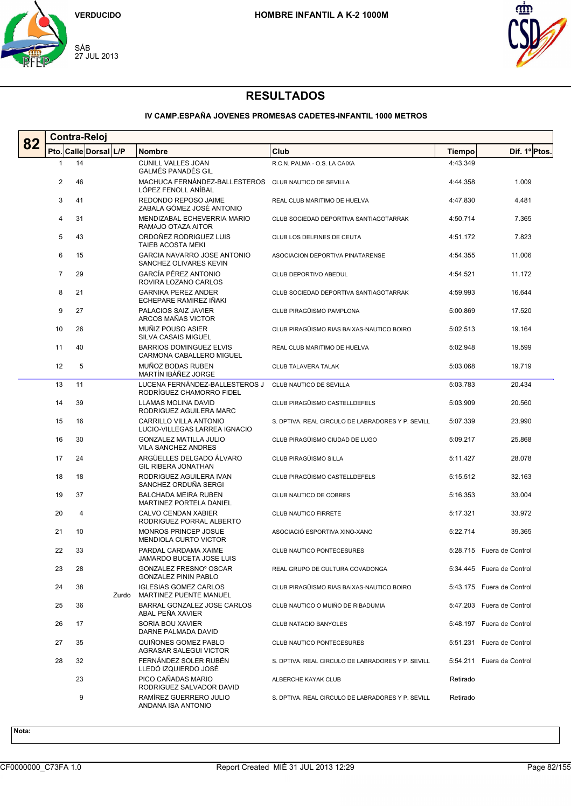



### **IV CAMP.ESPAÑA JOVENES PROMESAS CADETES-INFANTIL 1000 METROS**

| 82 | <b>Contra-Reloj</b> |                       |       |                                                             |                                                   |          |                           |  |  |
|----|---------------------|-----------------------|-------|-------------------------------------------------------------|---------------------------------------------------|----------|---------------------------|--|--|
|    |                     | Pto. Calle Dorsal L/P |       | <b>Nombre</b>                                               | Club                                              | Tiempo   | Dif. 1º Ptos.             |  |  |
|    | 1                   | 14                    |       | <b>CUNILL VALLES JOAN</b><br><b>GALMÉS PANADÉS GIL</b>      | R.C.N. PALMA - O.S. LA CAIXA                      | 4:43.349 |                           |  |  |
|    | 2                   | 46                    |       | MACHUCA FERNÁNDEZ-BALLESTEROS<br>LÓPEZ FENOLL ANÍBAL        | CLUB NAUTICO DE SEVILLA                           | 4:44.358 | 1.009                     |  |  |
|    | 3                   | 41                    |       | REDONDO REPOSO JAIME<br>ZABALA GÓMEZ JOSÉ ANTONIO           | REAL CLUB MARITIMO DE HUELVA                      | 4:47.830 | 4.481                     |  |  |
|    | 4                   | 31                    |       | MENDIZABAL ECHEVERRIA MARIO<br>RAMAJO OTAZA AITOR           | CLUB SOCIEDAD DEPORTIVA SANTIAGOTARRAK            | 4:50.714 | 7.365                     |  |  |
|    | 5                   | 43                    |       | ORDOÑEZ RODRIGUEZ LUIS<br>TAIEB ACOSTA MEKI                 | CLUB LOS DELFINES DE CEUTA                        | 4:51.172 | 7.823                     |  |  |
|    | 6                   | 15                    |       | GARCIA NAVARRO JOSE ANTONIO<br>SANCHEZ OLIVARES KEVIN       | ASOCIACION DEPORTIVA PINATARENSE                  | 4:54.355 | 11.006                    |  |  |
|    | 7                   | 29                    |       | GARCÍA PÉREZ ANTONIO<br>ROVIRA LOZANO CARLOS                | CLUB DEPORTIVO ABEDUL                             | 4:54.521 | 11.172                    |  |  |
|    | 8                   | 21                    |       | <b>GARNIKA PEREZ ANDER</b><br>ECHEPARE RAMIREZ IÑAKI        | CLUB SOCIEDAD DEPORTIVA SANTIAGOTARRAK            | 4:59.993 | 16.644                    |  |  |
|    | 9                   | 27                    |       | PALACIOS SAIZ JAVIER<br>ARCOS MAÑAS VICTOR                  | CLUB PIRAGÜISMO PAMPLONA                          | 5:00.869 | 17.520                    |  |  |
|    | 10                  | 26                    |       | MUÑIZ POUSO ASIER<br>SILVA CASAIS MIGUEL                    | CLUB PIRAGÜISMO RIAS BAIXAS-NAUTICO BOIRO         | 5:02.513 | 19.164                    |  |  |
|    | 11                  | 40                    |       | <b>BARRIOS DOMINGUEZ ELVIS</b><br>CARMONA CABALLERO MIGUEL  | REAL CLUB MARITIMO DE HUELVA                      | 5:02.948 | 19.599                    |  |  |
|    | 12                  | 5                     |       | MUÑOZ BODAS RUBEN<br>MARTÍN IBÁÑEZ JORGE                    | <b>CLUB TALAVERA TALAK</b>                        | 5:03.068 | 19.719                    |  |  |
|    | 13                  | 11                    |       | LUCENA FERNÁNDEZ-BALLESTEROS J<br>RODRÍGUEZ CHAMORRO FIDEL  | CLUB NAUTICO DE SEVILLA                           | 5:03.783 | 20.434                    |  |  |
|    | 14                  | 39                    |       | LLAMAS MOLINA DAVID<br>RODRIGUEZ AGUILERA MARC              | CLUB PIRAGÜISMO CASTELLDEFELS                     | 5:03.909 | 20.560                    |  |  |
|    | 15                  | 16                    |       | CARRILLO VILLA ANTONIO<br>LUCIO-VILLEGAS LARREA IGNACIO     | S. DPTIVA. REAL CIRCULO DE LABRADORES Y P. SEVILL | 5:07.339 | 23.990                    |  |  |
|    | 16                  | 30                    |       | <b>GONZALEZ MATILLA JULIO</b><br><b>VILA SANCHEZ ANDRES</b> | CLUB PIRAGÜISMO CIUDAD DE LUGO                    | 5:09.217 | 25.868                    |  |  |
|    | 17                  | 24                    |       | ARGÜELLES DELGADO ÁLVARO<br>GIL RIBERA JONATHAN             | CLUB PIRAGÜISMO SILLA                             | 5:11.427 | 28.078                    |  |  |
|    | 18                  | 18                    |       | RODRIGUEZ AGUILERA IVAN<br>SANCHEZ ORDUÑA SERGI             | CLUB PIRAGÜISMO CASTELLDEFELS                     | 5:15.512 | 32.163                    |  |  |
|    | 19                  | 37                    |       | <b>BALCHADA MEIRA RUBEN</b><br>MARTINEZ PORTELA DANIEL      | CLUB NAUTICO DE COBRES                            | 5:16.353 | 33.004                    |  |  |
|    | 20                  | 4                     |       | <b>CALVO CENDAN XABIER</b><br>RODRIGUEZ PORRAL ALBERTO      | <b>CLUB NAUTICO FIRRETE</b>                       | 5:17.321 | 33.972                    |  |  |
|    | 21                  | 10                    |       | MONROS PRINCEP JOSUE<br><b>MENDIOLA CURTO VICTOR</b>        | ASOCIACIÓ ESPORTIVA XINO-XANO                     | 5:22.714 | 39.365                    |  |  |
|    | 22                  | 33                    |       | PARDAL CARDAMA XAIME<br>JAMARDO BUCETA JOSE LUIS            | CLUB NAUTICO PONTECESURES                         |          | 5:28.715 Fuera de Control |  |  |
|    | 23                  | 28                    |       | GONZALEZ FRESNO° OSCAR<br><b>GONZALEZ PININ PABLO</b>       | REAL GRUPO DE CULTURA COVADONGA                   |          | 5:34.445 Fuera de Control |  |  |
|    | 24                  | 38                    | Zurdo | <b>IGLESIAS GOMEZ CARLOS</b><br>MARTINEZ PUENTE MANUEL      | CLUB PIRAGÜISMO RIAS BAIXAS-NAUTICO BOIRO         |          | 5:43.175 Fuera de Control |  |  |
|    | 25                  | 36                    |       | BARRAL GONZALEZ JOSE CARLOS<br>ABAL PEÑA XAVIER             | CLUB NAUTICO O MUIÑO DE RIBADUMIA                 |          | 5:47.203 Fuera de Control |  |  |
|    | 26                  | 17                    |       | SORIA BOU XAVIER<br>DARNE PALMADA DAVID                     | CLUB NATACIO BANYOLES                             |          | 5:48.197 Fuera de Control |  |  |
|    | 27                  | 35                    |       | QUIÑONES GOMEZ PABLO<br>AGRASAR SALEGUI VICTOR              | CLUB NAUTICO PONTECESURES                         |          | 5:51.231 Fuera de Control |  |  |
|    | 28                  | 32                    |       | FERNÁNDEZ SOLER RUBÉN<br>LLEDÓ IZQUIERDO JOSÉ               | S. DPTIVA. REAL CIRCULO DE LABRADORES Y P. SEVILL |          | 5:54.211 Fuera de Control |  |  |
|    |                     | 23                    |       | PICO CAÑADAS MARIO<br>RODRIGUEZ SALVADOR DAVID              | ALBERCHE KAYAK CLUB                               | Retirado |                           |  |  |
|    |                     | 9                     |       | RAMÍREZ GUERRERO JULIO<br>ANDANA ISA ANTONIO                | S. DPTIVA. REAL CIRCULO DE LABRADORES Y P. SEVILL | Retirado |                           |  |  |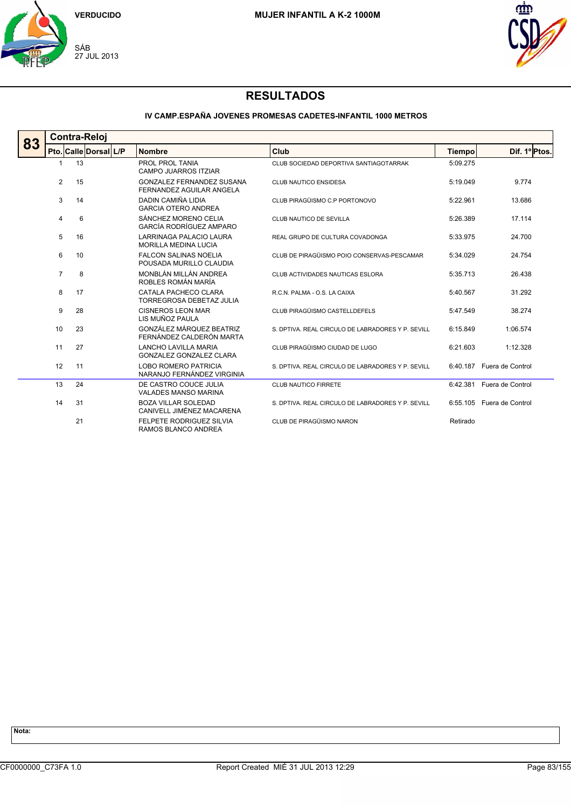



### **IV CAMP.ESPAÑA JOVENES PROMESAS CADETES-INFANTIL 1000 METROS**

|    | Contra-Reloj   |                       |                                                               |                                                   |               |                           |  |  |  |  |
|----|----------------|-----------------------|---------------------------------------------------------------|---------------------------------------------------|---------------|---------------------------|--|--|--|--|
| 83 |                | Pto. Calle Dorsal L/P | <b>Nombre</b>                                                 | Club                                              | <b>Tiempo</b> | Dif. 1º Ptos.             |  |  |  |  |
|    |                | 13                    | PROL PROL TANIA<br><b>CAMPO JUARROS ITZIAR</b>                | CLUB SOCIEDAD DEPORTIVA SANTIAGOTARRAK            | 5:09.275      |                           |  |  |  |  |
|    | $\overline{2}$ | 15                    | GONZALEZ FERNANDEZ SUSANA<br><b>FERNANDEZ AGUILAR ANGELA</b>  | <b>CLUB NAUTICO ENSIDESA</b>                      | 5:19.049      | 9.774                     |  |  |  |  |
|    | 3              | 14                    | DADIN CAMIÑA LIDIA<br><b>GARCIA OTERO ANDREA</b>              | CLUB PIRAGÜISMO C.P PORTONOVO                     | 5:22.961      | 13.686                    |  |  |  |  |
|    | 4              | 6                     | SÁNCHEZ MORENO CELIA<br>GARCÍA RODRÍGUEZ AMPARO               | CLUB NAUTICO DE SEVILLA                           | 5:26.389      | 17.114                    |  |  |  |  |
|    | 5              | 16                    | LARRINAGA PALACIO LAURA<br><b>MORILLA MEDINA LUCIA</b>        | REAL GRUPO DE CULTURA COVADONGA                   | 5:33.975      | 24.700                    |  |  |  |  |
|    | 6              | 10                    | <b>FALCON SALINAS NOELIA</b><br>POUSADA MURILLO CLAUDIA       | CLUB DE PIRAGÜISMO POIO CONSERVAS-PESCAMAR        | 5:34.029      | 24.754                    |  |  |  |  |
|    | $\overline{7}$ | 8                     | MONBLÁN MILLÁN ANDREA<br>ROBLES ROMÁN MARÍA                   | CLUB ACTIVIDADES NAUTICAS ESLORA                  | 5:35.713      | 26.438                    |  |  |  |  |
|    | 8              | 17                    | CATALA PACHECO CLARA<br><b>TORREGROSA DEBETAZ JULIA</b>       | R.C.N. PALMA - O.S. LA CAIXA                      | 5:40.567      | 31.292                    |  |  |  |  |
|    | 9              | 28                    | <b>CISNEROS LEON MAR</b><br>LIS MUÑOZ PAULA                   | CLUB PIRAGÜISMO CASTELLDEFELS                     | 5:47.549      | 38.274                    |  |  |  |  |
|    | 10             | 23                    | GONZÁLEZ MÁROUEZ BEATRIZ<br>FERNÁNDEZ CALDERÓN MARTA          | S. DPTIVA, REAL CIRCULO DE LABRADORES Y P. SEVILL | 6:15.849      | 1:06.574                  |  |  |  |  |
|    | 11             | 27                    | <b>LANCHO LAVILLA MARIA</b><br><b>GONZALEZ GONZALEZ CLARA</b> | CLUB PIRAGÜISMO CIUDAD DE LUGO                    | 6:21.603      | 1:12.328                  |  |  |  |  |
|    | 12             | 11                    | <b>LOBO ROMERO PATRICIA</b><br>NARANJO FERNÁNDEZ VIRGINIA     | S. DPTIVA, REAL CIRCULO DE LABRADORES Y P. SEVILL | 6:40.187      | Fuera de Control          |  |  |  |  |
|    | 13             | 24                    | DE CASTRO COUCE JULIA<br><b>VALADES MANSO MARINA</b>          | CLUB NAUTICO FIRRETE                              | 6:42.381      | Fuera de Control          |  |  |  |  |
|    | 14             | 31                    | <b>BOZA VILLAR SOLEDAD</b><br>CANIVELL JIMÉNEZ MACARENA       | S. DPTIVA. REAL CIRCULO DE LABRADORES Y P. SEVILL |               | 6:55.105 Fuera de Control |  |  |  |  |
|    |                | 21                    | FELPETE RODRIGUEZ SILVIA<br>RAMOS BLANCO ANDREA               | CLUB DE PIRAGÜISMO NARON                          | Retirado      |                           |  |  |  |  |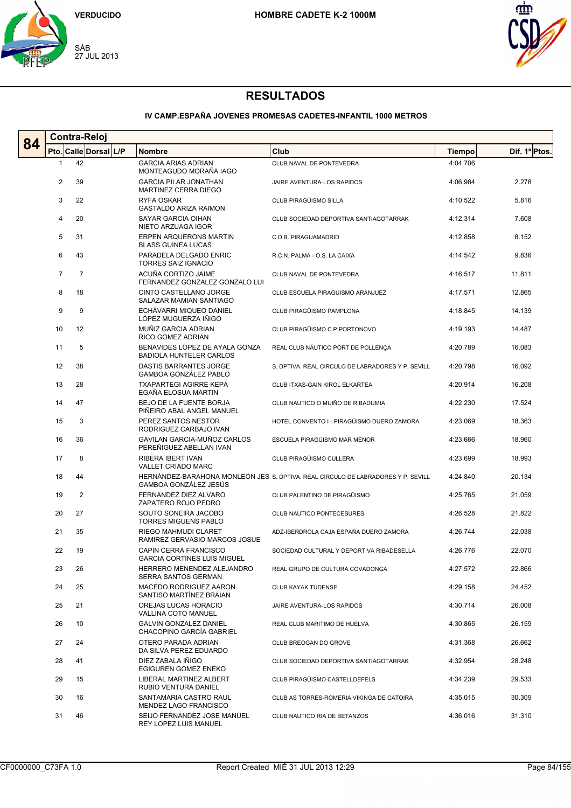



### **IV CAMP.ESPAÑA JOVENES PROMESAS CADETES-INFANTIL 1000 METROS**

| 84 | <b>Contra-Reloj</b>   |                |  |  |                                                                                |                                                                                  |                      |                  |  |  |
|----|-----------------------|----------------|--|--|--------------------------------------------------------------------------------|----------------------------------------------------------------------------------|----------------------|------------------|--|--|
|    | Pto. Calle Dorsal L/P |                |  |  | <b>Nombre</b>                                                                  | Club                                                                             | Tiempo               | Dif. 1º Ptos.    |  |  |
|    | 1                     | 42             |  |  | <b>GARCIA ARIAS ADRIAN</b><br>MONTEAGUDO MORAÑA IAGO                           | CLUB NAVAL DE PONTEVEDRA                                                         | 4:04.706             |                  |  |  |
|    | $\overline{2}$        | 39             |  |  | <b>GARCIA PILAR JONATHAN</b><br>MARTINEZ CERRA DIEGO                           | JAIRE AVENTURA-LOS RAPIDOS                                                       | 4:06.984             | 2.278            |  |  |
|    | 3                     | 22             |  |  | <b>RYFA OSKAR</b><br><b>GASTALDO ARIZA RAIMON</b>                              | CLUB PIRAGÜISMO SILLA                                                            | 4:10.522             | 5.816            |  |  |
|    | 4                     | 20             |  |  | SAYAR GARCIA OIHAN<br>NIETO ARZUAGA IGOR                                       | CLUB SOCIEDAD DEPORTIVA SANTIAGOTARRAK                                           | 4:12.314             | 7.608            |  |  |
|    | 5                     | 31             |  |  | ERPEN ARQUERONS MARTIN<br><b>BLASS GUINEA LUCAS</b>                            | C.D.B. PIRAGUAMADRID                                                             | 4:12.858             | 8.152            |  |  |
|    | 6                     | 43             |  |  | PARADELA DELGADO ENRIC<br><b>TORRES SAIZ IGNACIO</b>                           | R.C.N. PALMA - O.S. LA CAIXA                                                     | 4:14.542             | 9.836            |  |  |
|    | $\overline{7}$        | $\overline{7}$ |  |  | ACUÑA CORTIZO JAIME<br>FERNANDEZ GONZALEZ GONZALO LUI                          | CLUB NAVAL DE PONTEVEDRA                                                         | 4:16.517             | 11.811           |  |  |
|    | 8                     | 18             |  |  | CINTO CASTELLANO JORGE<br>SALAZAR MAMIAN SANTIAGO                              | CLUB ESCUELA PIRAGÜISMO ARANJUEZ                                                 | 4:17.571             | 12.865           |  |  |
|    | 9                     | 9              |  |  | ECHÁVARRI MIQUEO DANIEL<br>LÓPEZ MUGUERZA IÑIGO                                | CLUB PIRAGÜISMO PAMPLONA                                                         | 4:18.845             | 14.139           |  |  |
|    | 10                    | 12             |  |  | MUÑIZ GARCIA ADRIAN<br>RICO GOMEZ ADRIAN                                       | CLUB PIRAGÜISMO C.P PORTONOVO                                                    | 4:19.193             | 14.487           |  |  |
|    | 11                    | 5              |  |  | BENAVIDES LOPEZ DE AYALA GONZA<br><b>BADIOLA HUNTELER CARLOS</b>               | REAL CLUB NÁUTICO PORT DE POLLENÇA                                               | 4:20.789             | 16.083           |  |  |
|    | 12                    | 38             |  |  | DASTIS BARRANTES JORGE<br>GAMBOA GONZÁLEZ PABLO                                | S. DPTIVA. REAL CIRCULO DE LABRADORES Y P. SEVILL                                | 4:20.798             | 16.092           |  |  |
|    | 13                    | 28             |  |  | <b>TXAPARTEGI AGIRRE KEPA</b><br>EGAÑA ELOSUA MARTIN                           | CLUB ITXAS-GAIN KIROL ELKARTEA                                                   | 4:20.914             | 16.208           |  |  |
|    | 14                    | 47             |  |  | <b>BEJO DE LA FUENTE BORJA</b><br>PIÑEIRO ABAL ANGEL MANUEL                    | CLUB NAUTICO O MUIÑO DE RIBADUMIA                                                | 4:22.230             | 17.524           |  |  |
|    | 15                    | 3              |  |  | PEREZ SANTOS NESTOR<br>RODRIGUEZ CARBAJO IVAN                                  | HOTEL CONVENTO I - PIRAGÜISMO DUERO ZAMORA                                       | 4:23.069             | 18.363           |  |  |
|    | 16                    | 36             |  |  | GAVILAN GARCIA-MUÑOZ CARLOS<br>PEREÑIGUEZ ABELLAN IVAN                         | ESCUELA PIRAGÜISMO MAR MENOR                                                     | 4:23.666             | 18.960           |  |  |
|    | 17                    | 8              |  |  | RIBERA IBERT IVAN<br><b>VALLET CRIADO MARC</b>                                 | CLUB PIRAGÜISMO CULLERA                                                          | 4:23.699             | 18.993           |  |  |
|    | 18                    | 44             |  |  | GAMBOA GONZÁLEZ JESÜS                                                          | HERNÁNDEZ-BARAHONA MONLEÓN JES S. DPTIVA. REAL CIRCULO DE LABRADORES Y P. SEVILL | 4:24.840             | 20.134           |  |  |
|    | 19                    | 2              |  |  | FERNANDEZ DIEZ ALVARO<br>ZAPATERO ROJO PEDRO                                   | CLUB PALENTINO DE PIRAGÜISMO                                                     | 4:25.765             | 21.059           |  |  |
|    | 20                    | 27             |  |  | SOUTO SONEIRA JACOBO<br><b>TORRES MIGUENS PABLO</b>                            | CLUB NAUTICO PONTECESURES                                                        | 4:26.528             | 21.822           |  |  |
|    | 21<br>22              | 35<br>19       |  |  | RIEGO MAHMUDI CLARET<br>RAMIREZ GERVASIO MARCOS JOSUE<br>CAPIN CERRA FRANCISCO | ADZ-IBERDROLA CAJA ESPAÑA DUERO ZAMORA                                           | 4:26.744             | 22.038<br>22.070 |  |  |
|    |                       |                |  |  | <b>GARCIA CORTINES LUIS MIGUEL</b><br>HERRERO MENENDEZ ALEJANDRO               | SOCIEDAD CULTURAL Y DEPORTIVA RIBADESELLA                                        | 4:26.776             |                  |  |  |
|    | 23                    | 26             |  |  | SERRA SANTOS GERMAN                                                            | REAL GRUPO DE CULTURA COVADONGA                                                  | 4:27.572<br>4:29.158 | 22.866           |  |  |
|    | 24                    | 25             |  |  | MACEDO RODRIGUEZ AARON<br>SANTISO MARTINEZ BRAIAN                              | <b>CLUB KAYAK TUDENSE</b>                                                        |                      | 24.452           |  |  |
|    | 25                    | 21             |  |  | OREJAS LUCAS HORACIO<br>VALLINA COTO MANUEL                                    | JAIRE AVENTURA-LOS RAPIDOS                                                       | 4:30.714<br>4:30.865 | 26.008           |  |  |
|    | 26                    | 10             |  |  | <b>GALVIN GONZALEZ DANIEL</b><br>CHACOPINO GARCÍA GABRIEL                      | REAL CLUB MARITIMO DE HUELVA                                                     |                      | 26.159           |  |  |
|    | 27                    | 24             |  |  | OTERO PARADA ADRIAN<br>DA SILVA PEREZ EDUARDO                                  | CLUB BREOGAN DO GROVE                                                            | 4:31.368             | 26.662           |  |  |
|    | 28                    | 41             |  |  | DIEZ ZABALA IÑIGO<br>EGIGUREN GOMEZ ENEKO                                      | CLUB SOCIEDAD DEPORTIVA SANTIAGOTARRAK                                           | 4:32.954             | 28.248           |  |  |
|    | 29                    | 15             |  |  | LIBERAL MARTINEZ ALBERT<br>RUBIO VENTURA DANIEL                                | CLUB PIRAGÜISMO CASTELLDEFELS                                                    | 4:34.239             | 29.533           |  |  |
|    | 30                    | 16             |  |  | SANTAMARIA CASTRO RAUL<br>MENDEZ LAGO FRANCISCO                                | CLUB AS TORRES-ROMERIA VIKINGA DE CATOIRA                                        | 4:35.015             | 30.309           |  |  |
|    | 31                    | 46             |  |  | SEIJO FERNANDEZ JOSE MANUEL<br>REY LOPEZ LUIS MANUEL                           | CLUB NAUTICO RIA DE BETANZOS                                                     | 4:36.016             | 31.310           |  |  |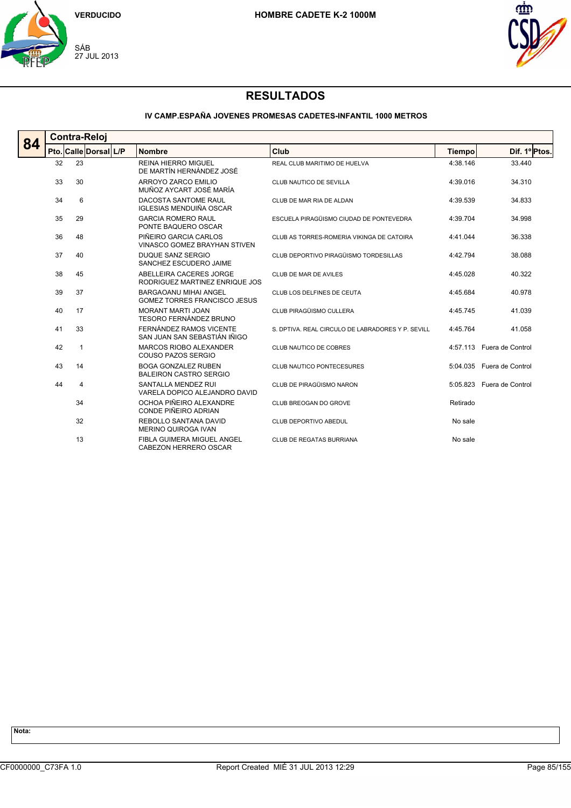



### **IV CAMP.ESPAÑA JOVENES PROMESAS CADETES-INFANTIL 1000 METROS**

| 84 | <b>Contra-Reloj</b> |                       |                                                                     |                                                   |               |                           |  |  |  |  |
|----|---------------------|-----------------------|---------------------------------------------------------------------|---------------------------------------------------|---------------|---------------------------|--|--|--|--|
|    |                     | Pto. Calle Dorsal L/P | <b>Nombre</b>                                                       | Club                                              | <b>Tiempo</b> | Dif. 1º Ptos.             |  |  |  |  |
|    | 23<br>32            |                       | <b>REINA HIERRO MIGUEL</b><br>DE MARTÍN HERNÁNDEZ JOSÉ              | REAL CLUB MARITIMO DE HUELVA                      | 4:38.146      | 33.440                    |  |  |  |  |
|    | 33                  | 30                    | ARROYO ZARCO EMILIO<br>MUÑOZ AYCART JOSÉ MARÍA                      | CLUB NAUTICO DE SEVILLA                           | 4:39.016      | 34.310                    |  |  |  |  |
|    | 34                  | 6                     | DACOSTA SANTOME RAUL<br><b>IGLESIAS MENDUIÑA OSCAR</b>              | CLUB DE MAR RIA DE ALDAN                          | 4:39.539      | 34.833                    |  |  |  |  |
|    | 35                  | 29                    | <b>GARCIA ROMERO RAUL</b><br>PONTE BAQUERO OSCAR                    | ESCUELA PIRAGÜISMO CIUDAD DE PONTEVEDRA           | 4:39.704      | 34.998                    |  |  |  |  |
|    | 36                  | 48                    | PIÑEIRO GARCIA CARLOS<br>VINASCO GOMEZ BRAYHAN STIVEN               | CLUB AS TORRES-ROMERIA VIKINGA DE CATOIRA         | 4:41.044      | 36.338                    |  |  |  |  |
|    | 37                  | 40                    | DUQUE SANZ SERGIO<br>SANCHEZ ESCUDERO JAIME                         | CLUB DEPORTIVO PIRAGÜISMO TORDESILLAS             | 4:42.794      | 38.088                    |  |  |  |  |
|    | 38                  | 45                    | ABELLEIRA CACERES JORGE<br>RODRIGUEZ MARTINEZ ENRIQUE JOS           | CLUB DE MAR DE AVILES                             | 4:45.028      | 40.322                    |  |  |  |  |
|    | 39                  | 37                    | <b>BARGAOANU MIHAI ANGEL</b><br><b>GOMEZ TORRES FRANCISCO JESUS</b> | CLUB LOS DELFINES DE CEUTA                        | 4:45.684      | 40.978                    |  |  |  |  |
|    | 40                  | 17                    | MORANT MARTI JOAN<br>TESORO FERNÁNDEZ BRUNO                         | CLUB PIRAGÜISMO CULLERA                           | 4:45.745      | 41.039                    |  |  |  |  |
|    | 41                  | 33                    | FERNÁNDEZ RAMOS VICENTE<br>SAN JUAN SAN SEBASTIÁN IÑIGO             | S. DPTIVA, REAL CIRCULO DE LABRADORES Y P. SEVILL | 4:45.764      | 41.058                    |  |  |  |  |
|    | 42                  | $\mathbf{1}$          | MARCOS RIOBO ALEXANDER<br>COUSO PAZOS SERGIO                        | CLUB NAUTICO DE COBRES                            |               | 4:57.113 Fuera de Control |  |  |  |  |
|    | 43                  | 14                    | <b>BOGA GONZALEZ RUBEN</b><br><b>BALEIRON CASTRO SERGIO</b>         | CLUB NAUTICO PONTECESURES                         |               | 5:04.035 Fuera de Control |  |  |  |  |
|    | 44                  | 4                     | SANTALLA MENDEZ RUI<br>VARELA DOPICO ALEJANDRO DAVID                | CLUB DE PIRAGÜISMO NARON                          |               | 5:05.823 Fuera de Control |  |  |  |  |
|    |                     | 34                    | OCHOA PIÑEIRO ALEXANDRE<br>CONDE PIÑEIRO ADRIAN                     | CLUB BREOGAN DO GROVE                             | Retirado      |                           |  |  |  |  |
|    |                     | 32                    | REBOLLO SANTANA DAVID<br>MERINO QUIROGA IVAN                        | CLUB DEPORTIVO ABEDUL                             | No sale       |                           |  |  |  |  |
|    |                     | 13                    | FIBLA GUIMERA MIGUEL ANGEL<br>CABEZON HERRERO OSCAR                 | CLUB DE REGATAS BURRIANA                          | No sale       |                           |  |  |  |  |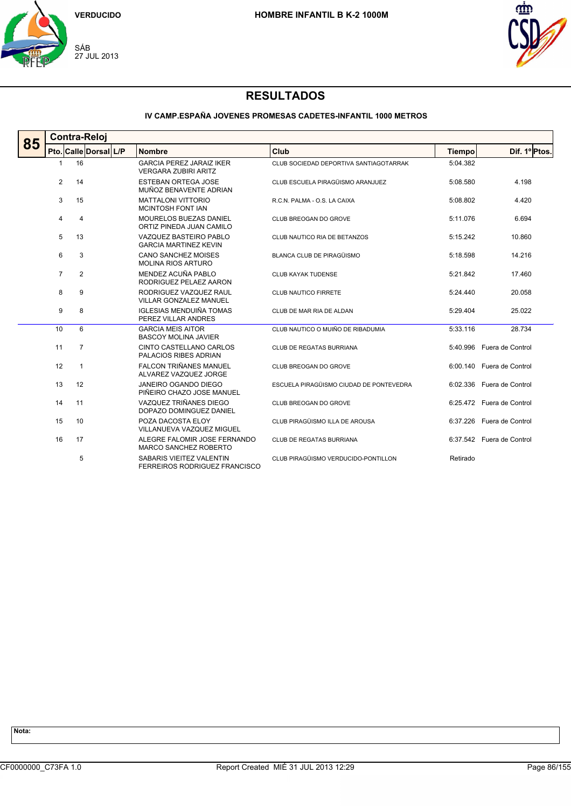



### **IV CAMP.ESPAÑA JOVENES PROMESAS CADETES-INFANTIL 1000 METROS**

| 85 |                | <b>Contra-Reloj</b>   |  |                                                                |                                         |               |                           |  |  |  |
|----|----------------|-----------------------|--|----------------------------------------------------------------|-----------------------------------------|---------------|---------------------------|--|--|--|
|    |                | Pto. Calle Dorsal L/P |  | <b>Nombre</b>                                                  | Club                                    | <b>Tiempo</b> | Dif. 1º Ptos.             |  |  |  |
|    | -1             | 16                    |  | <b>GARCIA PEREZ JARAIZ IKER</b><br><b>VERGARA ZUBIRI ARITZ</b> | CLUB SOCIEDAD DEPORTIVA SANTIAGOTARRAK  | 5:04.382      |                           |  |  |  |
|    | $\overline{2}$ | 14                    |  | <b>ESTEBAN ORTEGA JOSE</b><br>MUÑOZ BENAVENTE ADRIAN           | CLUB ESCUELA PIRAGÜISMO ARANJUEZ        | 5:08.580      | 4.198                     |  |  |  |
|    | 3              | 15                    |  | <b>MATTALONI VITTORIO</b><br><b>MCINTOSH FONT IAN</b>          | R.C.N. PALMA - O.S. LA CAIXA            | 5:08.802      | 4.420                     |  |  |  |
|    | 4              | $\overline{4}$        |  | MOURELOS BUEZAS DANIEL<br>ORTIZ PINEDA JUAN CAMILO             | CLUB BREOGAN DO GROVE                   | 5:11.076      | 6.694                     |  |  |  |
|    | 5              | 13                    |  | VAZQUEZ BASTEIRO PABLO<br><b>GARCIA MARTINEZ KEVIN</b>         | CLUB NAUTICO RIA DE BETANZOS            | 5:15.242      | 10.860                    |  |  |  |
|    | 6              | 3                     |  | <b>CANO SANCHEZ MOISES</b><br><b>MOLINA RIOS ARTURO</b>        | BLANCA CLUB DE PIRAGÜISMO               | 5:18.598      | 14.216                    |  |  |  |
|    | $\overline{7}$ | 2                     |  | MENDEZ ACUÑA PABLO<br>RODRIGUEZ PELAEZ AARON                   | <b>CLUB KAYAK TUDENSE</b>               | 5:21.842      | 17.460                    |  |  |  |
|    | 8              | 9                     |  | RODRIGUEZ VAZQUEZ RAUL<br><b>VILLAR GONZALEZ MANUEL</b>        | <b>CLUB NAUTICO FIRRETE</b>             | 5:24.440      | 20.058                    |  |  |  |
|    | 9              | 8                     |  | <b>IGLESIAS MENDUIÑA TOMAS</b><br>PEREZ VILLAR ANDRES          | CLUB DE MAR RIA DE ALDAN                | 5:29.404      | 25.022                    |  |  |  |
|    | 10             | 6                     |  | <b>GARCIA MEIS AITOR</b><br><b>BASCOY MOLINA JAVIER</b>        | CLUB NAUTICO O MUIÑO DE RIBADUMIA       | 5:33.116      | 28.734                    |  |  |  |
|    | 11             | $\overline{7}$        |  | CINTO CASTELLANO CARLOS<br>PALACIOS RIBES ADRIAN               | CLUB DE REGATAS BURRIANA                |               | 5:40.996 Fuera de Control |  |  |  |
|    | 12             | 1                     |  | <b>FALCON TRIÑANES MANUEL</b><br>ALVAREZ VAZQUEZ JORGE         | CLUB BREOGAN DO GROVE                   |               | 6:00.140 Fuera de Control |  |  |  |
|    | 13             | 12                    |  | JANEIRO OGANDO DIEGO<br>PIÑEIRO CHAZO JOSE MANUEL              | ESCUELA PIRAGÜISMO CIUDAD DE PONTEVEDRA |               | 6:02.336 Fuera de Control |  |  |  |
|    | 14             | 11                    |  | VAZQUEZ TRIÑANES DIEGO<br>DOPAZO DOMINGUEZ DANIEL              | CLUB BREOGAN DO GROVE                   |               | 6:25.472 Fuera de Control |  |  |  |
|    | 15             | 10                    |  | POZA DACOSTA ELOY<br>VILLANUEVA VAZQUEZ MIGUEL                 | CLUB PIRAGÜISMO ILLA DE AROUSA          | 6:37.226      | Fuera de Control          |  |  |  |
|    | 16             | 17                    |  | ALEGRE FALOMIR JOSE FERNANDO<br><b>MARCO SANCHEZ ROBERTO</b>   | CLUB DE REGATAS BURRIANA                |               | 6:37.542 Fuera de Control |  |  |  |
|    |                | 5                     |  | SABARIS VIEITEZ VALENTIN<br>FERREIROS RODRIGUEZ FRANCISCO      | CLUB PIRAGÜISMO VERDUCIDO-PONTILLON     | Retirado      |                           |  |  |  |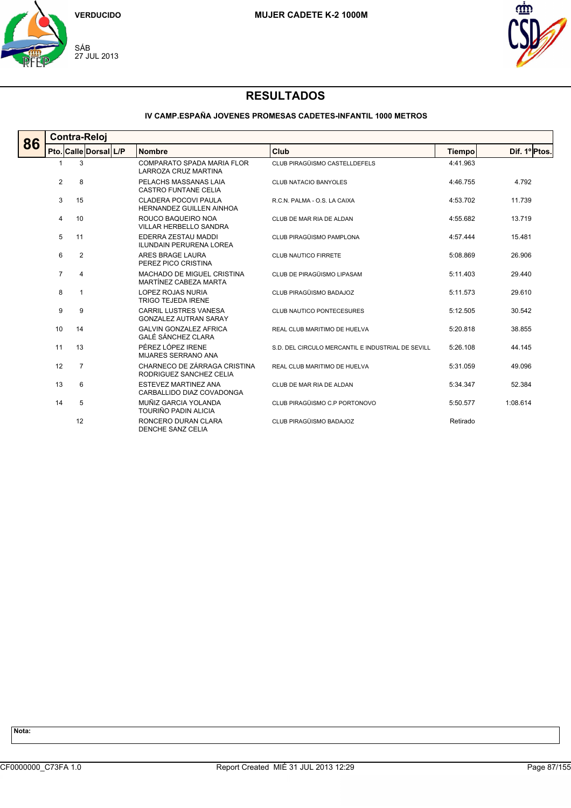



### **IV CAMP.ESPAÑA JOVENES PROMESAS CADETES-INFANTIL 1000 METROS**

| 86 | <b>Contra-Reloj</b> |                       |  |                                                              |                                                   |               |               |  |  |  |
|----|---------------------|-----------------------|--|--------------------------------------------------------------|---------------------------------------------------|---------------|---------------|--|--|--|
|    |                     | Pto. Calle Dorsal L/P |  | <b>Nombre</b>                                                | Club                                              | <b>Tiempo</b> | Dif. 1º Ptos. |  |  |  |
|    |                     | 3                     |  | COMPARATO SPADA MARIA FLOR<br>LARROZA CRUZ MARTINA           | CLUB PIRAGÜISMO CASTELLDEFELS                     | 4:41.963      |               |  |  |  |
|    | $\overline{2}$      | 8                     |  | PELACHS MASSANAS LAIA<br><b>CASTRO FUNTANE CELIA</b>         | <b>CLUB NATACIO BANYOLES</b>                      | 4:46.755      | 4.792         |  |  |  |
|    | 3                   | 15                    |  | <b>CLADERA POCOVI PAULA</b><br>HERNANDEZ GUILLEN AINHOA      | R.C.N. PALMA - O.S. LA CAIXA                      | 4:53.702      | 11.739        |  |  |  |
|    | 4                   | 10                    |  | ROUCO BAQUEIRO NOA<br>VILLAR HERBELLO SANDRA                 | CLUB DE MAR RIA DE ALDAN                          | 4:55.682      | 13.719        |  |  |  |
|    | 5                   | 11                    |  | EDERRA ZESTAU MADDI<br><b>ILUNDAIN PERURENA LOREA</b>        | CLUB PIRAGÜISMO PAMPLONA                          | 4:57.444      | 15.481        |  |  |  |
|    | 6                   | $\overline{2}$        |  | ARES BRAGE LAURA<br>PEREZ PICO CRISTINA                      | CLUB NAUTICO FIRRETE                              | 5:08.869      | 26.906        |  |  |  |
|    | $\overline{7}$      | 4                     |  | MACHADO DE MIGUEL CRISTINA<br>MARTÍNEZ CABEZA MARTA          | CLUB DE PIRAGÜISMO LIPASAM                        | 5:11.403      | 29.440        |  |  |  |
|    | 8                   | $\mathbf{1}$          |  | <b>LOPEZ ROJAS NURIA</b><br><b>TRIGO TEJEDA IRENE</b>        | CLUB PIRAGÜISMO BADAJOZ                           | 5:11.573      | 29.610        |  |  |  |
|    | 9                   | 9                     |  | <b>CARRIL LUSTRES VANESA</b><br><b>GONZALEZ AUTRAN SARAY</b> | <b>CLUB NAUTICO PONTECESURES</b>                  | 5:12.505      | 30.542        |  |  |  |
|    | 10                  | 14                    |  | <b>GALVIN GONZALEZ AFRICA</b><br><b>GALÉ SÁNCHEZ CLARA</b>   | REAL CLUB MARITIMO DE HUELVA                      | 5:20.818      | 38.855        |  |  |  |
|    | 11                  | 13                    |  | PÉREZ LÓPEZ IRENE<br>MIJARES SERRANO ANA                     | S.D. DEL CIRCULO MERCANTIL E INDUSTRIAL DE SEVILL | 5:26.108      | 44.145        |  |  |  |
|    | 12                  | $\overline{7}$        |  | CHARNECO DE ZÁRRAGA CRISTINA<br>RODRIGUEZ SANCHEZ CELIA      | REAL CLUB MARITIMO DE HUELVA                      | 5:31.059      | 49.096        |  |  |  |
|    | 13                  | 6                     |  | ESTEVEZ MARTINEZ ANA<br>CARBALLIDO DIAZ COVADONGA            | CLUB DE MAR RIA DE ALDAN                          | 5:34.347      | 52.384        |  |  |  |
|    | 14                  | 5                     |  | MUÑIZ GARCIA YOLANDA<br>TOURIÑO PADIN ALICIA                 | CLUB PIRAGÜISMO C.P PORTONOVO                     | 5:50.577      | 1:08.614      |  |  |  |
|    |                     | 12                    |  | RONCERO DURAN CLARA<br>DENCHE SANZ CELIA                     | CLUB PIRAGÜISMO BADAJOZ                           | Retirado      |               |  |  |  |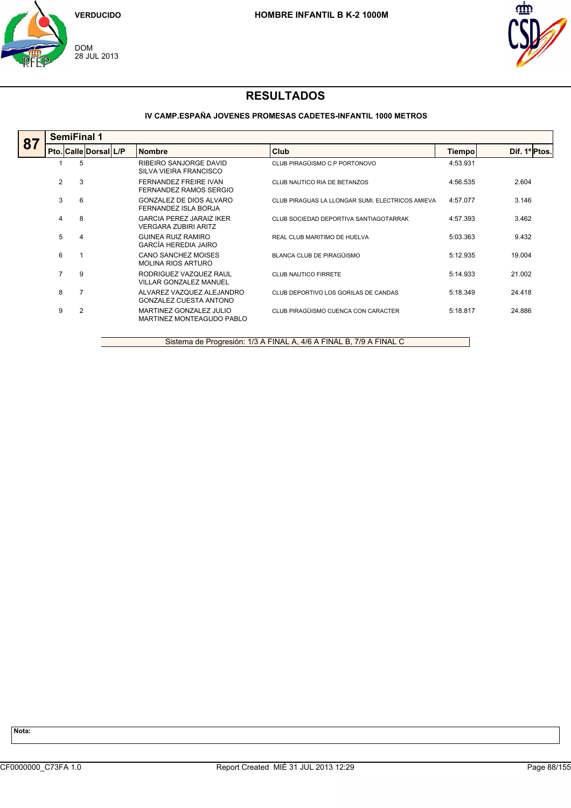



### **IV CAMP.ESPAÑA JOVENES PROMESAS CADETES-INFANTIL 1000 METROS**

|    | <b>SemiFinal 1</b> |                       |                                                                |                                                  |          |               |  |  |  |  |
|----|--------------------|-----------------------|----------------------------------------------------------------|--------------------------------------------------|----------|---------------|--|--|--|--|
| 87 |                    | Pto. Calle Dorsal L/P | <b>Nombre</b>                                                  | Club                                             | Tiempo   | Dif. 1º Ptos. |  |  |  |  |
|    |                    | 5                     | RIBEIRO SANJORGE DAVID<br>SILVA VIEIRA FRANCISCO               | CLUB PIRAGÜISMO C.P PORTONOVO                    | 4:53.931 |               |  |  |  |  |
|    | 2                  | 3                     | FERNANDEZ FREIRE IVAN<br>FERNANDEZ RAMOS SERGIO                | CLUB NAUTICO RIA DE BETANZOS                     | 4:56.535 | 2.604         |  |  |  |  |
|    | 3                  | 6                     | GONZALEZ DE DIOS ALVARO<br>FERNANDEZ ISLA BORJA                | CLUB PIRAGUAS LA LLONGAR SUMI. ELECTRICOS AMIEVA | 4:57.077 | 3.146         |  |  |  |  |
|    | 4                  | 8                     | <b>GARCIA PEREZ JARAIZ IKER</b><br><b>VERGARA ZUBIRI ARITZ</b> | CLUB SOCIEDAD DEPORTIVA SANTIAGOTARRAK           | 4:57.393 | 3.462         |  |  |  |  |
|    | 5                  | $\overline{4}$        | <b>GUINEA RUIZ RAMIRO</b><br>GARCÍA HEREDIA JAIRO              | REAL CLUB MARITIMO DE HUELVA                     | 5:03.363 | 9.432         |  |  |  |  |
|    | 6                  |                       | CANO SANCHEZ MOISES<br><b>MOLINA RIOS ARTURO</b>               | BLANCA CLUB DE PIRAGÜISMO                        | 5:12.935 | 19.004        |  |  |  |  |
|    |                    | 9                     | RODRIGUEZ VAZQUEZ RAUL<br>VILLAR GONZALEZ MANUEL               | <b>CLUB NAUTICO FIRRETE</b>                      | 5:14.933 | 21.002        |  |  |  |  |
|    | 8                  |                       | ALVAREZ VAZQUEZ ALEJANDRO<br><b>GONZALEZ CUESTA ANTONO</b>     | CLUB DEPORTIVO LOS GORILAS DE CANDAS             | 5:18.349 | 24.418        |  |  |  |  |
|    | 9                  | $\overline{2}$        | MARTINEZ GONZALEZ JULIO<br>MARTINEZ MONTEAGUDO PABLO           | CLUB PIRAGÜISMO CUENCA CON CARACTER              | 5:18.817 | 24.886        |  |  |  |  |
|    |                    |                       |                                                                |                                                  |          |               |  |  |  |  |

Sistema de Progresión: 1/3 A FINAL A, 4/6 A FINAL B, 7/9 A FINAL C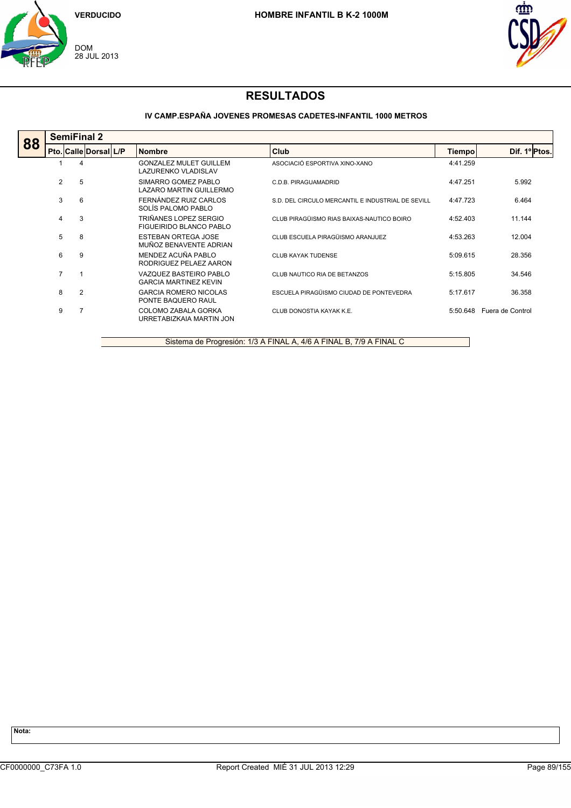



### **IV CAMP.ESPAÑA JOVENES PROMESAS CADETES-INFANTIL 1000 METROS**

|    | <b>SemiFinal 2</b> |                       |  |                                                        |                                                   |          |                  |  |  |  |
|----|--------------------|-----------------------|--|--------------------------------------------------------|---------------------------------------------------|----------|------------------|--|--|--|
| 88 |                    | Pto. Calle Dorsal L/P |  | <b>Nombre</b>                                          | Club                                              | Tiempo   | Dif. 1º Ptos.    |  |  |  |
|    |                    | 4                     |  | <b>GONZALEZ MULET GUILLEM</b><br>LAZURENKO VLADISLAV   | ASOCIACIÓ ESPORTIVA XINO-XANO                     | 4:41.259 |                  |  |  |  |
|    | $\overline{2}$     | 5                     |  | SIMARRO GOMEZ PABLO<br>LAZARO MARTIN GUILLERMO         | C.D.B. PIRAGUAMADRID                              | 4:47.251 | 5.992            |  |  |  |
|    | 3                  | 6                     |  | FERNÁNDEZ RUIZ CARLOS<br>SOLÍS PALOMO PABLO            | S.D. DEL CIRCULO MERCANTIL E INDUSTRIAL DE SEVILL | 4:47.723 | 6.464            |  |  |  |
|    | 4                  | 3                     |  | TRIÑANES LOPEZ SERGIO<br>FIGUEIRIDO BLANCO PABLO       | CLUB PIRAGÜISMO RIAS BAIXAS-NAUTICO BOIRO         | 4:52.403 | 11.144           |  |  |  |
|    | 5                  | 8                     |  | <b>ESTEBAN ORTEGA JOSE</b><br>MUÑOZ BENAVENTE ADRIAN   | CLUB ESCUELA PIRAGÜISMO ARANJUEZ                  | 4:53.263 | 12.004           |  |  |  |
|    | 6                  | 9                     |  | MENDEZ ACUÑA PABLO<br>RODRIGUEZ PELAEZ AARON           | <b>CLUB KAYAK TUDENSE</b>                         | 5:09.615 | 28.356           |  |  |  |
|    | 7                  |                       |  | VAZQUEZ BASTEIRO PABLO<br><b>GARCIA MARTINEZ KEVIN</b> | CLUB NAUTICO RIA DE BETANZOS                      | 5:15.805 | 34.546           |  |  |  |
|    | 8                  | $\overline{2}$        |  | <b>GARCIA ROMERO NICOLAS</b><br>PONTE BAQUERO RAUL     | ESCUELA PIRAGÜISMO CIUDAD DE PONTEVEDRA           | 5:17.617 | 36.358           |  |  |  |
|    | 9                  |                       |  | COLOMO ZABALA GORKA<br>URRETABIZKAIA MARTIN JON        | CLUB DONOSTIA KAYAK K.E.                          | 5:50.648 | Fuera de Control |  |  |  |
|    |                    |                       |  |                                                        |                                                   |          |                  |  |  |  |

Sistema de Progresión: 1/3 A FINAL A, 4/6 A FINAL B, 7/9 A FINAL C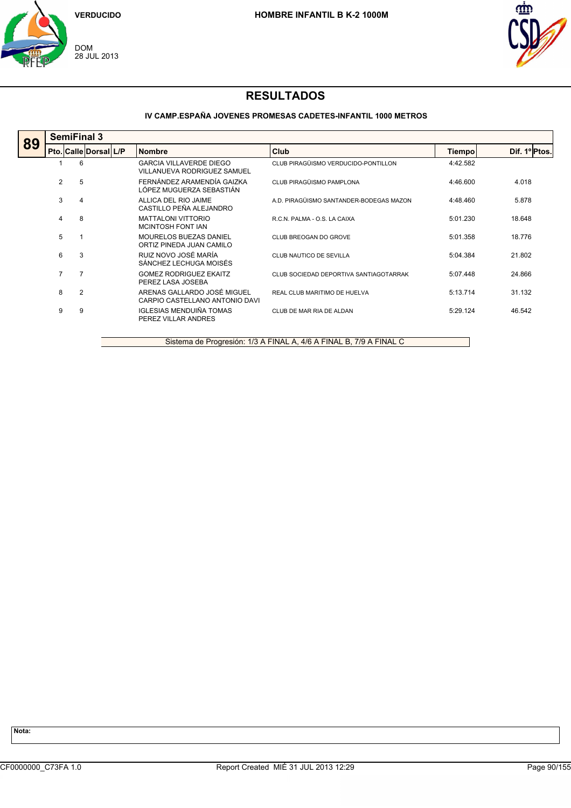



### **IV CAMP.ESPAÑA JOVENES PROMESAS CADETES-INFANTIL 1000 METROS**

|    | <b>SemiFinal 3</b> |                       |  |                                                               |                                         |          |               |  |  |  |
|----|--------------------|-----------------------|--|---------------------------------------------------------------|-----------------------------------------|----------|---------------|--|--|--|
| 89 |                    | Pto. Calle Dorsal L/P |  | <b>Nombre</b>                                                 | Club                                    | Tiempo   | Dif. 1º Ptos. |  |  |  |
|    |                    | 6                     |  | <b>GARCIA VILLAVERDE DIEGO</b><br>VILLANUEVA RODRIGUEZ SAMUEL | CLUB PIRAGÜISMO VERDUCIDO-PONTILLON     | 4:42.582 |               |  |  |  |
|    | $\overline{2}$     | 5                     |  | FERNÁNDEZ ARAMENDÍA GAIZKA<br>LÓPEZ MUGUERZA SEBASTIÁN        | CLUB PIRAGÜISMO PAMPLONA                | 4:46.600 | 4.018         |  |  |  |
|    | 3                  | 4                     |  | ALLICA DEL RIO JAIME<br>CASTILLO PEÑA ALEJANDRO               | A.D. PIRAGÜISMO SANTANDER-BODEGAS MAZON | 4:48.460 | 5.878         |  |  |  |
|    | 4                  | 8                     |  | <b>MATTALONI VITTORIO</b><br>MCINTOSH FONT IAN                | R.C.N. PALMA - O.S. LA CAIXA            | 5:01.230 | 18.648        |  |  |  |
|    | 5                  |                       |  | MOURELOS BUEZAS DANIEL<br>ORTIZ PINEDA JUAN CAMILO            | CLUB BREOGAN DO GROVE                   | 5:01.358 | 18.776        |  |  |  |
|    | 6                  | 3                     |  | RUIZ NOVO JOSÉ MARÍA<br>SÁNCHEZ LECHUGA MOISÉS                | CLUB NAUTICO DE SEVILLA                 | 5:04.384 | 21.802        |  |  |  |
|    | $\overline{7}$     | 7                     |  | <b>GOMEZ RODRIGUEZ EKAITZ</b><br>PEREZ LASA JOSEBA            | CLUB SOCIEDAD DEPORTIVA SANTIAGOTARRAK  | 5:07.448 | 24.866        |  |  |  |
|    | 8                  | $\overline{2}$        |  | ARENAS GALLARDO JOSÉ MIGUEL<br>CARPIO CASTELLANO ANTONIO DAVI | REAL CLUB MARITIMO DE HUELVA            | 5:13.714 | 31.132        |  |  |  |
|    | 9                  | 9                     |  | IGLESIAS MENDUIÑA TOMAS<br>PEREZ VILLAR ANDRES                | CLUB DE MAR RIA DE ALDAN                | 5:29.124 | 46.542        |  |  |  |
|    |                    |                       |  |                                                               |                                         |          |               |  |  |  |

Sistema de Progresión: 1/3 A FINAL A, 4/6 A FINAL B, 7/9 A FINAL C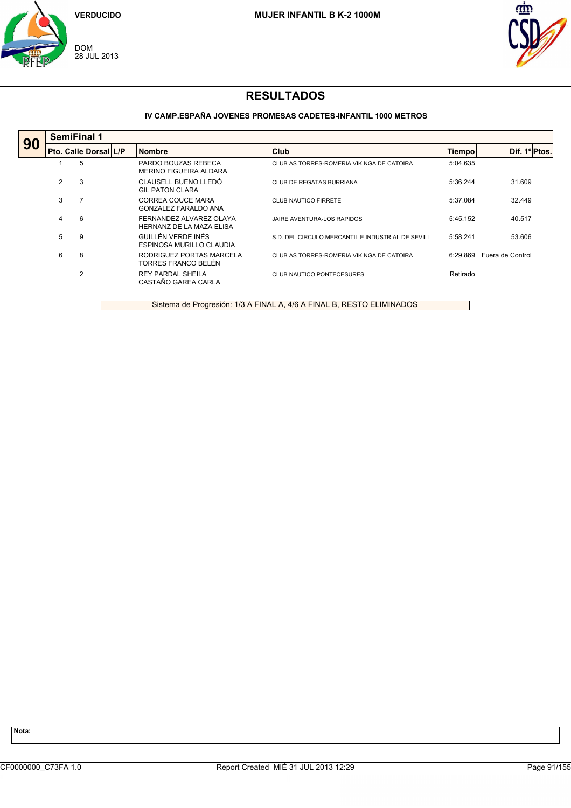



### **IV CAMP.ESPAÑA JOVENES PROMESAS CADETES-INFANTIL 1000 METROS**

| 90 |   | <b>SemiFinal 1</b>    |  |                                                     |                                                   |          |                  |  |  |  |  |
|----|---|-----------------------|--|-----------------------------------------------------|---------------------------------------------------|----------|------------------|--|--|--|--|
|    |   | Pto. Calle Dorsal L/P |  | <b>Nombre</b>                                       | Club                                              | Tiempo   | Dif. 1º Ptos.    |  |  |  |  |
|    |   | 5                     |  | PARDO BOUZAS REBECA<br>MERINO FIGUEIRA ALDARA       | CLUB AS TORRES-ROMERIA VIKINGA DE CATOIRA         | 5:04.635 |                  |  |  |  |  |
|    | 2 | 3                     |  | CLAUSELL BUENO LLEDÓ<br><b>GIL PATON CLARA</b>      | CLUB DE REGATAS BURRIANA                          | 5:36.244 | 31.609           |  |  |  |  |
|    | 3 | 7                     |  | CORREA COUCE MARA<br><b>GONZALEZ FARALDO ANA</b>    | <b>CLUB NAUTICO FIRRETE</b>                       | 5:37.084 | 32.449           |  |  |  |  |
|    | 4 | 6                     |  | FERNANDEZ ALVAREZ OLAYA<br>HERNANZ DE LA MAZA ELISA | JAIRE AVENTURA-LOS RAPIDOS                        | 5:45.152 | 40.517           |  |  |  |  |
|    | 5 | 9                     |  | GUILLÉN VERDE INÉS<br>ESPINOSA MURILLO CLAUDIA      | S.D. DEL CIRCULO MERCANTIL E INDUSTRIAL DE SEVILL | 5:58.241 | 53.606           |  |  |  |  |
|    | 6 | 8                     |  | RODRIGUEZ PORTAS MARCELA<br>TORRES FRANCO BELÉN     | CLUB AS TORRES-ROMERIA VIKINGA DE CATOIRA         | 6:29.869 | Fuera de Control |  |  |  |  |
|    |   | 2                     |  | <b>REY PARDAL SHEILA</b><br>CASTAÑO GAREA CARLA     | <b>CLUB NAUTICO PONTECESURES</b>                  | Retirado |                  |  |  |  |  |
|    |   |                       |  |                                                     |                                                   |          |                  |  |  |  |  |

Sistema de Progresión: 1/3 A FINAL A, 4/6 A FINAL B, RESTO ELIMINADOS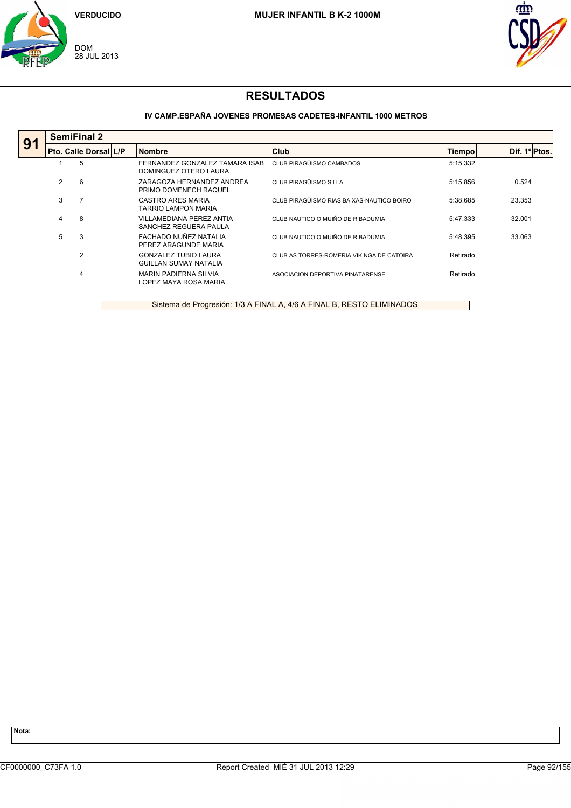



### **IV CAMP.ESPAÑA JOVENES PROMESAS CADETES-INFANTIL 1000 METROS**

|    |   | <b>SemiFinal 2</b>                                                    |  |                                                             |                                           |               |               |  |  |  |  |
|----|---|-----------------------------------------------------------------------|--|-------------------------------------------------------------|-------------------------------------------|---------------|---------------|--|--|--|--|
| 91 |   | Pto. Calle Dorsal L/P                                                 |  | <b>Nombre</b>                                               | Club                                      | <b>Tiempo</b> | Dif. 1º Ptos. |  |  |  |  |
|    |   | 5                                                                     |  | FERNANDEZ GONZALEZ TAMARA ISAB<br>DOMINGUEZ OTERO LAURA     | CLUB PIRAGÜISMO CAMBADOS                  | 5:15.332      |               |  |  |  |  |
|    | 2 | 6                                                                     |  | ZARAGOZA HERNANDEZ ANDREA<br>PRIMO DOMENECH RAQUEL          | CLUB PIRAGÜISMO SILLA                     | 5:15.856      | 0.524         |  |  |  |  |
|    | 3 |                                                                       |  | CASTRO ARES MARIA<br><b>TARRIO LAMPON MARIA</b>             | CLUB PIRAGÜISMO RIAS BAIXAS-NAUTICO BOIRO | 5:38.685      | 23.353        |  |  |  |  |
|    | 4 | 8                                                                     |  | VILLAMEDIANA PEREZ ANTIA<br>SANCHEZ REGUERA PAULA           | CLUB NAUTICO O MUIÑO DE RIBADUMIA         | 5:47.333      | 32.001        |  |  |  |  |
|    | 5 | 3                                                                     |  | FACHADO NUÑEZ NATALIA<br>PEREZ ARAGUNDE MARIA               | CLUB NAUTICO O MUIÑO DE RIBADUMIA         | 5:48.395      | 33.063        |  |  |  |  |
|    |   | $\overline{2}$                                                        |  | <b>GONZALEZ TUBIO LAURA</b><br><b>GUILLAN SUMAY NATALIA</b> | CLUB AS TORRES-ROMERIA VIKINGA DE CATOIRA | Retirado      |               |  |  |  |  |
|    |   | 4                                                                     |  | <b>MARIN PADIERNA SILVIA</b><br>LOPEZ MAYA ROSA MARIA       | ASOCIACION DEPORTIVA PINATARENSE          | Retirado      |               |  |  |  |  |
|    |   | Sistema de Progresión: 1/3 A FINAL A, 4/6 A FINAL B, RESTO ELIMINADOS |  |                                                             |                                           |               |               |  |  |  |  |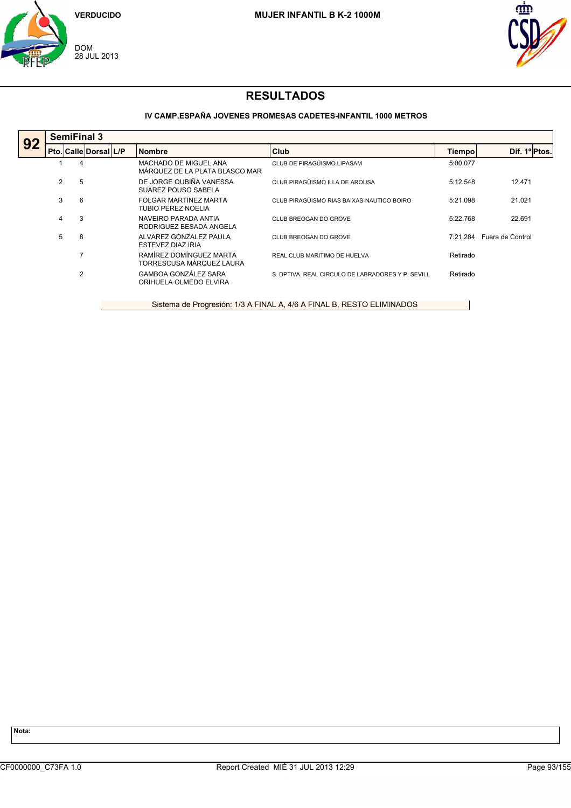



### **IV CAMP.ESPAÑA JOVENES PROMESAS CADETES-INFANTIL 1000 METROS**

|                                                                       |   | <b>SemiFinal 3</b>    |  |  |                                                         |                                                   |          |                  |  |  |  |  |
|-----------------------------------------------------------------------|---|-----------------------|--|--|---------------------------------------------------------|---------------------------------------------------|----------|------------------|--|--|--|--|
| 92                                                                    |   | Pto. Calle Dorsal L/P |  |  | <b>Nombre</b>                                           | <b>Club</b>                                       | Tiempo   | Dif. 1º Ptos.    |  |  |  |  |
|                                                                       |   | 4                     |  |  | MACHADO DE MIGUEL ANA<br>MÁRQUEZ DE LA PLATA BLASCO MAR | CLUB DE PIRAGÜISMO LIPASAM                        | 5:00.077 |                  |  |  |  |  |
|                                                                       | 2 | 5                     |  |  | DE JORGE OUBIÑA VANESSA<br>SUAREZ POUSO SABELA          | CLUB PIRAGÜISMO ILLA DE AROUSA                    | 5:12.548 | 12.471           |  |  |  |  |
|                                                                       | 3 | 6                     |  |  | FOLGAR MARTINEZ MARTA<br>TUBIO PEREZ NOELIA             | CLUB PIRAGÜISMO RIAS BAIXAS-NAUTICO BOIRO         | 5:21.098 | 21.021           |  |  |  |  |
|                                                                       | 4 | 3                     |  |  | NAVEIRO PARADA ANTIA<br>RODRIGUEZ BESADA ANGELA         | CLUB BREOGAN DO GROVE                             | 5:22.768 | 22.691           |  |  |  |  |
|                                                                       | 5 | 8                     |  |  | ALVAREZ GONZALEZ PAULA<br><b>ESTEVEZ DIAZ IRIA</b>      | CLUB BREOGAN DO GROVE                             | 7:21.284 | Fuera de Control |  |  |  |  |
|                                                                       |   | $\overline{7}$        |  |  | RAMÍREZ DOMÍNGUEZ MARTA<br>TORRESCUSA MÁRQUEZ LAURA     | REAL CLUB MARITIMO DE HUELVA                      | Retirado |                  |  |  |  |  |
|                                                                       |   | 2                     |  |  | <b>GAMBOA GONZÁLEZ SARA</b><br>ORIHUELA OLMEDO ELVIRA   | S. DPTIVA, REAL CIRCULO DE LABRADORES Y P. SEVILL | Retirado |                  |  |  |  |  |
| Sistema de Progresión: 1/3 A FINAL A, 4/6 A FINAL B, RESTO ELIMINADOS |   |                       |  |  |                                                         |                                                   |          |                  |  |  |  |  |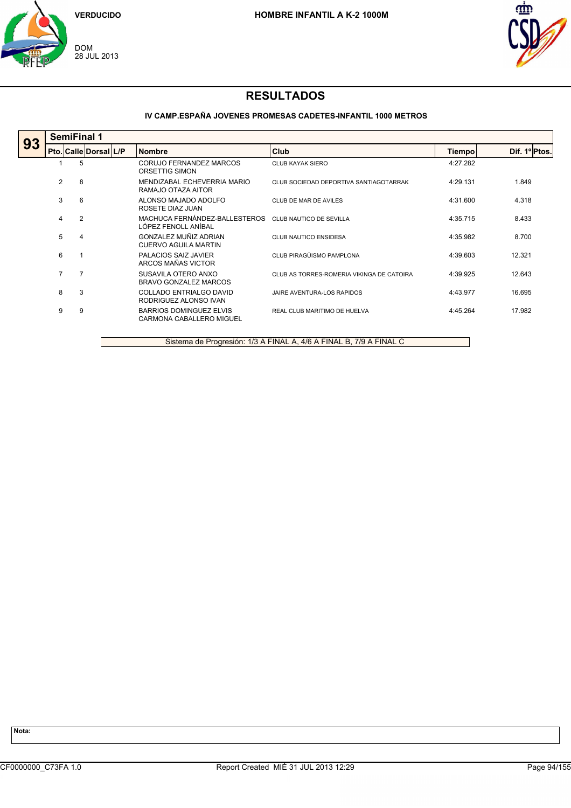



### **IV CAMP.ESPAÑA JOVENES PROMESAS CADETES-INFANTIL 1000 METROS**

|    | <b>SemiFinal 1</b> |                       |                                                            |                                           |               |               |  |  |  |  |
|----|--------------------|-----------------------|------------------------------------------------------------|-------------------------------------------|---------------|---------------|--|--|--|--|
| 93 |                    | Pto. Calle Dorsal L/P | <b>Nombre</b>                                              | Club                                      | <b>Tiempo</b> | Dif. 1º Ptos. |  |  |  |  |
|    |                    | 5                     | CORUJO FERNANDEZ MARCOS<br>ORSETTIG SIMON                  | CLUB KAYAK SIERO                          | 4:27.282      |               |  |  |  |  |
|    | 2                  | 8                     | MENDIZABAL ECHEVERRIA MARIO<br>RAMAJO OTAZA AITOR          | CLUB SOCIEDAD DEPORTIVA SANTIAGOTARRAK    | 4:29.131      | 1.849         |  |  |  |  |
|    | 3                  | 6                     | ALONSO MAJADO ADOLFO<br>ROSETE DIAZ JUAN                   | CLUB DE MAR DE AVILES                     | 4:31.600      | 4.318         |  |  |  |  |
|    | 4                  | $\overline{2}$        | MACHUCA FERNÁNDEZ-BALLESTEROS<br>LÓPEZ FENOLL ANÍBAL       | CLUB NAUTICO DE SEVILLA                   | 4:35.715      | 8.433         |  |  |  |  |
|    | 5                  | 4                     | GONZALEZ MUÑIZ ADRIAN<br>CUERVO AGUILA MARTIN              | <b>CLUB NAUTICO ENSIDESA</b>              | 4:35.982      | 8.700         |  |  |  |  |
|    | 6                  |                       | PALACIOS SAIZ JAVIER<br>ARCOS MAÑAS VICTOR                 | CLUB PIRAGÜISMO PAMPLONA                  | 4:39.603      | 12.321        |  |  |  |  |
|    | $\overline{7}$     | $\overline{7}$        | SUSAVILA OTERO ANXO<br>BRAVO GONZALEZ MARCOS               | CLUB AS TORRES-ROMERIA VIKINGA DE CATOIRA | 4:39.925      | 12.643        |  |  |  |  |
|    | 8                  | 3                     | COLLADO ENTRIALGO DAVID<br>RODRIGUEZ ALONSO IVAN           | JAIRE AVENTURA-LOS RAPIDOS                | 4:43.977      | 16.695        |  |  |  |  |
|    | 9                  | 9                     | <b>BARRIOS DOMINGUEZ ELVIS</b><br>CARMONA CABALLERO MIGUEL | REAL CLUB MARITIMO DE HUELVA              | 4:45.264      | 17.982        |  |  |  |  |

Sistema de Progresión: 1/3 A FINAL A, 4/6 A FINAL B, 7/9 A FINAL C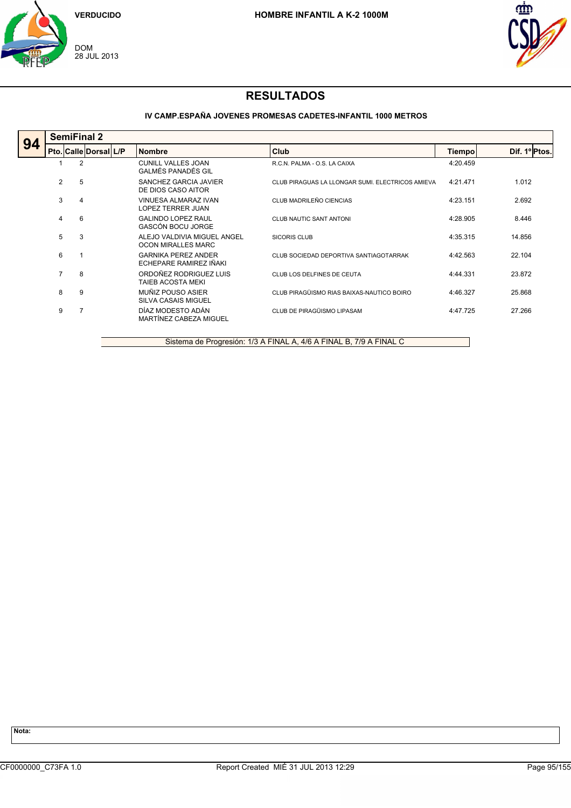



### **IV CAMP.ESPAÑA JOVENES PROMESAS CADETES-INFANTIL 1000 METROS**

|                | <b>SemiFinal 2</b> |             |                                                       |                                                  |          |               |  |  |  |  |
|----------------|--------------------|-------------|-------------------------------------------------------|--------------------------------------------------|----------|---------------|--|--|--|--|
|                |                    |             | <b>Nombre</b>                                         | Club                                             | Tiempo   | Dif. 1º Ptos. |  |  |  |  |
|                | $\overline{2}$     |             | <b>CUNILL VALLES JOAN</b><br>GALMÉS PANADÉS GIL       | R.C.N. PALMA - O.S. LA CAIXA                     | 4:20.459 |               |  |  |  |  |
|                | 5                  |             | SANCHEZ GARCIA JAVIER<br>DE DIOS CASO AITOR           | CLUB PIRAGUAS LA LLONGAR SUMI. ELECTRICOS AMIEVA | 4:21.471 | 1.012         |  |  |  |  |
|                | 4                  |             | <b>VINUESA ALMARAZ IVAN</b><br>LOPEZ TERRER JUAN      | CLUB MADRILEÑO CIENCIAS                          | 4:23.151 | 2.692         |  |  |  |  |
| 4              | 6                  |             | <b>GALINDO LOPEZ RAUL</b><br><b>GASCÓN BOCU JORGE</b> | <b>CLUB NAUTIC SANT ANTONI</b>                   | 4:28.905 | 8.446         |  |  |  |  |
|                | 3                  |             | ALEJO VALDIVIA MIGUEL ANGEL<br>OCON MIRALLES MARC     | SICORIS CLUB                                     | 4:35.315 | 14.856        |  |  |  |  |
| 6              |                    |             | <b>GARNIKA PEREZ ANDER</b><br>ECHEPARE RAMIREZ IÑAKI  | CLUB SOCIEDAD DEPORTIVA SANTIAGOTARRAK           | 4:42.563 | 22.104        |  |  |  |  |
| $\overline{7}$ | 8                  |             | ORDOÑEZ RODRIGUEZ LUIS<br>TAIEB ACOSTA MEKI           | CLUB LOS DELFINES DE CEUTA                       | 4:44.331 | 23.872        |  |  |  |  |
| 8              | 9                  |             | MUÑIZ POUSO ASIER<br><b>SILVA CASAIS MIGUEL</b>       | CLUB PIRAGÜISMO RIAS BAIXAS-NAUTICO BOIRO        | 4:46.327 | 25.868        |  |  |  |  |
| 9              |                    |             | DÍAZ MODESTO ADÁN<br>MARTÍNEZ CABEZA MIGUEL           | CLUB DE PIRAGÜISMO LIPASAM                       | 4:47.725 | 27.266        |  |  |  |  |
|                |                    | 2<br>3<br>5 | Pto. Calle Dorsal L/P                                 |                                                  |          |               |  |  |  |  |

Sistema de Progresión: 1/3 A FINAL A, 4/6 A FINAL B, 7/9 A FINAL C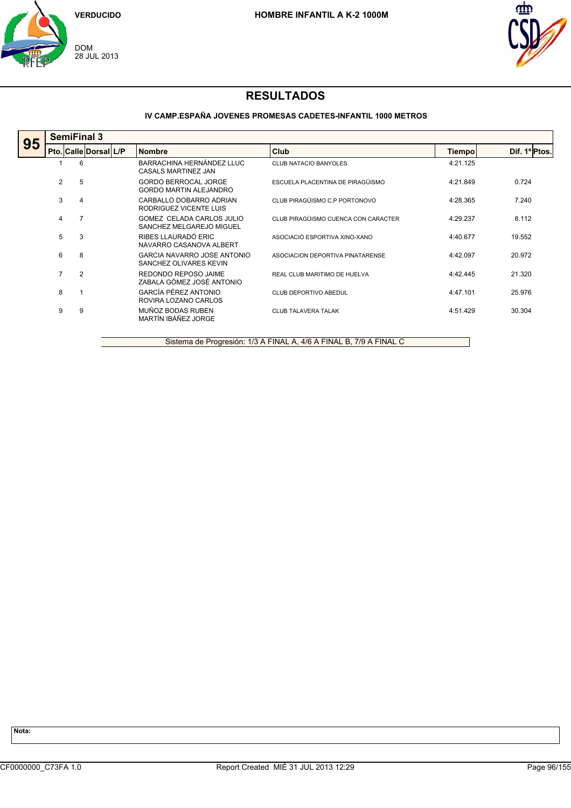



### **IV CAMP.ESPAÑA JOVENES PROMESAS CADETES-INFANTIL 1000 METROS**

|    |                | <b>SemiFinal 3</b>    |  |                                                              |                                     |          |               |  |  |  |  |
|----|----------------|-----------------------|--|--------------------------------------------------------------|-------------------------------------|----------|---------------|--|--|--|--|
| 95 |                | Pto. Calle Dorsal L/P |  | <b>Nombre</b>                                                | Club                                | Tiempo   | Dif. 1º Ptos. |  |  |  |  |
|    |                | 6                     |  | BARRACHINA HERNÁNDEZ LLUC<br>CASALS MARTINEZ JAN             | <b>CLUB NATACIO BANYOLES</b>        | 4:21.125 |               |  |  |  |  |
|    | 2              | 5                     |  | <b>GORDO BERROCAL JORGE</b><br>GORDO MARTIN ALEJANDRO        | ESCUELA PLACENTINA DE PIRAGÜISMO    | 4:21.849 | 0.724         |  |  |  |  |
|    | 3              | 4                     |  | CARBALLO DOBARRO ADRIAN<br>RODRIGUEZ VICENTE LUIS            | CLUB PIRAGÜISMO C.P PORTONOVO       | 4:28.365 | 7.240         |  |  |  |  |
|    | 4              | 7                     |  | GOMEZ CELADA CARLOS JULIO<br>SANCHEZ MELGAREJO MIGUEL        | CLUB PIRAGÜISMO CUENCA CON CARACTER | 4:29.237 | 8.112         |  |  |  |  |
|    | 5              | 3                     |  | RIBES LLAURADÓ ERIC<br>NAVARRO CASANOVA ALBERT               | ASOCIACIÓ ESPORTIVA XINO-XANO       | 4:40.677 | 19.552        |  |  |  |  |
|    | 6              | 8                     |  | <b>GARCIA NAVARRO JOSE ANTONIO</b><br>SANCHEZ OLIVARES KEVIN | ASOCIACION DEPORTIVA PINATARENSE    | 4:42.097 | 20.972        |  |  |  |  |
|    | $\overline{7}$ | $\overline{2}$        |  | REDONDO REPOSO JAIME<br>ZABALA GÓMEZ JOSÉ ANTONIO            | REAL CLUB MARITIMO DE HUELVA        | 4:42.445 | 21.320        |  |  |  |  |
|    | 8              |                       |  | GARCÍA PÉREZ ANTONIO<br>ROVIRA LOZANO CARLOS                 | CLUB DEPORTIVO ABEDUL               | 4:47.101 | 25.976        |  |  |  |  |
|    | 9              | 9                     |  | MUÑOZ BODAS RUBEN<br>MARTÍN IBÁÑEZ JORGE                     | <b>CLUB TALAVERA TALAK</b>          | 4:51.429 | 30.304        |  |  |  |  |
|    |                |                       |  |                                                              |                                     |          |               |  |  |  |  |

Sistema de Progresión: 1/3 A FINAL A, 4/6 A FINAL B, 7/9 A FINAL C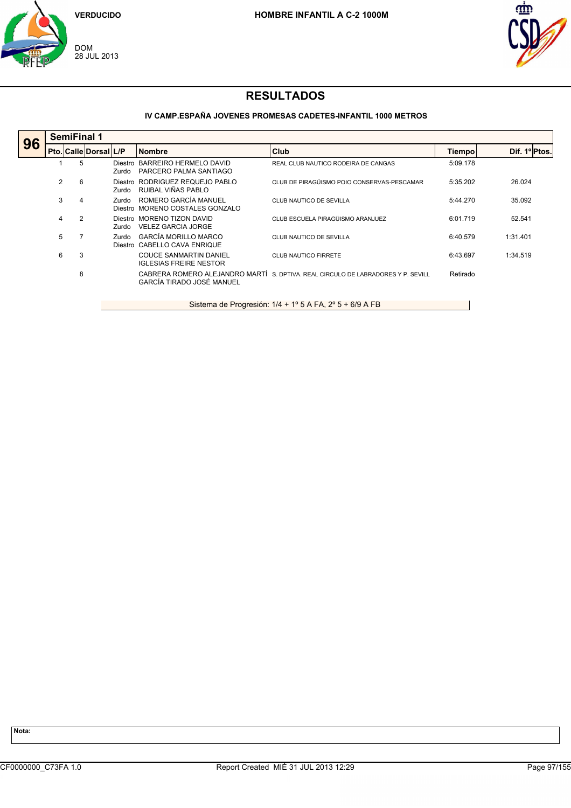



### **IV CAMP.ESPAÑA JOVENES PROMESAS CADETES-INFANTIL 1000 METROS**

| <b>SemiFinal 1</b> |   |  |       |                                                                |                                                                                                                                                                                                                                          |                                                                                                 |               |  |  |
|--------------------|---|--|-------|----------------------------------------------------------------|------------------------------------------------------------------------------------------------------------------------------------------------------------------------------------------------------------------------------------------|-------------------------------------------------------------------------------------------------|---------------|--|--|
|                    |   |  |       |                                                                |                                                                                                                                                                                                                                          | Tiempo                                                                                          | Dif. 1º Ptos. |  |  |
|                    | 5 |  | Zurdo |                                                                | REAL CLUB NAUTICO RODEIRA DE CANGAS                                                                                                                                                                                                      | 5:09.178                                                                                        |               |  |  |
| 2                  | 6 |  | Zurdo | RUIBAL VIÑAS PABLO                                             | CLUB DE PIRAGÜISMO POIO CONSERVAS-PESCAMAR                                                                                                                                                                                               | 5:35.202                                                                                        | 26.024        |  |  |
| 3                  | 4 |  | Zurdo |                                                                | CLUB NAUTICO DE SEVILLA                                                                                                                                                                                                                  | 5:44.270                                                                                        | 35.092        |  |  |
| 4                  | 2 |  | Zurdo | <b>VELEZ GARCIA JORGE</b>                                      | CLUB ESCUELA PIRAGÜISMO ARANJUEZ                                                                                                                                                                                                         | 6:01.719                                                                                        | 52.541        |  |  |
| 5                  |   |  | Zurdo | GARCÍA MORILLO MARCO                                           | CLUB NAUTICO DE SEVILLA                                                                                                                                                                                                                  | 6:40.579                                                                                        | 1:31.401      |  |  |
| 6                  | 3 |  |       | <b>COUCE SANMARTIN DANIEL</b><br><b>IGLESIAS FREIRE NESTOR</b> | <b>CLUB NAUTICO FIRRETE</b>                                                                                                                                                                                                              | 6:43.697                                                                                        | 1:34.519      |  |  |
|                    | 8 |  |       | GARCÍA TIRADO JOSÉ MANUEL                                      |                                                                                                                                                                                                                                          | Retirado                                                                                        |               |  |  |
|                    |   |  |       | Pto. Calle Dorsal L/P                                          | <b>Nombre</b><br>Diestro BARREIRO HERMELO DAVID<br>PARCERO PALMA SANTIAGO<br>Diestro RODRIGUEZ REQUEJO PABLO<br>ROMERO GARCÍA MANUEL<br>Diestro MORENO COSTALES GONZALO<br>Diestro MORENO TIZON DAVID<br>CABELLO CAVA ENRIQUE<br>Diestro | <b>Club</b><br>CABRERA ROMERO ALEJANDRO MARTÍ S. DPTIVA, REAL CIRCULO DE LABRADORES Y P. SEVILL |               |  |  |

Sistema de Progresión: 1/4 + 1º 5 A FA, 2º 5 + 6/9 A FB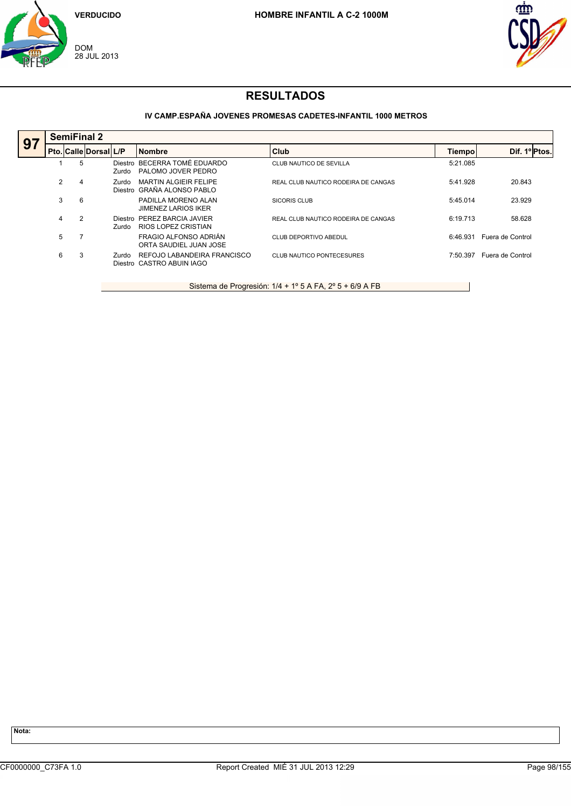



### **IV CAMP.ESPAÑA JOVENES PROMESAS CADETES-INFANTIL 1000 METROS**

| 97 |   | <b>SemiFinal 2</b> |                       |                  |                                                          |                                     |          |                  |  |
|----|---|--------------------|-----------------------|------------------|----------------------------------------------------------|-------------------------------------|----------|------------------|--|
|    |   |                    | Pto. Calle Dorsal L/P |                  | <b>Nombre</b>                                            | <b>Club</b>                         | Tiempo   | Dif. 1º Ptos.    |  |
|    |   | 5                  |                       | Diestro<br>Zurdo | BECERRA TOMÉ EDUARDO<br>PALOMO JOVER PEDRO               | CLUB NAUTICO DE SEVILLA             | 5:21.085 |                  |  |
|    | 2 | 4                  |                       | Zurdo<br>Diestro | <b>MARTIN ALGIEIR FELIPE</b><br>GRAÑA ALONSO PABLO       | REAL CLUB NAUTICO RODEIRA DE CANGAS | 5:41.928 | 20.843           |  |
|    | 3 | 6                  |                       |                  | PADILLA MORENO ALAN<br><b>JIMENEZ LARIOS IKER</b>        | <b>SICORIS CLUB</b>                 | 5:45.014 | 23.929           |  |
|    | 4 | 2                  |                       | Diestro<br>Zurdo | PEREZ BARCIA JAVIER<br>RIOS LOPEZ CRISTIAN               | REAL CLUB NAUTICO RODEIRA DE CANGAS | 6:19.713 | 58.628           |  |
|    | 5 |                    |                       |                  | FRAGIO ALFONSO ADRIÁN<br>ORTA SAUDIEL JUAN JOSE          | CLUB DEPORTIVO ABEDUL               | 6:46.931 | Fuera de Control |  |
|    | 6 | 3                  |                       | Zurdo            | REFOJO LABANDEIRA FRANCISCO<br>Diestro CASTRO ABUIN IAGO | <b>CLUB NAUTICO PONTECESURES</b>    | 7:50.397 | Fuera de Control |  |

Sistema de Progresión: 1/4 + 1° 5 A FA, 2° 5 + 6/9 A FB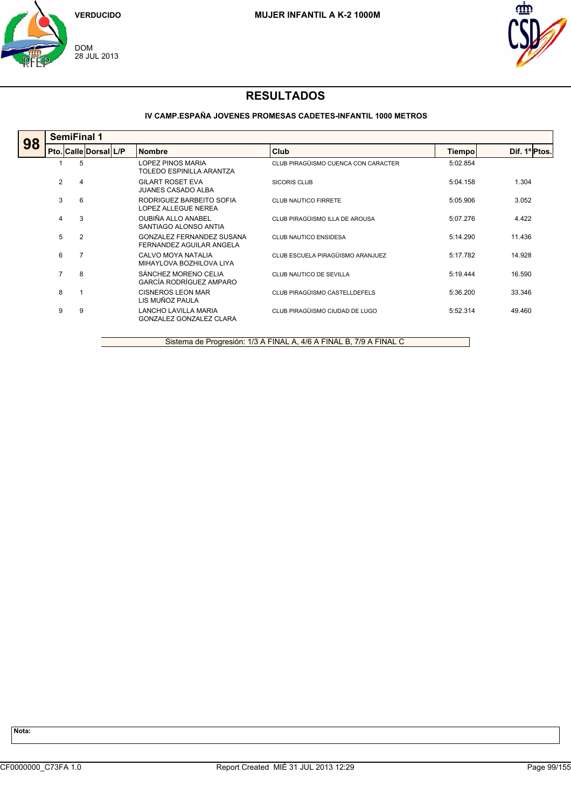



### **IV CAMP.ESPAÑA JOVENES PROMESAS CADETES-INFANTIL 1000 METROS**

| 98 |                | <b>SemiFinal 1</b>    |  |                                                        |                                     |          |               |  |  |  |
|----|----------------|-----------------------|--|--------------------------------------------------------|-------------------------------------|----------|---------------|--|--|--|
|    |                | Pto. Calle Dorsal L/P |  | <b>Nombre</b>                                          | <b>Club</b>                         | Tiempo   | Dif. 1º Ptos. |  |  |  |
|    |                | 5                     |  | <b>LOPEZ PINOS MARIA</b><br>TOLEDO ESPINILLA ARANTZA   | CLUB PIRAGÜISMO CUENCA CON CARACTER | 5:02.854 |               |  |  |  |
|    | 2              | $\overline{4}$        |  | <b>GILART ROSET EVA</b><br><b>JUANES CASADO ALBA</b>   | SICORIS CLUB                        | 5:04.158 | 1.304         |  |  |  |
|    | 3              | 6                     |  | RODRIGUEZ BARBEITO SOFIA<br>LOPEZ ALLEGUE NEREA        | CLUB NAUTICO FIRRETE                | 5:05.906 | 3.052         |  |  |  |
|    | 4              | 3                     |  | OUBIÑA ALLO ANABEL<br>SANTIAGO ALONSO ANTIA            | CLUB PIRAGÜISMO ILLA DE AROUSA      | 5:07.276 | 4.422         |  |  |  |
|    | 5              | 2                     |  | GONZALEZ FERNANDEZ SUSANA<br>FERNANDEZ AGUILAR ANGELA  | <b>CLUB NAUTICO ENSIDESA</b>        | 5:14.290 | 11.436        |  |  |  |
|    | 6              | 7                     |  | CALVO MOYA NATALIA<br>MIHAYLOVA BOZHILOVA LIYA         | CLUB ESCUELA PIRAGÜISMO ARANJUEZ    | 5:17.782 | 14.928        |  |  |  |
|    | $\overline{7}$ | 8                     |  | SÁNCHEZ MORENO CELIA<br>GARCÍA RODRÍGUEZ AMPARO        | CLUB NAUTICO DE SEVILLA             | 5:19.444 | 16.590        |  |  |  |
|    | 8              |                       |  | CISNEROS LEON MAR<br>LIS MUÑOZ PAULA                   | CLUB PIRAGÜISMO CASTELLDEFELS       | 5:36.200 | 33.346        |  |  |  |
|    | 9              | 9                     |  | <b>LANCHO LAVILLA MARIA</b><br>GONZALEZ GONZALEZ CLARA | CLUB PIRAGÜISMO CIUDAD DE LUGO      | 5:52.314 | 49.460        |  |  |  |
|    |                |                       |  |                                                        |                                     |          |               |  |  |  |

Sistema de Progresión: 1/3 A FINAL A, 4/6 A FINAL B, 7/9 A FINAL C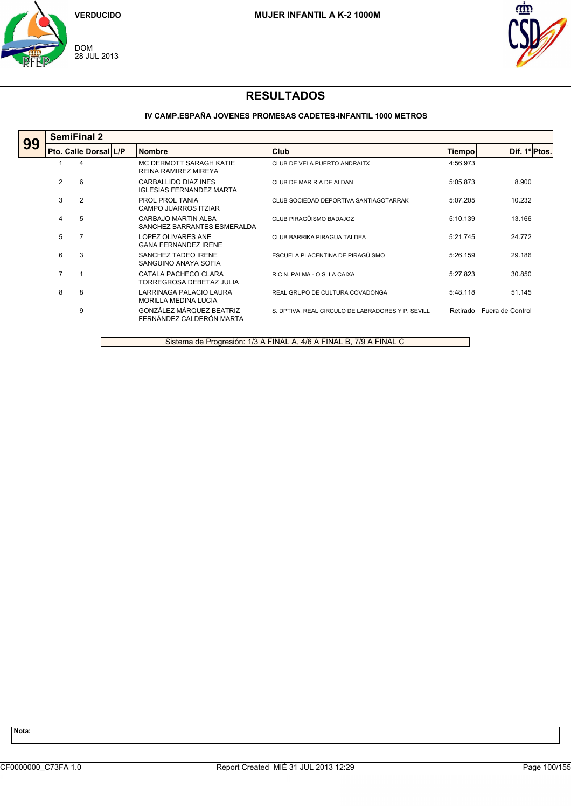



### **IV CAMP.ESPAÑA JOVENES PROMESAS CADETES-INFANTIL 1000 METROS**

| 99 |                | <b>SemiFinal 2</b>    |  |                                                         |                                                   |          |                  |  |  |  |
|----|----------------|-----------------------|--|---------------------------------------------------------|---------------------------------------------------|----------|------------------|--|--|--|
|    |                | Pto. Calle Dorsal L/P |  | <b>Nombre</b>                                           | Club                                              | Tiempo   | Dif. 1º Ptos.    |  |  |  |
|    |                | 4                     |  | MC DERMOTT SARAGH KATIE<br><b>REINA RAMIREZ MIREYA</b>  | CLUB DE VELA PUERTO ANDRAITX                      | 4:56.973 |                  |  |  |  |
|    | 2              | 6                     |  | CARBALLIDO DIAZ INES<br><b>IGLESIAS FERNANDEZ MARTA</b> | CLUB DE MAR RIA DE ALDAN                          | 5:05.873 | 8.900            |  |  |  |
|    | 3              | 2                     |  | PROL PROL TANIA<br>CAMPO JUARROS ITZIAR                 | CLUB SOCIEDAD DEPORTIVA SANTIAGOTARRAK            | 5:07.205 | 10.232           |  |  |  |
|    | $\overline{4}$ | 5                     |  | CARBAJO MARTIN ALBA<br>SANCHEZ BARRANTES ESMERALDA      | CLUB PIRAGÜISMO BADAJOZ                           | 5:10.139 | 13.166           |  |  |  |
|    | 5              | 7                     |  | LOPEZ OLIVARES ANE<br><b>GANA FERNANDEZ IRENE</b>       | CLUB BARRIKA PIRAGUA TALDEA                       | 5:21.745 | 24.772           |  |  |  |
|    | 6              | 3                     |  | SANCHEZ TADEO IRENE<br>SANGUINO ANAYA SOFIA             | ESCUELA PLACENTINA DE PIRAGÜISMO                  | 5:26.159 | 29.186           |  |  |  |
|    | $\overline{7}$ |                       |  | CATALA PACHECO CLARA<br>TORREGROSA DEBETAZ JULIA        | R.C.N. PALMA - O.S. LA CAIXA                      | 5:27.823 | 30.850           |  |  |  |
|    | 8              | 8                     |  | LARRINAGA PALACIO LAURA<br><b>MORILLA MEDINA LUCIA</b>  | REAL GRUPO DE CULTURA COVADONGA                   | 5:48.118 | 51.145           |  |  |  |
|    |                | 9                     |  | GONZÁLEZ MÁRQUEZ BEATRIZ<br>FERNÁNDEZ CALDERÓN MARTA    | S. DPTIVA. REAL CIRCULO DE LABRADORES Y P. SEVILL | Retirado | Fuera de Control |  |  |  |

Sistema de Progresión: 1/3 A FINAL A, 4/6 A FINAL B, 7/9 A FINAL C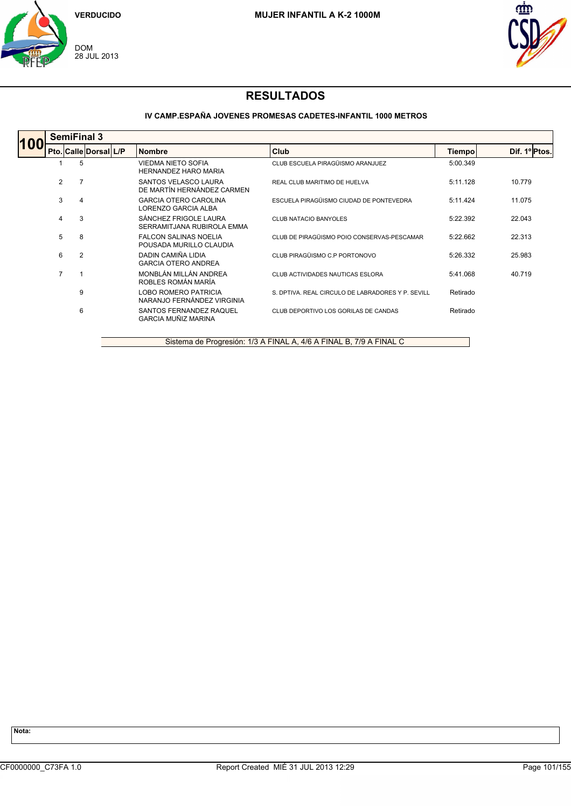



### **IV CAMP.ESPAÑA JOVENES PROMESAS CADETES-INFANTIL 1000 METROS**

|    |                | <b>SemiFinal 3</b>    |  |                                                           |                                                   |          |               |  |  |
|----|----------------|-----------------------|--|-----------------------------------------------------------|---------------------------------------------------|----------|---------------|--|--|
| 10 |                | Pto. Calle Dorsal L/P |  | <b>Nombre</b>                                             | <b>Club</b>                                       | Tiempo   | Dif. 1º Ptos. |  |  |
|    |                | 5                     |  | <b>VIEDMA NIETO SOFIA</b><br><b>HERNANDEZ HARO MARIA</b>  | CLUB ESCUELA PIRAGÜISMO ARANJUEZ                  | 5:00.349 |               |  |  |
|    | 2              | 7                     |  | SANTOS VELASCO LAURA<br>DE MARTÍN HERNÁNDEZ CARMEN        | REAL CLUB MARITIMO DE HUELVA                      | 5:11.128 | 10.779        |  |  |
|    | 3              | 4                     |  | <b>GARCIA OTERO CAROLINA</b><br>LORENZO GARCIA ALBA       | ESCUELA PIRAGÜISMO CIUDAD DE PONTEVEDRA           | 5:11.424 | 11.075        |  |  |
|    | 4              | 3                     |  | SÁNCHEZ FRIGOLE LAURA<br>SERRAMITJANA RUBIROLA EMMA       | <b>CLUB NATACIO BANYOLES</b>                      | 5:22.392 | 22.043        |  |  |
|    | 5              | 8                     |  | <b>FALCON SALINAS NOELIA</b><br>POUSADA MURILLO CLAUDIA   | CLUB DE PIRAGÜISMO POIO CONSERVAS-PESCAMAR        | 5:22.662 | 22.313        |  |  |
|    | 6              | 2                     |  | DADIN CAMIÑA LIDIA<br><b>GARCIA OTERO ANDREA</b>          | CLUB PIRAGÜISMO C.P PORTONOVO                     | 5:26.332 | 25.983        |  |  |
|    | $\overline{7}$ |                       |  | MONBLÁN MILLÁN ANDREA<br>ROBLES ROMÁN MARÍA               | CLUB ACTIVIDADES NAUTICAS ESLORA                  | 5:41.068 | 40.719        |  |  |
|    |                | 9                     |  | <b>LOBO ROMERO PATRICIA</b><br>NARANJO FERNÁNDEZ VIRGINIA | S. DPTIVA. REAL CIRCULO DE LABRADORES Y P. SEVILL | Retirado |               |  |  |
|    |                | 6                     |  | SANTOS FERNANDEZ RAQUEL<br><b>GARCIA MUÑIZ MARINA</b>     | CLUB DEPORTIVO LOS GORILAS DE CANDAS              | Retirado |               |  |  |
|    |                |                       |  |                                                           |                                                   |          |               |  |  |

Sistema de Progresión: 1/3 A FINAL A, 4/6 A FINAL B, 7/9 A FINAL C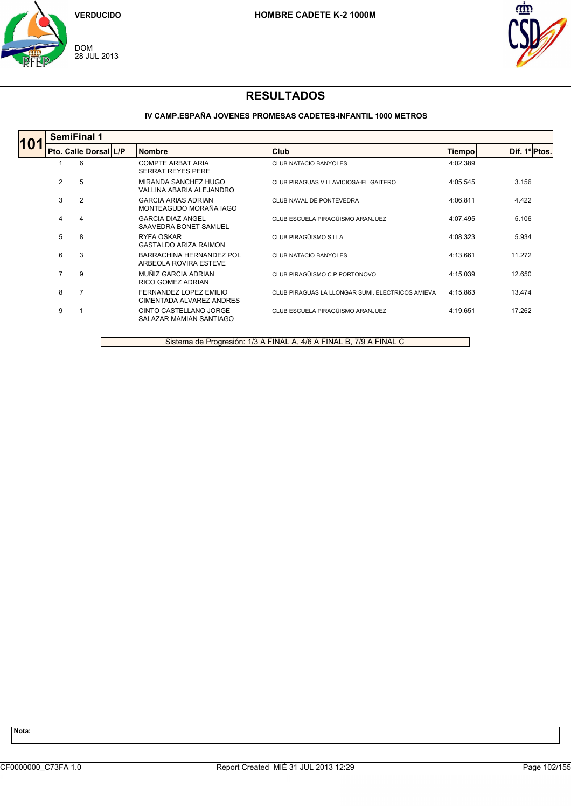



### **IV CAMP.ESPAÑA JOVENES PROMESAS CADETES-INFANTIL 1000 METROS**

|  |                | <b>SemiFinal 1</b> |                       |  |                                                      |                                                  |          |               |  |  |
|--|----------------|--------------------|-----------------------|--|------------------------------------------------------|--------------------------------------------------|----------|---------------|--|--|
|  |                |                    | Pto. Calle Dorsal L/P |  | <b>Nombre</b>                                        | Club                                             | Tiempo   | Dif. 1º Ptos. |  |  |
|  |                | 6                  |                       |  | <b>COMPTE ARBAT ARIA</b><br><b>SERRAT REYES PERE</b> | <b>CLUB NATACIO BANYOLES</b>                     | 4:02.389 |               |  |  |
|  | $\overline{2}$ | 5                  |                       |  | MIRANDA SANCHEZ HUGO<br>VALLINA ABARIA ALEJANDRO     | CLUB PIRAGUAS VILLAVICIOSA-EL GAITERO            | 4:05.545 | 3.156         |  |  |
|  | 3              | $\overline{2}$     |                       |  | <b>GARCIA ARIAS ADRIAN</b><br>MONTEAGUDO MORAÑA IAGO | CLUB NAVAL DE PONTEVEDRA                         | 4:06.811 | 4.422         |  |  |
|  | 4              | 4                  |                       |  | <b>GARCIA DIAZ ANGEL</b><br>SAAVEDRA BONET SAMUEL    | CLUB ESCUELA PIRAGÜISMO ARANJUEZ                 | 4:07.495 | 5.106         |  |  |
|  | 5              | 8                  |                       |  | <b>RYFA OSKAR</b><br><b>GASTALDO ARIZA RAIMON</b>    | CLUB PIRAGÜISMO SILLA                            | 4:08.323 | 5.934         |  |  |
|  | 6              | 3                  |                       |  | BARRACHINA HERNANDEZ POL<br>ARBEOLA ROVIRA ESTEVE    | <b>CLUB NATACIO BANYOLES</b>                     | 4:13.661 | 11.272        |  |  |
|  | $\overline{7}$ | 9                  |                       |  | MUÑIZ GARCIA ADRIAN<br>RICO GOMEZ ADRIAN             | CLUB PIRAGÜISMO C.P PORTONOVO                    | 4:15.039 | 12.650        |  |  |
|  | 8              |                    |                       |  | FERNANDEZ LOPEZ EMILIO<br>CIMENTADA ALVAREZ ANDRES   | CLUB PIRAGUAS LA LLONGAR SUMI. ELECTRICOS AMIEVA | 4:15.863 | 13.474        |  |  |
|  | 9              |                    |                       |  | CINTO CASTELLANO JORGE<br>SALAZAR MAMIAN SANTIAGO    | CLUB ESCUELA PIRAGÜISMO ARANJUEZ                 | 4:19.651 | 17.262        |  |  |

Sistema de Progresión: 1/3 A FINAL A, 4/6 A FINAL B, 7/9 A FINAL C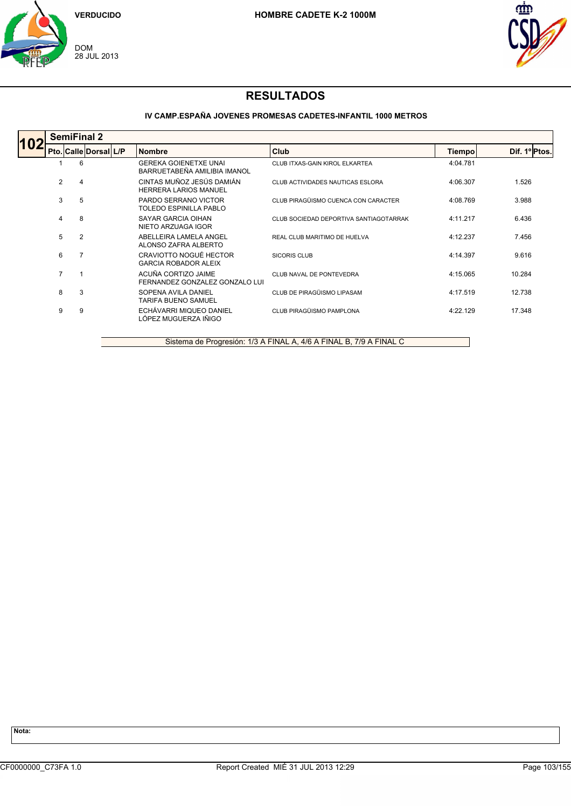



### **IV CAMP.ESPAÑA JOVENES PROMESAS CADETES-INFANTIL 1000 METROS**

|    |   | <b>SemiFinal 2</b> |                       |  |                                                              |                                        |          |               |  |
|----|---|--------------------|-----------------------|--|--------------------------------------------------------------|----------------------------------------|----------|---------------|--|
| 10 |   |                    | Pto. Calle Dorsal L/P |  | <b>Nombre</b>                                                | Club                                   | Tiempo   | Dif. 1º Ptos. |  |
|    |   |                    | 6                     |  | <b>GEREKA GOIENETXE UNAI</b><br>BARRUETABEÑA AMILIBIA IMANOL | CLUB ITXAS-GAIN KIROL ELKARTEA         | 4:04.781 |               |  |
|    | 2 |                    | 4                     |  | CINTAS MUÑOZ JESÚS DAMIÁN<br><b>HERRERA LARIOS MANUEL</b>    | CLUB ACTIVIDADES NAUTICAS ESLORA       | 4:06.307 | 1.526         |  |
|    | 3 |                    | 5                     |  | PARDO SERRANO VICTOR<br>TOLEDO ESPINILLA PABLO               | CLUB PIRAGÜISMO CUENCA CON CARACTER    | 4:08.769 | 3.988         |  |
|    | 4 |                    | 8                     |  | SAYAR GARCIA OIHAN<br>NIETO ARZUAGA IGOR                     | CLUB SOCIEDAD DEPORTIVA SANTIAGOTARRAK | 4:11.217 | 6.436         |  |
|    | 5 |                    | $\overline{2}$        |  | ABELLEIRA LAMELA ANGEL<br>ALONSO ZAFRA ALBERTO               | REAL CLUB MARITIMO DE HUELVA           | 4:12.237 | 7.456         |  |
|    | 6 |                    | 7                     |  | CRAVIOTTO NOGUÉ HECTOR<br><b>GARCIA ROBADOR ALEIX</b>        | SICORIS CLUB                           | 4:14.397 | 9.616         |  |
|    | 7 |                    |                       |  | ACUÑA CORTIZO JAIME<br>FERNANDEZ GONZALEZ GONZALO LUI        | CLUB NAVAL DE PONTEVEDRA               | 4:15.065 | 10.284        |  |
|    | 8 |                    | 3                     |  | SOPENA AVILA DANIEL<br><b>TARIFA BUENO SAMUEL</b>            | CLUB DE PIRAGÜISMO LIPASAM             | 4:17.519 | 12.738        |  |
|    | 9 |                    | 9                     |  | ECHÁVARRI MIQUEO DANIEL<br>LÓPEZ MUGUERZA IÑIGO              | CLUB PIRAGÜISMO PAMPLONA               | 4:22.129 | 17.348        |  |

Sistema de Progresión: 1/3 A FINAL A, 4/6 A FINAL B, 7/9 A FINAL C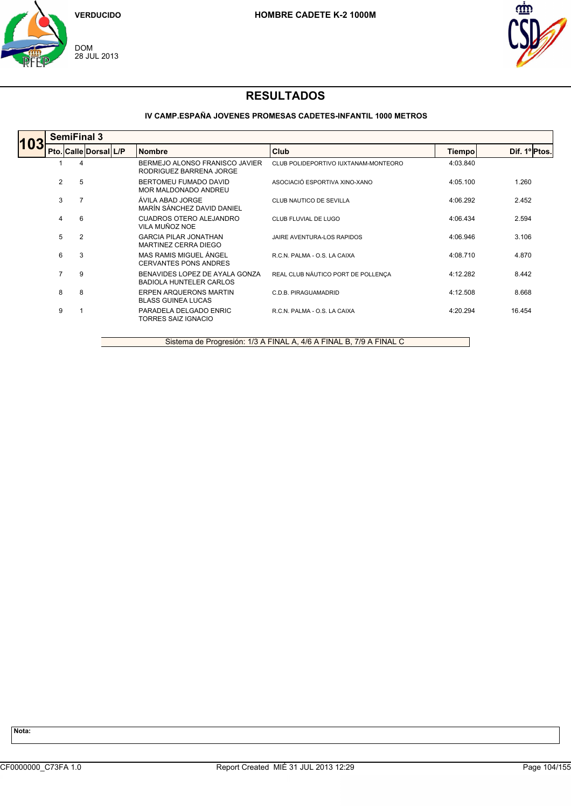



### **IV CAMP.ESPAÑA JOVENES PROMESAS CADETES-INFANTIL 1000 METROS**

|  |   | <b>SemiFinal 3</b>    |  |                                                                  |                                      |          |               |  |  |  |
|--|---|-----------------------|--|------------------------------------------------------------------|--------------------------------------|----------|---------------|--|--|--|
|  |   | Pto. Calle Dorsal L/P |  | <b>Nombre</b>                                                    | Club                                 | Tiempo   | Dif. 1º Ptos. |  |  |  |
|  |   | 4                     |  | BERMEJO ALONSO FRANISCO JAVIER<br>RODRIGUEZ BARRENA JORGE        | CLUB POLIDEPORTIVO IUXTANAM-MONTEORO | 4:03.840 |               |  |  |  |
|  | 2 | 5                     |  | BERTOMEU FUMADO DAVID<br>MOR MALDONADO ANDREU                    | ASOCIACIÓ ESPORTIVA XINO-XANO        | 4:05.100 | 1.260         |  |  |  |
|  | 3 | 7                     |  | ÁVILA ABAD JORGE<br>MARÍN SÁNCHEZ DAVID DANIEL                   | CLUB NAUTICO DE SEVILLA              | 4:06.292 | 2.452         |  |  |  |
|  | 4 | 6                     |  | <b>CUADROS OTERO ALEJANDRO</b><br>VILA MUÑOZ NOE                 | CLUB FLUVIAL DE LUGO                 | 4:06.434 | 2.594         |  |  |  |
|  | 5 | 2                     |  | <b>GARCIA PILAR JONATHAN</b><br>MARTINEZ CERRA DIEGO             | JAIRE AVENTURA-LOS RAPIDOS           | 4:06.946 | 3.106         |  |  |  |
|  | 6 | 3                     |  | MAS RAMIS MIGUEL ÁNGEL<br><b>CERVANTES PONS ANDRES</b>           | R.C.N. PALMA - O.S. LA CAIXA         | 4:08.710 | 4.870         |  |  |  |
|  | 7 | 9                     |  | BENAVIDES LOPEZ DE AYALA GONZA<br><b>BADIOLA HUNTELER CARLOS</b> | REAL CLUB NÁUTICO PORT DE POLLENÇA   | 4:12.282 | 8.442         |  |  |  |
|  | 8 | 8                     |  | ERPEN ARQUERONS MARTIN<br><b>BLASS GUINEA LUCAS</b>              | C.D.B. PIRAGUAMADRID                 | 4:12.508 | 8.668         |  |  |  |
|  | 9 |                       |  | PARADELA DELGADO ENRIC<br><b>TORRES SAIZ IGNACIO</b>             | R.C.N. PALMA - O.S. LA CAIXA         | 4:20.294 | 16.454        |  |  |  |
|  |   |                       |  |                                                                  |                                      |          |               |  |  |  |

Sistema de Progresión: 1/3 A FINAL A, 4/6 A FINAL B, 7/9 A FINAL C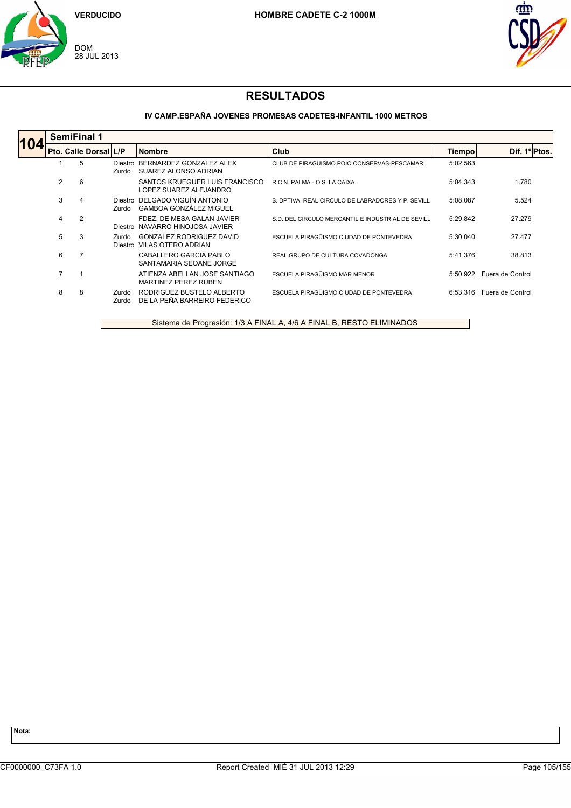



### **IV CAMP.ESPAÑA JOVENES PROMESAS CADETES-INFANTIL 1000 METROS**

| 104 | <b>SemiFinal 1</b> |                       |                  |                                                                 |                                                   |          |                  |  |  |  |
|-----|--------------------|-----------------------|------------------|-----------------------------------------------------------------|---------------------------------------------------|----------|------------------|--|--|--|
|     |                    | Pto. Calle Dorsal L/P |                  | <b>Nombre</b>                                                   | <b>Club</b>                                       | Tiempo   | Dif. 1º Ptos.    |  |  |  |
|     |                    | 5                     | Diestro<br>Zurdo | BERNARDEZ GONZALEZ ALEX<br>SUAREZ ALONSO ADRIAN                 | CLUB DE PIRAGÜISMO POIO CONSERVAS-PESCAMAR        | 5:02.563 |                  |  |  |  |
|     | 2                  | 6                     |                  | SANTOS KRUEGUER LUIS FRANCISCO<br>LOPEZ SUAREZ ALEJANDRO        | R.C.N. PALMA - O.S. LA CAIXA                      | 5:04.343 | 1.780            |  |  |  |
|     | 3                  | 4                     | Zurdo            | Diestro DELGADO VIGUÍN ANTONIO<br><b>GAMBOA GONZÁLEZ MIGUEL</b> | S. DPTIVA, REAL CIRCULO DE LABRADORES Y P. SEVILL | 5:08.087 | 5.524            |  |  |  |
|     | 4                  | $\overline{2}$        |                  | FDEZ. DE MESA GALÁN JAVIER<br>Diestro NAVARRO HINOJOSA JAVIER   | S.D. DEL CIRCULO MERCANTIL E INDUSTRIAL DE SEVILL | 5:29.842 | 27.279           |  |  |  |
|     | 5                  | 3                     | Zurdo            | GONZALEZ RODRIGUEZ DAVID<br>Diestro VILAS OTERO ADRIAN          | ESCUELA PIRAGÜISMO CIUDAD DE PONTEVEDRA           | 5:30.040 | 27.477           |  |  |  |
|     | 6                  |                       |                  | CABALLERO GARCIA PABLO<br>SANTAMARIA SEOANE JORGE               | REAL GRUPO DE CULTURA COVADONGA                   | 5:41.376 | 38.813           |  |  |  |
|     | 7                  |                       |                  | ATIENZA ABELLAN JOSE SANTIAGO<br>MARTINEZ PEREZ RUBEN           | ESCUELA PIRAGÜISMO MAR MENOR                      | 5:50.922 | Fuera de Control |  |  |  |
|     | 8                  | 8                     | Zurdo<br>Zurdo   | RODRIGUEZ BUSTELO ALBERTO<br>DE LA PEÑA BARREIRO FEDERICO       | ESCUELA PIRAGÜISMO CIUDAD DE PONTEVEDRA           | 6:53.316 | Fuera de Control |  |  |  |

Sistema de Progresión: 1/3 A FINAL A, 4/6 A FINAL B, RESTO ELIMINADOS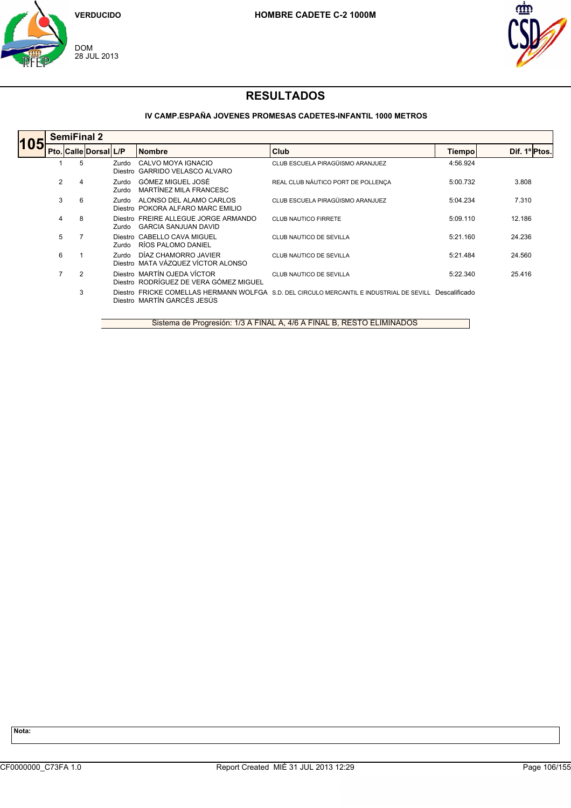



### **IV CAMP.ESPAÑA JOVENES PROMESAS CADETES-INFANTIL 1000 METROS**

|     |                | <b>SemiFinal 2</b> |                       |                |                                                                       |                                                                                                        |          |               |  |  |  |
|-----|----------------|--------------------|-----------------------|----------------|-----------------------------------------------------------------------|--------------------------------------------------------------------------------------------------------|----------|---------------|--|--|--|
| 105 |                |                    | Pto. Calle Dorsal L/P |                | <b>Nombre</b>                                                         | <b>Club</b>                                                                                            | Tiempo   | Dif. 1º Ptos. |  |  |  |
|     |                | 5                  |                       | Zurdo          | CALVO MOYA IGNACIO<br>Diestro GARRIDO VELASCO ALVARO                  | CLUB ESCUELA PIRAGÜISMO ARANJUEZ                                                                       | 4:56.924 |               |  |  |  |
|     | $\overline{2}$ | 4                  |                       | Zurdo<br>Zurdo | GÓMEZ MIGUEL JOSÉ<br>MARTÍNEZ MILA FRANCESC                           | REAL CLUB NÁUTICO PORT DE POLLENCA                                                                     | 5:00.732 | 3.808         |  |  |  |
|     | 3              | 6                  |                       | Zurdo          | ALONSO DEL ALAMO CARLOS<br>Diestro POKORA ALFARO MARC EMILIO          | CLUB ESCUELA PIRAGÜISMO ARANJUEZ                                                                       | 5:04.234 | 7.310         |  |  |  |
|     | 4              | 8                  |                       | Zurdo.         | Diestro FREIRE ALLEGUE JORGE ARMANDO<br><b>GARCIA SANJUAN DAVID</b>   | <b>CLUB NAUTICO FIRRETE</b>                                                                            | 5:09.110 | 12.186        |  |  |  |
|     | 5              |                    |                       | Zurdo          | Diestro CABELLO CAVA MIGUEL<br>RÍOS PALOMO DANIEL                     | CLUB NAUTICO DE SEVILLA                                                                                | 5:21.160 | 24.236        |  |  |  |
|     | 6              |                    |                       | Zurdo          | DÍAZ CHAMORRO JAVIER<br>Diestro MATA VÁZQUEZ VÍCTOR ALONSO            | CLUB NAUTICO DE SEVILLA                                                                                | 5:21.484 | 24.560        |  |  |  |
|     | 7              | $\overline{2}$     |                       |                | Diestro MARTÍN OJEDA VÍCTOR<br>Diestro RODRÍGUEZ DE VERA GÓMEZ MIGUEL | CLUB NAUTICO DE SEVILLA                                                                                | 5:22.340 | 25.416        |  |  |  |
|     |                | 3                  |                       |                | Diestro MARTÍN GARCÉS JESÚS                                           | Diestro FRICKE COMELLAS HERMANN WOLFGA S.D. DEL CIRCULO MERCANTIL E INDUSTRIAL DE SEVILL Descalificado |          |               |  |  |  |

Sistema de Progresión: 1/3 A FINAL A, 4/6 A FINAL B, RESTO ELIMINADOS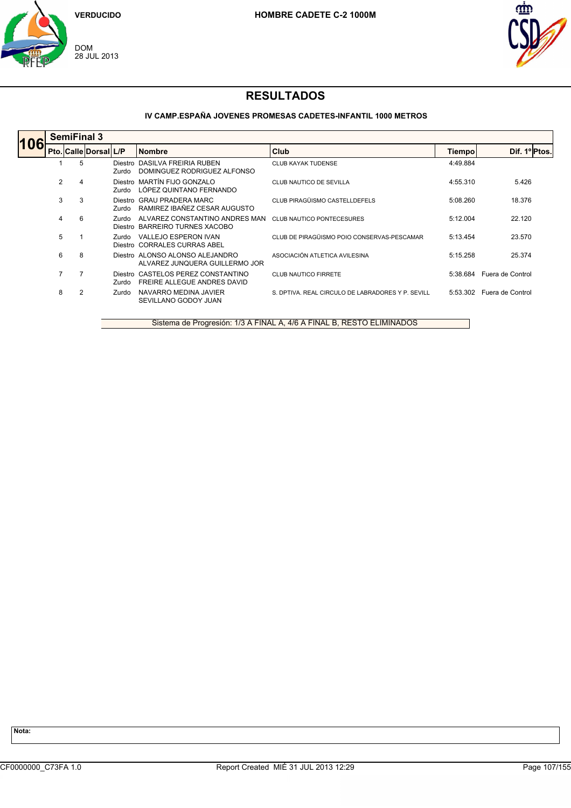



### **IV CAMP.ESPAÑA JOVENES PROMESAS CADETES-INFANTIL 1000 METROS**

| 106 |                | <b>SemiFinal 3</b>    |                  |                                                                   |                                                   |               |                  |  |  |  |  |
|-----|----------------|-----------------------|------------------|-------------------------------------------------------------------|---------------------------------------------------|---------------|------------------|--|--|--|--|
|     |                | Pto. Calle Dorsal L/P |                  | <b>Nombre</b>                                                     | Club                                              | <b>Tiempo</b> | Dif. 1º Ptos.    |  |  |  |  |
|     |                | 5                     | Diestro<br>Zurdo | DASILVA FREIRIA RUBEN<br>DOMINGUEZ RODRIGUEZ ALFONSO              | <b>CLUB KAYAK TUDENSE</b>                         | 4:49.884      |                  |  |  |  |  |
|     | $\overline{2}$ | 4                     | Zurdo            | Diestro MARTÍN FIJO GONZALO<br>LÓPEZ QUINTANO FERNANDO            | CLUB NAUTICO DE SEVILLA                           | 4:55.310      | 5.426            |  |  |  |  |
|     | 3              | 3                     | Zurdo            | Diestro GRAU PRADERA MARC<br>RAMIREZ IBAÑEZ CESAR AUGUSTO         | CLUB PIRAGÜISMO CASTELLDEFELS                     | 5:08.260      | 18.376           |  |  |  |  |
|     | 4              | 6                     | Zurdo            | ALVAREZ CONSTANTINO ANDRES MAN<br>Diestro BARREIRO TURNES XACOBO  | <b>CLUB NAUTICO PONTECESURES</b>                  | 5:12.004      | 22.120           |  |  |  |  |
|     | 5              |                       | Zurdo            | VALLEJO ESPERON IVAN<br>Diestro CORRALES CURRAS ABEL              | CLUB DE PIRAGÜISMO POIO CONSERVAS-PESCAMAR        | 5:13.454      | 23.570           |  |  |  |  |
|     | 6              | 8                     |                  | Diestro ALONSO ALONSO ALEJANDRO<br>ALVAREZ JUNOUERA GUILLERMO JOR | ASOCIACIÓN ATLETICA AVILESINA                     | 5:15.258      | 25.374           |  |  |  |  |
|     | $\overline{7}$ | 7                     | Zurdo            | Diestro CASTELOS PEREZ CONSTANTINO<br>FREIRE ALLEGUE ANDRES DAVID | <b>CLUB NAUTICO FIRRETE</b>                       | 5:38.684      | Fuera de Control |  |  |  |  |
|     | 8              | 2                     | Zurdo            | NAVARRO MEDINA JAVIER<br>SEVILLANO GODOY JUAN                     | S. DPTIVA, REAL CIRCULO DE LABRADORES Y P. SEVILL | 5:53.302      | Fuera de Control |  |  |  |  |

Sistema de Progresión: 1/3 A FINAL A, 4/6 A FINAL B, RESTO ELIMINADOS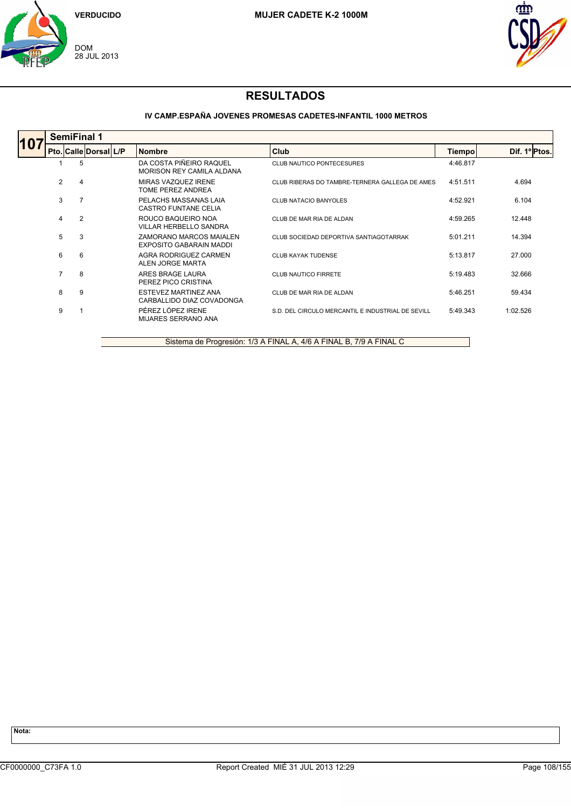



### **IV CAMP.ESPAÑA JOVENES PROMESAS CADETES-INFANTIL 1000 METROS**

|     |                | <b>SemiFinal 1</b>    |                                                          |                                                   |               |               |  |  |  |  |  |
|-----|----------------|-----------------------|----------------------------------------------------------|---------------------------------------------------|---------------|---------------|--|--|--|--|--|
| 10. |                | Pto. Calle Dorsal L/P | <b>Nombre</b>                                            | Club                                              | <b>Tiempo</b> | Dif. 1º Ptos. |  |  |  |  |  |
|     |                | 5                     | DA COSTA PIÑEIRO RAQUEL<br>MORISON REY CAMILA ALDANA     | CLUB NAUTICO PONTECESURES                         | 4:46.817      |               |  |  |  |  |  |
|     | 2              | 4                     | MIRAS VAZQUEZ IRENE<br>TOME PEREZ ANDREA                 | CLUB RIBERAS DO TAMBRE-TERNERA GALLEGA DE AMES    | 4:51.511      | 4.694         |  |  |  |  |  |
|     | 3              |                       | PELACHS MASSANAS LAIA<br>CASTRO FUNTANE CELIA            | CLUB NATACIO BANYOLES                             | 4:52.921      | 6.104         |  |  |  |  |  |
|     | 4              | $\overline{2}$        | ROUCO BAQUEIRO NOA<br><b>VILLAR HERBELLO SANDRA</b>      | CLUB DE MAR RIA DE ALDAN                          | 4:59.265      | 12.448        |  |  |  |  |  |
|     | 5              | 3                     | ZAMORANO MARCOS MAIALEN<br>EXPOSITO GABARAIN MADDI       | CLUB SOCIEDAD DEPORTIVA SANTIAGOTARRAK            | 5:01.211      | 14.394        |  |  |  |  |  |
|     | 6              | 6                     | AGRA RODRIGUEZ CARMEN<br>ALEN JORGE MARTA                | <b>CLUB KAYAK TUDENSE</b>                         | 5:13.817      | 27,000        |  |  |  |  |  |
|     | $\overline{7}$ | 8                     | ARES BRAGE LAURA<br>PEREZ PICO CRISTINA                  | CLUB NAUTICO FIRRETE                              | 5:19.483      | 32.666        |  |  |  |  |  |
|     | 8              | 9                     | <b>ESTEVEZ MARTINEZ ANA</b><br>CARBALLIDO DIAZ COVADONGA | CLUB DE MAR RIA DE ALDAN                          | 5:46.251      | 59.434        |  |  |  |  |  |
|     | 9              |                       | PÉREZ LÓPEZ IRENE<br><b>MIJARES SERRANO ANA</b>          | S.D. DEL CIRCULO MERCANTIL E INDUSTRIAL DE SEVILL | 5:49.343      | 1:02.526      |  |  |  |  |  |

Sistema de Progresión: 1/3 A FINAL A, 4/6 A FINAL B, 7/9 A FINAL C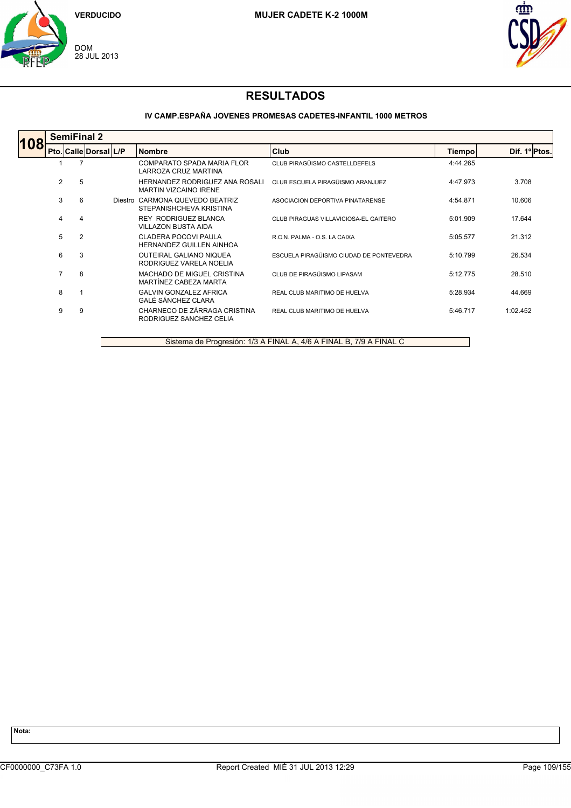



### **IV CAMP.ESPAÑA JOVENES PROMESAS CADETES-INFANTIL 1000 METROS**

|     | <b>SemiFinal 2</b> |                       |  |                                                                |                                         |          |               |  |  |  |  |  |
|-----|--------------------|-----------------------|--|----------------------------------------------------------------|-----------------------------------------|----------|---------------|--|--|--|--|--|
| 108 |                    | Pto. Calle Dorsal L/P |  | <b>Nombre</b>                                                  | Club                                    | Tiempo   | Dif. 1º Ptos. |  |  |  |  |  |
|     |                    |                       |  | COMPARATO SPADA MARIA FLOR<br>LARROZA CRUZ MARTINA             | CLUB PIRAGÜISMO CASTELLDEFELS           | 4:44.265 |               |  |  |  |  |  |
|     | 2                  | 5                     |  | HERNANDEZ RODRIGUEZ ANA ROSALI<br><b>MARTIN VIZCAINO IRENE</b> | CLUB ESCUELA PIRAGÜISMO ARANJUEZ        | 4:47.973 | 3.708         |  |  |  |  |  |
|     | 3                  | 6                     |  | Diestro CARMONA QUEVEDO BEATRIZ<br>STEPANISHCHEVA KRISTINA     | ASOCIACION DEPORTIVA PINATARENSE        | 4:54.871 | 10.606        |  |  |  |  |  |
|     | 4                  | $\overline{4}$        |  | <b>REY RODRIGUEZ BLANCA</b><br>VILLAZON BUSTA AIDA             | CLUB PIRAGUAS VILLAVICIOSA-EL GAITERO   | 5:01.909 | 17.644        |  |  |  |  |  |
|     | 5                  | $\overline{2}$        |  | CLADERA POCOVI PAULA<br><b>HERNANDEZ GUILLEN AINHOA</b>        | R.C.N. PALMA - O.S. LA CAIXA            | 5:05.577 | 21.312        |  |  |  |  |  |
|     | 6                  | 3                     |  | OUTEIRAL GALIANO NIQUEA<br>RODRIGUEZ VARELA NOELIA             | ESCUELA PIRAGÜISMO CIUDAD DE PONTEVEDRA | 5:10.799 | 26.534        |  |  |  |  |  |
|     | 7                  | 8                     |  | MACHADO DE MIGUEL CRISTINA<br>MARTÍNEZ CABEZA MARTA            | CLUB DE PIRAGÜISMO LIPASAM              | 5:12.775 | 28.510        |  |  |  |  |  |
|     | 8                  |                       |  | <b>GALVIN GONZALEZ AFRICA</b><br>GALÉ SÁNCHEZ CLARA            | REAL CLUB MARITIMO DE HUELVA            | 5:28.934 | 44.669        |  |  |  |  |  |
|     | 9                  | 9                     |  | CHARNECO DE ZÁRRAGA CRISTINA<br>RODRIGUEZ SANCHEZ CELIA        | REAL CLUB MARITIMO DE HUELVA            | 5:46.717 | 1:02.452      |  |  |  |  |  |

Sistema de Progresión: 1/3 A FINAL A, 4/6 A FINAL B, 7/9 A FINAL C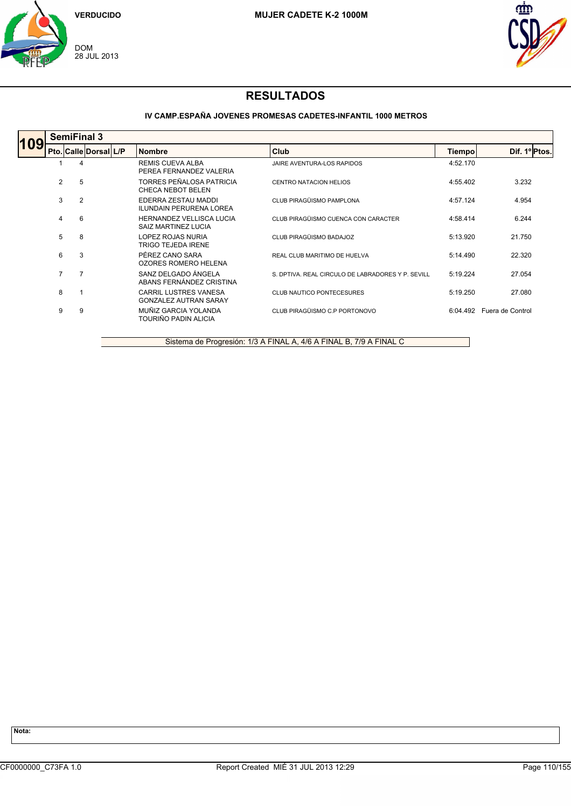



### **IV CAMP.ESPAÑA JOVENES PROMESAS CADETES-INFANTIL 1000 METROS**

|     | <b>SemiFinal 3</b> |                       |  |                                                              |                                                   |          |                           |  |  |  |  |  |
|-----|--------------------|-----------------------|--|--------------------------------------------------------------|---------------------------------------------------|----------|---------------------------|--|--|--|--|--|
| 109 |                    | Pto. Calle Dorsal L/P |  | <b>Nombre</b>                                                | Club                                              | Tiempo   | Dif. 1º Ptos.             |  |  |  |  |  |
|     |                    | 4                     |  | <b>REMIS CUEVA ALBA</b><br>PEREA FERNANDEZ VALERIA           | JAIRE AVENTURA-LOS RAPIDOS                        | 4:52.170 |                           |  |  |  |  |  |
|     | $\overline{2}$     | 5                     |  | TORRES PEÑALOSA PATRICIA<br>CHECA NEBOT BELEN                | <b>CENTRO NATACION HELIOS</b>                     | 4:55.402 | 3.232                     |  |  |  |  |  |
|     | 3                  | $\overline{2}$        |  | EDERRA ZESTAU MADDI<br><b>ILUNDAIN PERURENA LOREA</b>        | CLUB PIRAGÜISMO PAMPLONA                          | 4:57.124 | 4.954                     |  |  |  |  |  |
|     | 4                  | 6                     |  | HERNANDEZ VELLISCA LUCIA<br>SAIZ MARTINEZ LUCIA              | CLUB PIRAGÜISMO CUENCA CON CARACTER               | 4:58.414 | 6.244                     |  |  |  |  |  |
|     | 5                  | 8                     |  | LOPEZ ROJAS NURIA<br><b>TRIGO TEJEDA IRENE</b>               | CLUB PIRAGÜISMO BADAJOZ                           | 5:13.920 | 21.750                    |  |  |  |  |  |
|     | 6                  | 3                     |  | PÉREZ CANO SARA<br>OZORES ROMERO HELENA                      | REAL CLUB MARITIMO DE HUELVA                      | 5:14.490 | 22.320                    |  |  |  |  |  |
|     | 7                  | 7                     |  | SANZ DELGADO ÁNGELA<br>ABANS FERNÁNDEZ CRISTINA              | S. DPTIVA. REAL CIRCULO DE LABRADORES Y P. SEVILL | 5:19.224 | 27.054                    |  |  |  |  |  |
|     | 8                  |                       |  | <b>CARRIL LUSTRES VANESA</b><br><b>GONZALEZ AUTRAN SARAY</b> | <b>CLUB NAUTICO PONTECESURES</b>                  | 5:19.250 | 27.080                    |  |  |  |  |  |
|     | 9                  | 9                     |  | MUÑIZ GARCIA YOLANDA<br>TOURIÑO PADIN ALICIA                 | CLUB PIRAGÜISMO C.P PORTONOVO                     |          | 6:04.492 Fuera de Control |  |  |  |  |  |

Sistema de Progresión: 1/3 A FINAL A, 4/6 A FINAL B, 7/9 A FINAL C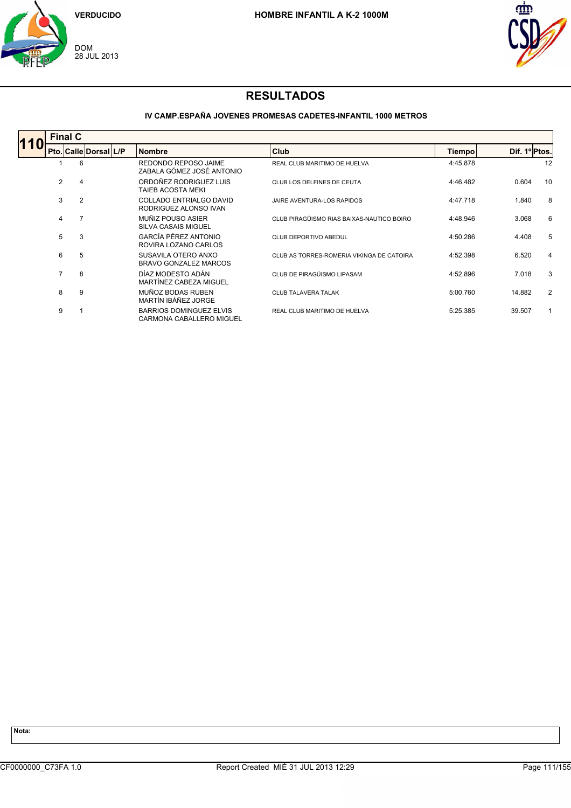



### **IV CAMP.ESPAÑA JOVENES PROMESAS CADETES-INFANTIL 1000 METROS**

|                | <b>Final C</b>        |  |                                                            |                                           |               |               |    |  |  |  |
|----------------|-----------------------|--|------------------------------------------------------------|-------------------------------------------|---------------|---------------|----|--|--|--|
|                | Pto. Calle Dorsal L/P |  | <b>Nombre</b>                                              | Club                                      | <b>Tiempo</b> | Dif. 1º Ptos. |    |  |  |  |
|                | 6                     |  | REDONDO REPOSO JAIME<br>ZABALA GÓMEZ JOSÉ ANTONIO          | REAL CLUB MARITIMO DE HUELVA              | 4:45.878      |               | 12 |  |  |  |
| $\overline{2}$ | 4                     |  | ORDOÑEZ RODRIGUEZ LUIS<br><b>TAIEB ACOSTA MEKI</b>         | CLUB LOS DELFINES DE CEUTA                | 4:46.482      | 0.604         | 10 |  |  |  |
| 3              | $\overline{2}$        |  | COLLADO ENTRIALGO DAVID<br>RODRIGUEZ ALONSO IVAN           | <b>JAIRE AVENTURA-LOS RAPIDOS</b>         | 4:47.718      | 1.840         | 8  |  |  |  |
| 4              |                       |  | MUÑIZ POUSO ASIER<br><b>SILVA CASAIS MIGUEL</b>            | CLUB PIRAGÜISMO RIAS BAIXAS-NAUTICO BOIRO | 4:48.946      | 3.068         | 6  |  |  |  |
| 5              | 3                     |  | GARCÍA PÉREZ ANTONIO<br>ROVIRA LOZANO CARLOS               | <b>CLUB DEPORTIVO ABEDUL</b>              | 4:50.286      | 4.408         | 5  |  |  |  |
| 6              | 5                     |  | SUSAVILA OTERO ANXO<br>BRAVO GONZALEZ MARCOS               | CLUB AS TORRES-ROMERIA VIKINGA DE CATOIRA | 4:52.398      | 6.520         | 4  |  |  |  |
| $\overline{7}$ | 8                     |  | DÍAZ MODESTO ADÁN<br>MARTÍNEZ CABEZA MIGUEL                | CLUB DE PIRAGÜISMO LIPASAM                | 4:52.896      | 7.018         | 3  |  |  |  |
| 8              | 9                     |  | MUÑOZ BODAS RUBEN<br>MARTÍN IBÁÑEZ JORGE                   | <b>CLUB TALAVERA TALAK</b>                | 5:00.760      | 14.882        | 2  |  |  |  |
| 9              |                       |  | <b>BARRIOS DOMINGUEZ ELVIS</b><br>CARMONA CABALLERO MIGUEL | REAL CLUB MARITIMO DE HUELVA              | 5:25.385      | 39.507        | 1  |  |  |  |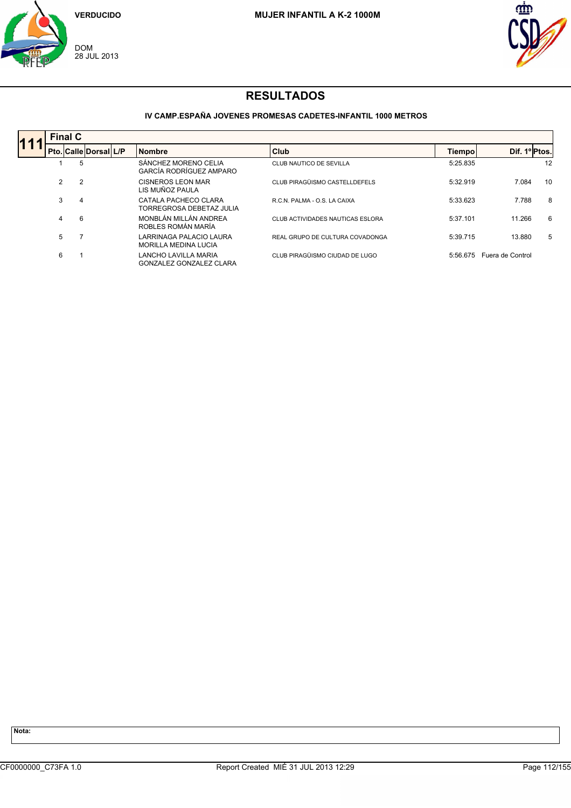



### **IV CAMP.ESPAÑA JOVENES PROMESAS CADETES-INFANTIL 1000 METROS**

| <b>Final C</b> |   |                       |  |                                                  |                                  |               |                  |    |  |  |  |
|----------------|---|-----------------------|--|--------------------------------------------------|----------------------------------|---------------|------------------|----|--|--|--|
|                |   | Pto. Calle Dorsal L/P |  | <b>Nombre</b>                                    | <b>Club</b>                      | <b>Tiempo</b> | Dif. 1ºPtos.     |    |  |  |  |
|                | 5 |                       |  | SÁNCHEZ MORENO CELIA<br>GARCÍA RODRÍGUEZ AMPARO  | CLUB NAUTICO DE SEVILLA          | 5:25.835      |                  | 12 |  |  |  |
| $\overline{2}$ |   |                       |  | CISNEROS LEON MAR<br>LIS MUÑOZ PAULA             | CLUB PIRAGÜISMO CASTELLDEFELS    | 5:32.919      | 7.084            | 10 |  |  |  |
| 3              | 4 |                       |  | CATALA PACHECO CLARA<br>TORREGROSA DEBETAZ JULIA | R.C.N. PALMA - O.S. LA CAIXA     | 5:33.623      | 7.788            | 8  |  |  |  |
| 4              | 6 |                       |  | MONBLÁN MILLÁN ANDREA<br>ROBLES ROMÁN MARÍA      | CLUB ACTIVIDADES NAUTICAS ESLORA | 5:37.101      | 11.266           | 6  |  |  |  |
| 5              |   |                       |  | LARRINAGA PALACIO LAURA<br>MORILLA MEDINA LUCIA  | REAL GRUPO DE CULTURA COVADONGA  | 5:39.715      | 13.880           | 5  |  |  |  |
| 6              |   |                       |  | LANCHO LAVILLA MARIA<br>GONZALEZ GONZALEZ CLARA  | CLUB PIRAGÜISMO CIUDAD DE LUGO   | 5:56.675      | Fuera de Control |    |  |  |  |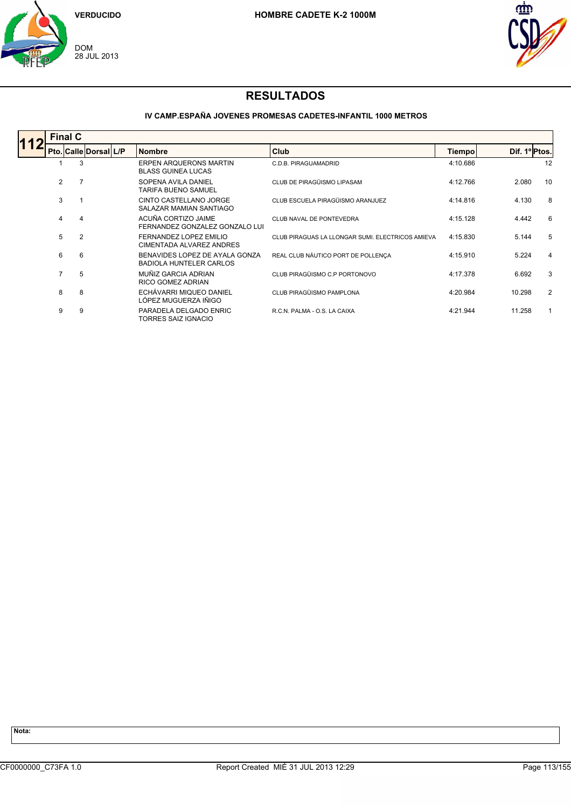



### **IV CAMP.ESPAÑA JOVENES PROMESAS CADETES-INFANTIL 1000 METROS**

| <b>Final C</b> |   |                       |  |                                                                  |                                                  |          |               |    |  |  |  |  |
|----------------|---|-----------------------|--|------------------------------------------------------------------|--------------------------------------------------|----------|---------------|----|--|--|--|--|
|                |   | Pto. Calle Dorsal L/P |  | <b>Nombre</b>                                                    | <b>Club</b>                                      | Tiempo   | Dif. 1º Ptos. |    |  |  |  |  |
|                | 3 |                       |  | <b>ERPEN ARQUERONS MARTIN</b><br><b>BLASS GUINEA LUCAS</b>       | C.D.B. PIRAGUAMADRID                             | 4:10.686 |               | 12 |  |  |  |  |
| $\overline{2}$ |   |                       |  | SOPENA AVILA DANIEL<br><b>TARIFA BUENO SAMUEL</b>                | CLUB DE PIRAGÜISMO LIPASAM                       | 4:12.766 | 2.080         | 10 |  |  |  |  |
| 3              |   |                       |  | CINTO CASTELLANO JORGE<br>SALAZAR MAMIAN SANTIAGO                | CLUB ESCUELA PIRAGÜISMO ARANJUEZ                 | 4:14.816 | 4.130         | 8  |  |  |  |  |
| 4              | 4 |                       |  | ACUÑA CORTIZO JAIME<br>FERNANDEZ GONZALEZ GONZALO LUI            | CLUB NAVAL DE PONTEVEDRA                         | 4:15.128 | 4.442         | 6  |  |  |  |  |
| 5              | 2 |                       |  | FERNANDEZ LOPEZ EMILIO<br>CIMENTADA ALVAREZ ANDRES               | CLUB PIRAGUAS LA LLONGAR SUMI. ELECTRICOS AMIEVA | 4:15.830 | 5.144         | 5  |  |  |  |  |
| 6              | 6 |                       |  | BENAVIDES LOPEZ DE AYALA GONZA<br><b>BADIOLA HUNTELER CARLOS</b> | REAL CLUB NÁUTICO PORT DE POLLENÇA               | 4:15.910 | 5.224         | 4  |  |  |  |  |
| 7              | 5 |                       |  | MUÑIZ GARCIA ADRIAN<br>RICO GOMEZ ADRIAN                         | CLUB PIRAGÜISMO C.P PORTONOVO                    | 4:17.378 | 6.692         | 3  |  |  |  |  |
| 8              | 8 |                       |  | ECHÁVARRI MIQUEO DANIEL<br>LÓPEZ MUGUERZA IÑIGO                  | CLUB PIRAGÜISMO PAMPLONA                         | 4:20.984 | 10.298        | 2  |  |  |  |  |
| 9              | 9 |                       |  | PARADELA DELGADO ENRIC<br>TORRES SAIZ IGNACIO                    | R.C.N. PALMA - O.S. LA CAIXA                     | 4:21.944 | 11.258        | 1  |  |  |  |  |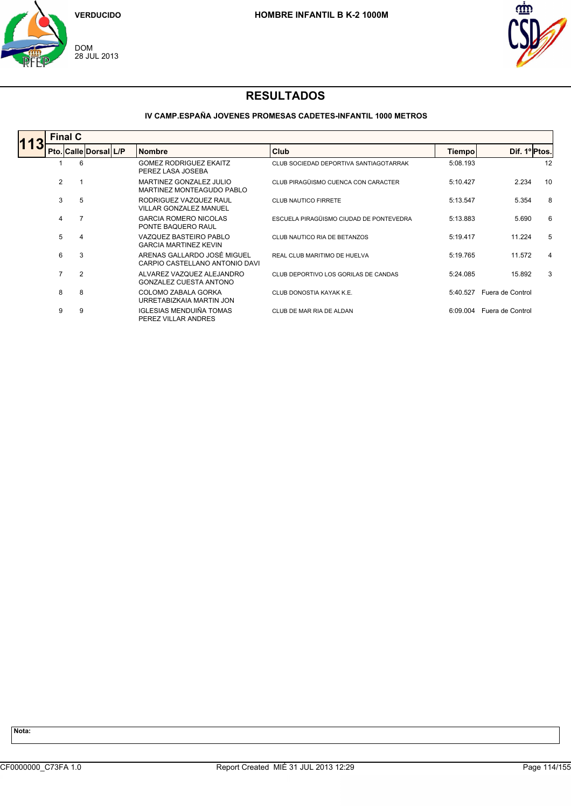



### **IV CAMP.ESPAÑA JOVENES PROMESAS CADETES-INFANTIL 1000 METROS**

|                | <b>Final C</b> |                       |                                                               |                                         |          |                  |    |  |
|----------------|----------------|-----------------------|---------------------------------------------------------------|-----------------------------------------|----------|------------------|----|--|
|                |                | Pto. Calle Dorsal L/P | <b>Nombre</b>                                                 | Club                                    | Tiempo   | Dif. 1º Ptos.    |    |  |
|                | 6              |                       | <b>GOMEZ RODRIGUEZ EKAITZ</b><br>PEREZ LASA JOSEBA            | CLUB SOCIEDAD DEPORTIVA SANTIAGOTARRAK  | 5:08.193 |                  | 12 |  |
| $\overline{2}$ |                |                       | MARTINEZ GONZALEZ JULIO<br>MARTINEZ MONTEAGUDO PABLO          | CLUB PIRAGÜISMO CUENCA CON CARACTER     | 5:10.427 | 2.234            | 10 |  |
| 3              | 5              |                       | RODRIGUEZ VAZQUEZ RAUL<br><b>VILLAR GONZALEZ MANUEL</b>       | <b>CLUB NAUTICO FIRRETE</b>             | 5:13.547 | 5.354            | 8  |  |
| 4              | $\overline{7}$ |                       | <b>GARCIA ROMERO NICOLAS</b><br>PONTE BAQUERO RAUL            | ESCUELA PIRAGÜISMO CIUDAD DE PONTEVEDRA | 5:13.883 | 5.690            | 6  |  |
| 5              | 4              |                       | VAZQUEZ BASTEIRO PABLO<br><b>GARCIA MARTINEZ KEVIN</b>        | CLUB NAUTICO RIA DE BETANZOS            | 5:19.417 | 11.224           | 5  |  |
| 6              | 3              |                       | ARENAS GALLARDO JOSÉ MIGUEL<br>CARPIO CASTELLANO ANTONIO DAVI | REAL CLUB MARITIMO DE HUELVA            | 5:19.765 | 11.572           | 4  |  |
| $\overline{7}$ | $\overline{2}$ |                       | ALVAREZ VAZQUEZ ALEJANDRO<br><b>GONZALEZ CUESTA ANTONO</b>    | CLUB DEPORTIVO LOS GORILAS DE CANDAS    | 5:24.085 | 15.892           | 3  |  |
| 8              | 8              |                       | COLOMO ZABALA GORKA<br>URRETABIZKAIA MARTIN JON               | CLUB DONOSTIA KAYAK K.E.                | 5:40.527 | Fuera de Control |    |  |
| 9              | 9              |                       | <b>IGLESIAS MENDUIÑA TOMAS</b><br>PEREZ VILLAR ANDRES         | CLUB DE MAR RIA DE ALDAN                | 6:09.004 | Fuera de Control |    |  |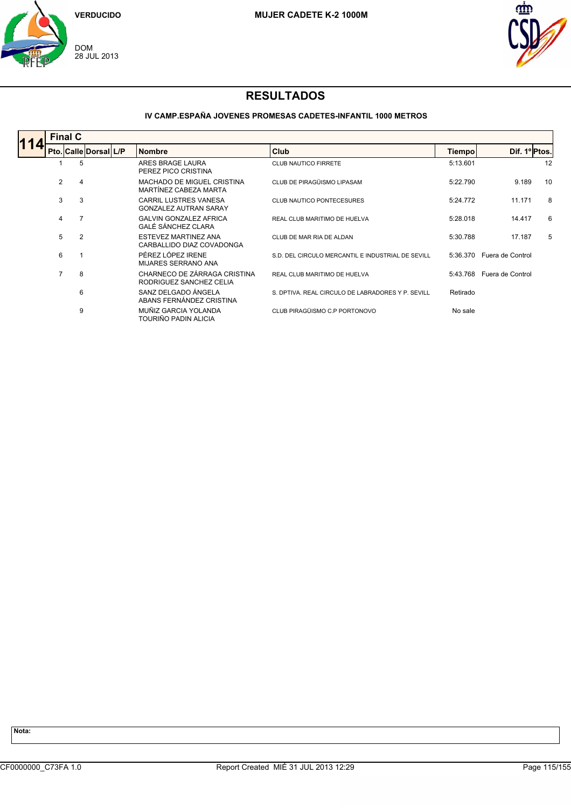



### **IV CAMP.ESPAÑA JOVENES PROMESAS CADETES-INFANTIL 1000 METROS**

| <b>Final C</b> |                       |  |                                                              |                                                   |          |                  |    |  |  |  |  |
|----------------|-----------------------|--|--------------------------------------------------------------|---------------------------------------------------|----------|------------------|----|--|--|--|--|
|                | Pto. Calle Dorsal L/P |  | <b>Nombre</b>                                                | <b>Club</b>                                       | Tiempo   | Dif. 1º Ptos.    |    |  |  |  |  |
|                | 5                     |  | ARES BRAGE LAURA<br>PEREZ PICO CRISTINA                      | <b>CLUB NAUTICO FIRRETE</b>                       | 5:13.601 |                  | 12 |  |  |  |  |
| $\overline{2}$ | 4                     |  | MACHADO DE MIGUEL CRISTINA<br>MARTÍNEZ CABEZA MARTA          | CLUB DE PIRAGÜISMO LIPASAM                        | 5:22.790 | 9.189            | 10 |  |  |  |  |
| 3              | 3                     |  | <b>CARRIL LUSTRES VANESA</b><br><b>GONZALEZ AUTRAN SARAY</b> | <b>CLUB NAUTICO PONTECESURES</b>                  | 5:24.772 | 11.171           | 8  |  |  |  |  |
| 4              | 7                     |  | <b>GALVIN GONZALEZ AFRICA</b><br>GALÉ SÁNCHEZ CLARA          | REAL CLUB MARITIMO DE HUELVA                      | 5:28.018 | 14.417           | 6  |  |  |  |  |
| 5              | $\overline{2}$        |  | <b>ESTEVEZ MARTINEZ ANA</b><br>CARBALLIDO DIAZ COVADONGA     | CLUB DE MAR RIA DE ALDAN                          | 5:30.788 | 17.187           | 5  |  |  |  |  |
| 6              |                       |  | PÉREZ LÓPEZ IRENE<br>MIJARES SERRANO ANA                     | S.D. DEL CIRCULO MERCANTIL E INDUSTRIAL DE SEVILL | 5:36.370 | Fuera de Control |    |  |  |  |  |
| $\overline{7}$ | 8                     |  | CHARNECO DE ZÁRRAGA CRISTINA<br>RODRIGUEZ SANCHEZ CELIA      | REAL CLUB MARITIMO DE HUELVA                      | 5:43.768 | Fuera de Control |    |  |  |  |  |
|                | 6                     |  | SANZ DELGADO ÁNGELA<br>ABANS FERNÁNDEZ CRISTINA              | S. DPTIVA. REAL CIRCULO DE LABRADORES Y P. SEVILL | Retirado |                  |    |  |  |  |  |
|                | 9                     |  | MUÑIZ GARCIA YOLANDA<br>TOURIÑO PADIN ALICIA                 | CLUB PIRAGÜISMO C.P PORTONOVO                     | No sale  |                  |    |  |  |  |  |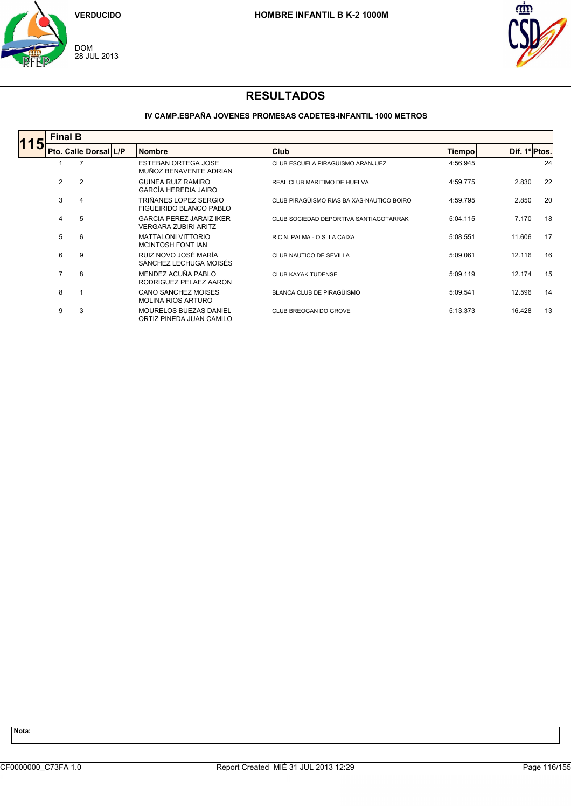



### **IV CAMP.ESPAÑA JOVENES PROMESAS CADETES-INFANTIL 1000 METROS**

|     | <b>Final B</b> |                       |  |                                                                |                                           |          |               |    |  |  |  |  |
|-----|----------------|-----------------------|--|----------------------------------------------------------------|-------------------------------------------|----------|---------------|----|--|--|--|--|
| 115 |                | Pto. Calle Dorsal L/P |  | <b>Nombre</b>                                                  | <b>Club</b>                               | Tiempo   | Dif. 1º Ptos. |    |  |  |  |  |
|     |                | 7                     |  | <b>ESTEBAN ORTEGA JOSE</b><br>MUÑOZ BENAVENTE ADRIAN           | CLUB ESCUELA PIRAGÜISMO ARANJUEZ          | 4:56.945 |               | 24 |  |  |  |  |
|     | $\overline{2}$ | $\overline{2}$        |  | <b>GUINEA RUIZ RAMIRO</b><br>GARCÍA HEREDIA JAIRO              | REAL CLUB MARITIMO DE HUELVA              | 4:59.775 | 2.830         | 22 |  |  |  |  |
|     | 3              | $\overline{4}$        |  | TRIÑANES LOPEZ SERGIO<br><b>FIGUEIRIDO BLANCO PABLO</b>        | CLUB PIRAGÜISMO RIAS BAIXAS-NAUTICO BOIRO | 4:59.795 | 2.850         | 20 |  |  |  |  |
|     | 4              | 5                     |  | <b>GARCIA PEREZ JARAIZ IKER</b><br><b>VERGARA ZUBIRI ARITZ</b> | CLUB SOCIEDAD DEPORTIVA SANTIAGOTARRAK    | 5:04.115 | 7.170         | 18 |  |  |  |  |
|     | 5              | 6                     |  | <b>MATTALONI VITTORIO</b><br><b>MCINTOSH FONT IAN</b>          | R.C.N. PALMA - O.S. LA CAIXA              | 5:08.551 | 11.606        | 17 |  |  |  |  |
|     | 6              | 9                     |  | RUIZ NOVO JOSÉ MARÍA<br>SÁNCHEZ LECHUGA MOISÉS                 | CLUB NAUTICO DE SEVILLA                   | 5:09.061 | 12.116        | 16 |  |  |  |  |
|     | $\overline{7}$ | 8                     |  | MENDEZ ACUÑA PABLO<br>RODRIGUEZ PELAEZ AARON                   | <b>CLUB KAYAK TUDENSE</b>                 | 5:09.119 | 12.174        | 15 |  |  |  |  |
|     | 8              |                       |  | CANO SANCHEZ MOISES<br><b>MOLINA RIOS ARTURO</b>               | BLANCA CLUB DE PIRAGÜISMO                 | 5:09.541 | 12.596        | 14 |  |  |  |  |
|     | 9              | 3                     |  | MOURELOS BUEZAS DANIEL<br>ORTIZ PINEDA JUAN CAMILO             | CLUB BREOGAN DO GROVE                     | 5:13.373 | 16.428        | 13 |  |  |  |  |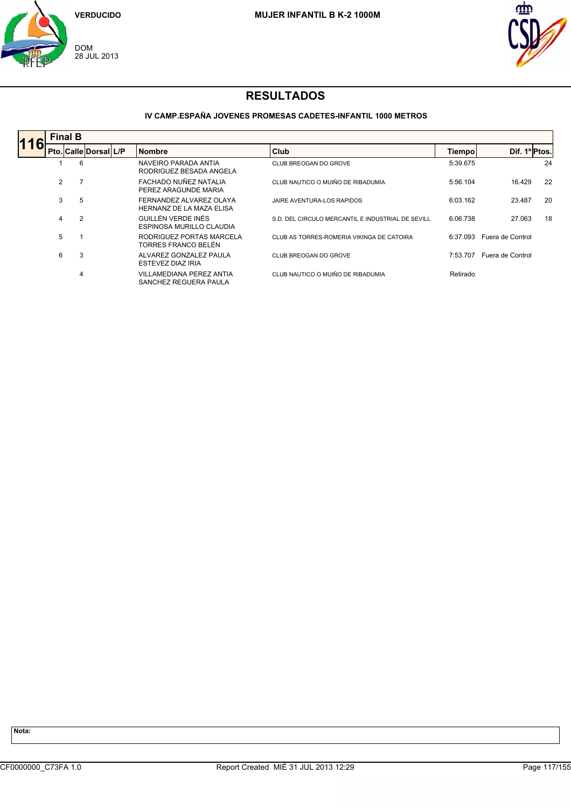



### **IV CAMP.ESPAÑA JOVENES PROMESAS CADETES-INFANTIL 1000 METROS**

|    | <b>Final B</b> |                |                       |  |                                                     |                                                   |          |                  |    |  |
|----|----------------|----------------|-----------------------|--|-----------------------------------------------------|---------------------------------------------------|----------|------------------|----|--|
| 16 |                |                | Pto. Calle Dorsal L/P |  | <b>Nombre</b>                                       | Club                                              | Tiempo   | Dif. 1º Ptos.    |    |  |
|    |                | 6              |                       |  | NAVEIRO PARADA ANTIA<br>RODRIGUEZ BESADA ANGELA     | CLUB BREOGAN DO GROVE                             | 5:39.675 |                  | 24 |  |
|    | 2              |                |                       |  | FACHADO NUÑEZ NATALIA<br>PEREZ ARAGUNDE MARIA       | CLUB NAUTICO O MUIÑO DE RIBADUMIA                 | 5:56.104 | 16.429           | 22 |  |
|    | 3              | 5              |                       |  | FERNANDEZ ALVAREZ OLAYA<br>HERNANZ DE LA MAZA ELISA | <b>JAIRE AVENTURA-LOS RAPIDOS</b>                 | 6:03.162 | 23.487           | 20 |  |
|    | 4              | $\overline{2}$ |                       |  | GUILLÉN VERDE INÉS<br>ESPINOSA MURILLO CLAUDIA      | S.D. DEL CIRCULO MERCANTIL E INDUSTRIAL DE SEVILL | 6:06.738 | 27.063           | 18 |  |
|    | 5              |                |                       |  | RODRIGUEZ PORTAS MARCELA<br>TORRES FRANCO BELÉN     | CLUB AS TORRES-ROMERIA VIKINGA DE CATOIRA         | 6:37.093 | Fuera de Control |    |  |
|    | 6              | 3              |                       |  | ALVAREZ GONZALEZ PAULA<br>ESTEVEZ DIAZ IRIA         | CLUB BREOGAN DO GROVE                             | 7:53.707 | Fuera de Control |    |  |
|    |                | 4              |                       |  | VILLAMEDIANA PEREZ ANTIA<br>SANCHEZ REGUERA PAULA   | CLUB NAUTICO O MUIÑO DE RIBADUMIA                 | Retirado |                  |    |  |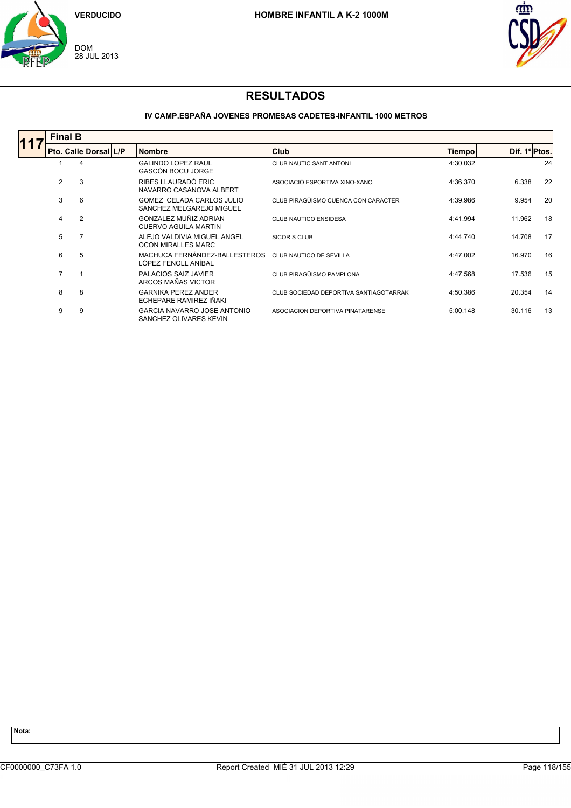



### **IV CAMP.ESPAÑA JOVENES PROMESAS CADETES-INFANTIL 1000 METROS**

| <b>Final B</b> |   |                       |  |                                                       |                                        |          |               |    |  |  |  |
|----------------|---|-----------------------|--|-------------------------------------------------------|----------------------------------------|----------|---------------|----|--|--|--|
|                |   | Pto. Calle Dorsal L/P |  | <b>Nombre</b>                                         | <b>Club</b>                            | Tiempo   | Dif. 1º Ptos. |    |  |  |  |
|                | 4 |                       |  | <b>GALINDO LOPEZ RAUL</b><br><b>GASCÓN BOCU JORGE</b> | <b>CLUB NAUTIC SANT ANTONI</b>         | 4:30.032 |               | 24 |  |  |  |
| $\overline{2}$ | 3 |                       |  | RIBES LLAURADÓ ERIC<br>NAVARRO CASANOVA ALBERT        | ASOCIACIÓ ESPORTIVA XINO-XANO          | 4:36.370 | 6.338         | 22 |  |  |  |
| 3              | 6 |                       |  | GOMEZ CELADA CARLOS JULIO<br>SANCHEZ MELGAREJO MIGUEL | CLUB PIRAGÜISMO CUENCA CON CARACTER    | 4:39.986 | 9.954         | 20 |  |  |  |
| 4              | 2 |                       |  | GONZALEZ MUÑIZ ADRIAN<br><b>CUERVO AGUILA MARTIN</b>  | <b>CLUB NAUTICO ENSIDESA</b>           | 4:41.994 | 11.962        | 18 |  |  |  |
| 5              |   |                       |  | ALEJO VALDIVIA MIGUEL ANGEL<br>OCON MIRALLES MARC     | <b>SICORIS CLUB</b>                    | 4:44.740 | 14.708        | 17 |  |  |  |
| 6              | 5 |                       |  | MACHUCA FERNÁNDEZ-BALLESTEROS<br>LÓPEZ FENOLL ANÍBAL  | CLUB NAUTICO DE SEVILLA                | 4:47.002 | 16.970        | 16 |  |  |  |
| $\overline{7}$ |   |                       |  | PALACIOS SAIZ JAVIER<br>ARCOS MAÑAS VICTOR            | CLUB PIRAGÜISMO PAMPLONA               | 4:47.568 | 17.536        | 15 |  |  |  |
| 8              | 8 |                       |  | <b>GARNIKA PEREZ ANDER</b><br>ECHEPARE RAMIREZ IÑAKI  | CLUB SOCIEDAD DEPORTIVA SANTIAGOTARRAK | 4:50.386 | 20.354        | 14 |  |  |  |
| 9              | 9 |                       |  | GARCIA NAVARRO JOSE ANTONIO<br>SANCHEZ OLIVARES KEVIN | ASOCIACION DEPORTIVA PINATARENSE       | 5:00.148 | 30.116        | 13 |  |  |  |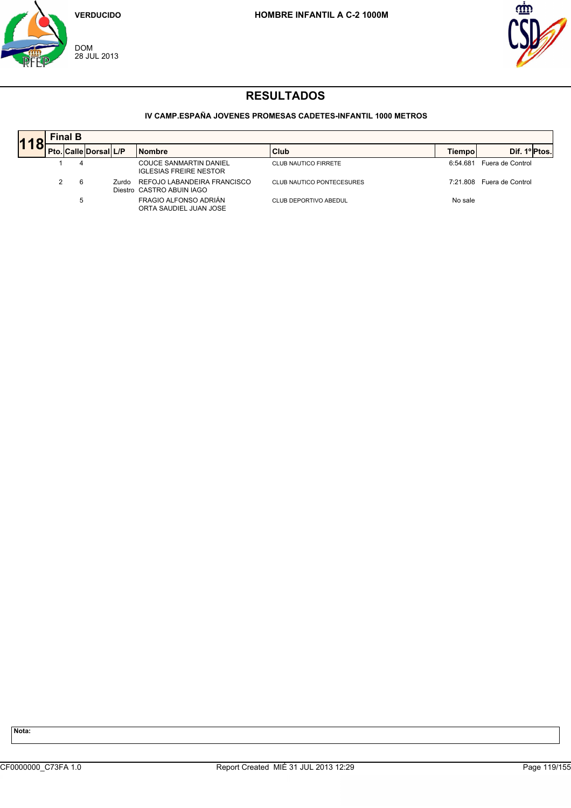



### **IV CAMP.ESPAÑA JOVENES PROMESAS CADETES-INFANTIL 1000 METROS**

| 11 | <b>Final B</b> |   |                       |       |                                                                |                                  |          |                           |  |  |  |  |
|----|----------------|---|-----------------------|-------|----------------------------------------------------------------|----------------------------------|----------|---------------------------|--|--|--|--|
|    |                |   | Pto. Calle Dorsal L/P |       | <b>Nombre</b>                                                  | <b>Club</b>                      | Tiempol  | Dif. 1º Ptos.             |  |  |  |  |
|    |                |   |                       |       | <b>COUCE SANMARTIN DANIEL</b><br><b>IGLESIAS FREIRE NESTOR</b> | <b>CLUB NAUTICO FIRRETE</b>      | 6:54.681 | Fuera de Control          |  |  |  |  |
|    |                |   |                       | Zurdo | REFOJO LABANDEIRA FRANCISCO<br>Diestro CASTRO ABUIN IAGO       | <b>CLUB NAUTICO PONTECESURES</b> |          | 7:21.808 Fuera de Control |  |  |  |  |
|    |                | 5 |                       |       | FRAGIO ALFONSO ADRIÁN<br>ORTA SAUDIEL JUAN JOSE                | CLUB DEPORTIVO ABEDUL            | No sale  |                           |  |  |  |  |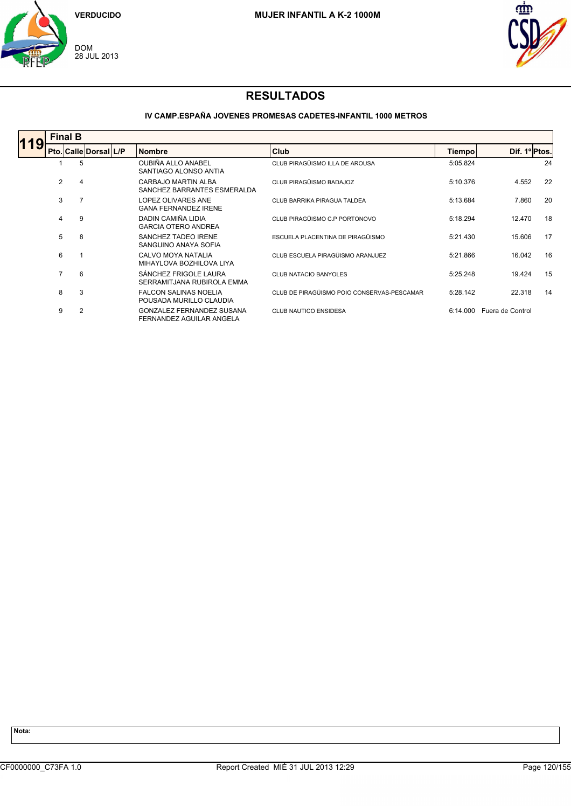



### **IV CAMP.ESPAÑA JOVENES PROMESAS CADETES-INFANTIL 1000 METROS**

| <b>Final B</b> |                       |  |                                                              |                                            |          |                  |    |  |  |  |  |
|----------------|-----------------------|--|--------------------------------------------------------------|--------------------------------------------|----------|------------------|----|--|--|--|--|
|                | Pto. Calle Dorsal L/P |  | <b>Nombre</b>                                                | Club                                       | Tiempo   | Dif. 1º Ptos.    |    |  |  |  |  |
|                | 5                     |  | OUBIÑA ALLO ANABEL<br>SANTIAGO ALONSO ANTIA                  | CLUB PIRAGÜISMO ILLA DE AROUSA             | 5:05.824 |                  | 24 |  |  |  |  |
| 2              | 4                     |  | CARBAJO MARTIN ALBA<br>SANCHEZ BARRANTES ESMERALDA           | CLUB PIRAGÜISMO BADAJOZ                    | 5:10.376 | 4.552            | 22 |  |  |  |  |
| 3              |                       |  | LOPEZ OLIVARES ANE<br><b>GANA FERNANDEZ IRENE</b>            | CLUB BARRIKA PIRAGUA TALDEA                | 5:13.684 | 7.860            | 20 |  |  |  |  |
| 4              | 9                     |  | DADIN CAMIÑA LIDIA<br><b>GARCIA OTERO ANDREA</b>             | CLUB PIRAGÜISMO C.P PORTONOVO              | 5:18.294 | 12.470           | 18 |  |  |  |  |
| 5              | -8                    |  | SANCHEZ TADEO IRENE<br>SANGUINO ANAYA SOFIA                  | ESCUELA PLACENTINA DE PIRAGÜISMO           | 5:21.430 | 15.606           | 17 |  |  |  |  |
| 6              |                       |  | CALVO MOYA NATALIA<br>MIHAYLOVA BOZHILOVA LIYA               | CLUB ESCUELA PIRAGÜISMO ARANJUEZ           | 5:21.866 | 16.042           | 16 |  |  |  |  |
| $\overline{7}$ | 6                     |  | SÁNCHEZ FRIGOLE LAURA<br>SERRAMITJANA RUBIROLA EMMA          | <b>CLUB NATACIO BANYOLES</b>               | 5:25.248 | 19.424           | 15 |  |  |  |  |
| 8              | 3                     |  | <b>FALCON SALINAS NOELIA</b><br>POUSADA MURILLO CLAUDIA      | CLUB DE PIRAGÜISMO POIO CONSERVAS-PESCAMAR | 5:28.142 | 22.318           | 14 |  |  |  |  |
| 9              | $\overline{2}$        |  | <b>GONZALEZ FERNANDEZ SUSANA</b><br>FERNANDEZ AGUILAR ANGELA | <b>CLUB NAUTICO ENSIDESA</b>               | 6:14.000 | Fuera de Control |    |  |  |  |  |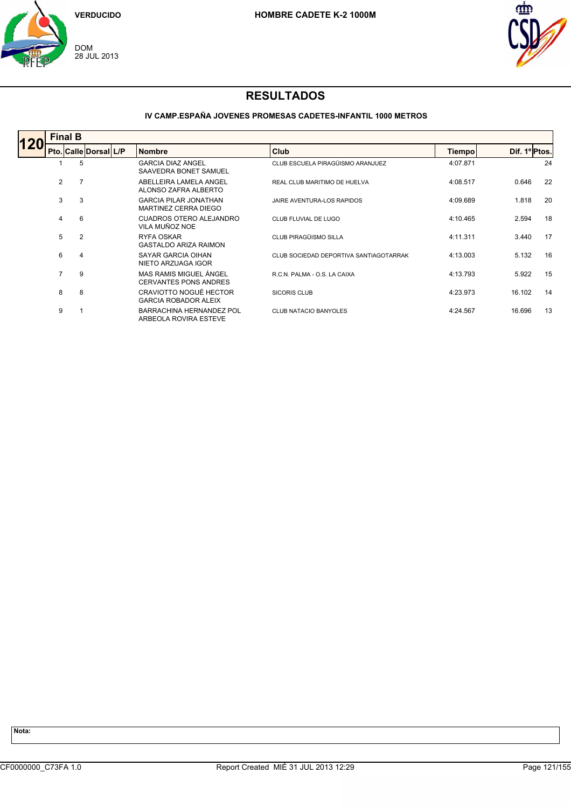



### **IV CAMP.ESPAÑA JOVENES PROMESAS CADETES-INFANTIL 1000 METROS**

| <b>Final B</b> |                |                       |  |                                                          |                                        |          |               |    |  |  |  |  |
|----------------|----------------|-----------------------|--|----------------------------------------------------------|----------------------------------------|----------|---------------|----|--|--|--|--|
|                |                | Pto. Calle Dorsal L/P |  | <b>Nombre</b>                                            | Club                                   | Tiempo   | Dif. 1º Ptos. |    |  |  |  |  |
|                | 5              |                       |  | <b>GARCIA DIAZ ANGEL</b><br>SAAVEDRA BONET SAMUEL        | CLUB ESCUELA PIRAGÜISMO ARANJUEZ       | 4:07.871 |               | 24 |  |  |  |  |
| $\overline{2}$ | 7              |                       |  | ABELLEIRA LAMELA ANGEL<br>ALONSO ZAFRA ALBERTO           | REAL CLUB MARITIMO DE HUELVA           | 4:08.517 | 0.646         | 22 |  |  |  |  |
| 3              | 3              |                       |  | <b>GARCIA PILAR JONATHAN</b><br>MARTINEZ CERRA DIEGO     | JAIRE AVENTURA-LOS RAPIDOS             | 4:09.689 | 1.818         | 20 |  |  |  |  |
| 4              | 6              |                       |  | <b>CUADROS OTERO ALEJANDRO</b><br>VILA MUÑOZ NOE         | CLUB FLUVIAL DE LUGO                   | 4:10.465 | 2.594         | 18 |  |  |  |  |
| 5              | $\overline{2}$ |                       |  | RYFA OSKAR<br><b>GASTALDO ARIZA RAIMON</b>               | CLUB PIRAGÜISMO SILLA                  | 4:11.311 | 3.440         | 17 |  |  |  |  |
| 6              | 4              |                       |  | SAYAR GARCIA OIHAN<br>NIETO ARZUAGA IGOR                 | CLUB SOCIEDAD DEPORTIVA SANTIAGOTARRAK | 4:13.003 | 5.132         | 16 |  |  |  |  |
| $\overline{7}$ | 9              |                       |  | MAS RAMIS MIGUEL ÁNGEL<br><b>CERVANTES PONS ANDRES</b>   | R.C.N. PALMA - O.S. LA CAIXA           | 4:13.793 | 5.922         | 15 |  |  |  |  |
| 8              | 8              |                       |  | CRAVIOTTO NOGUÉ HECTOR<br><b>GARCIA ROBADOR ALEIX</b>    | <b>SICORIS CLUB</b>                    | 4:23.973 | 16.102        | 14 |  |  |  |  |
| 9              |                |                       |  | <b>BARRACHINA HERNANDEZ POL</b><br>ARBEOLA ROVIRA ESTEVE | <b>CLUB NATACIO BANYOLES</b>           | 4:24.567 | 16.696        | 13 |  |  |  |  |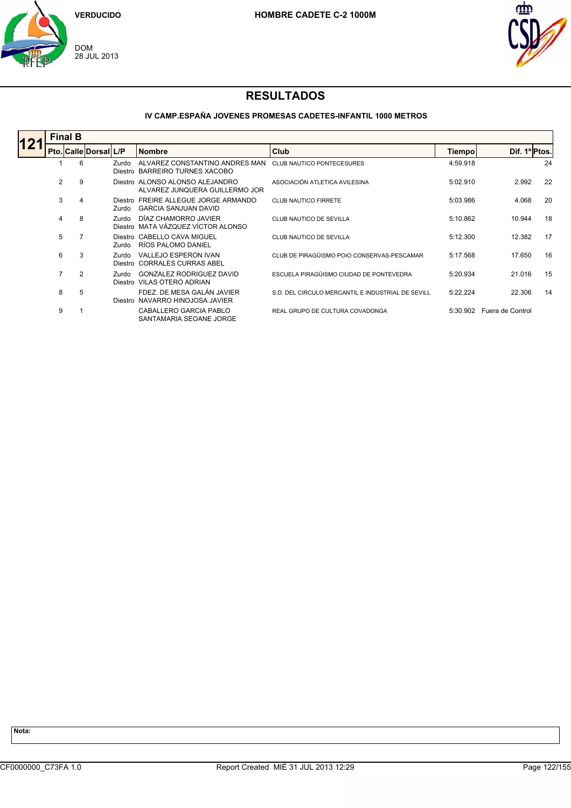



#### **IV CAMP.ESPAÑA JOVENES PROMESAS CADETES-INFANTIL 1000 METROS**

| <b>Final B</b> |   |                       |       |                                                                     |                                                   |          |                  |    |  |  |  |
|----------------|---|-----------------------|-------|---------------------------------------------------------------------|---------------------------------------------------|----------|------------------|----|--|--|--|
|                |   | Pto. Calle Dorsal L/P |       | <b>Nombre</b>                                                       | Club                                              | Tiempo   | Dif. 1ºPtos.     |    |  |  |  |
|                | 6 |                       | Zurdo | ALVAREZ CONSTANTINO ANDRES MAN<br>Diestro BARREIRO TURNES XACOBO    | <b>CLUB NAUTICO PONTECESURES</b>                  | 4:59.918 |                  | 24 |  |  |  |
| $\overline{2}$ | 9 |                       |       | Diestro ALONSO ALONSO ALEJANDRO<br>ALVAREZ JUNOUERA GUILLERMO JOR   | ASOCIACIÓN ATLETICA AVILESINA                     | 5:02.910 | 2.992            | 22 |  |  |  |
| 3              | 4 |                       | Zurdo | Diestro FREIRE ALLEGUE JORGE ARMANDO<br><b>GARCIA SANJUAN DAVID</b> | <b>CLUB NAUTICO FIRRETE</b>                       | 5:03.986 | 4.068            | 20 |  |  |  |
| 4              | 8 |                       | Zurdo | DÍAZ CHAMORRO JAVIER<br>Diestro MATA VÁZQUEZ VÍCTOR ALONSO          | CLUB NAUTICO DE SEVILLA                           | 5:10.862 | 10.944           | 18 |  |  |  |
| 5              |   |                       | Zurdo | Diestro CABELLO CAVA MIGUEL<br>RÍOS PALOMO DANIEL                   | CLUB NAUTICO DE SEVILLA                           | 5:12.300 | 12.382           | 17 |  |  |  |
| 6              | 3 |                       | Zurdo | <b>VALLEJO ESPERON IVAN</b><br>Diestro CORRALES CURRAS ABEL         | CLUB DE PIRAGÜISMO POIO CONSERVAS-PESCAMAR        | 5:17.568 | 17.650           | 16 |  |  |  |
| $\overline{7}$ | 2 |                       | Zurdo | <b>GONZALEZ RODRIGUEZ DAVID</b><br>Diestro VILAS OTERO ADRIAN       | ESCUELA PIRAGÜISMO CIUDAD DE PONTEVEDRA           | 5:20.934 | 21.016           | 15 |  |  |  |
| 8              | 5 |                       |       | FDEZ. DE MESA GALÁN JAVIER<br>Diestro NAVARRO HINOJOSA JAVIER       | S.D. DEL CIRCULO MERCANTIL E INDUSTRIAL DE SEVILL | 5:22.224 | 22.306           | 14 |  |  |  |
| 9              |   |                       |       | CABALLERO GARCIA PABLO<br>SANTAMARIA SEOANE JORGE                   | REAL GRUPO DE CULTURA COVADONGA                   | 5:30.902 | Fuera de Control |    |  |  |  |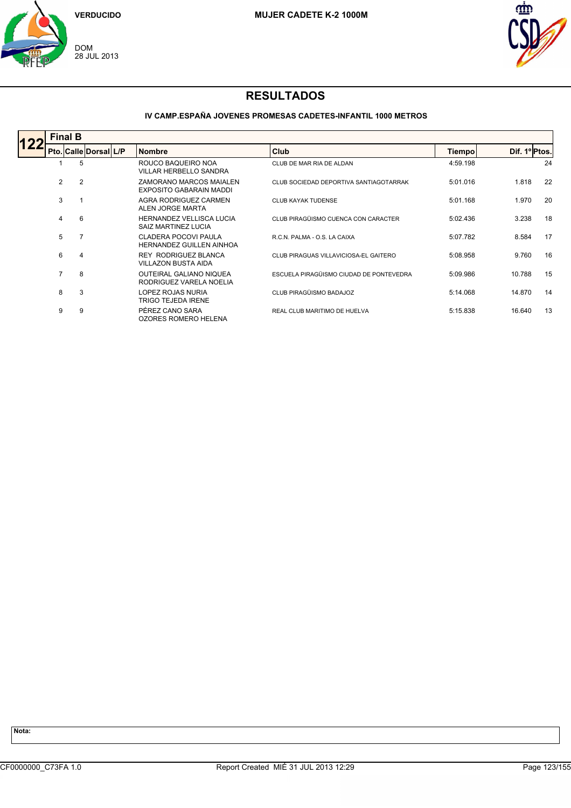



### **IV CAMP.ESPAÑA JOVENES PROMESAS CADETES-INFANTIL 1000 METROS**

| <b>Final B</b> |                |                       |  |                                                           |                                         |               |               |    |  |  |  |
|----------------|----------------|-----------------------|--|-----------------------------------------------------------|-----------------------------------------|---------------|---------------|----|--|--|--|
|                |                | Pto. Calle Dorsal L/P |  | <b>Nombre</b>                                             | <b>Club</b>                             | <b>Tiempo</b> | Dif. 1º Ptos. |    |  |  |  |
|                | 5              |                       |  | ROUCO BAQUEIRO NOA<br><b>VILLAR HERBELLO SANDRA</b>       | CLUB DE MAR RIA DE ALDAN                | 4:59.198      |               | 24 |  |  |  |
| 2              | $\overline{2}$ |                       |  | ZAMORANO MARCOS MAIALEN<br>EXPOSITO GABARAIN MADDI        | CLUB SOCIEDAD DEPORTIVA SANTIAGOTARRAK  | 5:01.016      | 1.818         | 22 |  |  |  |
| 3              |                |                       |  | AGRA RODRIGUEZ CARMEN<br>ALEN JORGE MARTA                 | <b>CLUB KAYAK TUDENSE</b>               | 5:01.168      | 1.970         | 20 |  |  |  |
| 4              | 6              |                       |  | <b>HERNANDEZ VELLISCA LUCIA</b><br>SAIZ MARTINEZ LUCIA    | CLUB PIRAGÜISMO CUENCA CON CARACTER     | 5:02.436      | 3.238         | 18 |  |  |  |
| 5              |                |                       |  | CLADERA POCOVI PAULA<br><b>HERNANDEZ GUILLEN AINHOA</b>   | R.C.N. PALMA - O.S. LA CAIXA            | 5:07.782      | 8.584         | 17 |  |  |  |
| 6              | 4              |                       |  | <b>REY RODRIGUEZ BLANCA</b><br><b>VILLAZON BUSTA AIDA</b> | CLUB PIRAGUAS VILLAVICIOSA-EL GAITERO   | 5:08.958      | 9.760         | 16 |  |  |  |
| $\overline{7}$ | 8              |                       |  | <b>OUTEIRAL GALIANO NIQUEA</b><br>RODRIGUEZ VARELA NOELIA | ESCUELA PIRAGÜISMO CIUDAD DE PONTEVEDRA | 5:09.986      | 10.788        | 15 |  |  |  |
| 8              | 3              |                       |  | LOPEZ ROJAS NURIA<br><b>TRIGO TEJEDA IRENE</b>            | CLUB PIRAGÜISMO BADAJOZ                 | 5:14.068      | 14.870        | 14 |  |  |  |
| 9              | 9              |                       |  | PÉREZ CANO SARA<br>OZORES ROMERO HELENA                   | REAL CLUB MARITIMO DE HUELVA            | 5:15.838      | 16.640        | 13 |  |  |  |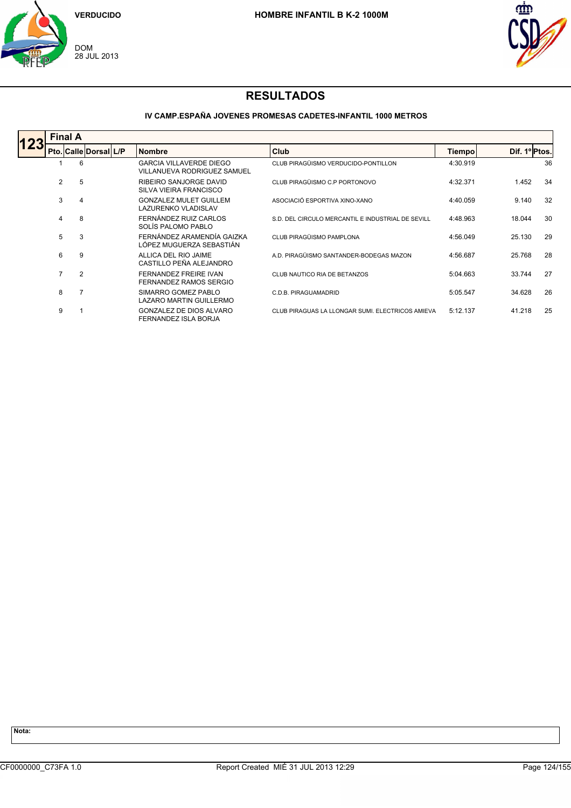



### **IV CAMP.ESPAÑA JOVENES PROMESAS CADETES-INFANTIL 1000 METROS**

|     | <b>Final A</b> |                |                       |  |                                                                      |                                                   |               |               |    |  |  |  |
|-----|----------------|----------------|-----------------------|--|----------------------------------------------------------------------|---------------------------------------------------|---------------|---------------|----|--|--|--|
| 123 |                |                | Pto. Calle Dorsal L/P |  | <b>Nombre</b>                                                        | <b>Club</b>                                       | <b>Tiempo</b> | Dif. 1º Ptos. |    |  |  |  |
|     |                | 6              |                       |  | <b>GARCIA VILLAVERDE DIEGO</b><br><b>VILLANUEVA RODRIGUEZ SAMUEL</b> | CLUB PIRAGÜISMO VERDUCIDO-PONTILLON               | 4:30.919      |               | 36 |  |  |  |
|     | $\overline{2}$ | 5              |                       |  | RIBEIRO SANJORGE DAVID<br>SILVA VIEIRA FRANCISCO                     | CLUB PIRAGÜISMO C.P PORTONOVO                     | 4:32.371      | 1.452         | 34 |  |  |  |
|     | 3              | 4              |                       |  | <b>GONZALEZ MULET GUILLEM</b><br><b>LAZURENKO VLADISLAV</b>          | ASOCIACIÓ ESPORTIVA XINO-XANO                     | 4:40.059      | 9.140         | 32 |  |  |  |
|     | 4              | 8              |                       |  | FERNÁNDEZ RUIZ CARLOS<br>SOLÍS PALOMO PABLO                          | S.D. DEL CIRCULO MERCANTIL E INDUSTRIAL DE SEVILL | 4:48.963      | 18.044        | 30 |  |  |  |
|     | 5              | 3              |                       |  | FERNÁNDEZ ARAMENDÍA GAIZKA<br>LÓPEZ MUGUERZA SEBASTIÁN               | CLUB PIRAGÜISMO PAMPLONA                          | 4:56.049      | 25.130        | 29 |  |  |  |
|     | 6              | 9              |                       |  | ALLICA DEL RIO JAIME<br>CASTILLO PEÑA ALEJANDRO                      | A.D. PIRAGÜISMO SANTANDER-BODEGAS MAZON           | 4:56.687      | 25.768        | 28 |  |  |  |
|     | $\overline{7}$ | $\overline{2}$ |                       |  | <b>FERNANDEZ FREIRE IVAN</b><br>FERNANDEZ RAMOS SERGIO               | CLUB NAUTICO RIA DE BETANZOS                      | 5:04.663      | 33.744        | 27 |  |  |  |
|     | 8              | 7              |                       |  | SIMARRO GOMEZ PABLO<br>LAZARO MARTIN GUILLERMO                       | C.D.B. PIRAGUAMADRID                              | 5:05.547      | 34.628        | 26 |  |  |  |
|     | 9              |                |                       |  | GONZALEZ DE DIOS ALVARO<br>FERNANDEZ ISLA BORJA                      | CLUB PIRAGUAS LA LLONGAR SUMI. ELECTRICOS AMIEVA  | 5:12.137      | 41.218        | 25 |  |  |  |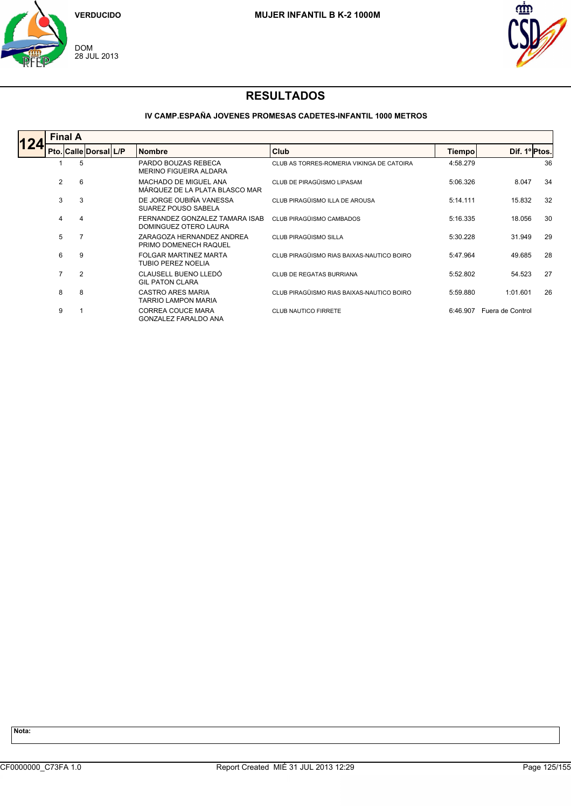



### **IV CAMP.ESPAÑA JOVENES PROMESAS CADETES-INFANTIL 1000 METROS**

| <b>Final A</b> |  |                       |  |                                                         |                                           |          |                  |    |  |  |
|----------------|--|-----------------------|--|---------------------------------------------------------|-------------------------------------------|----------|------------------|----|--|--|
|                |  | Pto. Calle Dorsal L/P |  | <b>Nombre</b>                                           | Club                                      | Tiempo   | Dif. 1º Ptos.    |    |  |  |
|                |  | 5                     |  | PARDO BOUZAS REBECA<br>MERINO FIGUEIRA ALDARA           | CLUB AS TORRES-ROMERIA VIKINGA DE CATOIRA | 4:58.279 |                  | 36 |  |  |
| 2              |  | 6                     |  | MACHADO DE MIGUEL ANA<br>MÁRQUEZ DE LA PLATA BLASCO MAR | CLUB DE PIRAGÜISMO LIPASAM                | 5:06.326 | 8.047            | 34 |  |  |
| 3              |  | 3                     |  | DE JORGE OUBIÑA VANESSA<br>SUAREZ POUSO SABELA          | CLUB PIRAGÜISMO ILLA DE AROUSA            | 5:14.111 | 15.832           | 32 |  |  |
| 4              |  | 4                     |  | FERNANDEZ GONZALEZ TAMARA ISAB<br>DOMINGUEZ OTERO LAURA | CLUB PIRAGÜISMO CAMBADOS                  | 5:16.335 | 18.056           | 30 |  |  |
| 5              |  |                       |  | ZARAGOZA HERNANDEZ ANDREA<br>PRIMO DOMENECH RAQUEL      | CLUB PIRAGÜISMO SILLA                     | 5:30.228 | 31.949           | 29 |  |  |
| 6              |  | 9                     |  | FOLGAR MARTINEZ MARTA<br><b>TUBIO PEREZ NOELIA</b>      | CLUB PIRAGÜISMO RIAS BAIXAS-NAUTICO BOIRO | 5:47.964 | 49.685           | 28 |  |  |
| $\overline{7}$ |  | $\overline{2}$        |  | CLAUSELL BUENO LLEDÓ<br><b>GIL PATON CLARA</b>          | CLUB DE REGATAS BURRIANA                  | 5:52.802 | 54.523           | 27 |  |  |
| 8              |  | 8                     |  | CASTRO ARES MARIA<br><b>TARRIO LAMPON MARIA</b>         | CLUB PIRAGÜISMO RIAS BAIXAS-NAUTICO BOIRO | 5:59.880 | 1:01.601         | 26 |  |  |
| 9              |  |                       |  | <b>CORREA COUCE MARA</b><br><b>GONZALEZ FARALDO ANA</b> | <b>CLUB NAUTICO FIRRETE</b>               | 6:46.907 | Fuera de Control |    |  |  |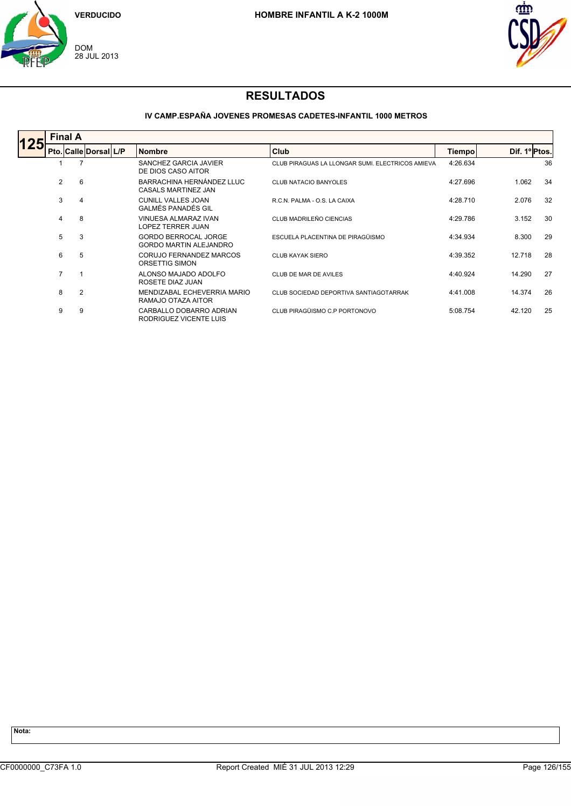



### **IV CAMP.ESPAÑA JOVENES PROMESAS CADETES-INFANTIL 1000 METROS**

|     | <b>Final A</b> |                |                       |  |                                                              |                                                  |               |               |    |  |  |  |
|-----|----------------|----------------|-----------------------|--|--------------------------------------------------------------|--------------------------------------------------|---------------|---------------|----|--|--|--|
| 125 |                |                | Pto. Calle Dorsal L/P |  | <b>Nombre</b>                                                | Club                                             | <b>Tiempo</b> | Dif. 1º Ptos. |    |  |  |  |
|     |                |                |                       |  | SANCHEZ GARCIA JAVIER<br>DE DIOS CASO AITOR                  | CLUB PIRAGUAS LA LLONGAR SUMI. ELECTRICOS AMIEVA | 4:26.634      |               | 36 |  |  |  |
|     | 2              | 6              |                       |  | BARRACHINA HERNÁNDEZ LLUC<br>CASALS MARTINEZ JAN             | <b>CLUB NATACIO BANYOLES</b>                     | 4:27.696      | 1.062         | 34 |  |  |  |
|     | 3              | 4              |                       |  | <b>CUNILL VALLES JOAN</b><br>GALMÉS PANADÉS GIL              | R.C.N. PALMA - O.S. LA CAIXA                     | 4:28.710      | 2.076         | 32 |  |  |  |
|     | 4              | 8              |                       |  | VINUESA ALMARAZ IVAN<br>LOPEZ TERRER JUAN                    | CLUB MADRILEÑO CIENCIAS                          | 4:29.786      | 3.152         | 30 |  |  |  |
|     | 5              | 3              |                       |  | <b>GORDO BERROCAL JORGE</b><br><b>GORDO MARTIN ALEJANDRO</b> | ESCUELA PLACENTINA DE PIRAGÜISMO                 | 4:34.934      | 8.300         | 29 |  |  |  |
|     | 6              | 5              |                       |  | CORUJO FERNANDEZ MARCOS<br>ORSETTIG SIMON                    | <b>CLUB KAYAK SIERO</b>                          | 4:39.352      | 12.718        | 28 |  |  |  |
|     | $\overline{7}$ | -1             |                       |  | ALONSO MAJADO ADOLFO<br>ROSETE DIAZ JUAN                     | CLUB DE MAR DE AVILES                            | 4:40.924      | 14.290        | 27 |  |  |  |
|     | 8              | $\overline{2}$ |                       |  | MENDIZABAL ECHEVERRIA MARIO<br>RAMAJO OTAZA AITOR            | CLUB SOCIEDAD DEPORTIVA SANTIAGOTARRAK           | 4:41.008      | 14.374        | 26 |  |  |  |
|     | 9              | 9              |                       |  | CARBALLO DOBARRO ADRIAN<br>RODRIGUEZ VICENTE LUIS            | CLUB PIRAGÜISMO C.P PORTONOVO                    | 5:08.754      | 42.120        | 25 |  |  |  |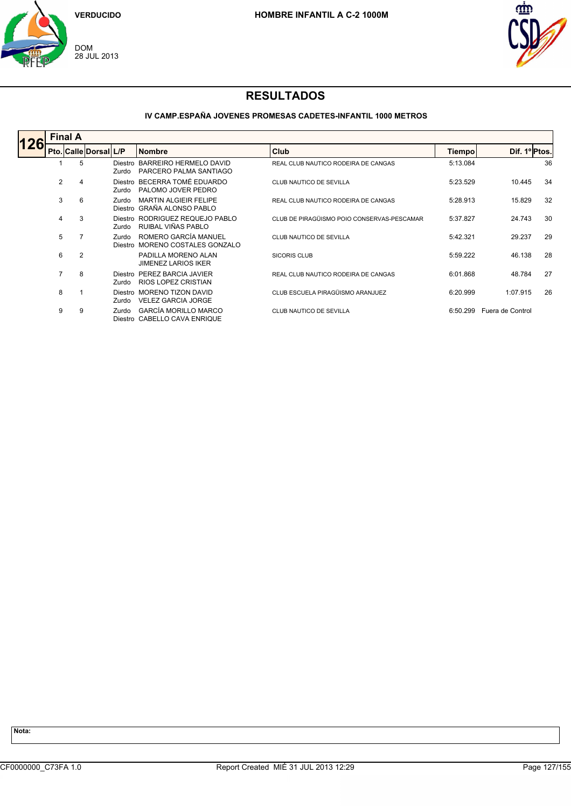



### **IV CAMP.ESPAÑA JOVENES PROMESAS CADETES-INFANTIL 1000 METROS**

| <b>Final A</b> |                |                       |                  |                                                             |                                            |               |                  |    |  |  |
|----------------|----------------|-----------------------|------------------|-------------------------------------------------------------|--------------------------------------------|---------------|------------------|----|--|--|
|                |                | Pto. Calle Dorsal L/P |                  | <b>Nombre</b>                                               | <b>Club</b>                                | <b>Tiempo</b> | Dif. 1º Ptos.    |    |  |  |
|                | 5              |                       | Zurdo            | Diestro BARREIRO HERMELO DAVID<br>PARCERO PALMA SANTIAGO    | REAL CLUB NAUTICO RODEIRA DE CANGAS        | 5:13.084      |                  | 36 |  |  |
| $\overline{2}$ | 4              |                       | Zurdo            | Diestro BECERRA TOMÉ EDUARDO<br>PALOMO JOVER PEDRO          | CLUB NAUTICO DE SEVILLA                    | 5:23.529      | 10.445           | 34 |  |  |
| 3              | 6              |                       | Zurdo<br>Diestro | <b>MARTIN ALGIEIR FELIPE</b><br>GRAÑA ALONSO PABLO          | REAL CLUB NAUTICO RODEIRA DE CANGAS        | 5:28.913      | 15.829           | 32 |  |  |
| 4              | 3              |                       | Zurdo            | Diestro RODRIGUEZ REQUEJO PABLO<br>RUIBAL VIÑAS PABLO       | CLUB DE PIRAGÜISMO POIO CONSERVAS-PESCAMAR | 5:37.827      | 24.743           | 30 |  |  |
| 5              | 7              |                       | Zurdo<br>Diestro | ROMERO GARCÍA MANUEL<br>MORENO COSTALES GONZALO             | CLUB NAUTICO DE SEVILLA                    | 5:42.321      | 29.237           | 29 |  |  |
| 6              | $\overline{2}$ |                       |                  | PADILLA MORENO ALAN<br><b>JIMENEZ LARIOS IKER</b>           | <b>SICORIS CLUB</b>                        | 5:59.222      | 46.138           | 28 |  |  |
| $\overline{7}$ | 8              |                       | Zurdo            | Diestro PEREZ BARCIA JAVIER<br>RIOS LOPEZ CRISTIAN          | REAL CLUB NAUTICO RODEIRA DE CANGAS        | 6:01.868      | 48.784           | 27 |  |  |
| 8              |                |                       | Diestro<br>Zurdo | <b>MORENO TIZON DAVID</b><br><b>VELEZ GARCIA JORGE</b>      | CLUB ESCUELA PIRAGÜISMO ARANJUEZ           | 6:20.999      | 1:07.915         | 26 |  |  |
| 9              | 9              |                       | Zurdo            | <b>GARCÍA MORILLO MARCO</b><br>Diestro CABELLO CAVA ENRIQUE | CLUB NAUTICO DE SEVILLA                    | 6:50.299      | Fuera de Control |    |  |  |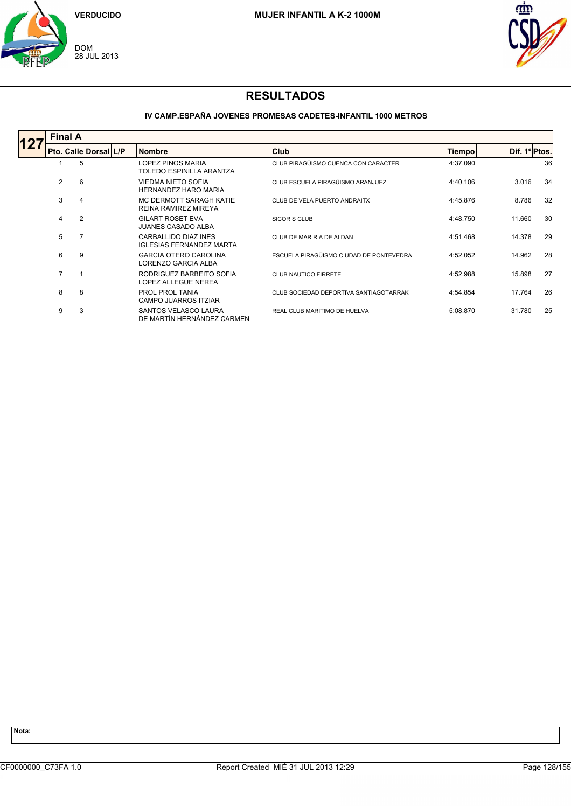



### **IV CAMP.ESPAÑA JOVENES PROMESAS CADETES-INFANTIL 1000 METROS**

|                | <b>Final A</b> |                       |  |                                                          |                                         |               |               |    |  |  |  |  |
|----------------|----------------|-----------------------|--|----------------------------------------------------------|-----------------------------------------|---------------|---------------|----|--|--|--|--|
|                |                | Pto. Calle Dorsal L/P |  | <b>Nombre</b>                                            | Club                                    | <b>Tiempo</b> | Dif. 1º Ptos. |    |  |  |  |  |
|                | 5              |                       |  | LOPEZ PINOS MARIA<br>TOLEDO ESPINILLA ARANTZA            | CLUB PIRAGÜISMO CUENCA CON CARACTER     | 4:37.090      |               | 36 |  |  |  |  |
| 2              | 6              |                       |  | <b>VIEDMA NIETO SOFIA</b><br><b>HERNANDEZ HARO MARIA</b> | CLUB ESCUELA PIRAGÜISMO ARANJUEZ        | 4:40.106      | 3.016         | 34 |  |  |  |  |
| 3              | 4              |                       |  | MC DERMOTT SARAGH KATIE<br><b>REINA RAMIREZ MIREYA</b>   | CLUB DE VELA PUERTO ANDRAITX            | 4:45.876      | 8.786         | 32 |  |  |  |  |
| 4              | $\overline{2}$ |                       |  | <b>GILART ROSET EVA</b><br><b>JUANES CASADO ALBA</b>     | <b>SICORIS CLUB</b>                     | 4:48.750      | 11.660        | 30 |  |  |  |  |
| 5              | 7              |                       |  | CARBALLIDO DIAZ INES<br><b>IGLESIAS FERNANDEZ MARTA</b>  | CLUB DE MAR RIA DE ALDAN                | 4:51.468      | 14.378        | 29 |  |  |  |  |
| 6              | 9              |                       |  | <b>GARCIA OTERO CAROLINA</b><br>LORENZO GARCIA ALBA      | ESCUELA PIRAGÜISMO CIUDAD DE PONTEVEDRA | 4:52.052      | 14.962        | 28 |  |  |  |  |
| $\overline{7}$ | 1              |                       |  | RODRIGUEZ BARBEITO SOFIA<br>LOPEZ ALLEGUE NEREA          | <b>CLUB NAUTICO FIRRETE</b>             | 4:52.988      | 15.898        | 27 |  |  |  |  |
| 8              | 8              |                       |  | PROL PROL TANIA<br>CAMPO JUARROS ITZIAR                  | CLUB SOCIEDAD DEPORTIVA SANTIAGOTARRAK  | 4:54.854      | 17.764        | 26 |  |  |  |  |
| 9              | 3              |                       |  | SANTOS VELASCO LAURA<br>DE MARTÍN HERNÁNDEZ CARMEN       | REAL CLUB MARITIMO DE HUELVA            | 5:08.870      | 31.780        | 25 |  |  |  |  |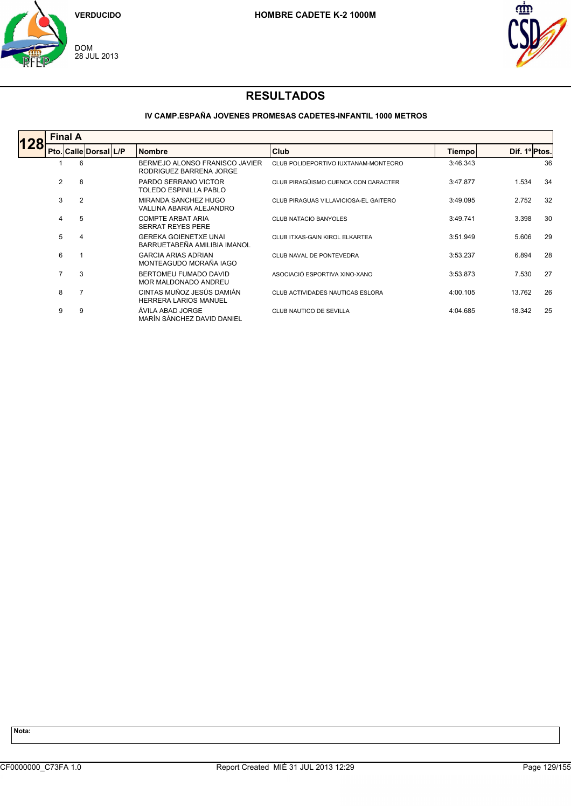



### **IV CAMP.ESPAÑA JOVENES PROMESAS CADETES-INFANTIL 1000 METROS**

|     |                | <b>Final A</b> |                       |  |                                                              |                                       |          |               |    |  |  |  |  |
|-----|----------------|----------------|-----------------------|--|--------------------------------------------------------------|---------------------------------------|----------|---------------|----|--|--|--|--|
| 128 |                |                | Pto. Calle Dorsal L/P |  | <b>Nombre</b>                                                | Club                                  | Tiempo   | Dif. 1º Ptos. |    |  |  |  |  |
|     |                | 6              |                       |  | BERMEJO ALONSO FRANISCO JAVIER<br>RODRIGUEZ BARRENA JORGE    | CLUB POLIDEPORTIVO IUXTANAM-MONTEORO  | 3:46.343 |               | 36 |  |  |  |  |
|     | 2              | 8              |                       |  | PARDO SERRANO VICTOR<br>TOLEDO ESPINILLA PABLO               | CLUB PIRAGÜISMO CUENCA CON CARACTER   | 3:47.877 | 1.534         | 34 |  |  |  |  |
|     | 3              | $\overline{2}$ |                       |  | MIRANDA SANCHEZ HUGO<br>VALLINA ABARIA ALEJANDRO             | CLUB PIRAGUAS VILLAVICIOSA-EL GAITERO | 3:49.095 | 2.752         | 32 |  |  |  |  |
|     | 4              | 5              |                       |  | <b>COMPTE ARBAT ARIA</b><br><b>SERRAT REYES PERE</b>         | <b>CLUB NATACIO BANYOLES</b>          | 3:49.741 | 3.398         | 30 |  |  |  |  |
|     | 5              | 4              |                       |  | <b>GEREKA GOIENETXE UNAI</b><br>BARRUETABEÑA AMILIBIA IMANOL | CLUB ITXAS-GAIN KIROL ELKARTEA        | 3:51.949 | 5.606         | 29 |  |  |  |  |
|     | 6              |                |                       |  | <b>GARCIA ARIAS ADRIAN</b><br>MONTEAGUDO MORAÑA IAGO         | CLUB NAVAL DE PONTEVEDRA              | 3:53.237 | 6.894         | 28 |  |  |  |  |
|     | $\overline{7}$ | 3              |                       |  | BERTOMEU FUMADO DAVID<br>MOR MALDONADO ANDREU                | ASOCIACIÓ ESPORTIVA XINO-XANO         | 3:53.873 | 7.530         | 27 |  |  |  |  |
|     | 8              | 7              |                       |  | CINTAS MUÑOZ JESÚS DAMIÁN<br><b>HERRERA LARIOS MANUEL</b>    | CLUB ACTIVIDADES NAUTICAS ESLORA      | 4:00.105 | 13.762        | 26 |  |  |  |  |
|     | 9              | 9              |                       |  | ÁVILA ABAD JORGE<br>MARÍN SÁNCHEZ DAVID DANIEL               | CLUB NAUTICO DE SEVILLA               | 4:04.685 | 18.342        | 25 |  |  |  |  |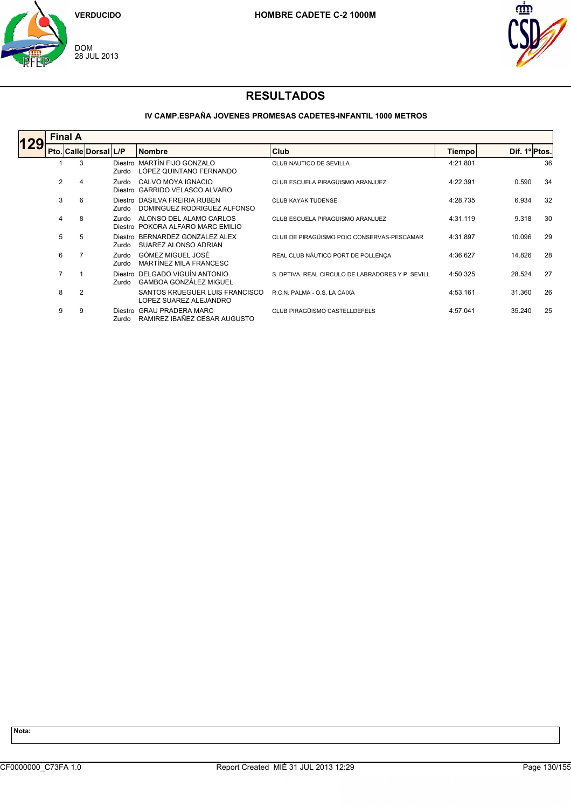



### **IV CAMP.ESPAÑA JOVENES PROMESAS CADETES-INFANTIL 1000 METROS**

|     | <b>Final A</b> |                |                       |                  |                                                                 |                                                   |               |               |    |  |  |  |
|-----|----------------|----------------|-----------------------|------------------|-----------------------------------------------------------------|---------------------------------------------------|---------------|---------------|----|--|--|--|
| 129 |                |                | Pto. Calle Dorsal L/P |                  | Nombre                                                          | Club                                              | <b>Tiempo</b> | Dif. 1º Ptos. |    |  |  |  |
|     |                | 3              |                       | Zurdo            | Diestro MARTÍN FIJO GONZALO<br>LÓPEZ QUINTANO FERNANDO          | CLUB NAUTICO DE SEVILLA                           | 4:21.801      |               | 36 |  |  |  |
|     | 2              | 4              |                       | Zurdo            | CALVO MOYA IGNACIO<br>Diestro GARRIDO VELASCO ALVARO            | CLUB ESCUELA PIRAGÜISMO ARANJUEZ                  | 4:22.391      | 0.590         | 34 |  |  |  |
|     | 3              | 6              |                       | Zurdo            | Diestro DASILVA FREIRIA RUBEN<br>DOMINGUEZ RODRIGUEZ ALFONSO    | <b>CLUB KAYAK TUDENSE</b>                         | 4:28.735      | 6.934         | 32 |  |  |  |
|     | 4              | 8              |                       | Zurdo            | ALONSO DEL ALAMO CARLOS<br>Diestro POKORA ALFARO MARC EMILIO    | CLUB ESCUELA PIRAGÜISMO ARANJUEZ                  | 4:31.119      | 9.318         | 30 |  |  |  |
|     | 5              | 5              |                       | Zurdo            | Diestro BERNARDEZ GONZALEZ ALEX<br>SUAREZ ALONSO ADRIAN         | CLUB DE PIRAGÜISMO POIO CONSERVAS-PESCAMAR        | 4:31.897      | 10.096        | 29 |  |  |  |
|     | 6              |                |                       | Zurdo<br>Zurdo   | GÓMEZ MIGUEL JOSÉ<br>MARTÍNEZ MILA FRANCESC                     | REAL CLUB NÁUTICO PORT DE POLLENÇA                | 4:36.627      | 14.826        | 28 |  |  |  |
|     | $\overline{7}$ |                |                       | Zurdo.           | Diestro DELGADO VIGUÍN ANTONIO<br><b>GAMBOA GONZÁLEZ MIGUEL</b> | S. DPTIVA, REAL CIRCULO DE LABRADORES Y P. SEVILL | 4:50.325      | 28.524        | 27 |  |  |  |
|     | 8              | $\overline{2}$ |                       |                  | SANTOS KRUEGUER LUIS FRANCISCO<br>LOPEZ SUAREZ ALEJANDRO        | R.C.N. PALMA - O.S. LA CAIXA                      | 4:53.161      | 31.360        | 26 |  |  |  |
|     | 9              | 9              |                       | Diestro<br>Zurdo | <b>GRAU PRADERA MARC</b><br>RAMIREZ IBAÑEZ CESAR AUGUSTO        | CLUB PIRAGÜISMO CASTELLDEFELS                     | 4:57.041      | 35.240        | 25 |  |  |  |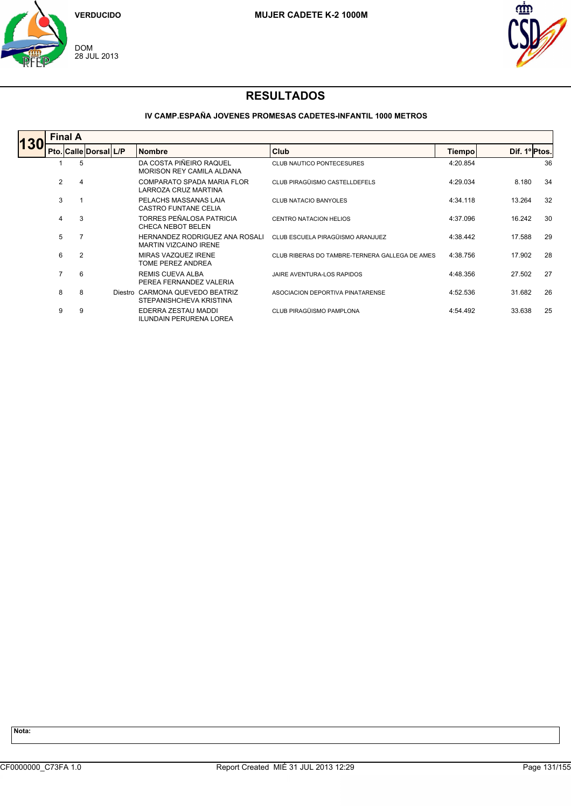



### **IV CAMP.ESPAÑA JOVENES PROMESAS CADETES-INFANTIL 1000 METROS**

|            | <b>Final A</b> |                |                       |  |                                                                |                                                |          |        |               |  |  |  |
|------------|----------------|----------------|-----------------------|--|----------------------------------------------------------------|------------------------------------------------|----------|--------|---------------|--|--|--|
| <b>130</b> |                |                | Pto. Calle Dorsal L/P |  | <b>Nombre</b>                                                  | <b>Club</b>                                    | Tiempo   |        | Dif. 1º Ptos. |  |  |  |
|            |                | 5              |                       |  | DA COSTA PIÑEIRO RAQUEL<br>MORISON REY CAMILA ALDANA           | <b>CLUB NAUTICO PONTECESURES</b>               | 4:20.854 |        | 36            |  |  |  |
|            | 2              | 4              |                       |  | COMPARATO SPADA MARIA FLOR<br><b>LARROZA CRUZ MARTINA</b>      | CLUB PIRAGÜISMO CASTELLDEFELS                  | 4:29.034 | 8.180  | 34            |  |  |  |
|            | 3              |                |                       |  | PELACHS MASSANAS LAIA<br><b>CASTRO FUNTANE CELIA</b>           | <b>CLUB NATACIO BANYOLES</b>                   | 4:34.118 | 13.264 | 32            |  |  |  |
|            | 4              | 3              |                       |  | TORRES PEÑALOSA PATRICIA<br><b>CHECA NEBOT BELEN</b>           | CENTRO NATACION HELIOS                         | 4:37.096 | 16.242 | 30            |  |  |  |
|            | 5              |                |                       |  | HERNANDEZ RODRIGUEZ ANA ROSALI<br><b>MARTIN VIZCAINO IRENE</b> | CLUB ESCUELA PIRAGÜISMO ARANJUEZ               | 4:38.442 | 17.588 | 29            |  |  |  |
|            | 6              | $\overline{2}$ |                       |  | MIRAS VAZQUEZ IRENE<br>TOME PEREZ ANDREA                       | CLUB RIBERAS DO TAMBRE-TERNERA GALLEGA DE AMES | 4:38.756 | 17.902 | 28            |  |  |  |
|            | $\overline{7}$ | 6              |                       |  | <b>REMIS CUEVA ALBA</b><br>PEREA FERNANDEZ VALERIA             | JAIRE AVENTURA-LOS RAPIDOS                     | 4:48.356 | 27.502 | 27            |  |  |  |
|            | 8              | 8              |                       |  | Diestro CARMONA QUEVEDO BEATRIZ<br>STEPANISHCHEVA KRISTINA     | ASOCIACION DEPORTIVA PINATARENSE               | 4:52.536 | 31.682 | 26            |  |  |  |
|            | 9              | 9              |                       |  | EDERRA ZESTAU MADDI<br><b>ILUNDAIN PERURENA LOREA</b>          | CLUB PIRAGÜISMO PAMPLONA                       | 4:54.492 | 33.638 | 25            |  |  |  |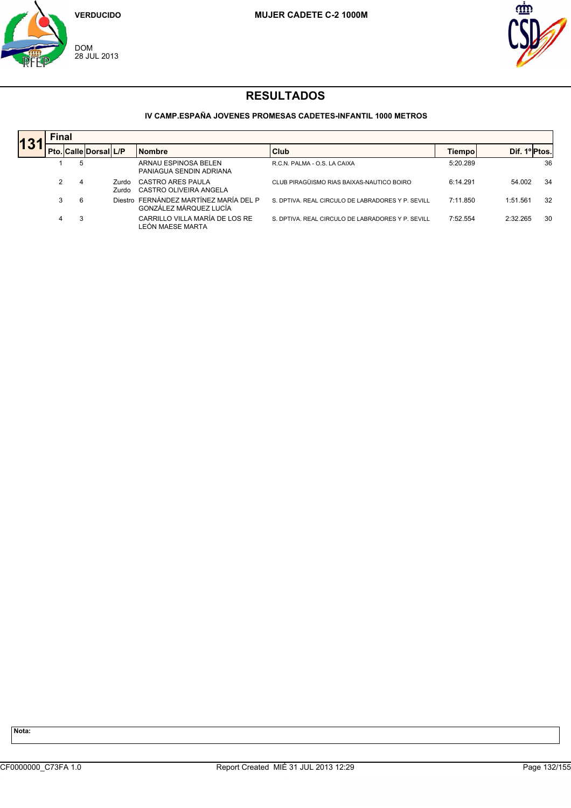



### **IV CAMP.ESPAÑA JOVENES PROMESAS CADETES-INFANTIL 1000 METROS**

| 13' |               | <b>Final</b> |                       |                |                                                                  |                                                   |          |                  |    |  |  |  |  |  |
|-----|---------------|--------------|-----------------------|----------------|------------------------------------------------------------------|---------------------------------------------------|----------|------------------|----|--|--|--|--|--|
|     |               |              | Pto. Calle Dorsal L/P |                | <b>Nombre</b>                                                    | <b>Club</b>                                       | Tiempo   | Dif.<br>1ºIPtos. |    |  |  |  |  |  |
|     |               | 5            |                       |                | ARNAU ESPINOSA BELEN<br>PANIAGUA SENDIN ADRIANA                  | R.C.N. PALMA - O.S. LA CAIXA                      | 5:20.289 |                  | 36 |  |  |  |  |  |
|     | $\mathcal{P}$ | 4            |                       | Zurdo<br>Zurdo | CASTRO ARES PAULA<br>CASTRO OLIVEIRA ANGELA                      | CLUB PIRAGÜISMO RIAS BAIXAS-NAUTICO BOIRO         | 6:14.291 | 54.002           | 34 |  |  |  |  |  |
|     | 3             | 6            |                       |                | Diestro FERNÁNDEZ MARTÍNEZ MARÍA DEL P<br>GONZÁLEZ MÁRQUEZ LUCÍA | S. DPTIVA. REAL CIRCULO DE LABRADORES Y P. SEVILL | 7:11.850 | 1:51.561         | 32 |  |  |  |  |  |
|     | 4             | 3            |                       |                | CARRILLO VILLA MARÍA DE LOS RE<br>LEÓN MAESE MARTA               | S. DPTIVA. REAL CIRCULO DE LABRADORES Y P. SEVILL | 7:52.554 | 2:32.265         | 30 |  |  |  |  |  |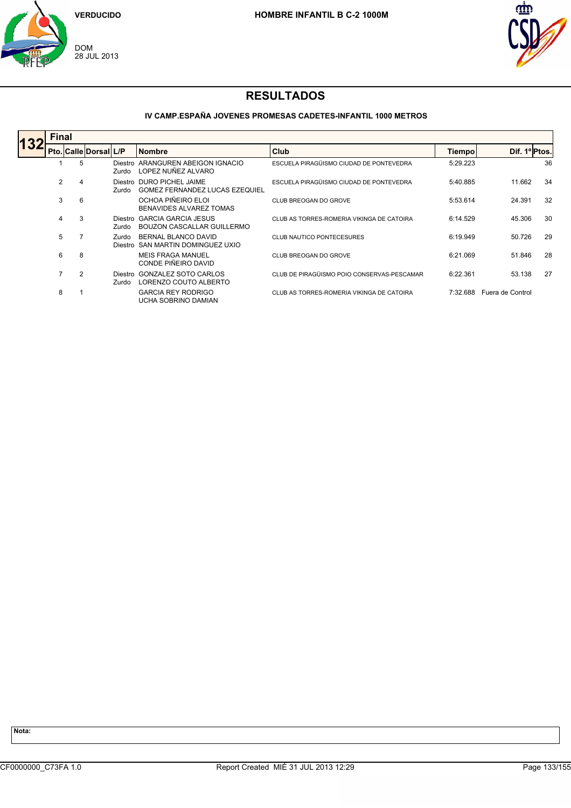



### **IV CAMP.ESPAÑA JOVENES PROMESAS CADETES-INFANTIL 1000 METROS**

| 132 | <b>Final</b> |   |                              |                  |                                                                  |                                            |               |                  |    |
|-----|--------------|---|------------------------------|------------------|------------------------------------------------------------------|--------------------------------------------|---------------|------------------|----|
|     |              |   | <b>Pto. Calle Dorsal L/P</b> |                  | <b>Nombre</b>                                                    | <b>Club</b>                                | <b>Tiempo</b> | Dif. 1º Ptos.    |    |
|     |              | 5 |                              | Zurdo            | Diestro ARANGUREN ABEIGON IGNACIO<br>LOPEZ NUÑEZ ALVARO          | ESCUELA PIRAGÜISMO CIUDAD DE PONTEVEDRA    | 5:29.223      |                  | 36 |
|     | 2            | 4 |                              | Zurdo            | Diestro DURO PICHEL JAIME<br>GOMEZ FERNANDEZ LUCAS EZEQUIEL      | ESCUELA PIRAGÜISMO CIUDAD DE PONTEVEDRA    | 5:40.885      | 11.662           | 34 |
|     | 3            | 6 |                              |                  | OCHOA PIÑEIRO ELOI<br>BENAVIDES ALVAREZ TOMAS                    | CLUB BREOGAN DO GROVE                      | 5:53.614      | 24.391           | 32 |
|     | 4            | 3 |                              | Zurdo            | Diestro GARCIA GARCIA JESUS<br><b>BOUZON CASCALLAR GUILLERMO</b> | CLUB AS TORRES-ROMERIA VIKINGA DE CATOIRA  | 6:14.529      | 45.306           | 30 |
|     | 5            |   |                              | Zurdo            | BERNAL BLANCO DAVID<br>Diestro SAN MARTIN DOMINGUEZ UXIO         | <b>CLUB NAUTICO PONTECESURES</b>           | 6:19.949      | 50.726           | 29 |
|     | 6            | 8 |                              |                  | <b>MEIS FRAGA MANUEL</b><br>CONDE PIÑEIRO DAVID                  | CLUB BREOGAN DO GROVE                      | 6:21.069      | 51.846           | 28 |
|     |              | 2 |                              | Diestro<br>Zurdo | <b>GONZALEZ SOTO CARLOS</b><br>LORENZO COUTO ALBERTO             | CLUB DE PIRAGÜISMO POIO CONSERVAS-PESCAMAR | 6:22.361      | 53.138           | 27 |
|     | 8            |   |                              |                  | <b>GARCIA REY RODRIGO</b><br>UCHA SOBRINO DAMIAN                 | CLUB AS TORRES-ROMERIA VIKINGA DE CATOIRA  | 7:32.688      | Fuera de Control |    |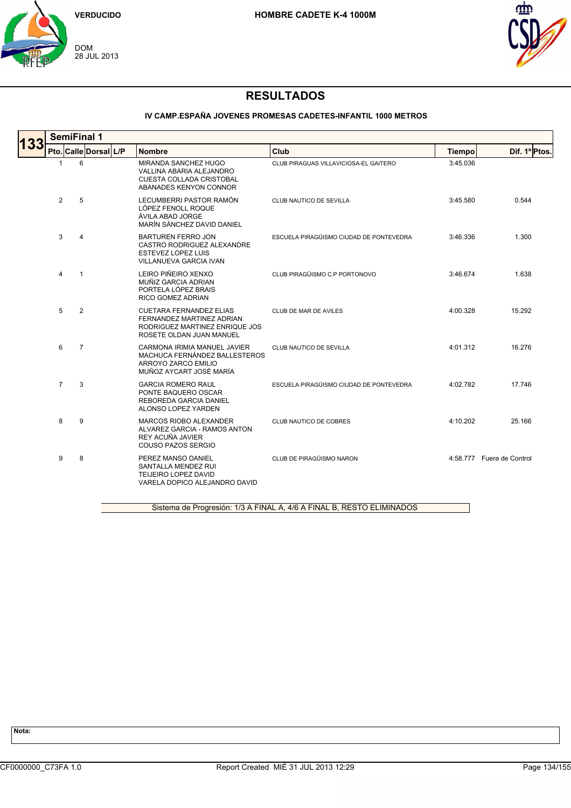



#### **IV CAMP.ESPAÑA JOVENES PROMESAS CADETES-INFANTIL 1000 METROS**

| 133 |                |                | <b>SemiFinal 1</b>    |                                                                                                                           |                                         |               |                           |
|-----|----------------|----------------|-----------------------|---------------------------------------------------------------------------------------------------------------------------|-----------------------------------------|---------------|---------------------------|
|     |                |                | Pto. Calle Dorsal L/P | <b>Nombre</b>                                                                                                             | Club                                    | <b>Tiempo</b> | Dif. 1º Ptos.             |
|     | -1             | 6              |                       | MIRANDA SANCHEZ HUGO<br>VALLINA ABARIA ALEJANDRO<br><b>CUESTA COLLADA CRISTOBAL</b><br>ABANADES KENYON CONNOR             | CLUB PIRAGUAS VILLAVICIOSA-EL GAITERO   | 3:45.036      |                           |
|     | $\overline{2}$ | 5              |                       | LECUMBERRI PASTOR RAMÓN<br>LÓPEZ FENOLL ROQUE<br>ÁVILA ABAD JORGE<br>MARÍN SÁNCHEZ DAVID DANIEL                           | CLUB NAUTICO DE SEVILLA                 | 3:45.580      | 0.544                     |
|     | 3              | $\overline{4}$ |                       | <b>BARTUREN FERRO JON</b><br>CASTRO RODRIGUEZ ALEXANDRE<br><b>ESTEVEZ LOPEZ LUIS</b><br>VILLANUEVA GARCIA IVAN            | ESCUELA PIRAGÜISMO CIUDAD DE PONTEVEDRA | 3:46.336      | 1.300                     |
|     | 4              | $\mathbf{1}$   |                       | LEIRO PIÑEIRO XENXO<br>MUÑIZ GARCIA ADRIAN<br>PORTELA LÓPEZ BRAIS<br>RICO GOMEZ ADRIAN                                    | CLUB PIRAGÜISMO C.P PORTONOVO           | 3:46.674      | 1.638                     |
|     | 5              | 2              |                       | <b>CUETARA FERNANDEZ ELIAS</b><br>FERNANDEZ MARTINEZ ADRIAN<br>RODRIGUEZ MARTINEZ ENRIQUE JOS<br>ROSETE OLDAN JUAN MANUEL | CLUB DE MAR DE AVILES                   | 4:00.328      | 15.292                    |
|     | 6              | $\overline{7}$ |                       | CARMONA IRIMIA MANUEL JAVIER<br>MACHUCA FERNÁNDEZ BALLESTEROS<br>ARROYO ZARCO EMILIO<br>MUÑOZ AYCART JOSÉ MARÍA           | CLUB NAUTICO DE SEVILLA                 | 4:01.312      | 16.276                    |
|     | $\overline{7}$ | 3              |                       | <b>GARCIA ROMERO RAUL</b><br>PONTE BAQUERO OSCAR<br>REBOREDA GARCIA DANIEL<br>ALONSO LOPEZ YARDEN                         | ESCUELA PIRAGÜISMO CIUDAD DE PONTEVEDRA | 4:02.782      | 17.746                    |
|     | 8              | 9              |                       | MARCOS RIOBO ALEXANDER<br>ALVAREZ GARCIA - RAMOS ANTON<br>REY ACUÑA JAVIER<br><b>COUSO PAZOS SERGIO</b>                   | CLUB NAUTICO DE COBRES                  | 4:10.202      | 25.166                    |
|     | 9              | 8              |                       | PEREZ MANSO DANIEL<br>SANTALLA MENDEZ RUI<br><b>TEIJEIRO LOPEZ DAVID</b><br>VARELA DOPICO ALEJANDRO DAVID                 | CLUB DE PIRAGÜISMO NARON                |               | 4:58.777 Fuera de Control |

Sistema de Progresión: 1/3 A FINAL A, 4/6 A FINAL B, RESTO ELIMINADOS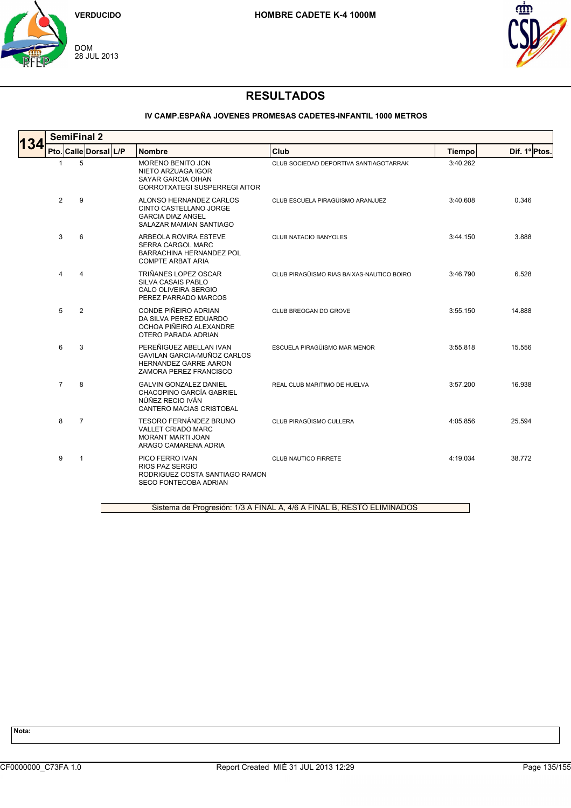



### **IV CAMP.ESPAÑA JOVENES PROMESAS CADETES-INFANTIL 1000 METROS**

| <b>34</b> | <b>SemiFinal 2</b>    |                |  |  |                                                                                                                  |                                           |               |               |  |  |  |
|-----------|-----------------------|----------------|--|--|------------------------------------------------------------------------------------------------------------------|-------------------------------------------|---------------|---------------|--|--|--|
|           | Pto. Calle Dorsal L/P |                |  |  | <b>Nombre</b>                                                                                                    | Club                                      | <b>Tiempo</b> | Dif. 1º Ptos. |  |  |  |
|           | -1                    | 5              |  |  | <b>MORENO BENITO JON</b><br>NIETO ARZUAGA IGOR<br>SAYAR GARCIA OIHAN<br><b>GORROTXATEGI SUSPERREGI AITOR</b>     | CLUB SOCIEDAD DEPORTIVA SANTIAGOTARRAK    | 3:40.262      |               |  |  |  |
|           | $\overline{2}$        | 9              |  |  | ALONSO HERNANDEZ CARLOS<br>CINTO CASTELLANO JORGE<br><b>GARCIA DIAZ ANGEL</b><br>SALAZAR MAMIAN SANTIAGO         | CLUB ESCUELA PIRAGÜISMO ARANJUEZ          | 3:40.608      | 0.346         |  |  |  |
|           | 3                     | 6              |  |  | ARBEOLA ROVIRA ESTEVE<br><b>SERRA CARGOL MARC</b><br>BARRACHINA HERNANDEZ POL<br><b>COMPTE ARBAT ARIA</b>        | <b>CLUB NATACIO BANYOLES</b>              | 3:44.150      | 3.888         |  |  |  |
|           | 4                     | 4              |  |  | TRIÑANES LOPEZ OSCAR<br><b>SILVA CASAIS PABLO</b><br>CALO OLIVEIRA SERGIO<br>PEREZ PARRADO MARCOS                | CLUB PIRAGÜISMO RIAS BAIXAS-NAUTICO BOIRO | 3:46.790      | 6.528         |  |  |  |
|           | 5                     | 2              |  |  | CONDE PIÑEIRO ADRIAN<br>DA SILVA PEREZ EDUARDO<br>OCHOA PIÑEIRO ALEXANDRE<br>OTERO PARADA ADRIAN                 | CLUB BREOGAN DO GROVE                     | 3:55.150      | 14.888        |  |  |  |
|           | 6                     | 3              |  |  | PEREÑIGUEZ ABELLAN IVAN<br>GAVILAN GARCIA-MUÑOZ CARLOS<br><b>HERNANDEZ GARRE AARON</b><br>ZAMORA PEREZ FRANCISCO | ESCUELA PIRAGÜISMO MAR MENOR              | 3:55.818      | 15.556        |  |  |  |
|           | $\overline{7}$        | 8              |  |  | <b>GALVIN GONZALEZ DANIEL</b><br>CHACOPINO GARCÍA GABRIEL<br>NÚÑEZ RECIO IVÁN<br><b>CANTERO MACIAS CRISTOBAL</b> | REAL CLUB MARITIMO DE HUELVA              | 3:57.200      | 16.938        |  |  |  |
|           | 8                     | $\overline{7}$ |  |  | <b>TESORO FERNÁNDEZ BRUNO</b><br>VALLET CRIADO MARC<br><b>MORANT MARTI JOAN</b><br>ARAGO CAMARENA ADRIA          | CLUB PIRAGÜISMO CULLERA                   | 4:05.856      | 25.594        |  |  |  |
|           | 9                     | $\mathbf{1}$   |  |  | PICO FERRO IVAN<br>RIOS PAZ SERGIO<br>RODRIGUEZ COSTA SANTIAGO RAMON<br><b>SECO FONTECOBA ADRIAN</b>             | <b>CLUB NAUTICO FIRRETE</b>               | 4:19.034      | 38.772        |  |  |  |
|           |                       |                |  |  |                                                                                                                  |                                           |               |               |  |  |  |

Sistema de Progresión: 1/3 A FINAL A, 4/6 A FINAL B, RESTO ELIMINADOS

**Nota:**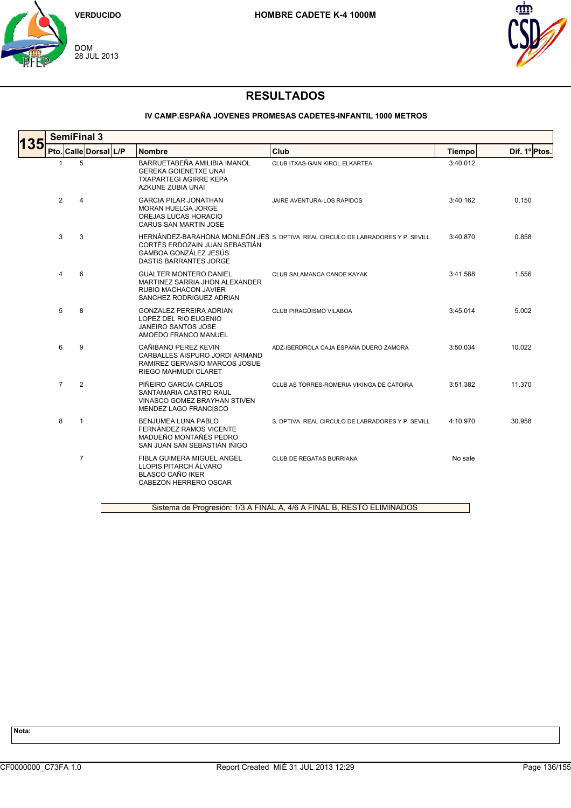



### **IV CAMP.ESPAÑA JOVENES PROMESAS CADETES-INFANTIL 1000 METROS**

|                | <b>SemiFinal 3</b> |                       |                                                                                                                             |                                                                                  |               |               |  |  |  |
|----------------|--------------------|-----------------------|-----------------------------------------------------------------------------------------------------------------------------|----------------------------------------------------------------------------------|---------------|---------------|--|--|--|
|                |                    | Pto. Calle Dorsal L/P | <b>Nombre</b>                                                                                                               | Club                                                                             | <b>Tiempo</b> | Dif. 1º Ptos. |  |  |  |
| $\mathbf{1}$   | 5                  |                       | BARRUETABEÑA AMILIBIA IMANOL<br><b>GEREKA GOIENETXE UNAI</b><br><b>TXAPARTEGI AGIRRE KEPA</b><br>AZKUNE ZUBIA UNAI          | CLUB ITXAS-GAIN KIROL ELKARTEA                                                   | 3:40.012      |               |  |  |  |
| $\overline{2}$ | 4                  |                       | <b>GARCIA PILAR JONATHAN</b><br><b>MORAN HUELGA JORGE</b><br>OREJAS LUCAS HORACIO<br>CARUS SAN MARTIN JOSE                  | JAIRE AVENTURA-LOS RAPIDOS                                                       | 3:40.162      | 0.150         |  |  |  |
| 3              | 3                  |                       | CORTÉS ERDOZAIN JUAN SEBASTIÁN<br>GAMBOA GONZÁLEZ JESÚS<br><b>DASTIS BARRANTES JORGE</b>                                    | HERNÁNDEZ-BARAHONA MONLEÓN JES S. DPTIVA. REAL CIRCULO DE LABRADORES Y P. SEVILL | 3:40.870      | 0.858         |  |  |  |
| 4              | 6                  |                       | <b>GUALTER MONTERO DANIEL</b><br>MARTINEZ SARRIA JHON ALEXANDER<br><b>RUBIO MACHACON JAVIER</b><br>SANCHEZ RODRIGUEZ ADRIAN | CLUB SALAMANCA CANOE KAYAK                                                       | 3:41.568      | 1.556         |  |  |  |
| 5              | 8                  |                       | <b>GONZALEZ PEREIRA ADRIAN</b><br>LOPEZ DEL RIO EUGENIO<br><b>JANEIRO SANTOS JOSE</b><br>AMOEDO FRANCO MANUEL               | CLUB PIRAGÜISMO VILABOA                                                          | 3:45.014      | 5.002         |  |  |  |
| 6              | 9                  |                       | CAÑIBANO PEREZ KEVIN<br>CARBALLES AISPURO JORDI ARMAND<br>RAMIREZ GERVASIO MARCOS JOSUE<br>RIEGO MAHMUDI CLARET             | ADZ-IBERDROLA CAJA ESPAÑA DUERO ZAMORA                                           | 3:50.034      | 10.022        |  |  |  |
| $\overline{7}$ | 2                  |                       | PIÑEIRO GARCIA CARLOS<br>SANTAMARIA CASTRO RAUL<br>VINASCO GOMEZ BRAYHAN STIVEN<br>MENDEZ LAGO FRANCISCO                    | CLUB AS TORRES-ROMERIA VIKINGA DE CATOIRA                                        | 3:51.382      | 11.370        |  |  |  |
| 8              | $\mathbf{1}$       |                       | <b>BENJUMEA LUNA PABLO</b><br>FERNÁNDEZ RAMOS VICENTE<br>MADUEÑO MONTAÑÉS PEDRO<br>SAN JUAN SAN SEBASTIÁN IÑIGO             | S. DPTIVA, REAL CIRCULO DE LABRADORES Y P. SEVILL                                | 4:10.970      | 30.958        |  |  |  |
|                | $\overline{7}$     |                       | FIBLA GUIMERA MIGUEL ANGEL<br>LLOPIS PITARCH ÁLVARO<br><b>BLASCO CAÑO IKER</b><br>CABEZON HERRERO OSCAR                     | CLUB DE REGATAS BURRIANA                                                         | No sale       |               |  |  |  |
|                |                    |                       |                                                                                                                             | Sistema de Progresión: 1/3 A FINAL A, 4/6 A FINAL B, RESTO ELIMINADOS            |               |               |  |  |  |

Sistema de Progresión: 1/3 A FINAL A, 4/6 A FINAL B, RESTO ELIMINADOS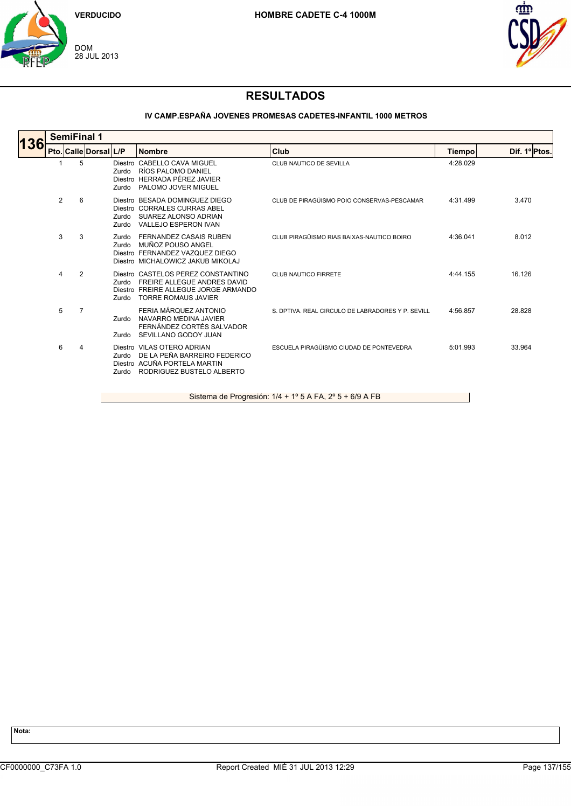



## **RESULTADOS**

### **IV CAMP.ESPAÑA JOVENES PROMESAS CADETES-INFANTIL 1000 METROS**

|     |   | <b>SemiFinal 1</b>    |                       |                                                                                                                                         |                                                   |          |               |  |  |  |  |  |
|-----|---|-----------------------|-----------------------|-----------------------------------------------------------------------------------------------------------------------------------------|---------------------------------------------------|----------|---------------|--|--|--|--|--|
| 136 |   | Pto. Calle Dorsal L/P |                       | <b>Nombre</b>                                                                                                                           | Club                                              | Tiempo   | Dif. 1º Ptos. |  |  |  |  |  |
|     |   | 5                     | Zurdo<br>Zurdo        | Diestro CABELLO CAVA MIGUEL<br>RÍOS PALOMO DANIEL<br>Diestro HERRADA PÉREZ JAVIER<br>PALOMO JOVER MIGUEL                                | CLUB NAUTICO DE SEVILLA                           | 4:28.029 |               |  |  |  |  |  |
|     | 2 | 6                     | Zurdo<br>Zurdo        | Diestro BESADA DOMINGUEZ DIEGO<br>Diestro CORRALES CURRAS ABEL<br>SUAREZ ALONSO ADRIAN<br>VALLEJO ESPERON IVAN                          | CLUB DE PIRAGÜISMO POIO CONSERVAS-PESCAMAR        | 4:31.499 | 3.470         |  |  |  |  |  |
|     | 3 | 3                     | Zurdo<br>Zurdo        | <b>FERNANDEZ CASAIS RUBEN</b><br>MUÑOZ POUSO ANGEL<br>Diestro FERNANDEZ VAZQUEZ DIEGO<br>Diestro MICHALOWICZ JAKUB MIKOLAJ              | CLUB PIRAGÜISMO RIAS BAIXAS-NAUTICO BOIRO         | 4:36.041 | 8.012         |  |  |  |  |  |
|     | 4 | 2                     | Zurdo<br>Zurdo        | Diestro CASTELOS PEREZ CONSTANTINO<br>FREIRE ALLEGUE ANDRES DAVID<br>Diestro FREIRE ALLEGUE JORGE ARMANDO<br><b>TORRE ROMAUS JAVIER</b> | <b>CLUB NAUTICO FIRRETE</b>                       | 4:44.155 | 16.126        |  |  |  |  |  |
|     | 5 | 7                     | Zurdo<br>Zurdo        | FERIA MÁROUEZ ANTONIO<br>NAVARRO MEDINA JAVIER<br>FERNÁNDEZ CORTÉS SALVADOR<br>SEVILLANO GODOY JUAN                                     | S. DPTIVA. REAL CIRCULO DE LABRADORES Y P. SEVILL | 4:56.857 | 28.828        |  |  |  |  |  |
|     | 6 | 4                     | <b>Zurdo</b><br>Zurdo | Diestro VILAS OTERO ADRIAN<br>DE LA PEÑA BARREIRO FEDERICO<br>Diestro ACUÑA PORTELA MARTIN<br>RODRIGUEZ BUSTELO ALBERTO                 | ESCUELA PIRAGÜISMO CIUDAD DE PONTEVEDRA           | 5:01.993 | 33.964        |  |  |  |  |  |

Sistema de Progresión: 1/4 + 1º 5 A FA, 2º 5 + 6/9 A FB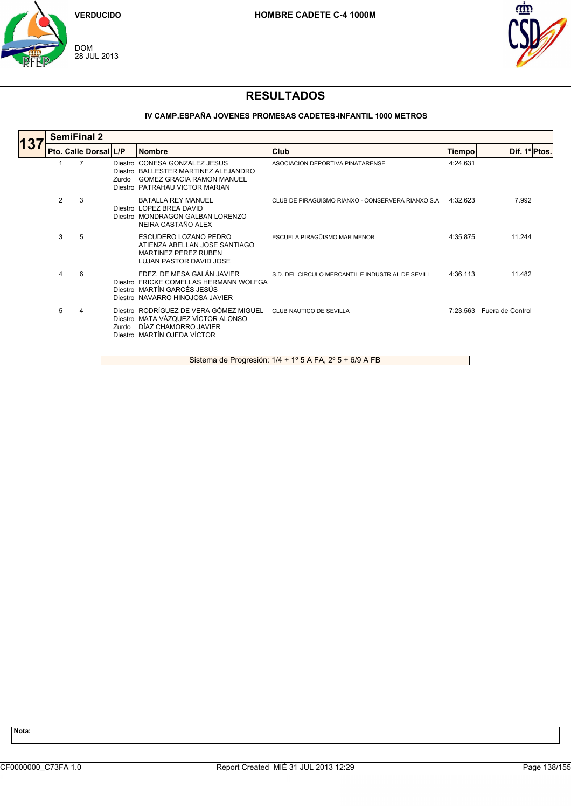



### **IV CAMP.ESPAÑA JOVENES PROMESAS CADETES-INFANTIL 1000 METROS**

|                 |   | <b>SemiFinal 2</b>    |       |                                                                                                                                             |                                                   |          |                           |  |  |  |  |
|-----------------|---|-----------------------|-------|---------------------------------------------------------------------------------------------------------------------------------------------|---------------------------------------------------|----------|---------------------------|--|--|--|--|
| 13 <sub>l</sub> |   | Pto. Calle Dorsal L/P |       | <b>Nombre</b>                                                                                                                               | Club                                              | Tiempo   | Dif. 1ºPtos.              |  |  |  |  |
|                 |   |                       | Zurdo | Diestro CONESA GONZALEZ JESUS<br>Diestro BALLESTER MARTINEZ ALEJANDRO<br><b>GOMEZ GRACIA RAMON MANUEL</b><br>Diestro PATRAHAU VICTOR MARIAN | ASOCIACION DEPORTIVA PINATARENSE                  | 4:24.631 |                           |  |  |  |  |
|                 | 2 | 3                     |       | <b>BATALLA REY MANUEL</b><br>Diestro LOPEZ BREA DAVID<br>Diestro MONDRAGON GALBAN LORENZO<br>NEIRA CASTAÑO ALEX                             | CLUB DE PIRAGÜISMO RIANXO - CONSERVERA RIANXO S.A | 4:32.623 | 7.992                     |  |  |  |  |
|                 | 3 | 5                     |       | ESCUDERO LOZANO PEDRO<br>ATIENZA ABELLAN JOSE SANTIAGO<br><b>MARTINEZ PEREZ RUBEN</b><br>LUJAN PASTOR DAVID JOSE                            | ESCUELA PIRAGÜISMO MAR MENOR                      | 4:35.875 | 11.244                    |  |  |  |  |
|                 | 4 | 6                     |       | FDEZ. DE MESA GALÁN JAVIER<br>Diestro FRICKE COMELLAS HERMANN WOLFGA<br>Diestro MARTÍN GARCÉS JESÚS<br>Diestro NAVARRO HINOJOSA JAVIER      | S.D. DEL CIRCULO MERCANTIL E INDUSTRIAL DE SEVILL | 4:36.113 | 11.482                    |  |  |  |  |
|                 | 5 | 4                     | Zurdo | Diestro RODRÍGUEZ DE VERA GÓMEZ MIGUEL<br>Diestro MATA VÁZQUEZ VÍCTOR ALONSO<br>DÍAZ CHAMORRO JAVIER<br>Diestro MARTÍN OJEDA VÍCTOR         | CLUB NAUTICO DE SEVILLA                           |          | 7:23.563 Fuera de Control |  |  |  |  |
|                 |   |                       |       |                                                                                                                                             |                                                   |          |                           |  |  |  |  |

Sistema de Progresión: 1/4 + 1º 5 A FA, 2º 5 + 6/9 A FB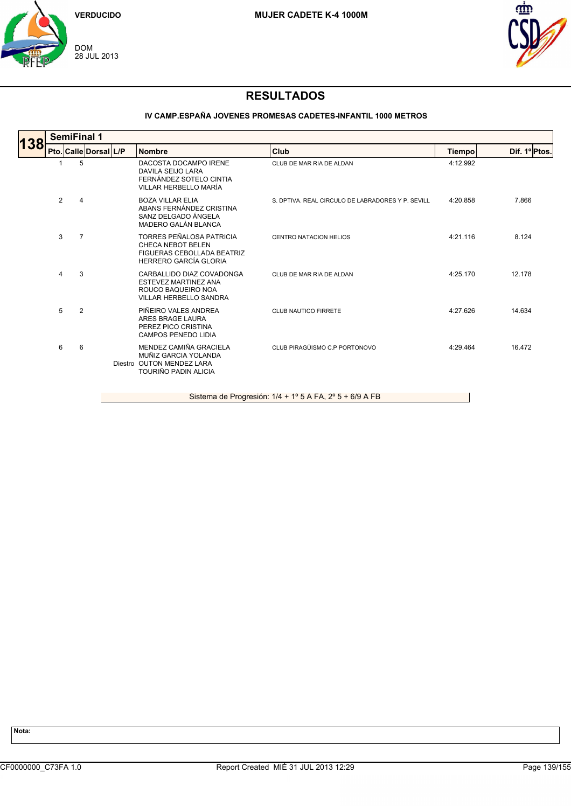



# **RESULTADOS**

### **IV CAMP.ESPAÑA JOVENES PROMESAS CADETES-INFANTIL 1000 METROS**

| 138 |                | <b>SemiFinal 1</b> |                       |                                                                                                            |                                                   |          |               |  |  |  |  |  |
|-----|----------------|--------------------|-----------------------|------------------------------------------------------------------------------------------------------------|---------------------------------------------------|----------|---------------|--|--|--|--|--|
|     |                |                    | Pto. Calle Dorsal L/P | <b>Nombre</b>                                                                                              | Club                                              | Tiempo   | Dif. 1º Ptos. |  |  |  |  |  |
|     |                | 5                  |                       | DACOSTA DOCAMPO IRENE<br>DAVILA SEIJO LARA<br>FERNÁNDEZ SOTELO CINTIA<br>VILLAR HERBELLO MARÍA             | CLUB DE MAR RIA DE ALDAN                          | 4:12.992 |               |  |  |  |  |  |
|     | $\overline{2}$ | $\overline{4}$     |                       | <b>BOZA VILLAR ELIA</b><br>ABANS FERNÁNDEZ CRISTINA<br>SANZ DELGADO ÁNGELA<br>MADERO GALÁN BLANCA          | S. DPTIVA. REAL CIRCULO DE LABRADORES Y P. SEVILL | 4:20.858 | 7.866         |  |  |  |  |  |
|     | 3              | $\overline{7}$     |                       | TORRES PEÑALOSA PATRICIA<br>CHECA NEBOT BELEN<br>FIGUERAS CEBOLLADA BEATRIZ<br>HERRERO GARCÍA GLORIA       | <b>CENTRO NATACION HELIOS</b>                     | 4:21.116 | 8.124         |  |  |  |  |  |
|     | 4              | 3                  |                       | CARBALLIDO DIAZ COVADONGA<br>ESTEVEZ MARTINEZ ANA<br>ROUCO BAQUEIRO NOA<br><b>VILLAR HERBELLO SANDRA</b>   | CLUB DE MAR RIA DE ALDAN                          | 4:25.170 | 12.178        |  |  |  |  |  |
|     | 5              | 2                  |                       | PIÑEIRO VALES ANDREA<br>ARES BRAGE LAURA<br>PEREZ PICO CRISTINA<br><b>CAMPOS PENEDO LIDIA</b>              | <b>CLUB NAUTICO FIRRETE</b>                       | 4:27.626 | 14.634        |  |  |  |  |  |
|     | 6              | 6                  |                       | MENDEZ CAMIÑA GRACIELA<br>MUÑIZ GARCIA YOLANDA<br>Diestro OUTON MENDEZ LARA<br><b>TOURIÑO PADIN ALICIA</b> | CLUB PIRAGÜISMO C.P PORTONOVO                     | 4:29.464 | 16.472        |  |  |  |  |  |

Sistema de Progresión: 1/4 + 1º 5 A FA, 2º 5 + 6/9 A FB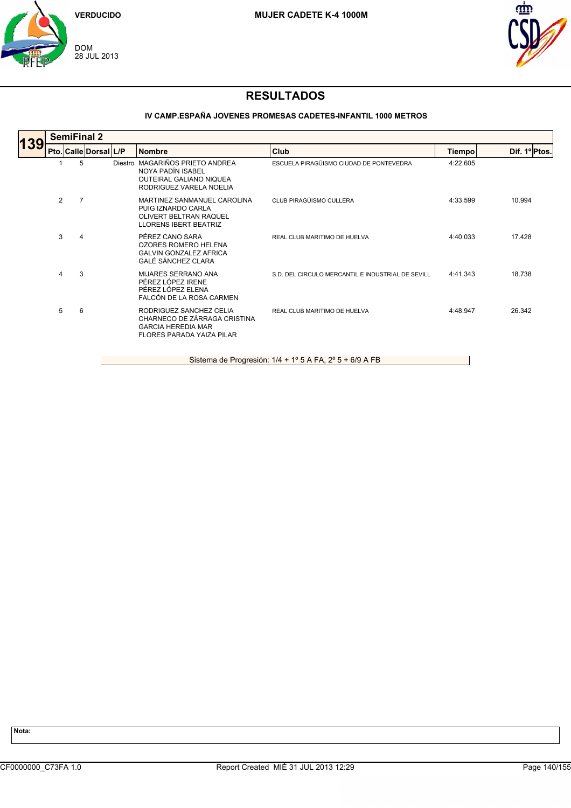



### **IV CAMP.ESPAÑA JOVENES PROMESAS CADETES-INFANTIL 1000 METROS**

|     |                | <b>SemiFinal 2</b>    |  |                                                                                                                   |                                                   |               |               |  |  |  |  |
|-----|----------------|-----------------------|--|-------------------------------------------------------------------------------------------------------------------|---------------------------------------------------|---------------|---------------|--|--|--|--|
| 139 |                | Pto. Calle Dorsal L/P |  | <b>Nombre</b>                                                                                                     | Club                                              | <b>Tiempo</b> | Dif. 1º Ptos. |  |  |  |  |
|     |                | 5                     |  | Diestro MAGARIÑOS PRIETO ANDREA<br>NOYA PADÍN ISABEL<br><b>OUTEIRAL GALIANO NIQUEA</b><br>RODRIGUEZ VARELA NOELIA | ESCUELA PIRAGÜISMO CIUDAD DE PONTEVEDRA           | 4:22.605      |               |  |  |  |  |
|     | $\overline{2}$ | 7                     |  | MARTINEZ SANMANUEL CAROLINA<br>PUIG IZNARDO CARLA<br>OLIVERT BELTRAN RAQUEL<br><b>LLORENS IBERT BEATRIZ</b>       | CLUB PIRAGÜISMO CULLERA                           | 4:33.599      | 10.994        |  |  |  |  |
|     | 3              | 4                     |  | PÉREZ CANO SARA<br><b>OZORES ROMERO HELENA</b><br><b>GALVIN GONZALEZ AFRICA</b><br>GALÉ SÁNCHEZ CLARA             | REAL CLUB MARITIMO DE HUELVA                      | 4:40.033      | 17.428        |  |  |  |  |
|     | $\overline{4}$ | 3                     |  | MIJARES SERRANO ANA<br>PÉREZ LÓPEZ IRENE<br>PÉREZ LÓPEZ ELENA<br>FALCÓN DE LA ROSA CARMEN                         | S.D. DEL CIRCULO MERCANTIL E INDUSTRIAL DE SEVILL | 4:41.343      | 18.738        |  |  |  |  |
|     | 5              | 6                     |  | RODRIGUEZ SANCHEZ CELIA<br>CHARNECO DE ZÁRRAGA CRISTINA<br><b>GARCIA HEREDIA MAR</b><br>FLORES PARADA YAIZA PILAR | REAL CLUB MARITIMO DE HUELVA                      | 4:48.947      | 26.342        |  |  |  |  |
|     |                |                       |  |                                                                                                                   |                                                   |               |               |  |  |  |  |

Sistema de Progresión: 1/4 + 1º 5 A FA, 2º 5 + 6/9 A FB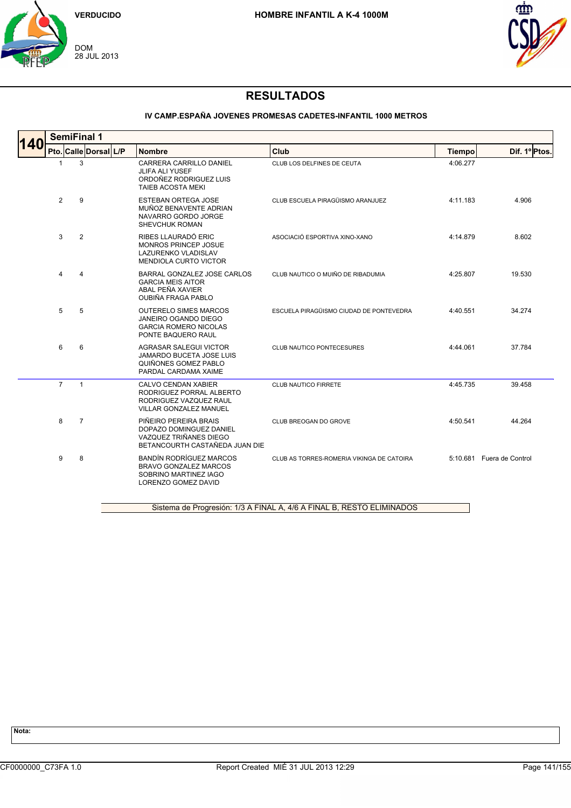



### **IV CAMP.ESPAÑA JOVENES PROMESAS CADETES-INFANTIL 1000 METROS**

|                | Pto. Calle Dorsal L/P | <b>Nombre</b>                                                                                                         | Club                                      | <b>Tiempo</b> | Dif. 1º Ptos.             |
|----------------|-----------------------|-----------------------------------------------------------------------------------------------------------------------|-------------------------------------------|---------------|---------------------------|
| 1              | 3                     | CARRERA CARRILLO DANIEL<br><b>JLIFA ALI YUSEF</b><br>ORDOÑEZ RODRIGUEZ LUIS<br><b>TAIEB ACOSTA MEKI</b>               | CLUB LOS DELFINES DE CEUTA                | 4:06.277      |                           |
| $\overline{2}$ | 9                     | <b>ESTEBAN ORTEGA JOSE</b><br>MUÑOZ BENAVENTE ADRIAN<br>NAVARRO GORDO JORGE<br>SHEVCHUK ROMAN                         | CLUB ESCUELA PIRAGÜISMO ARANJUEZ          | 4:11.183      | 4.906                     |
| 3              | $\overline{2}$        | RIBES LLAURADÓ ERIC<br>MONROS PRINCEP JOSUE<br><b>LAZURENKO VLADISLAV</b><br><b>MENDIOLA CURTO VICTOR</b>             | ASOCIACIÓ ESPORTIVA XINO-XANO             | 4:14.879      | 8.602                     |
| 4              | $\overline{4}$        | BARRAL GONZALEZ JOSE CARLOS<br><b>GARCIA MEIS AITOR</b><br>ABAL PEÑA XAVIER<br><b>OUBIÑA FRAGA PABLO</b>              | CLUB NAUTICO O MUIÑO DE RIBADUMIA         | 4:25.807      | 19.530                    |
| 5              | 5                     | <b>OUTERELO SIMES MARCOS</b><br><b>JANEIRO OGANDO DIEGO</b><br><b>GARCIA ROMERO NICOLAS</b><br>PONTE BAQUERO RAUL     | ESCUELA PIRAGÜISMO CIUDAD DE PONTEVEDRA   | 4:40.551      | 34.274                    |
| 6              | 6                     | <b>AGRASAR SALEGUI VICTOR</b><br>JAMARDO BUCETA JOSE LUIS<br>QUIÑONES GOMEZ PABLO<br>PARDAL CARDAMA XAIME             | CLUB NAUTICO PONTECESURES                 | 4:44.061      | 37.784                    |
| $\overline{7}$ | $\mathbf{1}$          | CALVO CENDAN XABIER<br>RODRIGUEZ PORRAL ALBERTO<br>RODRIGUEZ VAZQUEZ RAUL<br><b>VILLAR GONZALEZ MANUEL</b>            | CLUB NAUTICO FIRRETE                      | 4:45.735      | 39.458                    |
| 8              | $\overline{7}$        | PIÑEIRO PEREIRA BRAIS<br>DOPAZO DOMINGUEZ DANIEL<br>VAZQUEZ TRIÑANES DIEGO<br>BETANCOURTH CASTAÑEDA JUAN DIE          | CLUB BREOGAN DO GROVE                     | 4:50.541      | 44.264                    |
| 9              | 8                     | <b>BANDÍN RODRÍGUEZ MARCOS</b><br><b>BRAVO GONZALEZ MARCOS</b><br>SOBRINO MARTINEZ IAGO<br><b>LORENZO GOMEZ DAVID</b> | CLUB AS TORRES-ROMERIA VIKINGA DE CATOIRA |               | 5:10.681 Fuera de Control |

Sistema de Progresión: 1/3 A FINAL A, 4/6 A FINAL B, RESTO ELIMINADOS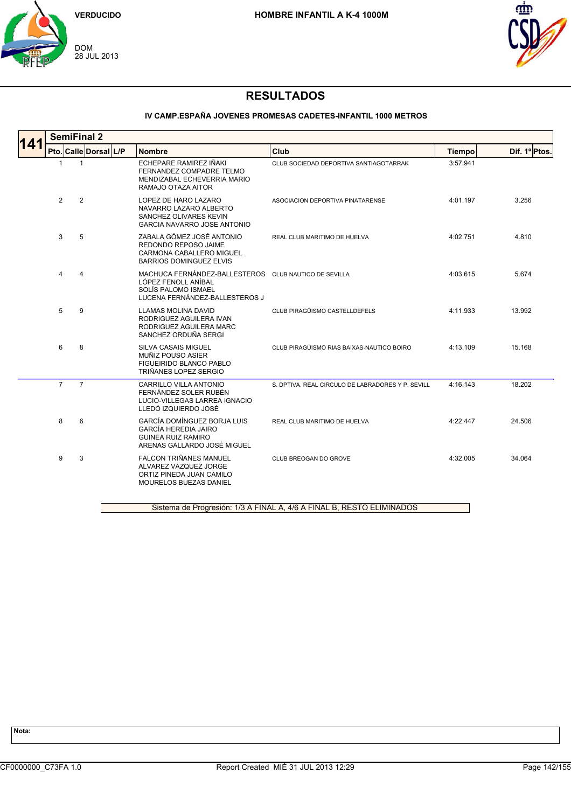



### **IV CAMP.ESPAÑA JOVENES PROMESAS CADETES-INFANTIL 1000 METROS**

| 141 | <b>SemiFinal 2</b> |                |                         |  |                                                                                                                                       |                                                   |          |              |  |  |
|-----|--------------------|----------------|-------------------------|--|---------------------------------------------------------------------------------------------------------------------------------------|---------------------------------------------------|----------|--------------|--|--|
|     | Pto.               |                | <b>Calle Dorsal L/P</b> |  | <b>Nombre</b>                                                                                                                         | Club                                              | Tiempo   | Dif. 1ºPtos. |  |  |
|     | $\mathbf{1}$       | $\mathbf{1}$   |                         |  | ECHEPARE RAMIREZ IÑAKI<br>FERNANDEZ COMPADRE TELMO<br>MENDIZABAL ECHEVERRIA MARIO<br>RAMAJO OTAZA AITOR                               | CLUB SOCIEDAD DEPORTIVA SANTIAGOTARRAK            | 3:57.941 |              |  |  |
|     | $\overline{2}$     | $\overline{2}$ |                         |  | LOPEZ DE HARO LAZARO<br>NAVARRO LAZARO ALBERTO<br>SANCHEZ OLIVARES KEVIN<br><b>GARCIA NAVARRO JOSE ANTONIO</b>                        | ASOCIACION DEPORTIVA PINATARENSE                  | 4:01.197 | 3.256        |  |  |
|     | 3                  | 5              |                         |  | ZABALA GÓMEZ JOSÉ ANTONIO<br>REDONDO REPOSO JAIME<br>CARMONA CABALLERO MIGUEL<br><b>BARRIOS DOMINGUEZ ELVIS</b>                       | REAL CLUB MARITIMO DE HUELVA                      | 4:02.751 | 4.810        |  |  |
|     | 4                  | 4              |                         |  | MACHUCA FERNÁNDEZ-BALLESTEROS CLUB NAUTICO DE SEVILLA<br>LÓPEZ FENOLL ANÍBAL<br>SOLÍS PALOMO ISMAEL<br>LUCENA FERNÁNDEZ-BALLESTEROS J |                                                   | 4:03.615 | 5.674        |  |  |
|     | 5                  | 9              |                         |  | <b>LLAMAS MOLINA DAVID</b><br>RODRIGUEZ AGUILERA IVAN<br>RODRIGUEZ AGUILERA MARC<br>SANCHEZ ORDUÑA SERGI                              | CLUB PIRAGÜISMO CASTELLDEFELS                     | 4:11.933 | 13.992       |  |  |
|     | 6                  | 8              |                         |  | <b>SILVA CASAIS MIGUEL</b><br>MUÑIZ POUSO ASIER<br><b>FIGUEIRIDO BLANCO PABLO</b><br>TRIÑANES LOPEZ SERGIO                            | CLUB PIRAGÜISMO RIAS BAIXAS-NAUTICO BOIRO         | 4:13.109 | 15.168       |  |  |
|     | $\overline{7}$     | $\overline{7}$ |                         |  | CARRILLO VILLA ANTONIO<br>FERNÁNDEZ SOLER RUBÉN<br>LUCIO-VILLEGAS LARREA IGNACIO<br>LLEDÓ IZQUIERDO JOSÉ                              | S. DPTIVA, REAL CIRCULO DE LABRADORES Y P. SEVILL | 4:16.143 | 18.202       |  |  |
|     | 8                  | 6              |                         |  | <b>GARCÍA DOMÍNGUEZ BORJA LUIS</b><br><b>GARCÍA HEREDIA JAIRO</b><br><b>GUINEA RUIZ RAMIRO</b><br>ARENAS GALLARDO JOSÉ MIGUEL         | REAL CLUB MARITIMO DE HUELVA                      | 4:22.447 | 24.506       |  |  |
|     | 9                  | 3              |                         |  | <b>FALCON TRIÑANES MANUEL</b><br>ALVAREZ VAZQUEZ JORGE<br>ORTIZ PINEDA JUAN CAMILO<br>MOURELOS BUEZAS DANIEL                          | CLUB BREOGAN DO GROVE                             | 4:32.005 | 34.064       |  |  |

Sistema de Progresión: 1/3 A FINAL A, 4/6 A FINAL B, RESTO ELIMINADOS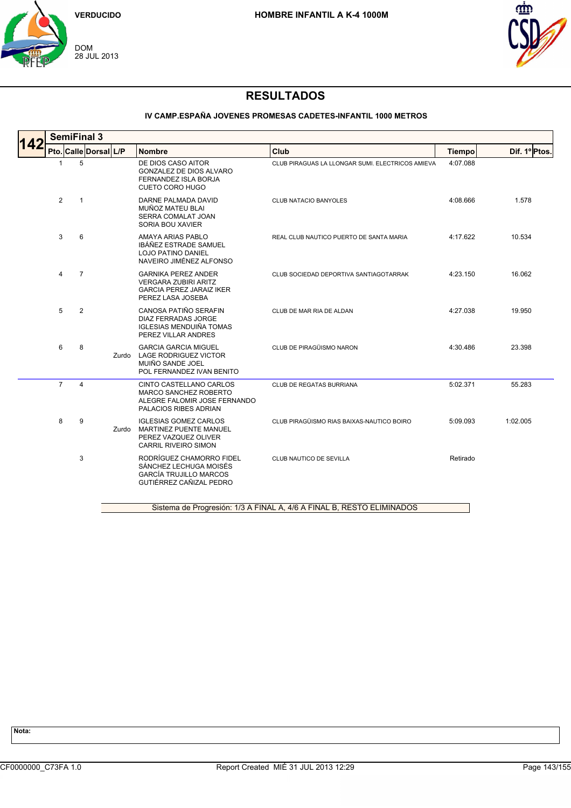



### **IV CAMP.ESPAÑA JOVENES PROMESAS CADETES-INFANTIL 1000 METROS**

|     |                | <b>SemiFinal 3</b>    |       |                                                                                                                   |                                                                       |               |               |
|-----|----------------|-----------------------|-------|-------------------------------------------------------------------------------------------------------------------|-----------------------------------------------------------------------|---------------|---------------|
| 142 |                | Pto. Calle Dorsal L/P |       | <b>Nombre</b>                                                                                                     | Club                                                                  | <b>Tiempo</b> | Dif. 1º Ptos. |
|     | 1              | 5                     |       | DE DIOS CASO AITOR<br><b>GONZALEZ DE DIOS ALVARO</b><br><b>FERNANDEZ ISLA BORJA</b><br><b>CUETO CORO HUGO</b>     | CLUB PIRAGUAS LA LLONGAR SUMI. ELECTRICOS AMIEVA                      | 4:07.088      |               |
|     | $\overline{2}$ | $\mathbf{1}$          |       | DARNE PALMADA DAVID<br>MUÑOZ MATEU BLAI<br>SERRA COMALAT JOAN<br>SORIA BOU XAVIER                                 | CLUB NATACIO BANYOLES                                                 | 4:08.666      | 1.578         |
|     | 3              | 6                     |       | AMAYA ARIAS PABLO<br>IBÁÑEZ ESTRADE SAMUEL<br><b>LOJO PATINO DANIEL</b><br>NAVEIRO JIMÉNEZ ALFONSO                | REAL CLUB NAUTICO PUERTO DE SANTA MARIA                               | 4:17.622      | 10.534        |
|     | 4              | $\overline{7}$        |       | <b>GARNIKA PEREZ ANDER</b><br><b>VERGARA ZUBIRI ARITZ</b><br><b>GARCIA PEREZ JARAIZ IKER</b><br>PEREZ LASA JOSEBA | CLUB SOCIEDAD DEPORTIVA SANTIAGOTARRAK                                | 4:23.150      | 16.062        |
|     | 5              | $\overline{2}$        |       | CANOSA PATIÑO SERAFIN<br><b>DIAZ FERRADAS JORGE</b><br><b>IGLESIAS MENDUIÑA TOMAS</b><br>PEREZ VILLAR ANDRES      | CLUB DE MAR RIA DE ALDAN                                              | 4:27.038      | 19.950        |
|     | 6              | 8                     | Zurdo | <b>GARCIA GARCIA MIGUEL</b><br><b>LAGE RODRIGUEZ VICTOR</b><br>MUIÑO SANDE JOEL<br>POL FERNANDEZ IVAN BENITO      | CLUB DE PIRAGÜISMO NARON                                              | 4:30.486      | 23.398        |
|     | $\overline{7}$ | 4                     |       | CINTO CASTELLANO CARLOS<br>MARCO SANCHEZ ROBERTO<br>ALEGRE FALOMIR JOSE FERNANDO<br>PALACIOS RIBES ADRIAN         | CLUB DE REGATAS BURRIANA                                              | 5:02.371      | 55.283        |
|     | 8              | 9                     | Zurdo | <b>IGLESIAS GOMEZ CARLOS</b><br>MARTINEZ PUENTE MANUEL<br>PEREZ VAZQUEZ OLIVER<br><b>CARRIL RIVEIRO SIMON</b>     | CLUB PIRAGÜISMO RIAS BAIXAS-NAUTICO BOIRO                             | 5:09.093      | 1:02.005      |
|     |                | 3                     |       | RODRÍGUEZ CHAMORRO FIDEL<br>SÁNCHEZ LECHUGA MOISÉS<br><b>GARCÍA TRUJILLO MARCOS</b><br>GUTIÉRREZ CAÑIZAL PEDRO    | CLUB NAUTICO DE SEVILLA                                               | Retirado      |               |
|     |                |                       |       |                                                                                                                   | Sistema de Progresión: 1/3 A FINAL A, 4/6 A FINAL B, RESTO ELIMINADOS |               |               |

Sistema de Progresión: 1/3 A FINAL A, 4/6 A FINAL B, RESTO ELIMINADOS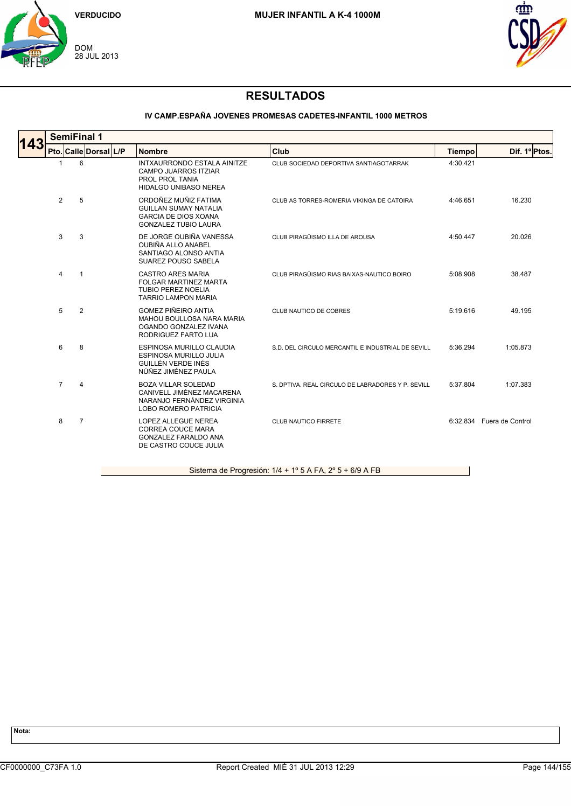



### **IV CAMP.ESPAÑA JOVENES PROMESAS CADETES-INFANTIL 1000 METROS**

|     |                | <b>SemiFinal 1</b>    |                                                                                                                      |                                                   |               |                           |
|-----|----------------|-----------------------|----------------------------------------------------------------------------------------------------------------------|---------------------------------------------------|---------------|---------------------------|
| 143 |                | Pto. Calle Dorsal L/P | <b>Nombre</b>                                                                                                        | Club                                              | <b>Tiempo</b> | Dif. 1º Ptos.             |
|     | $\overline{1}$ | 6                     | INTXAURRONDO ESTALA AINITZE<br><b>CAMPO JUARROS ITZIAR</b><br>PROL PROL TANIA<br>HIDALGO UNIBASO NEREA               | CLUB SOCIEDAD DEPORTIVA SANTIAGOTARRAK            | 4:30.421      |                           |
|     | 2              | 5                     | ORDOÑEZ MUÑIZ FATIMA<br><b>GUILLAN SUMAY NATALIA</b><br><b>GARCIA DE DIOS XOANA</b><br><b>GONZALEZ TUBIO LAURA</b>   | CLUB AS TORRES-ROMERIA VIKINGA DE CATOIRA         | 4:46.651      | 16.230                    |
|     | 3              | 3                     | DE JORGE OUBIÑA VANESSA<br>OUBIÑA ALLO ANABEL<br>SANTIAGO ALONSO ANTIA<br><b>SUAREZ POUSO SABELA</b>                 | CLUB PIRAGÜISMO ILLA DE AROUSA                    | 4:50.447      | 20.026                    |
|     | $\overline{4}$ | $\mathbf{1}$          | <b>CASTRO ARES MARIA</b><br>FOLGAR MARTINEZ MARTA<br><b>TUBIO PEREZ NOELIA</b><br><b>TARRIO LAMPON MARIA</b>         | CLUB PIRAGÜISMO RIAS BAIXAS-NAUTICO BOIRO         | 5:08.908      | 38.487                    |
|     | 5              | 2                     | <b>GOMEZ PIÑEIRO ANTIA</b><br>MAHOU BOULLOSA NARA MARIA<br>OGANDO GONZALEZ IVANA<br>RODRIGUEZ FARTO LUA              | CLUB NAUTICO DE COBRES                            | 5:19.616      | 49.195                    |
|     | 6              | 8                     | <b>ESPINOSA MURILLO CLAUDIA</b><br><b>ESPINOSA MURILLO JULIA</b><br>GUILLÉN VERDE INÉS<br>NÚÑEZ JIMÉNEZ PAULA        | S.D. DEL CIRCULO MERCANTIL E INDUSTRIAL DE SEVILL | 5:36.294      | 1:05.873                  |
|     | $\overline{7}$ | $\overline{4}$        | <b>BOZA VILLAR SOLEDAD</b><br>CANIVELL JIMÉNEZ MACARENA<br>NARANJO FERNÁNDEZ VIRGINIA<br><b>LOBO ROMERO PATRICIA</b> | S. DPTIVA, REAL CIRCULO DE LABRADORES Y P. SEVILL | 5:37.804      | 1:07.383                  |
|     | 8              | 7                     | <b>LOPEZ ALLEGUE NEREA</b><br><b>CORREA COUCE MARA</b><br><b>GONZALEZ FARALDO ANA</b><br>DE CASTRO COUCE JULIA       | <b>CLUB NAUTICO FIRRETE</b>                       |               | 6:32.834 Fuera de Control |
|     |                |                       |                                                                                                                      |                                                   |               |                           |

Sistema de Progresión: 1/4 + 1º 5 A FA, 2º 5 + 6/9 A FB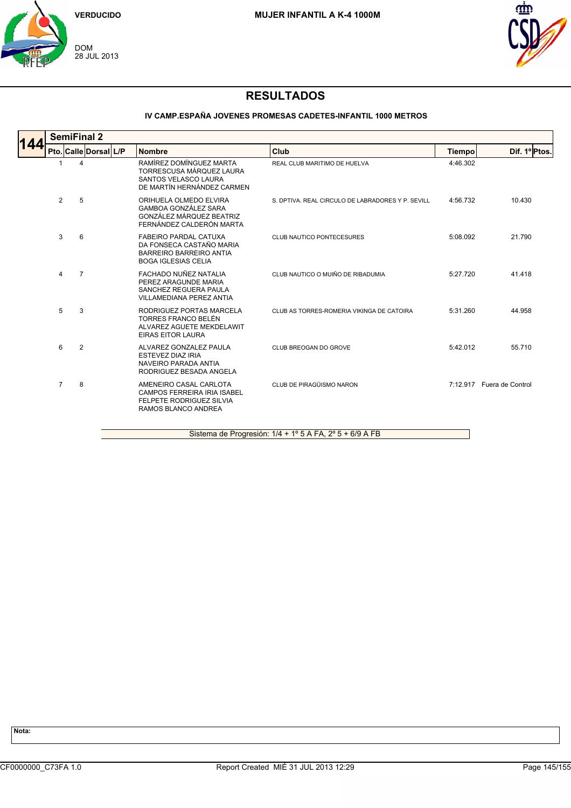



### **IV CAMP.ESPAÑA JOVENES PROMESAS CADETES-INFANTIL 1000 METROS**

| 144 |                | <b>SemiFinal 2</b>    |                                                                                                                          |                                                   |          |                           |  |  |  |  |  |  |
|-----|----------------|-----------------------|--------------------------------------------------------------------------------------------------------------------------|---------------------------------------------------|----------|---------------------------|--|--|--|--|--|--|
|     |                | Pto. Calle Dorsal L/P | <b>Nombre</b>                                                                                                            | Club                                              | Tiempo   | Dif. 1º Ptos.             |  |  |  |  |  |  |
|     |                | 4                     | RAMÍREZ DOMÍNGUEZ MARTA<br>TORRESCUSA MÁRQUEZ LAURA<br>SANTOS VELASCO LAURA<br>DE MARTÍN HERNÁNDEZ CARMEN                | REAL CLUB MARITIMO DE HUELVA                      | 4:46.302 |                           |  |  |  |  |  |  |
|     | $\overline{2}$ | 5                     | ORIHUELA OLMEDO ELVIRA<br><b>GAMBOA GONZÁLEZ SARA</b><br>GONZÁLEZ MÁRQUEZ BEATRIZ<br>FERNÁNDEZ CALDERÓN MARTA            | S. DPTIVA. REAL CIRCULO DE LABRADORES Y P. SEVILL | 4:56.732 | 10.430                    |  |  |  |  |  |  |
|     | 3              | 6                     | <b>FABEIRO PARDAL CATUXA</b><br>DA FONSECA CASTAÑO MARIA<br><b>BARREIRO BARREIRO ANTIA</b><br><b>BOGA IGLESIAS CELIA</b> | CLUB NAUTICO PONTECESURES                         | 5:08.092 | 21.790                    |  |  |  |  |  |  |
|     | 4              | $\overline{7}$        | FACHADO NUÑEZ NATALIA<br>PEREZ ARAGUNDE MARIA<br>SANCHEZ REGUERA PAULA<br>VILLAMEDIANA PEREZ ANTIA                       | CLUB NAUTICO O MUIÑO DE RIBADUMIA                 | 5:27.720 | 41.418                    |  |  |  |  |  |  |
|     | 5              | 3                     | RODRIGUEZ PORTAS MARCELA<br>TORRES FRANCO BELÉN<br>ALVAREZ AGUETE MEKDELAWIT<br><b>EIRAS EITOR LAURA</b>                 | CLUB AS TORRES-ROMERIA VIKINGA DE CATOIRA         | 5:31.260 | 44.958                    |  |  |  |  |  |  |
|     | 6              | $\overline{2}$        | ALVAREZ GONZALEZ PAULA<br><b>ESTEVEZ DIAZ IRIA</b><br>NAVEIRO PARADA ANTIA<br>RODRIGUEZ BESADA ANGELA                    | CLUB BREOGAN DO GROVE                             | 5:42.012 | 55.710                    |  |  |  |  |  |  |
|     | $\overline{7}$ | 8                     | AMENEIRO CASAL CARLOTA<br><b>CAMPOS FERREIRA IRIA ISABEL</b><br>FELPETE RODRIGUEZ SILVIA<br>RAMOS BLANCO ANDREA          | CLUB DE PIRAGÜISMO NARON                          |          | 7:12.917 Fuera de Control |  |  |  |  |  |  |

Sistema de Progresión: 1/4 + 1º 5 A FA, 2º 5 + 6/9 A FB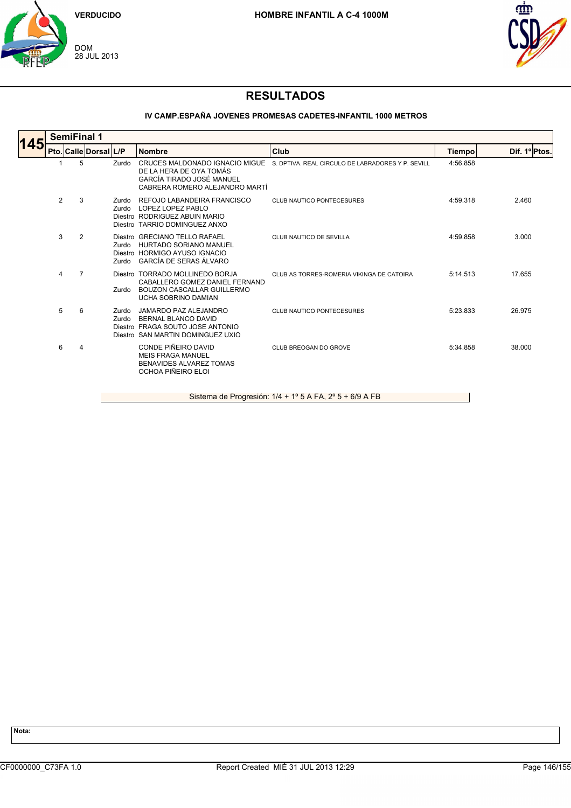



# **RESULTADOS**

### **IV CAMP.ESPAÑA JOVENES PROMESAS CADETES-INFANTIL 1000 METROS**

| <b>SemiFinal 1</b><br>145 |   |                |                                                                                                  |                                                                                                                                                                                                                                              |                                                                                  |              |  |  |  |  |
|---------------------------|---|----------------|--------------------------------------------------------------------------------------------------|----------------------------------------------------------------------------------------------------------------------------------------------------------------------------------------------------------------------------------------------|----------------------------------------------------------------------------------|--------------|--|--|--|--|
|                           |   |                | <b>Nombre</b>                                                                                    | Club                                                                                                                                                                                                                                         | <b>Tiempo</b>                                                                    | Dif. 1ºPtos. |  |  |  |  |
|                           | 5 | Zurdo          | DE LA HERA DE OYA TOMÁS<br>GARCÍA TIRADO JOSÉ MANUEL<br>CABRERA ROMERO ALEJANDRO MARTÍ           |                                                                                                                                                                                                                                              | 4:56.858                                                                         |              |  |  |  |  |
| 2                         | 3 | Zurdo<br>Zurdo | REFOJO LABANDEIRA FRANCISCO<br>LOPEZ LOPEZ PABLO                                                 | <b>CLUB NAUTICO PONTECESURES</b>                                                                                                                                                                                                             | 4:59.318                                                                         | 2.460        |  |  |  |  |
| 3                         | 2 | Zurdo<br>Zurdo | HURTADO SORIANO MANUEL<br><b>GARCÍA DE SERAS ÁLVARO</b>                                          | CLUB NAUTICO DE SEVILLA                                                                                                                                                                                                                      | 4:59.858                                                                         | 3.000        |  |  |  |  |
| $\overline{4}$            | 7 | Zurdo          | CABALLERO GOMEZ DANIEL FERNAND<br>BOUZON CASCALLAR GUILLERMO<br><b>UCHA SOBRINO DAMIAN</b>       | CLUB AS TORRES-ROMERIA VIKINGA DE CATOIRA                                                                                                                                                                                                    | 5:14.513                                                                         | 17.655       |  |  |  |  |
| 5                         | 6 | Zurdo<br>Zurdo | JAMARDO PAZ ALEJANDRO<br>BERNAL BLANCO DAVID                                                     | <b>CLUB NAUTICO PONTECESURES</b>                                                                                                                                                                                                             | 5:23.833                                                                         | 26.975       |  |  |  |  |
| 6                         | 4 |                | CONDE PIÑEIRO DAVID<br><b>MEIS FRAGA MANUEL</b><br>BENAVIDES ALVAREZ TOMAS<br>OCHOA PIÑEIRO ELOI | CLUB BREOGAN DO GROVE                                                                                                                                                                                                                        | 5:34.858                                                                         | 38,000       |  |  |  |  |
|                           |   |                | Pto. Calle Dorsal L/P                                                                            | Diestro RODRIGUEZ ABUIN MARIO<br>Diestro TARRIO DOMINGUEZ ANXO<br>Diestro GRECIANO TELLO RAFAEL<br>Diestro HORMIGO AYUSO IGNACIO<br>Diestro TORRADO MOLLINEDO BORJA<br>Diestro FRAGA SOUTO JOSE ANTONIO<br>Diestro SAN MARTIN DOMINGUEZ UXIO | CRUCES MALDONADO IGNACIO MIGUE S. DPTIVA. REAL CIRCULO DE LABRADORES Y P. SEVILL |              |  |  |  |  |

Sistema de Progresión: 1/4 + 1º 5 A FA, 2º 5 + 6/9 A FB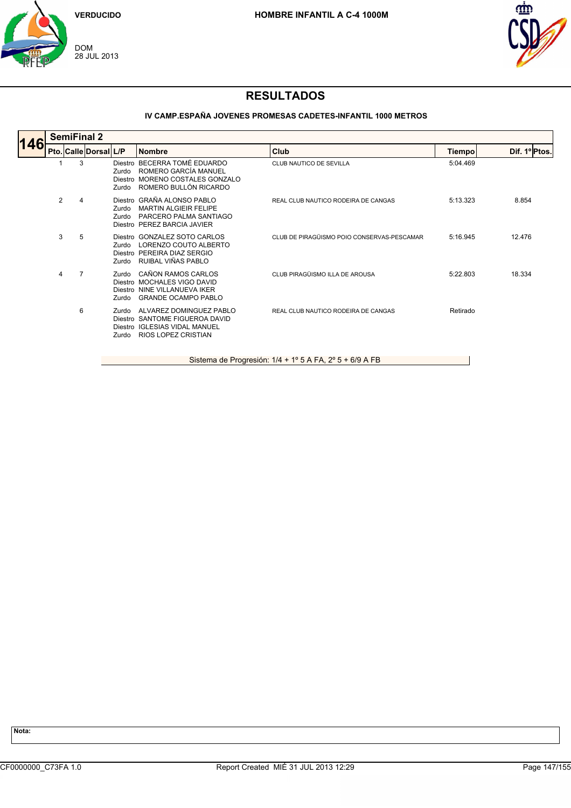



### **IV CAMP.ESPAÑA JOVENES PROMESAS CADETES-INFANTIL 1000 METROS**

| 146 | <b>SemiFinal 2</b> |   |                       |                           |                                                                                                                          |                                            |          |               |  |  |  |
|-----|--------------------|---|-----------------------|---------------------------|--------------------------------------------------------------------------------------------------------------------------|--------------------------------------------|----------|---------------|--|--|--|
|     |                    |   | Pto. Calle Dorsal L/P |                           | <b>Nombre</b>                                                                                                            | Club                                       | Tiempo   | Dif. 1º Ptos. |  |  |  |
|     |                    | 3 |                       | Zurdo<br>Diestro<br>Zurdo | Diestro BECERRA TOMÉ EDUARDO<br>ROMERO GARCÍA MANUEL<br>MORENO COSTALES GONZALO<br>ROMERO BULLÓN RICARDO                 | CLUB NAUTICO DE SEVILLA                    | 5:04.469 |               |  |  |  |
|     | $\overline{2}$     | 4 |                       | Zurdo<br>Zurdo            | Diestro GRAÑA ALONSO PABLO<br><b>MARTIN ALGIEIR FELIPE</b><br>PARCERO PALMA SANTIAGO<br>Diestro PEREZ BARCIA JAVIER      | REAL CLUB NAUTICO RODEIRA DE CANGAS        | 5:13.323 | 8.854         |  |  |  |
|     | 3                  | 5 |                       | Zurdo<br>Zurdo            | Diestro GONZALEZ SOTO CARLOS<br>LORENZO COUTO ALBERTO<br>Diestro PEREIRA DIAZ SERGIO<br>RUIBAL VIÑAS PABLO               | CLUB DE PIRAGÜISMO POIO CONSERVAS-PESCAMAR | 5:16.945 | 12.476        |  |  |  |
|     | 4                  | 7 |                       | Zurdo<br>Zurdo            | CAÑON RAMOS CARLOS<br>Diestro MOCHALES VIGO DAVID<br>Diestro NINE VILLANUEVA IKER<br><b>GRANDE OCAMPO PABLO</b>          | CLUB PIRAGÜISMO ILLA DE AROUSA             | 5:22.803 | 18.334        |  |  |  |
|     |                    | 6 |                       | Zurdo<br>Zurdo            | ALVAREZ DOMINGUEZ PABLO<br>Diestro SANTOME FIGUEROA DAVID<br>Diestro IGLESIAS VIDAL MANUEL<br><b>RIOS LOPEZ CRISTIAN</b> | REAL CLUB NAUTICO RODEIRA DE CANGAS        | Retirado |               |  |  |  |

Sistema de Progresión: 1/4 + 1º 5 A FA, 2º 5 + 6/9 A FB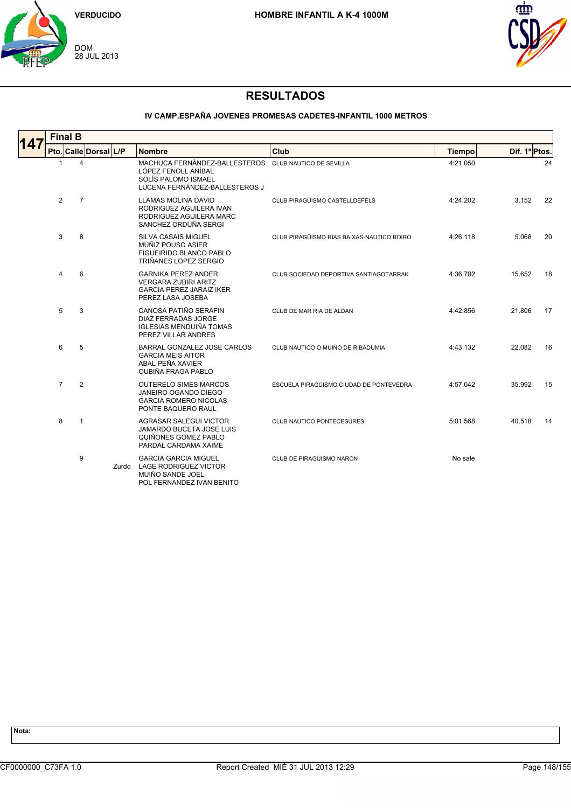



### **IV CAMP.ESPAÑA JOVENES PROMESAS CADETES-INFANTIL 1000 METROS**

| 147 |                | <b>Final B</b> |                       |       |                                                                                                                                       |                                           |               |               |  |  |  |  |
|-----|----------------|----------------|-----------------------|-------|---------------------------------------------------------------------------------------------------------------------------------------|-------------------------------------------|---------------|---------------|--|--|--|--|
|     |                |                | Pto. Calle Dorsal L/P |       | <b>Nombre</b>                                                                                                                         | Club                                      | <b>Tiempo</b> | Dif. 1º Ptos. |  |  |  |  |
|     | $\mathbf{1}$   |                | 4                     |       | MACHUCA FERNÁNDEZ-BALLESTEROS CLUB NAUTICO DE SEVILLA<br>LÓPEZ FENOLL ANÍBAL<br>SOLÍS PALOMO ISMAEL<br>LUCENA FERNÁNDEZ-BALLESTEROS J |                                           | 4:21.050      | 24            |  |  |  |  |
|     | 2              | $\overline{7}$ |                       |       | <b>LLAMAS MOLINA DAVID</b><br>RODRIGUEZ AGUILERA IVAN<br>RODRIGUEZ AGUILERA MARC<br>SANCHEZ ORDUÑA SERGI                              | CLUB PIRAGÜISMO CASTELLDEFELS             | 4:24.202      | 3.152<br>22   |  |  |  |  |
|     | 3              | 8              |                       |       | <b>SILVA CASAIS MIGUEL</b><br>MUÑIZ POUSO ASIER<br>FIGUEIRIDO BLANCO PABLO<br>TRIÑANES LOPEZ SERGIO                                   | CLUB PIRAGÜISMO RIAS BAIXAS-NAUTICO BOIRO | 4:26.118      | 5.068<br>20   |  |  |  |  |
|     | 4              | 6              |                       |       | <b>GARNIKA PEREZ ANDER</b><br><b>VERGARA ZUBIRI ARITZ</b><br><b>GARCIA PEREZ JARAIZ IKER</b><br>PEREZ LASA JOSEBA                     | CLUB SOCIEDAD DEPORTIVA SANTIAGOTARRAK    | 4:36.702      | 15.652<br>18  |  |  |  |  |
|     | 5              |                | 3                     |       | CANOSA PATIÑO SERAFIN<br><b>DIAZ FERRADAS JORGE</b><br><b>IGLESIAS MENDUIÑA TOMAS</b><br>PEREZ VILLAR ANDRES                          | CLUB DE MAR RIA DE ALDAN                  | 4:42.856      | 21.806<br>17  |  |  |  |  |
|     | 6              |                | 5                     |       | BARRAL GONZALEZ JOSE CARLOS<br><b>GARCIA MEIS AITOR</b><br>ABAL PEÑA XAVIER<br><b>OUBIÑA FRAGA PABLO</b>                              | CLUB NAUTICO O MUIÑO DE RIBADUMIA         | 4:43.132      | 22.082<br>16  |  |  |  |  |
|     | $\overline{7}$ |                | 2                     |       | <b>OUTERELO SIMES MARCOS</b><br>JANEIRO OGANDO DIEGO<br><b>GARCIA ROMERO NICOLAS</b><br>PONTE BAQUERO RAUL                            | ESCUELA PIRAGÜISMO CIUDAD DE PONTEVEDRA   | 4:57.042      | 35.992<br>15  |  |  |  |  |
|     | 8              | $\mathbf{1}$   |                       |       | <b>AGRASAR SALEGUI VICTOR</b><br><b>JAMARDO BUCETA JOSE LUIS</b><br>QUIÑONES GOMEZ PABLO<br>PARDAL CARDAMA XAIME                      | CLUB NAUTICO PONTECESURES                 | 5:01.568      | 40.518<br>14  |  |  |  |  |
|     |                | 9              |                       | Zurdo | <b>GARCIA GARCIA MIGUEL</b><br><b>LAGE RODRIGUEZ VICTOR</b><br>MUIÑO SANDE JOEL<br>POL FERNANDEZ IVAN BENITO                          | CLUB DE PIRAGÜISMO NARON                  | No sale       |               |  |  |  |  |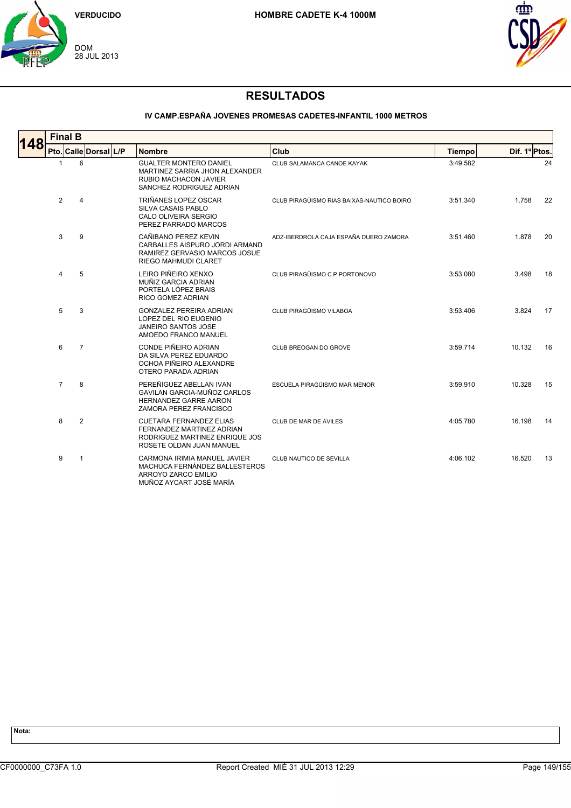



### **IV CAMP.ESPAÑA JOVENES PROMESAS CADETES-INFANTIL 1000 METROS**

| 148 | <b>Final B</b> |  |                       |  |                                                                                                                             |                                           |               |               |  |  |  |
|-----|----------------|--|-----------------------|--|-----------------------------------------------------------------------------------------------------------------------------|-------------------------------------------|---------------|---------------|--|--|--|
|     |                |  | Pto. Calle Dorsal L/P |  | <b>Nombre</b>                                                                                                               | Club                                      | <b>Tiempo</b> | Dif. 1º Ptos. |  |  |  |
|     | -1             |  | 6                     |  | <b>GUALTER MONTERO DANIEL</b><br>MARTINEZ SARRIA JHON ALEXANDER<br><b>RUBIO MACHACON JAVIER</b><br>SANCHEZ RODRIGUEZ ADRIAN | CLUB SALAMANCA CANOE KAYAK                | 3:49.582      | 24            |  |  |  |
|     | $\overline{2}$ |  | 4                     |  | TRIÑANES LOPEZ OSCAR<br><b>SILVA CASAIS PABLO</b><br>CALO OLIVEIRA SERGIO<br>PEREZ PARRADO MARCOS                           | CLUB PIRAGÜISMO RIAS BAIXAS-NAUTICO BOIRO | 3:51.340      | 1.758<br>22   |  |  |  |
|     | 3              |  | 9                     |  | CAÑIBANO PEREZ KEVIN<br>CARBALLES AISPURO JORDI ARMAND<br>RAMIREZ GERVASIO MARCOS JOSUE<br>RIEGO MAHMUDI CLARET             | ADZ-IBERDROLA CAJA ESPAÑA DUERO ZAMORA    | 3:51.460      | 1.878<br>20   |  |  |  |
|     | 4              |  | 5                     |  | LEIRO PIÑEIRO XENXO<br>MUÑIZ GARCIA ADRIAN<br>PORTELA LÓPEZ BRAIS<br><b>RICO GOMEZ ADRIAN</b>                               | CLUB PIRAGÜISMO C.P PORTONOVO             | 3:53.080      | 3.498<br>18   |  |  |  |
|     | 5              |  | 3                     |  | <b>GONZALEZ PEREIRA ADRIAN</b><br>LOPEZ DEL RIO EUGENIO<br><b>JANEIRO SANTOS JOSE</b><br>AMOEDO FRANCO MANUEL               | CLUB PIRAGÜISMO VILABOA                   | 3:53.406      | 3.824<br>17   |  |  |  |
|     | 6              |  | $\overline{7}$        |  | CONDE PIÑEIRO ADRIAN<br>DA SILVA PEREZ EDUARDO<br>OCHOA PIÑEIRO ALEXANDRE<br>OTERO PARADA ADRIAN                            | CLUB BREOGAN DO GROVE                     | 3:59.714      | 10.132<br>16  |  |  |  |
|     | $\overline{7}$ |  | 8                     |  | PEREÑIGUEZ ABELLAN IVAN<br>GAVILAN GARCIA-MUÑOZ CARLOS<br><b>HERNANDEZ GARRE AARON</b><br>ZAMORA PEREZ FRANCISCO            | ESCUELA PIRAGÜISMO MAR MENOR              | 3:59.910      | 10.328<br>15  |  |  |  |
|     | 8              |  | $\overline{2}$        |  | <b>CUETARA FERNANDEZ ELIAS</b><br>FERNANDEZ MARTINEZ ADRIAN<br>RODRIGUEZ MARTINEZ ENRIQUE JOS<br>ROSETE OLDAN JUAN MANUEL   | CLUB DE MAR DE AVILES                     | 4:05.780      | 16.198<br>14  |  |  |  |
|     | 9              |  | $\mathbf{1}$          |  | CARMONA IRIMIA MANUEL JAVIER<br>MACHUCA FERNÁNDEZ BALLESTEROS<br>ARROYO ZARCO EMILIO<br>MUÑOZ AYCART JOSÉ MARÍA             | CLUB NAUTICO DE SEVILLA                   | 4:06.102      | 16.520<br>13  |  |  |  |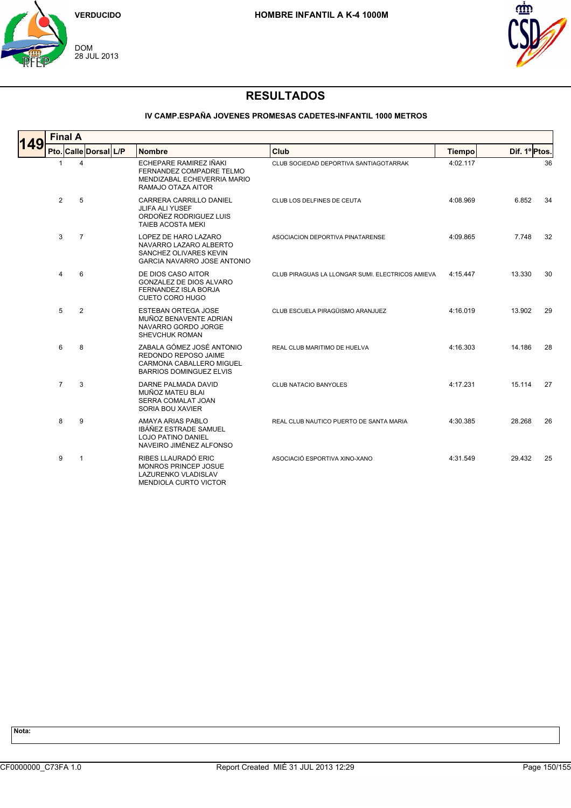



#### **IV CAMP.ESPAÑA JOVENES PROMESAS CADETES-INFANTIL 1000 METROS**

| 149 | <b>Final A</b> |                |                       |  |                                                                                                                 |                                                  |               |               |    |  |  |
|-----|----------------|----------------|-----------------------|--|-----------------------------------------------------------------------------------------------------------------|--------------------------------------------------|---------------|---------------|----|--|--|
|     |                |                | Pto. Calle Dorsal L/P |  | <b>Nombre</b>                                                                                                   | Club                                             | <b>Tiempo</b> | Dif. 1º Ptos. |    |  |  |
|     | $\mathbf{1}$   | $\overline{4}$ |                       |  | ECHEPARE RAMIREZ IÑAKI<br>FERNANDEZ COMPADRE TELMO<br>MENDIZABAL ECHEVERRIA MARIO<br>RAMAJO OTAZA AITOR         | CLUB SOCIEDAD DEPORTIVA SANTIAGOTARRAK           | 4:02.117      |               | 36 |  |  |
|     | $\overline{2}$ | 5              |                       |  | CARRERA CARRILLO DANIEL<br><b>JLIFA ALI YUSEF</b><br>ORDOÑEZ RODRIGUEZ LUIS<br><b>TAIEB ACOSTA MEKI</b>         | CLUB LOS DELFINES DE CEUTA                       | 4:08.969      | 6.852         | 34 |  |  |
|     | 3              | $\overline{7}$ |                       |  | LOPEZ DE HARO LAZARO<br>NAVARRO LAZARO ALBERTO<br>SANCHEZ OLIVARES KEVIN<br><b>GARCIA NAVARRO JOSE ANTONIO</b>  | ASOCIACION DEPORTIVA PINATARENSE                 | 4:09.865      | 7.748         | 32 |  |  |
|     | 4              | 6              |                       |  | DE DIOS CASO AITOR<br>GONZALEZ DE DIOS ALVARO<br>FERNANDEZ ISLA BORJA<br><b>CUETO CORO HUGO</b>                 | CLUB PIRAGUAS LA LLONGAR SUMI. ELECTRICOS AMIEVA | 4:15.447      | 13.330        | 30 |  |  |
|     | 5              | $\overline{2}$ |                       |  | <b>ESTEBAN ORTEGA JOSE</b><br>MUÑOZ BENAVENTE ADRIAN<br>NAVARRO GORDO JORGE<br>SHEVCHUK ROMAN                   | CLUB ESCUELA PIRAGÜISMO ARANJUEZ                 | 4:16.019      | 13.902        | 29 |  |  |
|     | 6              | 8              |                       |  | ZABALA GÓMEZ JOSÉ ANTONIO<br>REDONDO REPOSO JAIME<br>CARMONA CABALLERO MIGUEL<br><b>BARRIOS DOMINGUEZ ELVIS</b> | REAL CLUB MARITIMO DE HUELVA                     | 4:16.303      | 14.186        | 28 |  |  |
|     | $\overline{7}$ | 3              |                       |  | DARNE PALMADA DAVID<br>MUÑOZ MATEU BLAI<br>SERRA COMALAT JOAN<br>SORIA BOU XAVIER                               | CLUB NATACIO BANYOLES                            | 4:17.231      | 15.114        | 27 |  |  |
|     | 8              | 9              |                       |  | AMAYA ARIAS PABLO<br>IBÁÑEZ ESTRADE SAMUEL<br><b>LOJO PATINO DANIEL</b><br>NAVEIRO JIMÉNEZ ALFONSO              | REAL CLUB NAUTICO PUERTO DE SANTA MARIA          | 4:30.385      | 28.268        | 26 |  |  |
|     | 9              | $\mathbf{1}$   |                       |  | RIBES LLAURADÓ ERIC<br>MONROS PRINCEP JOSUE<br><b>LAZURENKO VLADISLAV</b><br>MENDIOLA CURTO VICTOR              | ASOCIACIÓ ESPORTIVA XINO-XANO                    | 4:31.549      | 29.432        | 25 |  |  |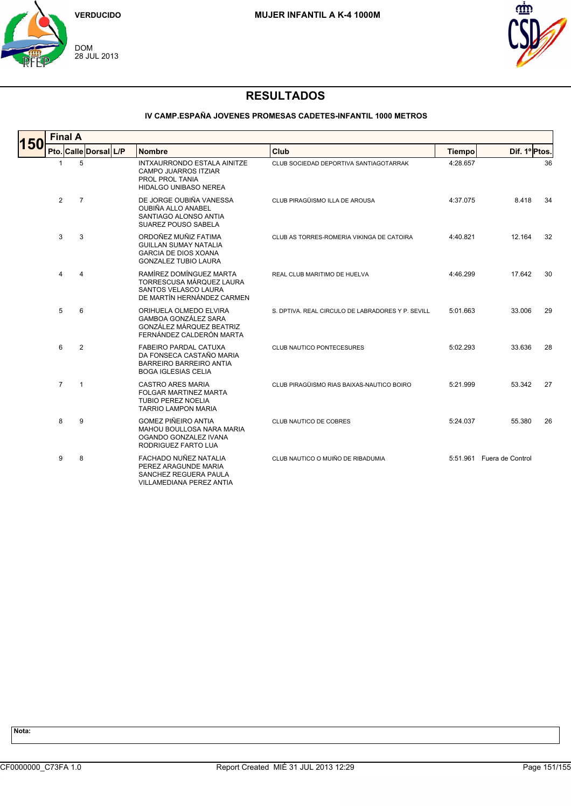



### **IV CAMP.ESPAÑA JOVENES PROMESAS CADETES-INFANTIL 1000 METROS**

| <b>150</b> | <b>Final A</b> |                |                       |  |                                                                                                                          |                                                   |               |                           |    |  |  |  |
|------------|----------------|----------------|-----------------------|--|--------------------------------------------------------------------------------------------------------------------------|---------------------------------------------------|---------------|---------------------------|----|--|--|--|
|            |                |                | Pto. Calle Dorsal L/P |  | <b>Nombre</b>                                                                                                            | Club                                              | <b>Tiempo</b> | Dif. 1º Ptos.             |    |  |  |  |
|            | $\mathbf{1}$   | 5              |                       |  | INTXAURRONDO ESTALA AINITZE<br>CAMPO JUARROS ITZIAR<br>PROL PROL TANIA<br><b>HIDALGO UNIBASO NEREA</b>                   | CLUB SOCIEDAD DEPORTIVA SANTIAGOTARRAK            | 4:28.657      |                           | 36 |  |  |  |
|            | 2              | $\overline{7}$ |                       |  | DE JORGE OUBIÑA VANESSA<br><b>OUBIÑA ALLO ANABEL</b><br>SANTIAGO ALONSO ANTIA<br>SUAREZ POUSO SABELA                     | CLUB PIRAGÜISMO ILLA DE AROUSA                    | 4:37.075      | 8.418                     | 34 |  |  |  |
|            | 3              | 3              |                       |  | ORDOÑEZ MUÑIZ FATIMA<br><b>GUILLAN SUMAY NATALIA</b><br><b>GARCIA DE DIOS XOANA</b><br><b>GONZALEZ TUBIO LAURA</b>       | CLUB AS TORRES-ROMERIA VIKINGA DE CATOIRA         | 4:40.821      | 12.164                    | 32 |  |  |  |
|            | 4              | 4              |                       |  | RAMÍREZ DOMÍNGUEZ MARTA<br>TORRESCUSA MÁRQUEZ LAURA<br>SANTOS VELASCO LAURA<br>DE MARTÍN HERNÁNDEZ CARMEN                | REAL CLUB MARITIMO DE HUELVA                      | 4:46.299      | 17.642                    | 30 |  |  |  |
|            | 5              | 6              |                       |  | ORIHUELA OLMEDO ELVIRA<br><b>GAMBOA GONZÁLEZ SARA</b><br>GONZÁLEZ MÁRQUEZ BEATRIZ<br>FERNÁNDEZ CALDERÓN MARTA            | S. DPTIVA. REAL CIRCULO DE LABRADORES Y P. SEVILL | 5:01.663      | 33.006                    | 29 |  |  |  |
|            | 6              | $\overline{2}$ |                       |  | <b>FABEIRO PARDAL CATUXA</b><br>DA FONSECA CASTAÑO MARIA<br><b>BARREIRO BARREIRO ANTIA</b><br><b>BOGA IGLESIAS CELIA</b> | CLUB NAUTICO PONTECESURES                         | 5:02.293      | 33.636                    | 28 |  |  |  |
|            | $\overline{7}$ | $\overline{1}$ |                       |  | <b>CASTRO ARES MARIA</b><br><b>FOLGAR MARTINEZ MARTA</b><br><b>TUBIO PEREZ NOELIA</b><br><b>TARRIO LAMPON MARIA</b>      | CLUB PIRAGÜISMO RIAS BAIXAS-NAUTICO BOIRO         | 5:21.999      | 53.342                    | 27 |  |  |  |
|            | 8              | 9              |                       |  | <b>GOMEZ PIÑEIRO ANTIA</b><br>MAHOU BOULLOSA NARA MARIA<br>OGANDO GONZALEZ IVANA<br>RODRIGUEZ FARTO LUA                  | CLUB NAUTICO DE COBRES                            | 5:24.037      | 55.380                    | 26 |  |  |  |
|            | 9              | 8              |                       |  | FACHADO NUÑEZ NATALIA<br>PEREZ ARAGUNDE MARIA<br>SANCHEZ REGUERA PAULA<br><b>VILLAMEDIANA PEREZ ANTIA</b>                | CLUB NAUTICO O MUIÑO DE RIBADUMIA                 |               | 5:51.961 Fuera de Control |    |  |  |  |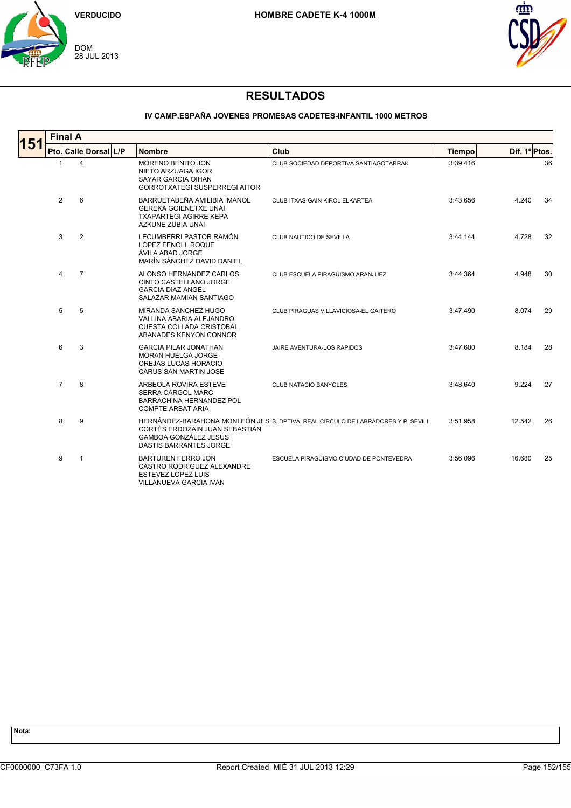



#### **IV CAMP.ESPAÑA JOVENES PROMESAS CADETES-INFANTIL 1000 METROS**

| 151 | <b>Final A</b> |                |                       |  |                                                                                                                    |                                                                                  |               |               |  |  |  |
|-----|----------------|----------------|-----------------------|--|--------------------------------------------------------------------------------------------------------------------|----------------------------------------------------------------------------------|---------------|---------------|--|--|--|
|     |                |                | Pto. Calle Dorsal L/P |  | <b>Nombre</b>                                                                                                      | Club                                                                             | <b>Tiempo</b> | Dif. 1º Ptos. |  |  |  |
|     | $\mathbf{1}$   |                | 4                     |  | <b>MORENO BENITO JON</b><br>NIETO ARZUAGA IGOR<br>SAYAR GARCIA OIHAN<br><b>GORROTXATEGI SUSPERREGI AITOR</b>       | CLUB SOCIEDAD DEPORTIVA SANTIAGOTARRAK                                           | 3:39.416      | 36            |  |  |  |
|     | 2              |                | 6                     |  | BARRUETABEÑA AMILIBIA IMANOL<br><b>GEREKA GOIENETXE UNAI</b><br><b>TXAPARTEGI AGIRRE KEPA</b><br>AZKUNE ZUBIA UNAI | CLUB ITXAS-GAIN KIROL ELKARTEA                                                   | 3:43.656      | 4.240<br>34   |  |  |  |
|     | 3              |                | $\overline{2}$        |  | LECUMBERRI PASTOR RAMÓN<br>LÓPEZ FENOLL ROQUE<br>ÁVILA ABAD JORGE<br>MARÍN SÁNCHEZ DAVID DANIEL                    | CLUB NAUTICO DE SEVILLA                                                          | 3:44.144      | 4.728<br>32   |  |  |  |
|     | 4              | $\overline{7}$ |                       |  | ALONSO HERNANDEZ CARLOS<br>CINTO CASTELLANO JORGE<br><b>GARCIA DIAZ ANGEL</b><br>SALAZAR MAMIAN SANTIAGO           | CLUB ESCUELA PIRAGÜISMO ARANJUEZ                                                 | 3:44.364      | 30<br>4.948   |  |  |  |
|     | 5              |                | 5                     |  | MIRANDA SANCHEZ HUGO<br>VALLINA ABARIA ALEJANDRO<br><b>CUESTA COLLADA CRISTOBAL</b><br>ABANADES KENYON CONNOR      | CLUB PIRAGUAS VILLAVICIOSA-EL GAITERO                                            | 3:47.490      | 8.074<br>29   |  |  |  |
|     | 6              |                | 3                     |  | <b>GARCIA PILAR JONATHAN</b><br><b>MORAN HUELGA JORGE</b><br>OREJAS LUCAS HORACIO<br><b>CARUS SAN MARTIN JOSE</b>  | JAIRE AVENTURA-LOS RAPIDOS                                                       | 3:47.600      | 8.184<br>28   |  |  |  |
|     | $\overline{7}$ |                | 8                     |  | ARBEOLA ROVIRA ESTEVE<br><b>SERRA CARGOL MARC</b><br><b>BARRACHINA HERNANDEZ POL</b><br><b>COMPTE ARBAT ARIA</b>   | <b>CLUB NATACIO BANYOLES</b>                                                     | 3:48.640      | 27<br>9.224   |  |  |  |
|     | 8              |                | 9                     |  | CORTÉS ERDOZAIN JUAN SEBASTIÁN<br>GAMBOA GONZÁLEZ JESÚS<br><b>DASTIS BARRANTES JORGE</b>                           | HERNÁNDEZ-BARAHONA MONLEÓN JES S. DPTIVA. REAL CIRCULO DE LABRADORES Y P. SEVILL | 3:51.958      | 12.542<br>26  |  |  |  |
|     | 9              |                | 1                     |  | <b>BARTUREN FERRO JON</b><br>CASTRO RODRIGUEZ ALEXANDRE<br>ESTEVEZ LOPEZ LUIS<br><b>VILLANUEVA GARCIA IVAN</b>     | ESCUELA PIRAGÜISMO CIUDAD DE PONTEVEDRA                                          | 3:56.096      | 16.680<br>25  |  |  |  |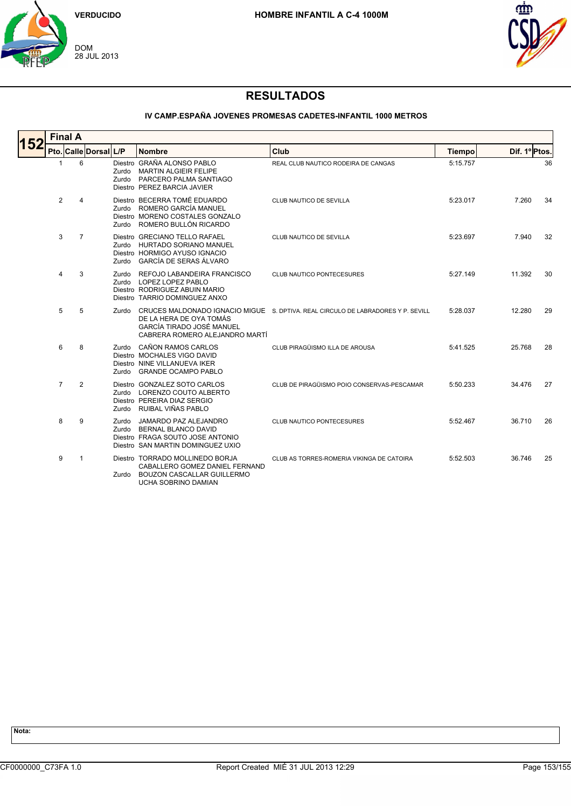



### **IV CAMP.ESPAÑA JOVENES PROMESAS CADETES-INFANTIL 1000 METROS**

| 152 | <b>Final A</b> |                |                       |                |                                                                                                                               |                                                                                  |               |               |  |  |  |
|-----|----------------|----------------|-----------------------|----------------|-------------------------------------------------------------------------------------------------------------------------------|----------------------------------------------------------------------------------|---------------|---------------|--|--|--|
|     |                |                | Pto. Calle Dorsal L/P |                | <b>Nombre</b>                                                                                                                 | Club                                                                             | <b>Tiempo</b> | Dif. 1º Ptos. |  |  |  |
|     | 1              | 6              |                       | Zurdo          | Diestro GRAÑA ALONSO PABLO<br><b>MARTIN ALGIEIR FELIPE</b><br>Zurdo PARCERO PALMA SANTIAGO<br>Diestro PEREZ BARCIA JAVIER     | REAL CLUB NAUTICO RODEIRA DE CANGAS                                              | 5:15.757      | 36            |  |  |  |
|     | 2              | 4              |                       | Zurdo          | Diestro BECERRA TOMÉ EDUARDO<br>Zurdo ROMERO GARCÍA MANUEL<br>Diestro MORENO COSTALES GONZALO<br>ROMERO BULLÓN RICARDO        | CLUB NAUTICO DE SEVILLA                                                          | 5:23.017      | 7.260<br>34   |  |  |  |
|     | 3              | $\overline{7}$ |                       | Zurdo          | Diestro GRECIANO TELLO RAFAEL<br>Zurdo HURTADO SORIANO MANUEL<br>Diestro HORMIGO AYUSO IGNACIO<br>GARCÍA DE SERAS ÁLVARO      | CLUB NAUTICO DE SEVILLA                                                          | 5:23.697      | 7.940<br>32   |  |  |  |
|     | 4              | 3              |                       | Zurdo          | REFOJO LABANDEIRA FRANCISCO<br>Zurdo LOPEZ LOPEZ PABLO<br>Diestro RODRIGUEZ ABUIN MARIO<br>Diestro TARRIO DOMINGUEZ ANXO      | <b>CLUB NAUTICO PONTECESURES</b>                                                 | 5:27.149      | 11.392<br>30  |  |  |  |
|     | 5              | 5              |                       | Zurdo          | DE LA HERA DE OYA TOMÁS<br>GARCÍA TIRADO JOSÉ MANUEL<br>CABRERA ROMERO ALEJANDRO MARTÍ                                        | CRUCES MALDONADO IGNACIO MIGUE S. DPTIVA. REAL CIRCULO DE LABRADORES Y P. SEVILL | 5:28.037      | 12.280<br>29  |  |  |  |
|     | 6              | 8              |                       | Zurdo<br>Zurdo | CAÑON RAMOS CARLOS<br>Diestro MOCHALES VIGO DAVID<br>Diestro NINE VILLANUEVA IKER<br><b>GRANDE OCAMPO PABLO</b>               | CLUB PIRAGÜISMO ILLA DE AROUSA                                                   | 5:41.525      | 25.768<br>28  |  |  |  |
|     | $\overline{7}$ | 2              |                       | Zurdo          | Diestro GONZALEZ SOTO CARLOS<br>Zurdo LORENZO COUTO ALBERTO<br>Diestro PEREIRA DIAZ SERGIO<br>RUIBAL VIÑAS PABLO              | CLUB DE PIRAGÜISMO POIO CONSERVAS-PESCAMAR                                       | 5:50.233      | 34.476<br>27  |  |  |  |
|     | 8              | 9              |                       | Zurdo<br>Zurdo | JAMARDO PAZ ALEJANDRO<br><b>BERNAL BLANCO DAVID</b><br>Diestro FRAGA SOUTO JOSE ANTONIO<br>Diestro SAN MARTIN DOMINGUEZ UXIO  | CLUB NAUTICO PONTECESURES                                                        | 5:52.467      | 36.710<br>26  |  |  |  |
|     | 9              | 1              |                       | Zurdo          | Diestro TORRADO MOLLINEDO BORJA<br>CABALLERO GOMEZ DANIEL FERNAND<br><b>BOUZON CASCALLAR GUILLERMO</b><br>UCHA SOBRINO DAMIAN | CLUB AS TORRES-ROMERIA VIKINGA DE CATOIRA                                        | 5:52.503      | 36.746<br>25  |  |  |  |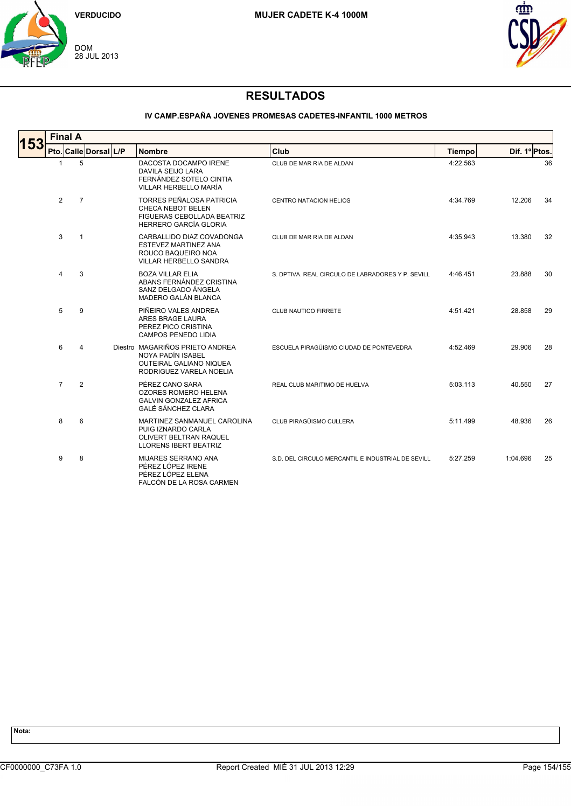



### **IV CAMP.ESPAÑA JOVENES PROMESAS CADETES-INFANTIL 1000 METROS**

| 153 | <b>Final A</b> |                |                       |  |                                                                                                                    |                                                   |               |                |  |  |  |
|-----|----------------|----------------|-----------------------|--|--------------------------------------------------------------------------------------------------------------------|---------------------------------------------------|---------------|----------------|--|--|--|
|     |                |                | Pto. Calle Dorsal L/P |  | <b>Nombre</b>                                                                                                      | Club                                              | <b>Tiempo</b> | Dif. 1º Ptos.  |  |  |  |
|     | $\mathbf{1}$   | 5              |                       |  | DACOSTA DOCAMPO IRENE<br>DAVILA SEIJO LARA<br>FERNÁNDEZ SOTELO CINTIA<br>VILLAR HERBELLO MARÍA                     | CLUB DE MAR RIA DE ALDAN                          | 4:22.563      | 36             |  |  |  |
|     | $\overline{2}$ | $\overline{7}$ |                       |  | <b>TORRES PEÑALOSA PATRICIA</b><br>CHECA NEBOT BELEN<br>FIGUERAS CEBOLLADA BEATRIZ<br><b>HERRERO GARCÍA GLORIA</b> | <b>CENTRO NATACION HELIOS</b>                     | 4:34.769      | 12.206<br>34   |  |  |  |
|     | 3              | $\overline{1}$ |                       |  | CARBALLIDO DIAZ COVADONGA<br>ESTEVEZ MARTINEZ ANA<br>ROUCO BAQUEIRO NOA<br>VILLAR HERBELLO SANDRA                  | CLUB DE MAR RIA DE ALDAN                          | 4:35.943      | 13.380<br>32   |  |  |  |
|     | 4              | 3              |                       |  | <b>BOZA VILLAR ELIA</b><br>ABANS FERNÁNDEZ CRISTINA<br>SANZ DELGADO ÁNGELA<br>MADERO GALÁN BLANCA                  | S. DPTIVA, REAL CIRCULO DE LABRADORES Y P. SEVILL | 4:46.451      | 23.888<br>30   |  |  |  |
|     | 5              | 9              |                       |  | PIÑEIRO VALES ANDREA<br>ARES BRAGE LAURA<br>PEREZ PICO CRISTINA<br>CAMPOS PENEDO LIDIA                             | CLUB NAUTICO FIRRETE                              | 4:51.421      | 28.858<br>29   |  |  |  |
|     | 6              | 4              |                       |  | Diestro MAGARIÑOS PRIETO ANDREA<br>NOYA PADÍN ISABEL<br><b>OUTEIRAL GALIANO NIQUEA</b><br>RODRIGUEZ VARELA NOELIA  | ESCUELA PIRAGÜISMO CIUDAD DE PONTEVEDRA           | 4:52.469      | 29.906<br>28   |  |  |  |
|     | $\overline{7}$ | $\overline{2}$ |                       |  | PÉREZ CANO SARA<br><b>OZORES ROMERO HELENA</b><br><b>GALVIN GONZALEZ AFRICA</b><br><b>GALÉ SÁNCHEZ CLARA</b>       | REAL CLUB MARITIMO DE HUELVA                      | 5:03.113      | 27<br>40.550   |  |  |  |
|     | 8              | 6              |                       |  | MARTINEZ SANMANUEL CAROLINA<br>PUIG IZNARDO CARLA<br>OLIVERT BELTRAN RAQUEL<br><b>LLORENS IBERT BEATRIZ</b>        | CLUB PIRAGÜISMO CULLERA                           | 5:11.499      | 48.936<br>26   |  |  |  |
|     | 9              | 8              |                       |  | MIJARES SERRANO ANA<br>PÉREZ LÓPEZ IRENE<br>PÉREZ LÓPEZ ELENA<br>FALCÓN DE LA ROSA CARMEN                          | S.D. DEL CIRCULO MERCANTIL E INDUSTRIAL DE SEVILL | 5:27.259      | 1:04.696<br>25 |  |  |  |